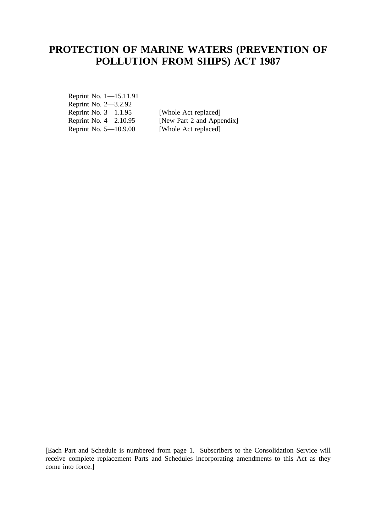# **PROTECTION OF MARINE WATERS (PREVENTION OF POLLUTION FROM SHIPS) ACT 1987**

| Reprint No. 1-15.11.91 |
|------------------------|
| Reprint No. 2-3.2.92   |
| Reprint No. 3-1.1.95   |
| Reprint No. 4-2.10.95  |
| Reprint No. 5-10.9.00  |

[Whole Act replaced] [New Part 2 and Appendix]  $[Whole Act replaced]$ 

[Each Part and Schedule is numbered from page 1. Subscribers to the Consolidation Service will receive complete replacement Parts and Schedules incorporating amendments to this Act as they come into force.]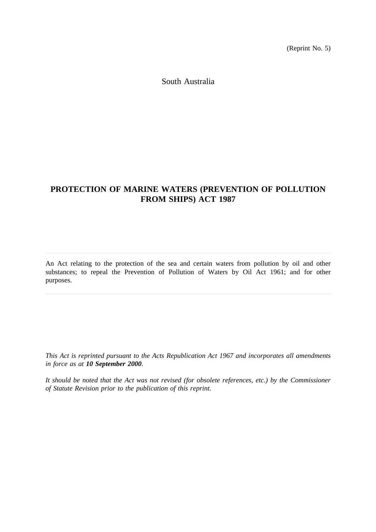(Reprint No. 5)

South Australia

# **PROTECTION OF MARINE WATERS (PREVENTION OF POLLUTION FROM SHIPS) ACT 1987**

An Act relating to the protection of the sea and certain waters from pollution by oil and other substances; to repeal the Prevention of Pollution of Waters by Oil Act 1961; and for other purposes.

*This Act is reprinted pursuant to the Acts Republication Act 1967 and incorporates all amendments in force as at 10 September 2000.*

*It should be noted that the Act was not revised (for obsolete references, etc.) by the Commissioner of Statute Revision prior to the publication of this reprint.*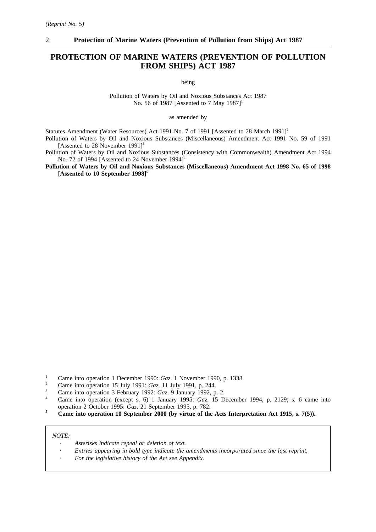# 2 **Protection of Marine Waters (Prevention of Pollution from Ships) Act 1987**

# **PROTECTION OF MARINE WATERS (PREVENTION OF POLLUTION FROM SHIPS) ACT 1987**

being

Pollution of Waters by Oil and Noxious Substances Act 1987 No. 56 of 1987 [Assented to 7 May 1987]<sup>1</sup>

as amended by

Statutes Amendment (Water Resources) Act 1991 No. 7 of 1991 [Assented to 28 March 1991]<sup>2</sup>

Pollution of Waters by Oil and Noxious Substances (Miscellaneous) Amendment Act 1991 No. 59 of 1991 [Assented to 28 November  $1991$ ]<sup>3</sup>

Pollution of Waters by Oil and Noxious Substances (Consistency with Commonwealth) Amendment Act 1994 No. 72 of 1994 [Assented to 24 November 1994]<sup>4</sup>

**Pollution of Waters by Oil and Noxious Substances (Miscellaneous) Amendment Act 1998 No. 65 of 1998 [Assented to 10 September 1998]5**

- <sup>2</sup> Came into operation 15 July 1991: *Gaz*. 11 July 1991, p. 244.
- <sup>3</sup> Came into operation 3 February 1992: *Gaz*. 9 January 1992, p. 2.
- <sup>4</sup> Came into operation (except s. 6) 1 January 1995: *Gaz*. 15 December 1994, p. 2129; s. 6 came into operation 2 October 1995: *Gaz*. 21 September 1995, p. 782.
- <sup>5</sup> Came into operation 10 September 2000 (by virtue of the Acts Interpretation Act 1915, s. 7(5)).

*NOTE:*

- *Asterisks indicate repeal or deletion of text.*
- *Entries appearing in bold type indicate the amendments incorporated since the last reprint.*
- *For the legislative history of the Act see Appendix.*

<sup>&</sup>lt;sup>1</sup> Came into operation 1 December 1990: *Gaz*. 1 November 1990, p. 1338.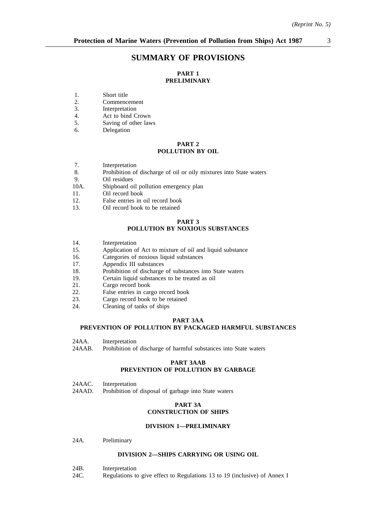# **SUMMARY OF PROVISIONS**

# **PART 1 PRELIMINARY**

- 1. Short title<br>2. Commence
- 2. Commencement<br>3. Interpretation
- 3. Interpretation<br>4. Act to bind C
- 4. Act to bind Crown<br>5. Saving of other law
- 5. Saving of other laws
- 6. Delegation

#### **PART 2 POLLUTION BY OIL**

- 7. Interpretation<br>8. Prohibition of
- 8. Prohibition of discharge of oil or oily mixtures into State waters
- Oil residues
- 10A. Shipboard oil pollution emergency plan
- 11. Oil record book
- 12. False entries in oil record book
- 13. Oil record book to be retained

#### **PART 3 POLLUTION BY NOXIOUS SUBSTANCES**

- 14. Interpretation
- 15. Application of Act to mixture of oil and liquid substance
- 16. Categories of noxious liquid substances
- 17. Appendix III substances
- 18. Prohibition of discharge of substances into State waters
- 19. Certain liquid substances to be treated as oil
- 21. Cargo record book
- 22. False entries in cargo record book
- 23. Cargo record book to be retained
- 24. Cleaning of tanks of ships

#### **PART 3AA**

# **PREVENTION OF POLLUTION BY PACKAGED HARMFUL SUBSTANCES**

- 24AA. Interpretation<br>24AAB. Prohibition of
- Prohibition of discharge of harmful substances into State waters

# **PART 3AAB**

# **PREVENTION OF POLLUTION BY GARBAGE**

- 24AAC. Interpretation
- 24AAD. Prohibition of disposal of garbage into State waters

# **PART 3A CONSTRUCTION OF SHIPS**

# **DIVISION 1—PRELIMINARY**

24A. Preliminary

## **DIVISION 2—SHIPS CARRYING OR USING OIL**

- 24B. Interpretation<br>24C. Regulations to
- Regulations to give effect to Regulations 13 to 19 (inclusive) of Annex I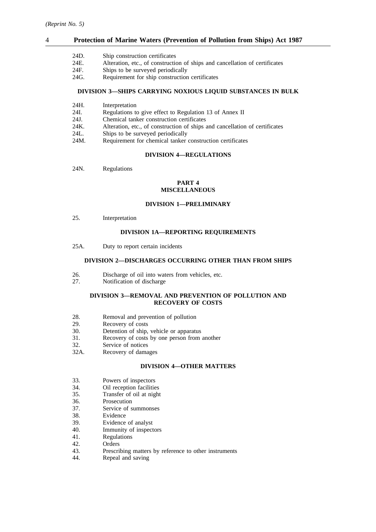# 4 **Protection of Marine Waters (Prevention of Pollution from Ships) Act 1987**

- 24D. Ship construction certificates
- 24E. Alteration, etc., of construction of ships and cancellation of certificates 24F. Ships to be surveved periodically
- Ships to be surveyed periodically
- 24G. Requirement for ship construction certificates

# **DIVISION 3—SHIPS CARRYING NOXIOUS LIQUID SUBSTANCES IN BULK**

- 24H. Interpretation
- 24I. Regulations to give effect to Regulation 13 of Annex II
- 24J. Chemical tanker construction certificates
- 24K. Alteration, etc., of construction of ships and cancellation of certificates
- 24L. Ships to be surveyed periodically
- 24M. Requirement for chemical tanker construction certificates

# **DIVISION 4—REGULATIONS**

24N. Regulations

# **PART 4 MISCELLANEOUS**

# **DIVISION 1—PRELIMINARY**

25. Interpretation

# **DIVISION 1A—REPORTING REQUIREMENTS**

25A. Duty to report certain incidents

# **DIVISION 2—DISCHARGES OCCURRING OTHER THAN FROM SHIPS**

- 26. Discharge of oil into waters from vehicles, etc.
- 27. Notification of discharge

#### **DIVISION 3—REMOVAL AND PREVENTION OF POLLUTION AND RECOVERY OF COSTS**

- 28. Removal and prevention of pollution<br>29. Recovery of costs
- 29. Recovery of costs<br>30. Detention of ship,
- Detention of ship, vehicle or apparatus
- 31. Recovery of costs by one person from another
- 32. Service of notices
- 32A. Recovery of damages

# **DIVISION 4—OTHER MATTERS**

- 33. Powers of inspectors<br>34. Oil reception facilities
- 34. Oil reception facilities<br>35. Transfer of oil at night
- Transfer of oil at night
- 36. Prosecution
- 37. Service of summonses
- 38. Evidence
- 39. Evidence of analyst
- 40. Immunity of inspectors
- 41. Regulations
- 42. Orders
- 43. Prescribing matters by reference to other instruments
- 44. Repeal and saving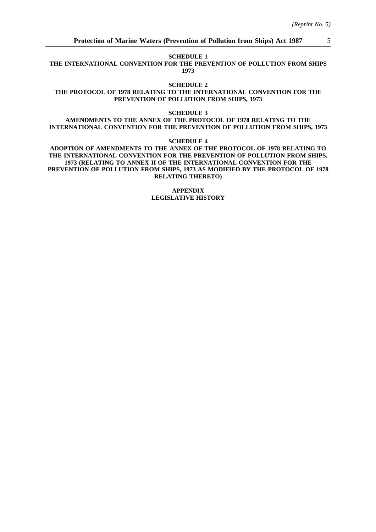#### **SCHEDULE 1**

**THE INTERNATIONAL CONVENTION FOR THE PREVENTION OF POLLUTION FROM SHIPS 1973**

### **SCHEDULE 2**

**THE PROTOCOL OF 1978 RELATING TO THE INTERNATIONAL CONVENTION FOR THE PREVENTION OF POLLUTION FROM SHIPS, 1973**

#### **SCHEDULE 3**

**AMENDMENTS TO THE ANNEX OF THE PROTOCOL OF 1978 RELATING TO THE INTERNATIONAL CONVENTION FOR THE PREVENTION OF POLLUTION FROM SHIPS, 1973**

#### **SCHEDULE 4**

**ADOPTION OF AMENDMENTS TO THE ANNEX OF THE PROTOCOL OF 1978 RELATING TO THE INTERNATIONAL CONVENTION FOR THE PREVENTION OF POLLUTION FROM SHIPS, 1973 (RELATING TO ANNEX II OF THE INTERNATIONAL CONVENTION FOR THE PREVENTION OF POLLUTION FROM SHIPS, 1973 AS MODIFIED BY THE PROTOCOL OF 1978 RELATING THERETO)**

> **APPENDIX LEGISLATIVE HISTORY**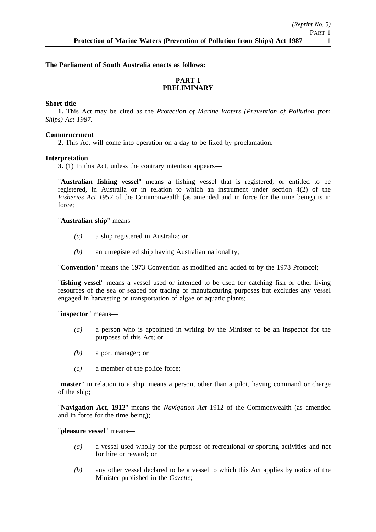# **The Parliament of South Australia enacts as follows:**

# **PART 1 PRELIMINARY**

# **Short title**

**1.** This Act may be cited as the *Protection of Marine Waters (Prevention of Pollution from Ships) Act 1987*.

# **Commencement**

**2.** This Act will come into operation on a day to be fixed by proclamation.

#### **Interpretation**

**3.** (1) In this Act, unless the contrary intention appears—

"**Australian fishing vessel**" means a fishing vessel that is registered, or entitled to be registered, in Australia or in relation to which an instrument under section 4(2) of the *Fisheries Act 1952* of the Commonwealth (as amended and in force for the time being) is in force;

"**Australian ship**" means—

- *(a)* a ship registered in Australia; or
- *(b)* an unregistered ship having Australian nationality;

"**Convention**" means the 1973 Convention as modified and added to by the 1978 Protocol;

"**fishing vessel**" means a vessel used or intended to be used for catching fish or other living resources of the sea or seabed for trading or manufacturing purposes but excludes any vessel engaged in harvesting or transportation of algae or aquatic plants;

"**inspector**" means—

- *(a)* a person who is appointed in writing by the Minister to be an inspector for the purposes of this Act; or
- *(b)* a port manager; or
- *(c)* a member of the police force;

"**master**" in relation to a ship, means a person, other than a pilot, having command or charge of the ship;

"**Navigation Act, 1912**" means the *Navigation Act* 1912 of the Commonwealth (as amended and in force for the time being);

"**pleasure vessel**" means—

- *(a)* a vessel used wholly for the purpose of recreational or sporting activities and not for hire or reward; or
- *(b)* any other vessel declared to be a vessel to which this Act applies by notice of the Minister published in the *Gazette*;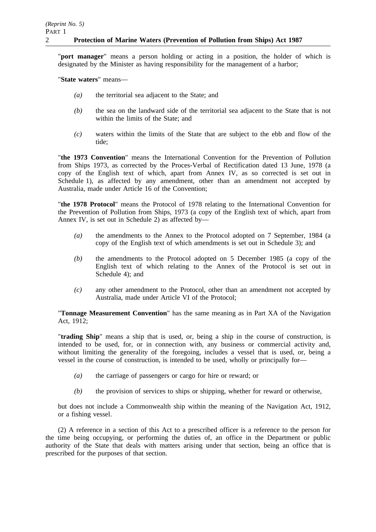"**port manager**" means a person holding or acting in a position, the holder of which is designated by the Minister as having responsibility for the management of a harbor;

"**State waters**" means—

- *(a)* the territorial sea adjacent to the State; and
- *(b)* the sea on the landward side of the territorial sea adjacent to the State that is not within the limits of the State; and
- *(c)* waters within the limits of the State that are subject to the ebb and flow of the tide;

"**the 1973 Convention**" means the International Convention for the Prevention of Pollution from Ships 1973, as corrected by the Proces-Verbal of Rectification dated 13 June, 1978 (a copy of the English text of which, apart from Annex IV, as so corrected is set out in Schedule 1), as affected by any amendment, other than an amendment not accepted by Australia, made under Article 16 of the Convention;

"**the 1978 Protocol**" means the Protocol of 1978 relating to the International Convention for the Prevention of Pollution from Ships, 1973 (a copy of the English text of which, apart from Annex IV, is set out in Schedule 2) as affected by—

- *(a)* the amendments to the Annex to the Protocol adopted on 7 September, 1984 (a copy of the English text of which amendments is set out in Schedule 3); and
- *(b)* the amendments to the Protocol adopted on 5 December 1985 (a copy of the English text of which relating to the Annex of the Protocol is set out in Schedule 4): and
- *(c)* any other amendment to the Protocol, other than an amendment not accepted by Australia, made under Article VI of the Protocol;

"**Tonnage Measurement Convention**" has the same meaning as in Part XA of the Navigation Act, 1912;

"**trading Ship**" means a ship that is used, or, being a ship in the course of construction, is intended to be used, for, or in connection with, any business or commercial activity and, without limiting the generality of the foregoing, includes a vessel that is used, or, being a vessel in the course of construction, is intended to be used, wholly or principally for—

- *(a)* the carriage of passengers or cargo for hire or reward; or
- *(b)* the provision of services to ships or shipping, whether for reward or otherwise,

but does not include a Commonwealth ship within the meaning of the Navigation Act, 1912, or a fishing vessel.

(2) A reference in a section of this Act to a prescribed officer is a reference to the person for the time being occupying, or performing the duties of, an office in the Department or public authority of the State that deals with matters arising under that section, being an office that is prescribed for the purposes of that section.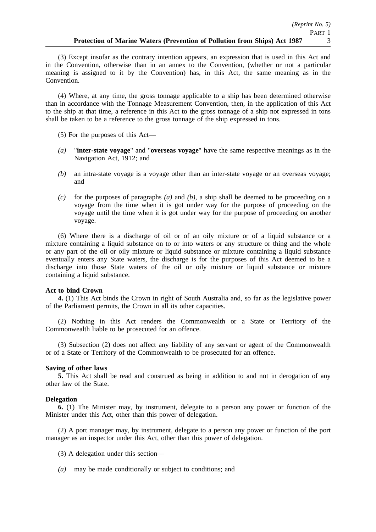(3) Except insofar as the contrary intention appears, an expression that is used in this Act and in the Convention, otherwise than in an annex to the Convention, (whether or not a particular meaning is assigned to it by the Convention) has, in this Act, the same meaning as in the Convention.

(4) Where, at any time, the gross tonnage applicable to a ship has been determined otherwise than in accordance with the Tonnage Measurement Convention, then, in the application of this Act to the ship at that time, a reference in this Act to the gross tonnage of a ship not expressed in tons shall be taken to be a reference to the gross tonnage of the ship expressed in tons.

(5) For the purposes of this Act—

- *(a)* "**inter-state voyage**" and "**overseas voyage**" have the same respective meanings as in the Navigation Act, 1912; and
- *(b)* an intra-state voyage is a voyage other than an inter-state voyage or an overseas voyage; and
- $(c)$  for the purposes of paragraphs  $(a)$  and  $(b)$ , a ship shall be deemed to be proceeding on a voyage from the time when it is got under way for the purpose of proceeding on the voyage until the time when it is got under way for the purpose of proceeding on another voyage.

(6) Where there is a discharge of oil or of an oily mixture or of a liquid substance or a mixture containing a liquid substance on to or into waters or any structure or thing and the whole or any part of the oil or oily mixture or liquid substance or mixture containing a liquid substance eventually enters any State waters, the discharge is for the purposes of this Act deemed to be a discharge into those State waters of the oil or oily mixture or liquid substance or mixture containing a liquid substance.

# **Act to bind Crown**

**4.** (1) This Act binds the Crown in right of South Australia and, so far as the legislative power of the Parliament permits, the Crown in all its other capacities.

(2) Nothing in this Act renders the Commonwealth or a State or Territory of the Commonwealth liable to be prosecuted for an offence.

(3) Subsection (2) does not affect any liability of any servant or agent of the Commonwealth or of a State or Territory of the Commonwealth to be prosecuted for an offence.

# **Saving of other laws**

**5.** This Act shall be read and construed as being in addition to and not in derogation of any other law of the State.

# **Delegation**

**6.** (1) The Minister may, by instrument, delegate to a person any power or function of the Minister under this Act, other than this power of delegation.

(2) A port manager may, by instrument, delegate to a person any power or function of the port manager as an inspector under this Act, other than this power of delegation.

- (3) A delegation under this section—
- *(a)* may be made conditionally or subject to conditions; and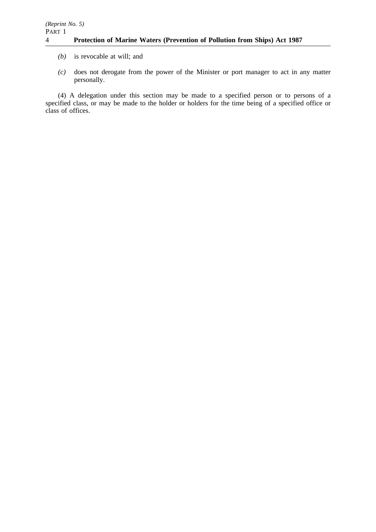- *(b)* is revocable at will; and
- *(c)* does not derogate from the power of the Minister or port manager to act in any matter personally.

(4) A delegation under this section may be made to a specified person or to persons of a specified class, or may be made to the holder or holders for the time being of a specified office or class of offices.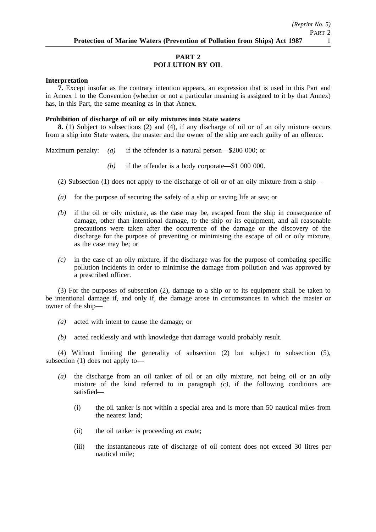# **PART 2 POLLUTION BY OIL**

# **Interpretation**

**7.** Except insofar as the contrary intention appears, an expression that is used in this Part and in Annex 1 to the Convention (whether or not a particular meaning is assigned to it by that Annex) has, in this Part, the same meaning as in that Annex.

#### **Prohibition of discharge of oil or oily mixtures into State waters**

**8.** (1) Subject to subsections (2) and (4), if any discharge of oil or of an oily mixture occurs from a ship into State waters, the master and the owner of the ship are each guilty of an offence.

Maximum penalty: *(a)* if the offender is a natural person—\$200 000; or

- *(b)* if the offender is a body corporate—\$1 000 000.
- (2) Subsection (1) does not apply to the discharge of oil or of an oily mixture from a ship—
- *(a)* for the purpose of securing the safety of a ship or saving life at sea; or
- *(b)* if the oil or oily mixture, as the case may be, escaped from the ship in consequence of damage, other than intentional damage, to the ship or its equipment, and all reasonable precautions were taken after the occurrence of the damage or the discovery of the discharge for the purpose of preventing or minimising the escape of oil or oily mixture, as the case may be; or
- *(c)* in the case of an oily mixture, if the discharge was for the purpose of combating specific pollution incidents in order to minimise the damage from pollution and was approved by a prescribed officer.

(3) For the purposes of subsection (2), damage to a ship or to its equipment shall be taken to be intentional damage if, and only if, the damage arose in circumstances in which the master or owner of the ship—

- *(a)* acted with intent to cause the damage; or
- *(b)* acted recklessly and with knowledge that damage would probably result.

(4) Without limiting the generality of subsection (2) but subject to subsection (5), subsection (1) does not apply to—

- *(a)* the discharge from an oil tanker of oil or an oily mixture, not being oil or an oily mixture of the kind referred to in paragraph *(c)*, if the following conditions are satisfied—
	- (i) the oil tanker is not within a special area and is more than 50 nautical miles from the nearest land;
	- (ii) the oil tanker is proceeding *en route*;
	- (iii) the instantaneous rate of discharge of oil content does not exceed 30 litres per nautical mile;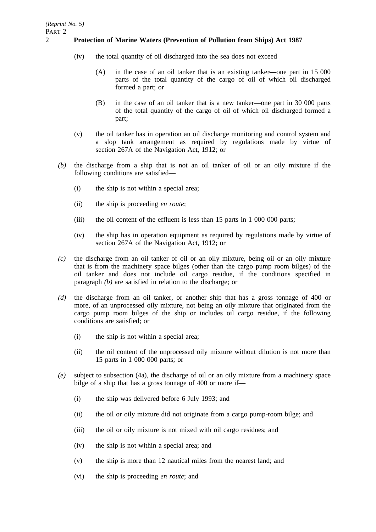- (iv) the total quantity of oil discharged into the sea does not exceed—
	- (A) in the case of an oil tanker that is an existing tanker—one part in 15 000 parts of the total quantity of the cargo of oil of which oil discharged formed a part; or
	- (B) in the case of an oil tanker that is a new tanker—one part in 30 000 parts of the total quantity of the cargo of oil of which oil discharged formed a part;
- (v) the oil tanker has in operation an oil discharge monitoring and control system and a slop tank arrangement as required by regulations made by virtue of section 267A of the Navigation Act, 1912; or
- *(b)* the discharge from a ship that is not an oil tanker of oil or an oily mixture if the following conditions are satisfied—
	- (i) the ship is not within a special area;
	- (ii) the ship is proceeding *en route*;
	- (iii) the oil content of the effluent is less than 15 parts in 1 000 000 parts;
	- (iv) the ship has in operation equipment as required by regulations made by virtue of section 267A of the Navigation Act, 1912; or
- *(c)* the discharge from an oil tanker of oil or an oily mixture, being oil or an oily mixture that is from the machinery space bilges (other than the cargo pump room bilges) of the oil tanker and does not include oil cargo residue, if the conditions specified in paragraph *(b)* are satisfied in relation to the discharge; or
- *(d)* the discharge from an oil tanker, or another ship that has a gross tonnage of 400 or more, of an unprocessed oily mixture, not being an oily mixture that originated from the cargo pump room bilges of the ship or includes oil cargo residue, if the following conditions are satisfied; or
	- (i) the ship is not within a special area;
	- (ii) the oil content of the unprocessed oily mixture without dilution is not more than 15 parts in 1 000 000 parts; or
- *(e)* subject to subsection (4a), the discharge of oil or an oily mixture from a machinery space bilge of a ship that has a gross tonnage of 400 or more if—
	- (i) the ship was delivered before 6 July 1993; and
	- (ii) the oil or oily mixture did not originate from a cargo pump-room bilge; and
	- (iii) the oil or oily mixture is not mixed with oil cargo residues; and
	- (iv) the ship is not within a special area; and
	- (v) the ship is more than 12 nautical miles from the nearest land; and
	- (vi) the ship is proceeding *en route*; and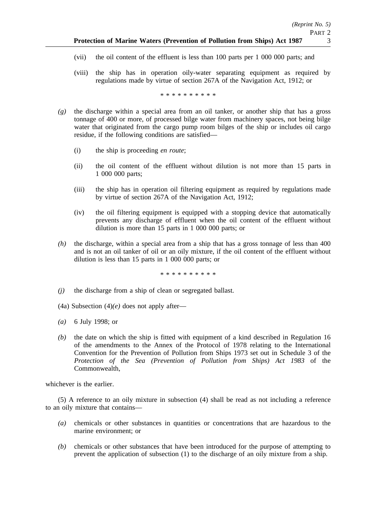- (vii) the oil content of the effluent is less than 100 parts per 1 000 000 parts; and
- (viii) the ship has in operation oily-water separating equipment as required by regulations made by virtue of section 267A of the Navigation Act, 1912; or

\*\*\*\*\*\*\*\*\*\*

- *(g)* the discharge within a special area from an oil tanker, or another ship that has a gross tonnage of 400 or more, of processed bilge water from machinery spaces, not being bilge water that originated from the cargo pump room bilges of the ship or includes oil cargo residue, if the following conditions are satisfied—
	- (i) the ship is proceeding *en route*;
	- (ii) the oil content of the effluent without dilution is not more than 15 parts in 1 000 000 parts;
	- (iii) the ship has in operation oil filtering equipment as required by regulations made by virtue of section 267A of the Navigation Act, 1912;
	- (iv) the oil filtering equipment is equipped with a stopping device that automatically prevents any discharge of effluent when the oil content of the effluent without dilution is more than 15 parts in 1 000 000 parts; or
- *(h)* the discharge, within a special area from a ship that has a gross tonnage of less than 400 and is not an oil tanker of oil or an oily mixture, if the oil content of the effluent without dilution is less than 15 parts in 1 000 000 parts; or

\*\*\*\*\*\*\*\*\*\*

- *(j)* the discharge from a ship of clean or segregated ballast.
- (4a) Subsection (4)*(e)* does not apply after—
- *(a)* 6 July 1998; or
- *(b)* the date on which the ship is fitted with equipment of a kind described in Regulation 16 of the amendments to the Annex of the Protocol of 1978 relating to the International Convention for the Prevention of Pollution from Ships 1973 set out in Schedule 3 of the *Protection of the Sea (Prevention of Pollution from Ships) Act 1983* of the Commonwealth,

whichever is the earlier.

(5) A reference to an oily mixture in subsection (4) shall be read as not including a reference to an oily mixture that contains—

- *(a)* chemicals or other substances in quantities or concentrations that are hazardous to the marine environment; or
- *(b)* chemicals or other substances that have been introduced for the purpose of attempting to prevent the application of subsection (1) to the discharge of an oily mixture from a ship.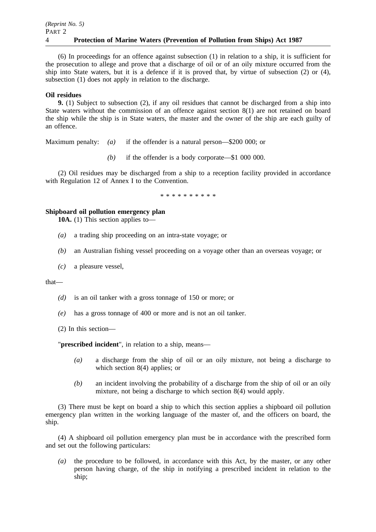(6) In proceedings for an offence against subsection (1) in relation to a ship, it is sufficient for the prosecution to allege and prove that a discharge of oil or of an oily mixture occurred from the ship into State waters, but it is a defence if it is proved that, by virtue of subsection (2) or (4), subsection (1) does not apply in relation to the discharge.

# **Oil residues**

**9.** (1) Subject to subsection (2), if any oil residues that cannot be discharged from a ship into State waters without the commission of an offence against section 8(1) are not retained on board the ship while the ship is in State waters, the master and the owner of the ship are each guilty of an offence.

Maximum penalty: *(a)* if the offender is a natural person—\$200 000; or

*(b)* if the offender is a body corporate—\$1 000 000.

(2) Oil residues may be discharged from a ship to a reception facility provided in accordance with Regulation 12 of Annex I to the Convention.

\*\*\*\*\*\*\*\*\*\*

# **Shipboard oil pollution emergency plan**

**10A.** (1) This section applies to—

- *(a)* a trading ship proceeding on an intra-state voyage; or
- *(b)* an Australian fishing vessel proceeding on a voyage other than an overseas voyage; or
- *(c)* a pleasure vessel,

that—

- *(d)* is an oil tanker with a gross tonnage of 150 or more; or
- *(e)* has a gross tonnage of 400 or more and is not an oil tanker.

(2) In this section—

"**prescribed incident**", in relation to a ship, means—

- *(a)* a discharge from the ship of oil or an oily mixture, not being a discharge to which section 8(4) applies; or
- *(b)* an incident involving the probability of a discharge from the ship of oil or an oily mixture, not being a discharge to which section 8(4) would apply.

(3) There must be kept on board a ship to which this section applies a shipboard oil pollution emergency plan written in the working language of the master of, and the officers on board, the ship.

(4) A shipboard oil pollution emergency plan must be in accordance with the prescribed form and set out the following particulars:

*(a)* the procedure to be followed, in accordance with this Act, by the master, or any other person having charge, of the ship in notifying a prescribed incident in relation to the ship;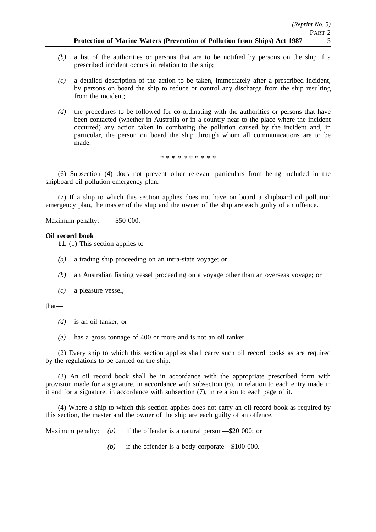- *(b)* a list of the authorities or persons that are to be notified by persons on the ship if a prescribed incident occurs in relation to the ship;
- *(c)* a detailed description of the action to be taken, immediately after a prescribed incident, by persons on board the ship to reduce or control any discharge from the ship resulting from the incident;
- *(d)* the procedures to be followed for co-ordinating with the authorities or persons that have been contacted (whether in Australia or in a country near to the place where the incident occurred) any action taken in combating the pollution caused by the incident and, in particular, the person on board the ship through whom all communications are to be made.

\*\*\*\*\*\*\*\*\*\*

(6) Subsection (4) does not prevent other relevant particulars from being included in the shipboard oil pollution emergency plan.

(7) If a ship to which this section applies does not have on board a shipboard oil pollution emergency plan, the master of the ship and the owner of the ship are each guilty of an offence.

Maximum penalty: \$50 000.

#### **Oil record book**

**11.** (1) This section applies to—

- *(a)* a trading ship proceeding on an intra-state voyage; or
- *(b)* an Australian fishing vessel proceeding on a voyage other than an overseas voyage; or
- *(c)* a pleasure vessel,

#### that—

- *(d)* is an oil tanker; or
- *(e)* has a gross tonnage of 400 or more and is not an oil tanker.

(2) Every ship to which this section applies shall carry such oil record books as are required by the regulations to be carried on the ship.

(3) An oil record book shall be in accordance with the appropriate prescribed form with provision made for a signature, in accordance with subsection (6), in relation to each entry made in it and for a signature, in accordance with subsection (7), in relation to each page of it.

(4) Where a ship to which this section applies does not carry an oil record book as required by this section, the master and the owner of the ship are each guilty of an offence.

Maximum penalty: *(a)* if the offender is a natural person—\$20 000; or

*(b)* if the offender is a body corporate—\$100 000.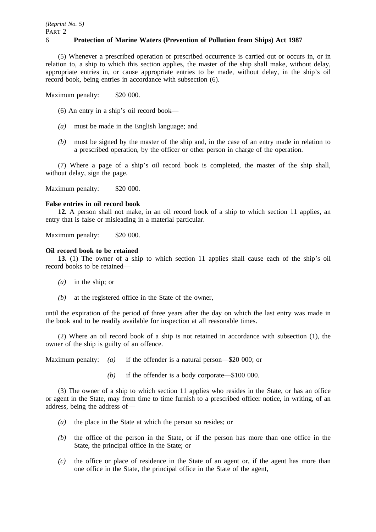(5) Whenever a prescribed operation or prescribed occurrence is carried out or occurs in, or in relation to, a ship to which this section applies, the master of the ship shall make, without delay, appropriate entries in, or cause appropriate entries to be made, without delay, in the ship's oil record book, being entries in accordance with subsection (6).

Maximum penalty: \$20 000.

- (6) An entry in a ship's oil record book—
- *(a)* must be made in the English language; and
- *(b)* must be signed by the master of the ship and, in the case of an entry made in relation to a prescribed operation, by the officer or other person in charge of the operation.

(7) Where a page of a ship's oil record book is completed, the master of the ship shall, without delay, sign the page.

Maximum penalty: \$20 000.

# **False entries in oil record book**

**12.** A person shall not make, in an oil record book of a ship to which section 11 applies, an entry that is false or misleading in a material particular.

Maximum penalty: \$20 000.

#### **Oil record book to be retained**

**13.** (1) The owner of a ship to which section 11 applies shall cause each of the ship's oil record books to be retained—

- *(a)* in the ship; or
- *(b)* at the registered office in the State of the owner,

until the expiration of the period of three years after the day on which the last entry was made in the book and to be readily available for inspection at all reasonable times.

(2) Where an oil record book of a ship is not retained in accordance with subsection (1), the owner of the ship is guilty of an offence.

Maximum penalty: *(a)* if the offender is a natural person—\$20 000; or

*(b)* if the offender is a body corporate—\$100 000.

(3) The owner of a ship to which section 11 applies who resides in the State, or has an office or agent in the State, may from time to time furnish to a prescribed officer notice, in writing, of an address, being the address of—

- *(a)* the place in the State at which the person so resides; or
- *(b)* the office of the person in the State, or if the person has more than one office in the State, the principal office in the State; or
- *(c)* the office or place of residence in the State of an agent or, if the agent has more than one office in the State, the principal office in the State of the agent,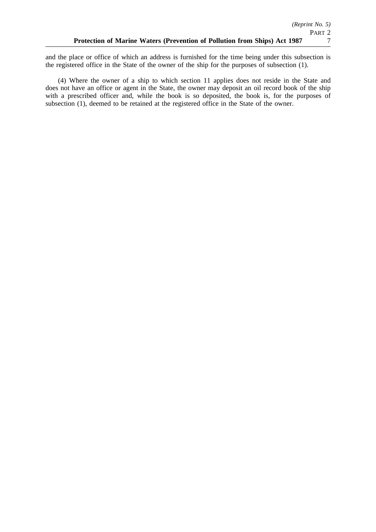and the place or office of which an address is furnished for the time being under this subsection is the registered office in the State of the owner of the ship for the purposes of subsection (1).

(4) Where the owner of a ship to which section 11 applies does not reside in the State and does not have an office or agent in the State, the owner may deposit an oil record book of the ship with a prescribed officer and, while the book is so deposited, the book is, for the purposes of subsection (1), deemed to be retained at the registered office in the State of the owner.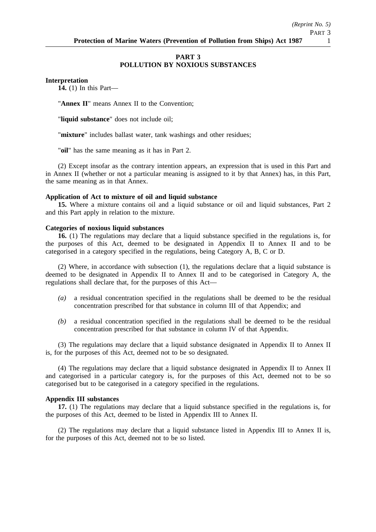# **PART 3 POLLUTION BY NOXIOUS SUBSTANCES**

#### **Interpretation**

**14.** (1) In this Part—

"**Annex II**" means Annex II to the Convention;

"**liquid substance**" does not include oil;

"**mixture**" includes ballast water, tank washings and other residues;

"**oil**" has the same meaning as it has in Part 2.

(2) Except insofar as the contrary intention appears, an expression that is used in this Part and in Annex II (whether or not a particular meaning is assigned to it by that Annex) has, in this Part, the same meaning as in that Annex.

# **Application of Act to mixture of oil and liquid substance**

**15.** Where a mixture contains oil and a liquid substance or oil and liquid substances, Part 2 and this Part apply in relation to the mixture.

#### **Categories of noxious liquid substances**

**16.** (1) The regulations may declare that a liquid substance specified in the regulations is, for the purposes of this Act, deemed to be designated in Appendix II to Annex II and to be categorised in a category specified in the regulations, being Category A, B, C or D.

(2) Where, in accordance with subsection (1), the regulations declare that a liquid substance is deemed to be designated in Appendix II to Annex II and to be categorised in Category A, the regulations shall declare that, for the purposes of this Act—

- *(a)* a residual concentration specified in the regulations shall be deemed to be the residual concentration prescribed for that substance in column III of that Appendix; and
- *(b)* a residual concentration specified in the regulations shall be deemed to be the residual concentration prescribed for that substance in column IV of that Appendix.

(3) The regulations may declare that a liquid substance designated in Appendix II to Annex II is, for the purposes of this Act, deemed not to be so designated.

(4) The regulations may declare that a liquid substance designated in Appendix II to Annex II and categorised in a particular category is, for the purposes of this Act, deemed not to be so categorised but to be categorised in a category specified in the regulations.

#### **Appendix III substances**

**17.** (1) The regulations may declare that a liquid substance specified in the regulations is, for the purposes of this Act, deemed to be listed in Appendix III to Annex II.

(2) The regulations may declare that a liquid substance listed in Appendix III to Annex II is, for the purposes of this Act, deemed not to be so listed.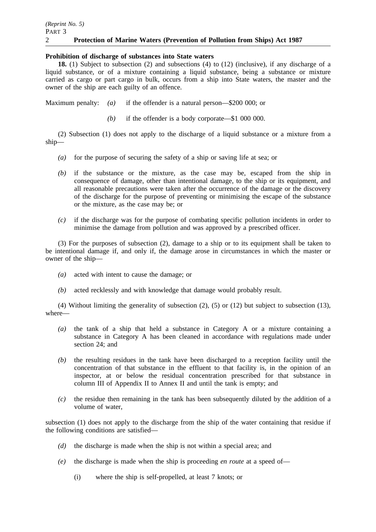# *(Reprint No. 5)* PART 3 2 **Protection of Marine Waters (Prevention of Pollution from Ships) Act 1987**

# **Prohibition of discharge of substances into State waters**

**18.** (1) Subject to subsection (2) and subsections (4) to (12) (inclusive), if any discharge of a liquid substance, or of a mixture containing a liquid substance, being a substance or mixture carried as cargo or part cargo in bulk, occurs from a ship into State waters, the master and the owner of the ship are each guilty of an offence.

Maximum penalty: *(a)* if the offender is a natural person—\$200 000; or

*(b)* if the offender is a body corporate—\$1 000 000.

(2) Subsection (1) does not apply to the discharge of a liquid substance or a mixture from a ship—

- *(a)* for the purpose of securing the safety of a ship or saving life at sea; or
- *(b)* if the substance or the mixture, as the case may be, escaped from the ship in consequence of damage, other than intentional damage, to the ship or its equipment, and all reasonable precautions were taken after the occurrence of the damage or the discovery of the discharge for the purpose of preventing or minimising the escape of the substance or the mixture, as the case may be; or
- *(c)* if the discharge was for the purpose of combating specific pollution incidents in order to minimise the damage from pollution and was approved by a prescribed officer.

(3) For the purposes of subsection (2), damage to a ship or to its equipment shall be taken to be intentional damage if, and only if, the damage arose in circumstances in which the master or owner of the ship—

- *(a)* acted with intent to cause the damage; or
- *(b)* acted recklessly and with knowledge that damage would probably result.

(4) Without limiting the generality of subsection (2), (5) or (12) but subject to subsection (13), where—

- *(a)* the tank of a ship that held a substance in Category A or a mixture containing a substance in Category A has been cleaned in accordance with regulations made under section 24; and
- *(b)* the resulting residues in the tank have been discharged to a reception facility until the concentration of that substance in the effluent to that facility is, in the opinion of an inspector, at or below the residual concentration prescribed for that substance in column III of Appendix II to Annex II and until the tank is empty; and
- *(c)* the residue then remaining in the tank has been subsequently diluted by the addition of a volume of water,

subsection (1) does not apply to the discharge from the ship of the water containing that residue if the following conditions are satisfied—

- *(d)* the discharge is made when the ship is not within a special area; and
- *(e)* the discharge is made when the ship is proceeding *en route* at a speed of—
	- (i) where the ship is self-propelled, at least 7 knots; or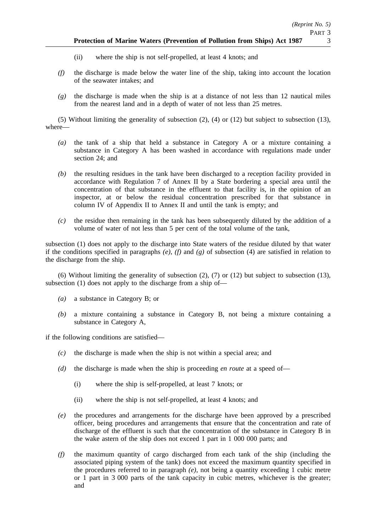- (ii) where the ship is not self-propelled, at least 4 knots; and
- *(f)* the discharge is made below the water line of the ship, taking into account the location of the seawater intakes; and
- *(g)* the discharge is made when the ship is at a distance of not less than 12 nautical miles from the nearest land and in a depth of water of not less than 25 metres.

(5) Without limiting the generality of subsection (2), (4) or (12) but subject to subsection (13), where—

- *(a)* the tank of a ship that held a substance in Category A or a mixture containing a substance in Category A has been washed in accordance with regulations made under section 24; and
- *(b)* the resulting residues in the tank have been discharged to a reception facility provided in accordance with Regulation 7 of Annex II by a State bordering a special area until the concentration of that substance in the effluent to that facility is, in the opinion of an inspector, at or below the residual concentration prescribed for that substance in column IV of Appendix II to Annex II and until the tank is empty; and
- *(c)* the residue then remaining in the tank has been subsequently diluted by the addition of a volume of water of not less than 5 per cent of the total volume of the tank,

subsection (1) does not apply to the discharge into State waters of the residue diluted by that water if the conditions specified in paragraphs  $(e)$ ,  $(f)$  and  $(g)$  of subsection  $(4)$  are satisfied in relation to the discharge from the ship.

(6) Without limiting the generality of subsection (2), (7) or (12) but subject to subsection (13), subsection (1) does not apply to the discharge from a ship of—

- *(a)* a substance in Category B; or
- *(b)* a mixture containing a substance in Category B, not being a mixture containing a substance in Category A,

if the following conditions are satisfied—

- *(c)* the discharge is made when the ship is not within a special area; and
- *(d)* the discharge is made when the ship is proceeding *en route* at a speed of—
	- (i) where the ship is self-propelled, at least 7 knots; or
	- (ii) where the ship is not self-propelled, at least 4 knots; and
- *(e)* the procedures and arrangements for the discharge have been approved by a prescribed officer, being procedures and arrangements that ensure that the concentration and rate of discharge of the effluent is such that the concentration of the substance in Category B in the wake astern of the ship does not exceed 1 part in 1 000 000 parts; and
- *(f)* the maximum quantity of cargo discharged from each tank of the ship (including the associated piping system of the tank) does not exceed the maximum quantity specified in the procedures referred to in paragraph *(e)*, not being a quantity exceeding 1 cubic metre or 1 part in 3 000 parts of the tank capacity in cubic metres, whichever is the greater; and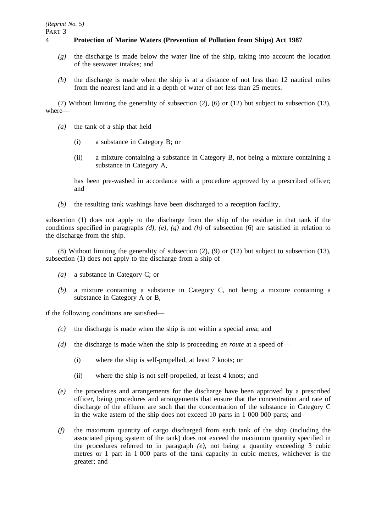- *(g)* the discharge is made below the water line of the ship, taking into account the location of the seawater intakes; and
- *(h)* the discharge is made when the ship is at a distance of not less than 12 nautical miles from the nearest land and in a depth of water of not less than 25 metres.

(7) Without limiting the generality of subsection (2), (6) or (12) but subject to subsection (13), where—

- *(a)* the tank of a ship that held—
	- (i) a substance in Category B; or
	- (ii) a mixture containing a substance in Category B, not being a mixture containing a substance in Category A,

has been pre-washed in accordance with a procedure approved by a prescribed officer; and

*(b)* the resulting tank washings have been discharged to a reception facility,

subsection (1) does not apply to the discharge from the ship of the residue in that tank if the conditions specified in paragraphs *(d)*, *(e)*, *(g)* and *(h)* of subsection (6) are satisfied in relation to the discharge from the ship.

(8) Without limiting the generality of subsection (2), (9) or (12) but subject to subsection (13), subsection (1) does not apply to the discharge from a ship of—

- *(a)* a substance in Category C; or
- *(b)* a mixture containing a substance in Category C, not being a mixture containing a substance in Category A or B,

if the following conditions are satisfied—

- *(c)* the discharge is made when the ship is not within a special area; and
- *(d)* the discharge is made when the ship is proceeding *en route* at a speed of—
	- (i) where the ship is self-propelled, at least 7 knots; or
	- (ii) where the ship is not self-propelled, at least 4 knots; and
- *(e)* the procedures and arrangements for the discharge have been approved by a prescribed officer, being procedures and arrangements that ensure that the concentration and rate of discharge of the effluent are such that the concentration of the substance in Category C in the wake astern of the ship does not exceed 10 parts in 1 000 000 parts; and
- *(f)* the maximum quantity of cargo discharged from each tank of the ship (including the associated piping system of the tank) does not exceed the maximum quantity specified in the procedures referred to in paragraph *(e)*, not being a quantity exceeding 3 cubic metres or 1 part in 1 000 parts of the tank capacity in cubic metres, whichever is the greater; and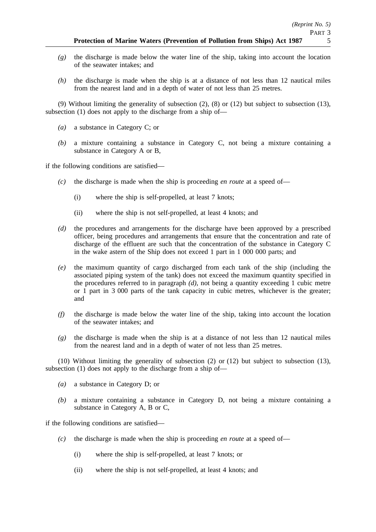- *(g)* the discharge is made below the water line of the ship, taking into account the location of the seawater intakes; and
- *(h)* the discharge is made when the ship is at a distance of not less than 12 nautical miles from the nearest land and in a depth of water of not less than 25 metres.

(9) Without limiting the generality of subsection (2), (8) or (12) but subject to subsection (13), subsection (1) does not apply to the discharge from a ship of—

- *(a)* a substance in Category C; or
- *(b)* a mixture containing a substance in Category C, not being a mixture containing a substance in Category A or B,

if the following conditions are satisfied—

- *(c)* the discharge is made when the ship is proceeding *en route* at a speed of—
	- (i) where the ship is self-propelled, at least 7 knots;
	- (ii) where the ship is not self-propelled, at least 4 knots; and
- *(d)* the procedures and arrangements for the discharge have been approved by a prescribed officer, being procedures and arrangements that ensure that the concentration and rate of discharge of the effluent are such that the concentration of the substance in Category C in the wake astern of the Ship does not exceed 1 part in 1 000 000 parts; and
- *(e)* the maximum quantity of cargo discharged from each tank of the ship (including the associated piping system of the tank) does not exceed the maximum quantity specified in the procedures referred to in paragraph *(d)*, not being a quantity exceeding 1 cubic metre or 1 part in 3 000 parts of the tank capacity in cubic metres, whichever is the greater; and
- *(f)* the discharge is made below the water line of the ship, taking into account the location of the seawater intakes; and
- *(g)* the discharge is made when the ship is at a distance of not less than 12 nautical miles from the nearest land and in a depth of water of not less than 25 metres.

(10) Without limiting the generality of subsection (2) or (12) but subject to subsection (13), subsection (1) does not apply to the discharge from a ship of—

- *(a)* a substance in Category D; or
- *(b)* a mixture containing a substance in Category D, not being a mixture containing a substance in Category A, B or C,

if the following conditions are satisfied—

- *(c)* the discharge is made when the ship is proceeding *en route* at a speed of—
	- (i) where the ship is self-propelled, at least 7 knots; or
	- (ii) where the ship is not self-propelled, at least 4 knots; and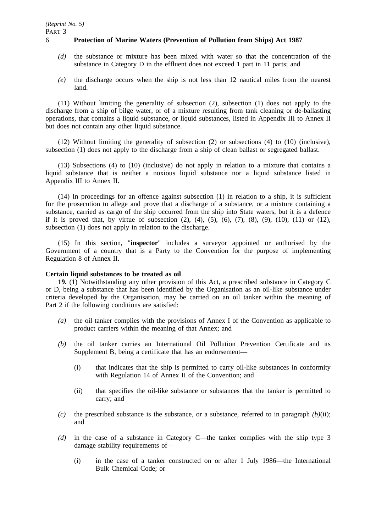- *(d)* the substance or mixture has been mixed with water so that the concentration of the substance in Category D in the effluent does not exceed 1 part in 11 parts; and
- *(e)* the discharge occurs when the ship is not less than 12 nautical miles from the nearest land.

(11) Without limiting the generality of subsection (2), subsection (1) does not apply to the discharge from a ship of bilge water, or of a mixture resulting from tank cleaning or de-ballasting operations, that contains a liquid substance, or liquid substances, listed in Appendix III to Annex II but does not contain any other liquid substance.

(12) Without limiting the generality of subsection (2) or subsections (4) to (10) (inclusive), subsection (1) does not apply to the discharge from a ship of clean ballast or segregated ballast.

(13) Subsections (4) to (10) (inclusive) do not apply in relation to a mixture that contains a liquid substance that is neither a noxious liquid substance nor a liquid substance listed in Appendix III to Annex II.

(14) In proceedings for an offence against subsection (1) in relation to a ship, it is sufficient for the prosecution to allege and prove that a discharge of a substance, or a mixture containing a substance, carried as cargo of the ship occurred from the ship into State waters, but it is a defence if it is proved that, by virtue of subsection  $(2)$ ,  $(4)$ ,  $(5)$ ,  $(6)$ ,  $(7)$ ,  $(8)$ ,  $(9)$ ,  $(10)$ ,  $(11)$  or  $(12)$ , subsection (1) does not apply in relation to the discharge.

(15) In this section, "**inspector**" includes a surveyor appointed or authorised by the Government of a country that is a Party to the Convention for the purpose of implementing Regulation 8 of Annex II.

# **Certain liquid substances to be treated as oil**

**19.** (1) Notwithstanding any other provision of this Act, a prescribed substance in Category C or D, being a substance that has been identified by the Organisation as an oil-like substance under criteria developed by the Organisation, may be carried on an oil tanker within the meaning of Part 2 if the following conditions are satisfied:

- *(a)* the oil tanker complies with the provisions of Annex I of the Convention as applicable to product carriers within the meaning of that Annex; and
- *(b)* the oil tanker carries an International Oil Pollution Prevention Certificate and its Supplement B, being a certificate that has an endorsement—
	- (i) that indicates that the ship is permitted to carry oil-like substances in conformity with Regulation 14 of Annex II of the Convention; and
	- (ii) that specifies the oil-like substance or substances that the tanker is permitted to carry; and
- *(c)* the prescribed substance is the substance, or a substance, referred to in paragraph  $(b)(ii)$ ; and
- *(d)* in the case of a substance in Category C—the tanker complies with the ship type 3 damage stability requirements of—
	- (i) in the case of a tanker constructed on or after 1 July 1986—the International Bulk Chemical Code; or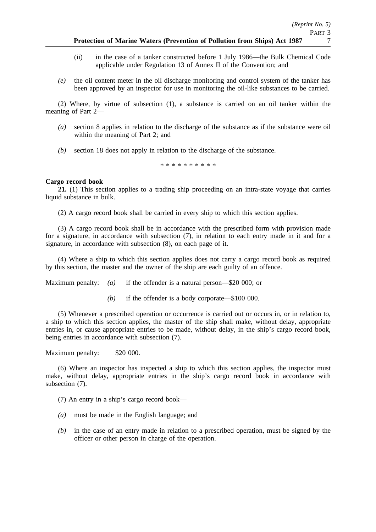- (ii) in the case of a tanker constructed before 1 July 1986—the Bulk Chemical Code applicable under Regulation 13 of Annex II of the Convention; and
- *(e)* the oil content meter in the oil discharge monitoring and control system of the tanker has been approved by an inspector for use in monitoring the oil-like substances to be carried.

(2) Where, by virtue of subsection (1), a substance is carried on an oil tanker within the meaning of Part 2—

- *(a)* section 8 applies in relation to the discharge of the substance as if the substance were oil within the meaning of Part 2; and
- *(b)* section 18 does not apply in relation to the discharge of the substance.

\*\*\*\*\*\*\*\*\*\*

# **Cargo record book**

**21.** (1) This section applies to a trading ship proceeding on an intra-state voyage that carries liquid substance in bulk.

(2) A cargo record book shall be carried in every ship to which this section applies.

(3) A cargo record book shall be in accordance with the prescribed form with provision made for a signature, in accordance with subsection (7), in relation to each entry made in it and for a signature, in accordance with subsection (8), on each page of it.

(4) Where a ship to which this section applies does not carry a cargo record book as required by this section, the master and the owner of the ship are each guilty of an offence.

Maximum penalty: *(a)* if the offender is a natural person—\$20 000; or

*(b)* if the offender is a body corporate—\$100 000.

(5) Whenever a prescribed operation or occurrence is carried out or occurs in, or in relation to, a ship to which this section applies, the master of the ship shall make, without delay, appropriate entries in, or cause appropriate entries to be made, without delay, in the ship's cargo record book, being entries in accordance with subsection (7).

Maximum penalty: \$20 000.

(6) Where an inspector has inspected a ship to which this section applies, the inspector must make, without delay, appropriate entries in the ship's cargo record book in accordance with subsection (7).

(7) An entry in a ship's cargo record book—

- *(a)* must be made in the English language; and
- *(b)* in the case of an entry made in relation to a prescribed operation, must be signed by the officer or other person in charge of the operation.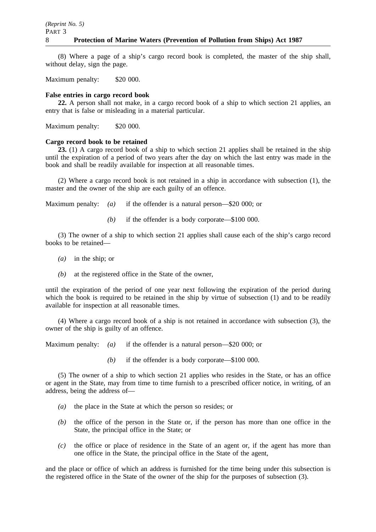(8) Where a page of a ship's cargo record book is completed, the master of the ship shall, without delay, sign the page.

Maximum penalty: \$20 000.

### **False entries in cargo record book**

**22.** A person shall not make, in a cargo record book of a ship to which section 21 applies, an entry that is false or misleading in a material particular.

Maximum penalty: \$20 000.

#### **Cargo record book to be retained**

**23.** (1) A cargo record book of a ship to which section 21 applies shall be retained in the ship until the expiration of a period of two years after the day on which the last entry was made in the book and shall be readily available for inspection at all reasonable times.

(2) Where a cargo record book is not retained in a ship in accordance with subsection (1), the master and the owner of the ship are each guilty of an offence.

Maximum penalty: *(a)* if the offender is a natural person—\$20 000; or

*(b)* if the offender is a body corporate—\$100 000.

(3) The owner of a ship to which section 21 applies shall cause each of the ship's cargo record books to be retained—

- *(a)* in the ship; or
- *(b)* at the registered office in the State of the owner,

until the expiration of the period of one year next following the expiration of the period during which the book is required to be retained in the ship by virtue of subsection (1) and to be readily available for inspection at all reasonable times.

(4) Where a cargo record book of a ship is not retained in accordance with subsection (3), the owner of the ship is guilty of an offence.

Maximum penalty: *(a)* if the offender is a natural person—\$20 000; or

*(b)* if the offender is a body corporate—\$100 000.

(5) The owner of a ship to which section 21 applies who resides in the State, or has an office or agent in the State, may from time to time furnish to a prescribed officer notice, in writing, of an address, being the address of—

- *(a)* the place in the State at which the person so resides; or
- *(b)* the office of the person in the State or, if the person has more than one office in the State, the principal office in the State; or
- *(c)* the office or place of residence in the State of an agent or, if the agent has more than one office in the State, the principal office in the State of the agent,

and the place or office of which an address is furnished for the time being under this subsection is the registered office in the State of the owner of the ship for the purposes of subsection (3).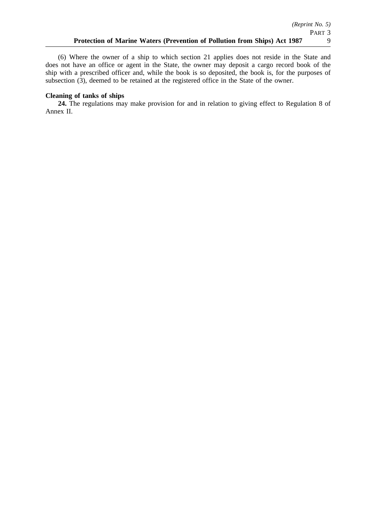(6) Where the owner of a ship to which section 21 applies does not reside in the State and does not have an office or agent in the State, the owner may deposit a cargo record book of the ship with a prescribed officer and, while the book is so deposited, the book is, for the purposes of subsection  $(3)$ , deemed to be retained at the registered office in the State of the owner.

# **Cleaning of tanks of ships**

**24.** The regulations may make provision for and in relation to giving effect to Regulation 8 of Annex II.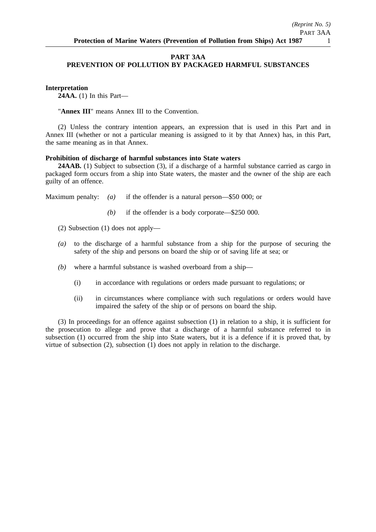# **PART 3AA**

# **PREVENTION OF POLLUTION BY PACKAGED HARMFUL SUBSTANCES**

### **Interpretation**

**24AA.** (1) In this Part—

"**Annex III**" means Annex III to the Convention.

(2) Unless the contrary intention appears, an expression that is used in this Part and in Annex III (whether or not a particular meaning is assigned to it by that Annex) has, in this Part, the same meaning as in that Annex.

# **Prohibition of discharge of harmful substances into State waters**

**24AAB.** (1) Subject to subsection (3), if a discharge of a harmful substance carried as cargo in packaged form occurs from a ship into State waters, the master and the owner of the ship are each guilty of an offence.

Maximum penalty: *(a)* if the offender is a natural person—\$50 000; or

- *(b)* if the offender is a body corporate—\$250 000.
- (2) Subsection (1) does not apply—
- *(a)* to the discharge of a harmful substance from a ship for the purpose of securing the safety of the ship and persons on board the ship or of saving life at sea; or
- *(b)* where a harmful substance is washed overboard from a ship—
	- (i) in accordance with regulations or orders made pursuant to regulations; or
	- (ii) in circumstances where compliance with such regulations or orders would have impaired the safety of the ship or of persons on board the ship.

(3) In proceedings for an offence against subsection (1) in relation to a ship, it is sufficient for the prosecution to allege and prove that a discharge of a harmful substance referred to in subsection (1) occurred from the ship into State waters, but it is a defence if it is proved that, by virtue of subsection (2), subsection  $(1)$  does not apply in relation to the discharge.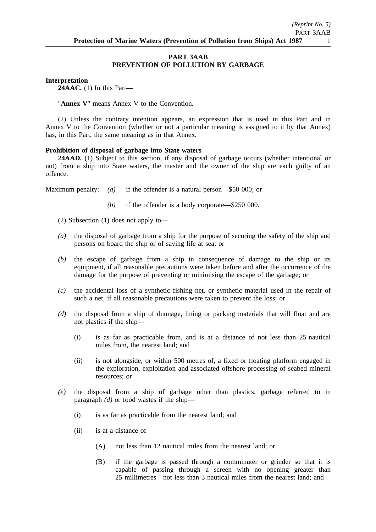# **PART 3AAB PREVENTION OF POLLUTION BY GARBAGE**

# **Interpretation**

**24AAC.** (1) In this Part—

"**Annex V**" means Annex V to the Convention.

(2) Unless the contrary intention appears, an expression that is used in this Part and in Annex V to the Convention (whether or not a particular meaning is assigned to it by that Annex) has, in this Part, the same meaning as in that Annex.

#### **Prohibition of disposal of garbage into State waters**

**24AAD.** (1) Subject to this section, if any disposal of garbage occurs (whether intentional or not) from a ship into State waters, the master and the owner of the ship are each guilty of an offence.

Maximum penalty: *(a)* if the offender is a natural person—\$50 000; or

- *(b)* if the offender is a body corporate—\$250 000.
- (2) Subsection (1) does not apply to—
- *(a)* the disposal of garbage from a ship for the purpose of securing the safety of the ship and persons on board the ship or of saving life at sea; or
- *(b)* the escape of garbage from a ship in consequence of damage to the ship or its equipment, if all reasonable precautions were taken before and after the occurrence of the damage for the purpose of preventing or minimising the escape of the garbage; or
- *(c)* the accidental loss of a synthetic fishing net, or synthetic material used in the repair of such a net, if all reasonable precautions were taken to prevent the loss; or
- *(d)* the disposal from a ship of dunnage, lining or packing materials that will float and are not plastics if the ship—
	- (i) is as far as practicable from, and is at a distance of not less than 25 nautical miles from, the nearest land; and
	- (ii) is not alongside, or within 500 metres of, a fixed or floating platform engaged in the exploration, exploitation and associated offshore processing of seabed mineral resources; or
- *(e)* the disposal from a ship of garbage other than plastics, garbage referred to in paragraph *(d)* or food wastes if the ship—
	- (i) is as far as practicable from the nearest land; and
	- (ii) is at a distance of—
		- (A) not less than 12 nautical miles from the nearest land; or
		- (B) if the garbage is passed through a comminuter or grinder so that it is capable of passing through a screen with no opening greater than 25 millimetres—not less than 3 nautical miles from the nearest land; and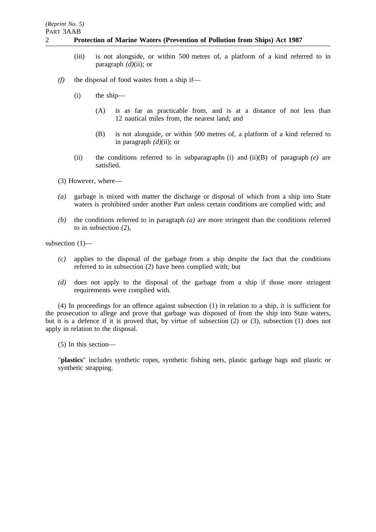- (iii) is not alongside, or within 500 metres of, a platform of a kind referred to in paragraph *(d)*(ii); or
- *(f)* the disposal of food wastes from a ship if—
	- (i) the ship—
		- (A) is as far as practicable from, and is at a distance of not less than 12 nautical miles from, the nearest land; and
		- (B) is not alongside, or within 500 metres of, a platform of a kind referred to in paragraph  $(d)$ (ii); or
	- (ii) the conditions referred to in subparagraphs (i) and (ii)(B) of paragraph  $(e)$  are satisfied.

(3) However, where—

- *(a)* garbage is mixed with matter the discharge or disposal of which from a ship into State waters is prohibited under another Part unless certain conditions are complied with; and
- *(b)* the conditions referred to in paragraph *(a)* are more stringent than the conditions referred to in subsection (2),

subsection (1)—

- *(c)* applies to the disposal of the garbage from a ship despite the fact that the conditions referred to in subsection (2) have been complied with; but
- *(d)* does not apply to the disposal of the garbage from a ship if those more stringent requirements were complied with.

(4) In proceedings for an offence against subsection (1) in relation to a ship, it is sufficient for the prosecution to allege and prove that garbage was disposed of from the ship into State waters, but it is a defence if it is proved that, by virtue of subsection (2) or (3), subsection (1) does not apply in relation to the disposal.

(5) In this section—

"**plastics**" includes synthetic ropes, synthetic fishing nets, plastic garbage bags and plastic or synthetic strapping.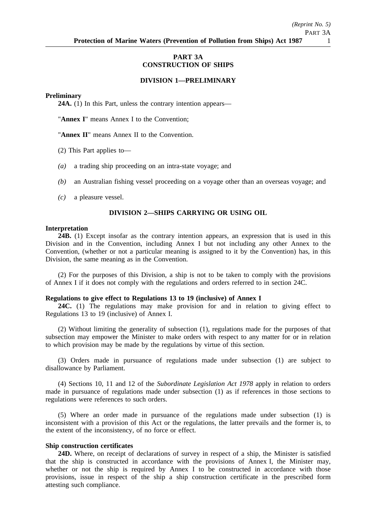# **PART 3A CONSTRUCTION OF SHIPS**

# **DIVISION 1—PRELIMINARY**

#### **Preliminary**

**24A.** (1) In this Part, unless the contrary intention appears—

"**Annex I**" means Annex I to the Convention;

"**Annex II**" means Annex II to the Convention.

- (2) This Part applies to—
- *(a)* a trading ship proceeding on an intra-state voyage; and
- *(b)* an Australian fishing vessel proceeding on a voyage other than an overseas voyage; and
- *(c)* a pleasure vessel.

# **DIVISION 2—SHIPS CARRYING OR USING OIL**

#### **Interpretation**

**24B.** (1) Except insofar as the contrary intention appears, an expression that is used in this Division and in the Convention, including Annex I but not including any other Annex to the Convention, (whether or not a particular meaning is assigned to it by the Convention) has, in this Division, the same meaning as in the Convention.

(2) For the purposes of this Division, a ship is not to be taken to comply with the provisions of Annex I if it does not comply with the regulations and orders referred to in section 24C.

#### **Regulations to give effect to Regulations 13 to 19 (inclusive) of Annex I**

**24C.** (1) The regulations may make provision for and in relation to giving effect to Regulations 13 to 19 (inclusive) of Annex I.

(2) Without limiting the generality of subsection (1), regulations made for the purposes of that subsection may empower the Minister to make orders with respect to any matter for or in relation to which provision may be made by the regulations by virtue of this section.

(3) Orders made in pursuance of regulations made under subsection (1) are subject to disallowance by Parliament.

(4) Sections 10, 11 and 12 of the *Subordinate Legislation Act 1978* apply in relation to orders made in pursuance of regulations made under subsection (1) as if references in those sections to regulations were references to such orders.

(5) Where an order made in pursuance of the regulations made under subsection (1) is inconsistent with a provision of this Act or the regulations, the latter prevails and the former is, to the extent of the inconsistency, of no force or effect.

## **Ship construction certificates**

**24D.** Where, on receipt of declarations of survey in respect of a ship, the Minister is satisfied that the ship is constructed in accordance with the provisions of Annex I, the Minister may, whether or not the ship is required by Annex I to be constructed in accordance with those provisions, issue in respect of the ship a ship construction certificate in the prescribed form attesting such compliance.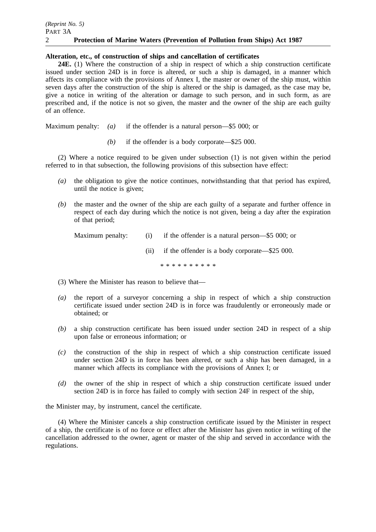# **Alteration, etc., of construction of ships and cancellation of certificates**

**24E.** (1) Where the construction of a ship in respect of which a ship construction certificate issued under section 24D is in force is altered, or such a ship is damaged, in a manner which affects its compliance with the provisions of Annex I, the master or owner of the ship must, within seven days after the construction of the ship is altered or the ship is damaged, as the case may be, give a notice in writing of the alteration or damage to such person, and in such form, as are prescribed and, if the notice is not so given, the master and the owner of the ship are each guilty of an offence.

Maximum penalty: *(a)* if the offender is a natural person—\$5 000; or

*(b)* if the offender is a body corporate—\$25 000.

(2) Where a notice required to be given under subsection (1) is not given within the period referred to in that subsection, the following provisions of this subsection have effect:

- *(a)* the obligation to give the notice continues, notwithstanding that that period has expired, until the notice is given;
- *(b)* the master and the owner of the ship are each guilty of a separate and further offence in respect of each day during which the notice is not given, being a day after the expiration of that period;

Maximum penalty: (i) if the offender is a natural person—\$5 000; or

(ii) if the offender is a body corporate—\$25 000.

\*\*\*\*\*\*\*\*\*\*

- (3) Where the Minister has reason to believe that—
- *(a)* the report of a surveyor concerning a ship in respect of which a ship construction certificate issued under section 24D is in force was fraudulently or erroneously made or obtained; or
- *(b)* a ship construction certificate has been issued under section 24D in respect of a ship upon false or erroneous information; or
- *(c)* the construction of the ship in respect of which a ship construction certificate issued under section 24D is in force has been altered, or such a ship has been damaged, in a manner which affects its compliance with the provisions of Annex I; or
- *(d)* the owner of the ship in respect of which a ship construction certificate issued under section 24D is in force has failed to comply with section 24F in respect of the ship,

the Minister may, by instrument, cancel the certificate.

(4) Where the Minister cancels a ship construction certificate issued by the Minister in respect of a ship, the certificate is of no force or effect after the Minister has given notice in writing of the cancellation addressed to the owner, agent or master of the ship and served in accordance with the regulations.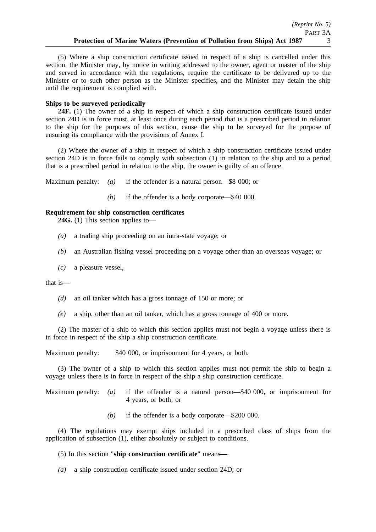(5) Where a ship construction certificate issued in respect of a ship is cancelled under this section, the Minister may, by notice in writing addressed to the owner, agent or master of the ship and served in accordance with the regulations, require the certificate to be delivered up to the Minister or to such other person as the Minister specifies, and the Minister may detain the ship until the requirement is complied with.

# **Ships to be surveyed periodically**

**24F.** (1) The owner of a ship in respect of which a ship construction certificate issued under section 24D is in force must, at least once during each period that is a prescribed period in relation to the ship for the purposes of this section, cause the ship to be surveyed for the purpose of ensuring its compliance with the provisions of Annex I.

(2) Where the owner of a ship in respect of which a ship construction certificate issued under section 24D is in force fails to comply with subsection (1) in relation to the ship and to a period that is a prescribed period in relation to the ship, the owner is guilty of an offence.

Maximum penalty: *(a)* if the offender is a natural person—\$8 000; or

*(b)* if the offender is a body corporate—\$40 000.

# **Requirement for ship construction certificates**

**24G.** (1) This section applies to—

- *(a)* a trading ship proceeding on an intra-state voyage; or
- *(b)* an Australian fishing vessel proceeding on a voyage other than an overseas voyage; or
- *(c)* a pleasure vessel,

that is—

- *(d)* an oil tanker which has a gross tonnage of 150 or more; or
- *(e)* a ship, other than an oil tanker, which has a gross tonnage of 400 or more.

(2) The master of a ship to which this section applies must not begin a voyage unless there is in force in respect of the ship a ship construction certificate.

Maximum penalty: \$40 000, or imprisonment for 4 years, or both.

(3) The owner of a ship to which this section applies must not permit the ship to begin a voyage unless there is in force in respect of the ship a ship construction certificate.

Maximum penalty: *(a)* if the offender is a natural person—\$40 000, or imprisonment for 4 years, or both; or

*(b)* if the offender is a body corporate—\$200 000.

(4) The regulations may exempt ships included in a prescribed class of ships from the application of subsection (1), either absolutely or subject to conditions.

- (5) In this section "**ship construction certificate**" means—
- *(a)* a ship construction certificate issued under section 24D; or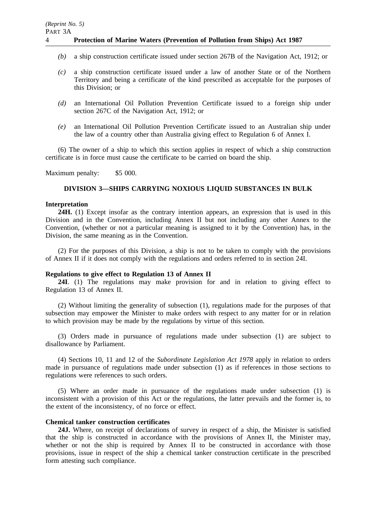- *(b)* a ship construction certificate issued under section 267B of the Navigation Act, 1912; or
- *(c)* a ship construction certificate issued under a law of another State or of the Northern Territory and being a certificate of the kind prescribed as acceptable for the purposes of this Division; or
- *(d)* an International Oil Pollution Prevention Certificate issued to a foreign ship under section 267C of the Navigation Act, 1912; or
- *(e)* an International Oil Pollution Prevention Certificate issued to an Australian ship under the law of a country other than Australia giving effect to Regulation 6 of Annex I.

(6) The owner of a ship to which this section applies in respect of which a ship construction certificate is in force must cause the certificate to be carried on board the ship.

Maximum penalty: \$5 000.

# **DIVISION 3—SHIPS CARRYING NOXIOUS LIQUID SUBSTANCES IN BULK**

# **Interpretation**

**24H.** (1) Except insofar as the contrary intention appears, an expression that is used in this Division and in the Convention, including Annex II but not including any other Annex to the Convention, (whether or not a particular meaning is assigned to it by the Convention) has, in the Division, the same meaning as in the Convention.

(2) For the purposes of this Division, a ship is not to be taken to comply with the provisions of Annex II if it does not comply with the regulations and orders referred to in section 24I.

# **Regulations to give effect to Regulation 13 of Annex II**

**24I**. (1) The regulations may make provision for and in relation to giving effect to Regulation 13 of Annex II.

(2) Without limiting the generality of subsection (1), regulations made for the purposes of that subsection may empower the Minister to make orders with respect to any matter for or in relation to which provision may be made by the regulations by virtue of this section.

(3) Orders made in pursuance of regulations made under subsection (1) are subject to disallowance by Parliament.

(4) Sections 10, 11 and 12 of the *Subordinate Legislation Act 1978* apply in relation to orders made in pursuance of regulations made under subsection (1) as if references in those sections to regulations were references to such orders.

(5) Where an order made in pursuance of the regulations made under subsection (1) is inconsistent with a provision of this Act or the regulations, the latter prevails and the former is, to the extent of the inconsistency, of no force or effect.

# **Chemical tanker construction certificates**

24J. Where, on receipt of declarations of survey in respect of a ship, the Minister is satisfied that the ship is constructed in accordance with the provisions of Annex II, the Minister may, whether or not the ship is required by Annex II to be constructed in accordance with those provisions, issue in respect of the ship a chemical tanker construction certificate in the prescribed form attesting such compliance.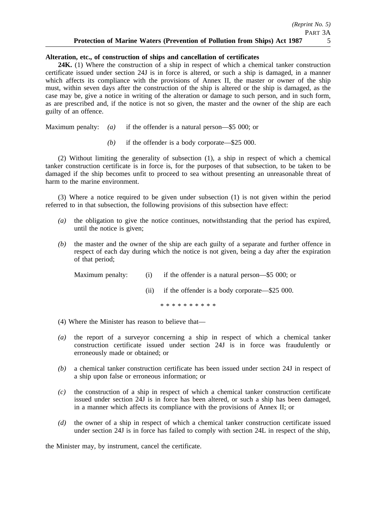# **Alteration, etc., of construction of ships and cancellation of certificates**

**24K.** (1) Where the construction of a ship in respect of which a chemical tanker construction certificate issued under section 24J is in force is altered, or such a ship is damaged, in a manner which affects its compliance with the provisions of Annex II, the master or owner of the ship must, within seven days after the construction of the ship is altered or the ship is damaged, as the case may be, give a notice in writing of the alteration or damage to such person, and in such form, as are prescribed and, if the notice is not so given, the master and the owner of the ship are each guilty of an offence.

Maximum penalty: *(a)* if the offender is a natural person—\$5 000; or

*(b)* if the offender is a body corporate—\$25 000.

(2) Without limiting the generality of subsection (1), a ship in respect of which a chemical tanker construction certificate is in force is, for the purposes of that subsection, to be taken to be damaged if the ship becomes unfit to proceed to sea without presenting an unreasonable threat of harm to the marine environment.

(3) Where a notice required to be given under subsection (1) is not given within the period referred to in that subsection, the following provisions of this subsection have effect:

- *(a)* the obligation to give the notice continues, notwithstanding that the period has expired, until the notice is given;
- *(b)* the master and the owner of the ship are each guilty of a separate and further offence in respect of each day during which the notice is not given, being a day after the expiration of that period;

Maximum penalty: (i) if the offender is a natural person—\$5 000; or

(ii) if the offender is a body corporate—\$25 000.

\*\*\*\*\*\*\*\*\*\*

- (4) Where the Minister has reason to believe that—
- *(a)* the report of a surveyor concerning a ship in respect of which a chemical tanker construction certificate issued under section 24J is in force was fraudulently or erroneously made or obtained; or
- *(b)* a chemical tanker construction certificate has been issued under section 24J in respect of a ship upon false or erroneous information; or
- *(c)* the construction of a ship in respect of which a chemical tanker construction certificate issued under section 24J is in force has been altered, or such a ship has been damaged, in a manner which affects its compliance with the provisions of Annex II; or
- *(d)* the owner of a ship in respect of which a chemical tanker construction certificate issued under section 24J is in force has failed to comply with section 24L in respect of the ship,

the Minister may, by instrument, cancel the certificate.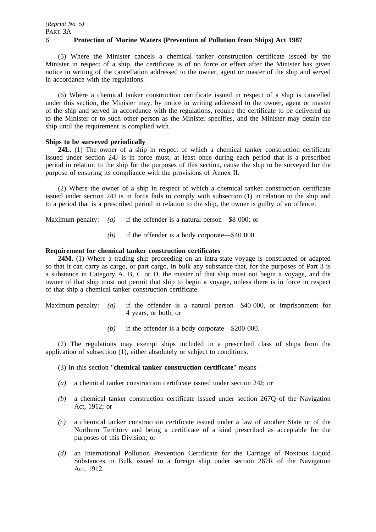(5) Where the Minister cancels a chemical tanker construction certificate issued by the Minister in respect of a ship, the certificate is of no force or effect after the Minister has given notice in writing of the cancellation addressed to the owner, agent or master of the ship and served in accordance with the regulations.

(6) Where a chemical tanker construction certificate issued in respect of a ship is cancelled under this section, the Minister may, by notice in writing addressed to the owner, agent or master of the ship and served in accordance with the regulations, require the certificate to be delivered up to the Minister or to such other person as the Minister specifies, and the Minister may detain the ship until the requirement is complied with.

# **Ships to be surveyed periodically**

**24L.** (1) The owner of a ship in respect of which a chemical tanker construction certificate issued under section 24J is in force must, at least once during each period that is a prescribed period in relation to the ship for the purposes of this section, cause the ship to be surveyed for the purpose of ensuring its compliance with the provisions of Annex II.

(2) Where the owner of a ship in respect of which a chemical tanker construction certificate issued under section 24J is in force fails to comply with subsection (1) in relation to the ship and to a period that is a prescribed period in relation to the ship, the owner is guilty of an offence.

Maximum penalty: *(a)* if the offender is a natural person—\$8 000; or

*(b)* if the offender is a body corporate—\$40 000.

# **Requirement for chemical tanker construction certificates**

**24M.** (1) Where a trading ship proceeding on an intra-state voyage is constructed or adapted so that it can carry as cargo, or part cargo, in bulk any substance that, for the purposes of Part 3 is a substance in Category A, B, C or D, the master of that ship must not begin a voyage, and the owner of that ship must not permit that ship to begin a voyage, unless there is in force in respect of that ship a chemical tanker construction certificate.

Maximum penalty: *(a)* if the offender is a natural person—\$40 000, or imprisonment for 4 years, or both; or

*(b)* if the offender is a body corporate—\$200 000.

(2) The regulations may exempt ships included in a prescribed class of ships from the application of subsection (1), either absolutely or subject to conditions.

(3) In this section "**chemical tanker construction certificate**" means—

- *(a)* a chemical tanker construction certificate issued under section 24J; or
- *(b)* a chemical tanker construction certificate issued under section 267Q of the Navigation Act, 1912; or
- *(c)* a chemical tanker construction certificate issued under a law of another State or of the Northern Territory and being a certificate of a kind prescribed as acceptable for the purposes of this Division; or
- *(d)* an International Pollution Prevention Certificate for the Carriage of Noxious Liquid Substances in Bulk issued to a foreign ship under section 267R of the Navigation Act, 1912.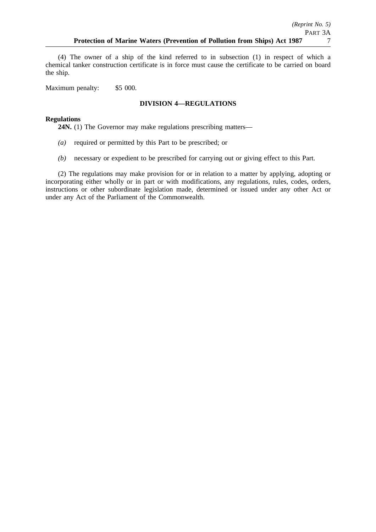(4) The owner of a ship of the kind referred to in subsection (1) in respect of which a chemical tanker construction certificate is in force must cause the certificate to be carried on board the ship.

Maximum penalty: \$5 000.

# **DIVISION 4—REGULATIONS**

# **Regulations**

**24N.** (1) The Governor may make regulations prescribing matters—

- *(a)* required or permitted by this Part to be prescribed; or
- *(b)* necessary or expedient to be prescribed for carrying out or giving effect to this Part.

(2) The regulations may make provision for or in relation to a matter by applying, adopting or incorporating either wholly or in part or with modifications, any regulations, rules, codes, orders, instructions or other subordinate legislation made, determined or issued under any other Act or under any Act of the Parliament of the Commonwealth.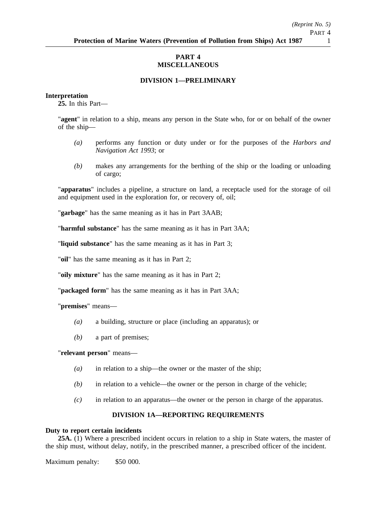# **PART 4 MISCELLANEOUS**

# **DIVISION 1—PRELIMINARY**

# **Interpretation**

**25.** In this Part—

"**agent**" in relation to a ship, means any person in the State who, for or on behalf of the owner of the ship—

- *(a)* performs any function or duty under or for the purposes of the *Harbors and Navigation Act 1993*; or
- *(b)* makes any arrangements for the berthing of the ship or the loading or unloading of cargo;

"**apparatus**" includes a pipeline, a structure on land, a receptacle used for the storage of oil and equipment used in the exploration for, or recovery of, oil;

"**garbage**" has the same meaning as it has in Part 3AAB;

"**harmful substance**" has the same meaning as it has in Part 3AA;

"**liquid substance**" has the same meaning as it has in Part 3;

"**oil**" has the same meaning as it has in Part 2;

"**oily mixture**" has the same meaning as it has in Part 2;

"**packaged form**" has the same meaning as it has in Part 3AA;

"**premises**" means—

- *(a)* a building, structure or place (including an apparatus); or
- *(b)* a part of premises;

"**relevant person**" means—

- *(a)* in relation to a ship—the owner or the master of the ship;
- *(b)* in relation to a vehicle—the owner or the person in charge of the vehicle;
- *(c)* in relation to an apparatus—the owner or the person in charge of the apparatus.

# **DIVISION 1A—REPORTING REQUIREMENTS**

# **Duty to report certain incidents**

**25A.** (1) Where a prescribed incident occurs in relation to a ship in State waters, the master of the ship must, without delay, notify, in the prescribed manner, a prescribed officer of the incident.

Maximum penalty: \$50 000.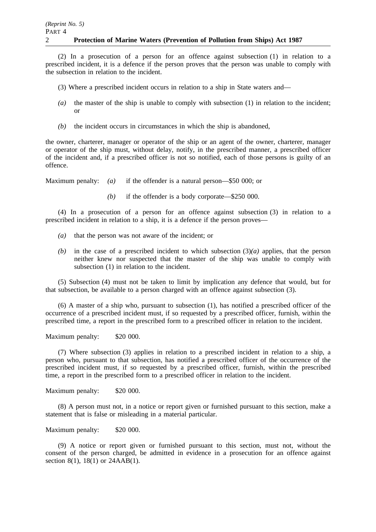(2) In a prosecution of a person for an offence against subsection (1) in relation to a prescribed incident, it is a defence if the person proves that the person was unable to comply with the subsection in relation to the incident.

- (3) Where a prescribed incident occurs in relation to a ship in State waters and—
- *(a)* the master of the ship is unable to comply with subsection (1) in relation to the incident; or
- *(b)* the incident occurs in circumstances in which the ship is abandoned,

the owner, charterer, manager or operator of the ship or an agent of the owner, charterer, manager or operator of the ship must, without delay, notify, in the prescribed manner, a prescribed officer of the incident and, if a prescribed officer is not so notified, each of those persons is guilty of an offence.

Maximum penalty: *(a)* if the offender is a natural person—\$50 000; or

*(b)* if the offender is a body corporate—\$250 000.

(4) In a prosecution of a person for an offence against subsection (3) in relation to a prescribed incident in relation to a ship, it is a defence if the person proves—

- *(a)* that the person was not aware of the incident; or
- *(b)* in the case of a prescribed incident to which subsection (3)*(a)* applies, that the person neither knew nor suspected that the master of the ship was unable to comply with subsection (1) in relation to the incident.

(5) Subsection (4) must not be taken to limit by implication any defence that would, but for that subsection, be available to a person charged with an offence against subsection (3).

(6) A master of a ship who, pursuant to subsection (1), has notified a prescribed officer of the occurrence of a prescribed incident must, if so requested by a prescribed officer, furnish, within the prescribed time, a report in the prescribed form to a prescribed officer in relation to the incident.

Maximum penalty: \$20 000.

(7) Where subsection (3) applies in relation to a prescribed incident in relation to a ship, a person who, pursuant to that subsection, has notified a prescribed officer of the occurrence of the prescribed incident must, if so requested by a prescribed officer, furnish, within the prescribed time, a report in the prescribed form to a prescribed officer in relation to the incident.

Maximum penalty: \$20 000.

(8) A person must not, in a notice or report given or furnished pursuant to this section, make a statement that is false or misleading in a material particular.

## Maximum penalty: \$20 000.

(9) A notice or report given or furnished pursuant to this section, must not, without the consent of the person charged, be admitted in evidence in a prosecution for an offence against section 8(1), 18(1) or 24AAB(1).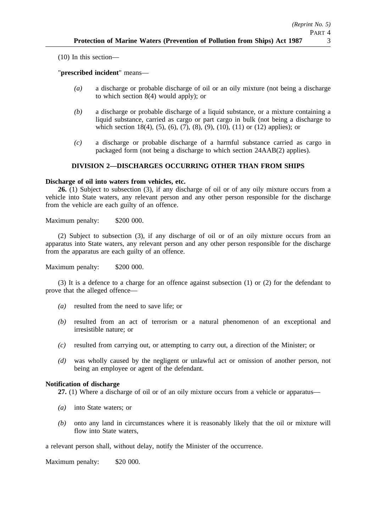(10) In this section—

"**prescribed incident**" means—

- *(a)* a discharge or probable discharge of oil or an oily mixture (not being a discharge to which section 8(4) would apply); or
- *(b)* a discharge or probable discharge of a liquid substance, or a mixture containing a liquid substance, carried as cargo or part cargo in bulk (not being a discharge to which section 18(4), (5), (6), (7), (8), (9), (10), (11) or (12) applies); or
- *(c)* a discharge or probable discharge of a harmful substance carried as cargo in packaged form (not being a discharge to which section 24AAB(2) applies).

# **DIVISION 2—DISCHARGES OCCURRING OTHER THAN FROM SHIPS**

# **Discharge of oil into waters from vehicles, etc.**

**26.** (1) Subject to subsection (3), if any discharge of oil or of any oily mixture occurs from a vehicle into State waters, any relevant person and any other person responsible for the discharge from the vehicle are each guilty of an offence.

Maximum penalty: \$200 000.

(2) Subject to subsection (3), if any discharge of oil or of an oily mixture occurs from an apparatus into State waters, any relevant person and any other person responsible for the discharge from the apparatus are each guilty of an offence.

Maximum penalty: \$200 000.

(3) It is a defence to a charge for an offence against subsection (1) or (2) for the defendant to prove that the alleged offence—

- *(a)* resulted from the need to save life; or
- *(b)* resulted from an act of terrorism or a natural phenomenon of an exceptional and irresistible nature; or
- *(c)* resulted from carrying out, or attempting to carry out, a direction of the Minister; or
- *(d)* was wholly caused by the negligent or unlawful act or omission of another person, not being an employee or agent of the defendant.

# **Notification of discharge**

**27.** (1) Where a discharge of oil or of an oily mixture occurs from a vehicle or apparatus—

- *(a)* into State waters; or
- *(b)* onto any land in circumstances where it is reasonably likely that the oil or mixture will flow into State waters,

a relevant person shall, without delay, notify the Minister of the occurrence.

Maximum penalty: \$20 000.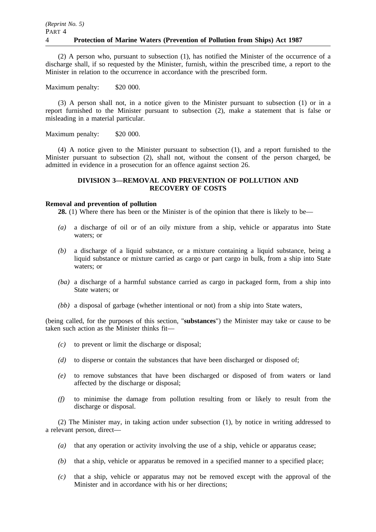(2) A person who, pursuant to subsection (1), has notified the Minister of the occurrence of a discharge shall, if so requested by the Minister, furnish, within the prescribed time, a report to the Minister in relation to the occurrence in accordance with the prescribed form.

Maximum penalty: \$20 000.

(3) A person shall not, in a notice given to the Minister pursuant to subsection (1) or in a report furnished to the Minister pursuant to subsection (2), make a statement that is false or misleading in a material particular.

Maximum penalty: \$20 000.

(4) A notice given to the Minister pursuant to subsection (1), and a report furnished to the Minister pursuant to subsection (2), shall not, without the consent of the person charged, be admitted in evidence in a prosecution for an offence against section 26.

# **DIVISION 3—REMOVAL AND PREVENTION OF POLLUTION AND RECOVERY OF COSTS**

# **Removal and prevention of pollution**

**28.** (1) Where there has been or the Minister is of the opinion that there is likely to be—

- *(a)* a discharge of oil or of an oily mixture from a ship, vehicle or apparatus into State waters; or
- *(b)* a discharge of a liquid substance, or a mixture containing a liquid substance, being a liquid substance or mixture carried as cargo or part cargo in bulk, from a ship into State waters; or
- *(ba)* a discharge of a harmful substance carried as cargo in packaged form, from a ship into State waters; or
- *(bb)* a disposal of garbage (whether intentional or not) from a ship into State waters,

(being called, for the purposes of this section, "**substances**") the Minister may take or cause to be taken such action as the Minister thinks fit—

- *(c)* to prevent or limit the discharge or disposal;
- *(d)* to disperse or contain the substances that have been discharged or disposed of;
- *(e)* to remove substances that have been discharged or disposed of from waters or land affected by the discharge or disposal;
- *(f)* to minimise the damage from pollution resulting from or likely to result from the discharge or disposal.

(2) The Minister may, in taking action under subsection (1), by notice in writing addressed to a relevant person, direct—

- *(a)* that any operation or activity involving the use of a ship, vehicle or apparatus cease;
- *(b)* that a ship, vehicle or apparatus be removed in a specified manner to a specified place;
- *(c)* that a ship, vehicle or apparatus may not be removed except with the approval of the Minister and in accordance with his or her directions;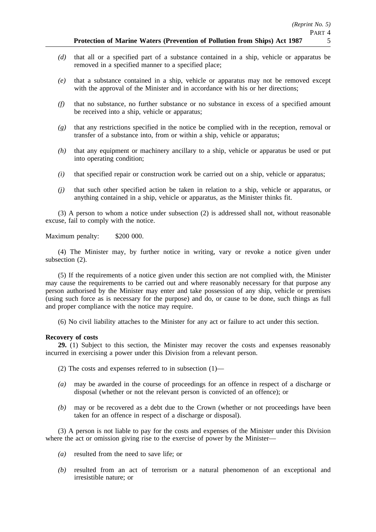**Protection of Marine Waters (Prevention of Pollution from Ships) Act 1987** 5

- *(d)* that all or a specified part of a substance contained in a ship, vehicle or apparatus be removed in a specified manner to a specified place;
- *(e)* that a substance contained in a ship, vehicle or apparatus may not be removed except with the approval of the Minister and in accordance with his or her directions;
- *(f)* that no substance, no further substance or no substance in excess of a specified amount be received into a ship, vehicle or apparatus;
- *(g)* that any restrictions specified in the notice be complied with in the reception, removal or transfer of a substance into, from or within a ship, vehicle or apparatus;
- *(h)* that any equipment or machinery ancillary to a ship, vehicle or apparatus be used or put into operating condition;
- *(i)* that specified repair or construction work be carried out on a ship, vehicle or apparatus;
- *(j)* that such other specified action be taken in relation to a ship, vehicle or apparatus, or anything contained in a ship, vehicle or apparatus, as the Minister thinks fit.

(3) A person to whom a notice under subsection (2) is addressed shall not, without reasonable excuse, fail to comply with the notice.

Maximum penalty: \$200 000.

(4) The Minister may, by further notice in writing, vary or revoke a notice given under subsection (2).

(5) If the requirements of a notice given under this section are not complied with, the Minister may cause the requirements to be carried out and where reasonably necessary for that purpose any person authorised by the Minister may enter and take possession of any ship, vehicle or premises (using such force as is necessary for the purpose) and do, or cause to be done, such things as full and proper compliance with the notice may require.

(6) No civil liability attaches to the Minister for any act or failure to act under this section.

## **Recovery of costs**

**29.** (1) Subject to this section, the Minister may recover the costs and expenses reasonably incurred in exercising a power under this Division from a relevant person.

- (2) The costs and expenses referred to in subsection (1)—
- *(a)* may be awarded in the course of proceedings for an offence in respect of a discharge or disposal (whether or not the relevant person is convicted of an offence); or
- *(b)* may or be recovered as a debt due to the Crown (whether or not proceedings have been taken for an offence in respect of a discharge or disposal).

(3) A person is not liable to pay for the costs and expenses of the Minister under this Division where the act or omission giving rise to the exercise of power by the Minister—

- *(a)* resulted from the need to save life; or
- *(b)* resulted from an act of terrorism or a natural phenomenon of an exceptional and irresistible nature; or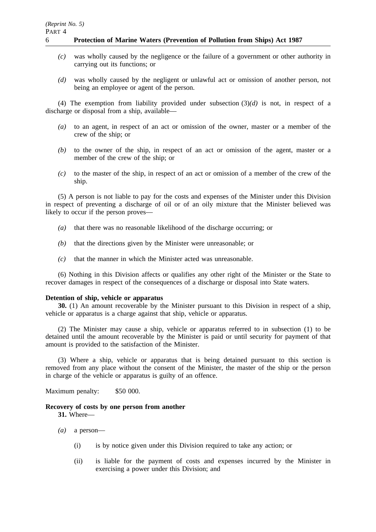- *(c)* was wholly caused by the negligence or the failure of a government or other authority in carrying out its functions; or
- *(d)* was wholly caused by the negligent or unlawful act or omission of another person, not being an employee or agent of the person.

(4) The exemption from liability provided under subsection (3)*(d)* is not, in respect of a discharge or disposal from a ship, available—

- *(a)* to an agent, in respect of an act or omission of the owner, master or a member of the crew of the ship; or
- *(b)* to the owner of the ship, in respect of an act or omission of the agent, master or a member of the crew of the ship; or
- *(c)* to the master of the ship, in respect of an act or omission of a member of the crew of the ship.

(5) A person is not liable to pay for the costs and expenses of the Minister under this Division in respect of preventing a discharge of oil or of an oily mixture that the Minister believed was likely to occur if the person proves—

- *(a)* that there was no reasonable likelihood of the discharge occurring; or
- *(b)* that the directions given by the Minister were unreasonable; or
- *(c)* that the manner in which the Minister acted was unreasonable.

(6) Nothing in this Division affects or qualifies any other right of the Minister or the State to recover damages in respect of the consequences of a discharge or disposal into State waters.

## **Detention of ship, vehicle or apparatus**

**30.** (1) An amount recoverable by the Minister pursuant to this Division in respect of a ship, vehicle or apparatus is a charge against that ship, vehicle or apparatus.

(2) The Minister may cause a ship, vehicle or apparatus referred to in subsection (1) to be detained until the amount recoverable by the Minister is paid or until security for payment of that amount is provided to the satisfaction of the Minister.

(3) Where a ship, vehicle or apparatus that is being detained pursuant to this section is removed from any place without the consent of the Minister, the master of the ship or the person in charge of the vehicle or apparatus is guilty of an offence.

Maximum penalty: \$50 000.

# **Recovery of costs by one person from another**

**31.** Where—

- *(a)* a person—
	- (i) is by notice given under this Division required to take any action; or
	- (ii) is liable for the payment of costs and expenses incurred by the Minister in exercising a power under this Division; and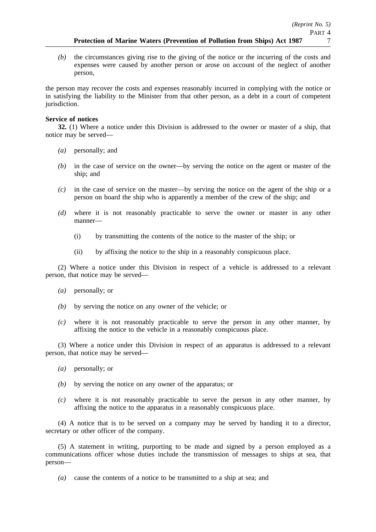*(b)* the circumstances giving rise to the giving of the notice or the incurring of the costs and expenses were caused by another person or arose on account of the neglect of another person,

the person may recover the costs and expenses reasonably incurred in complying with the notice or in satisfying the liability to the Minister from that other person, as a debt in a court of competent jurisdiction.

# **Service of notices**

**32.** (1) Where a notice under this Division is addressed to the owner or master of a ship, that notice may be served—

- *(a)* personally; and
- *(b)* in the case of service on the owner—by serving the notice on the agent or master of the ship; and
- *(c)* in the case of service on the master—by serving the notice on the agent of the ship or a person on board the ship who is apparently a member of the crew of the ship; and
- *(d)* where it is not reasonably practicable to serve the owner or master in any other manner—
	- (i) by transmitting the contents of the notice to the master of the ship; or
	- (ii) by affixing the notice to the ship in a reasonably conspicuous place.

(2) Where a notice under this Division in respect of a vehicle is addressed to a relevant person, that notice may be served—

- *(a)* personally; or
- *(b)* by serving the notice on any owner of the vehicle; or
- *(c)* where it is not reasonably practicable to serve the person in any other manner, by affixing the notice to the vehicle in a reasonably conspicuous place.

(3) Where a notice under this Division in respect of an apparatus is addressed to a relevant person, that notice may be served—

- *(a)* personally; or
- *(b)* by serving the notice on any owner of the apparatus; or
- *(c)* where it is not reasonably practicable to serve the person in any other manner, by affixing the notice to the apparatus in a reasonably conspicuous place.

(4) A notice that is to be served on a company may be served by handing it to a director, secretary or other officer of the company.

(5) A statement in writing, purporting to be made and signed by a person employed as a communications officer whose duties include the transmission of messages to ships at sea, that person—

*(a)* cause the contents of a notice to be transmitted to a ship at sea; and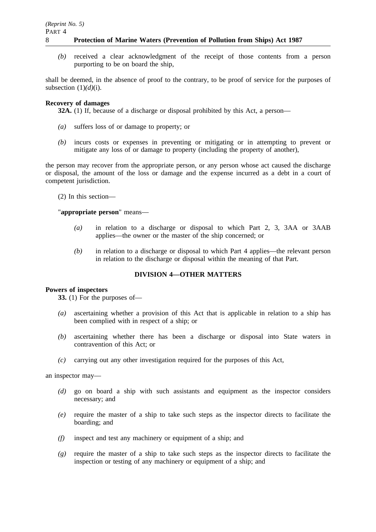*(b)* received a clear acknowledgment of the receipt of those contents from a person purporting to be on board the ship,

shall be deemed, in the absence of proof to the contrary, to be proof of service for the purposes of subsection  $(1)(d)(i)$ .

# **Recovery of damages**

**32A.** (1) If, because of a discharge or disposal prohibited by this Act, a person—

- *(a)* suffers loss of or damage to property; or
- *(b)* incurs costs or expenses in preventing or mitigating or in attempting to prevent or mitigate any loss of or damage to property (including the property of another),

the person may recover from the appropriate person, or any person whose act caused the discharge or disposal, the amount of the loss or damage and the expense incurred as a debt in a court of competent jurisdiction.

(2) In this section—

# "**appropriate person**" means—

- *(a)* in relation to a discharge or disposal to which Part 2, 3, 3AA or 3AAB applies—the owner or the master of the ship concerned; or
- *(b)* in relation to a discharge or disposal to which Part 4 applies—the relevant person in relation to the discharge or disposal within the meaning of that Part.

# **DIVISION 4—OTHER MATTERS**

# **Powers of inspectors**

**33.** (1) For the purposes of—

- *(a)* ascertaining whether a provision of this Act that is applicable in relation to a ship has been complied with in respect of a ship; or
- *(b)* ascertaining whether there has been a discharge or disposal into State waters in contravention of this Act; or
- *(c)* carrying out any other investigation required for the purposes of this Act,

# an inspector may—

- *(d)* go on board a ship with such assistants and equipment as the inspector considers necessary; and
- *(e)* require the master of a ship to take such steps as the inspector directs to facilitate the boarding; and
- *(f)* inspect and test any machinery or equipment of a ship; and
- *(g)* require the master of a ship to take such steps as the inspector directs to facilitate the inspection or testing of any machinery or equipment of a ship; and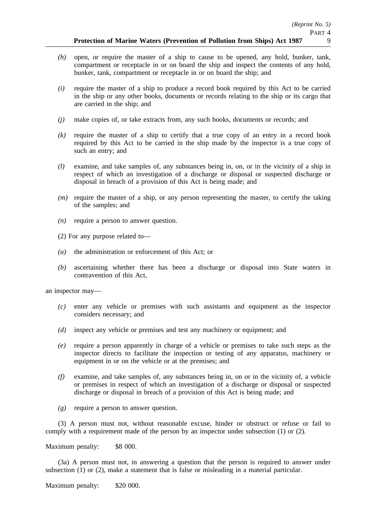- *(i)* require the master of a ship to produce a record book required by this Act to be carried in the ship or any other books, documents or records relating to the ship or its cargo that are carried in the ship; and
- *(j)* make copies of, or take extracts from, any such books, documents or records; and
- *(k)* require the master of a ship to certify that a true copy of an entry in a record book required by this Act to be carried in the ship made by the inspector is a true copy of such an entry; and
- *(l)* examine, and take samples of, any substances being in, on, or in the vicinity of a ship in respect of which an investigation of a discharge or disposal or suspected discharge or disposal in breach of a provision of this Act is being made; and
- *(m)* require the master of a ship, or any person representing the master, to certify the taking of the samples; and
- *(n)* require a person to answer question.
- (2) For any purpose related to—
- *(a)* the administration or enforcement of this Act; or
- *(b)* ascertaining whether there has been a discharge or disposal into State waters in contravention of this Act,

an inspector may—

- *(c)* enter any vehicle or premises with such assistants and equipment as the inspector considers necessary; and
- *(d)* inspect any vehicle or premises and test any machinery or equipment; and
- *(e)* require a person apparently in charge of a vehicle or premises to take such steps as the inspector directs to facilitate the inspection or testing of any apparatus, machinery or equipment in or on the vehicle or at the premises; and
- *(f)* examine, and take samples of, any substances being in, on or in the vicinity of, a vehicle or premises in respect of which an investigation of a discharge or disposal or suspected discharge or disposal in breach of a provision of this Act is being made; and
- *(g)* require a person to answer question.

(3) A person must not, without reasonable excuse, hinder or obstruct or refuse or fail to comply with a requirement made of the person by an inspector under subsection (1) or (2).

Maximum penalty: \$8 000.

(3a) A person must not, in answering a question that the person is required to answer under subsection (1) or (2), make a statement that is false or misleading in a material particular.

Maximum penalty: \$20 000.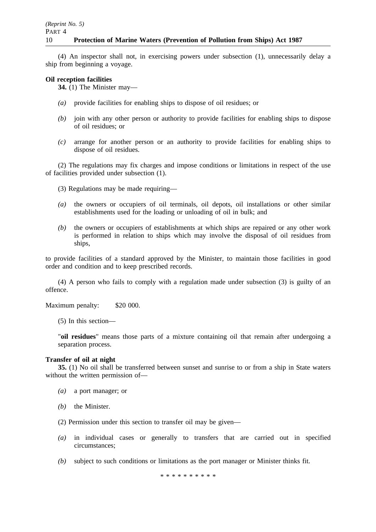(4) An inspector shall not, in exercising powers under subsection (1), unnecessarily delay a ship from beginning a voyage.

# **Oil reception facilities**

**34.** (1) The Minister may—

- *(a)* provide facilities for enabling ships to dispose of oil residues; or
- *(b)* join with any other person or authority to provide facilities for enabling ships to dispose of oil residues; or
- *(c)* arrange for another person or an authority to provide facilities for enabling ships to dispose of oil residues.

(2) The regulations may fix charges and impose conditions or limitations in respect of the use of facilities provided under subsection (1).

- (3) Regulations may be made requiring—
- *(a)* the owners or occupiers of oil terminals, oil depots, oil installations or other similar establishments used for the loading or unloading of oil in bulk; and
- *(b)* the owners or occupiers of establishments at which ships are repaired or any other work is performed in relation to ships which may involve the disposal of oil residues from ships,

to provide facilities of a standard approved by the Minister, to maintain those facilities in good order and condition and to keep prescribed records.

(4) A person who fails to comply with a regulation made under subsection (3) is guilty of an offence.

Maximum penalty: \$20 000.

(5) In this section—

"**oil residues**" means those parts of a mixture containing oil that remain after undergoing a separation process.

## **Transfer of oil at night**

**35.** (1) No oil shall be transferred between sunset and sunrise to or from a ship in State waters without the written permission of—

- *(a)* a port manager; or
- *(b)* the Minister.
- (2) Permission under this section to transfer oil may be given—
- *(a)* in individual cases or generally to transfers that are carried out in specified circumstances;
- *(b)* subject to such conditions or limitations as the port manager or Minister thinks fit.

\*\*\*\*\*\*\*\*\*\*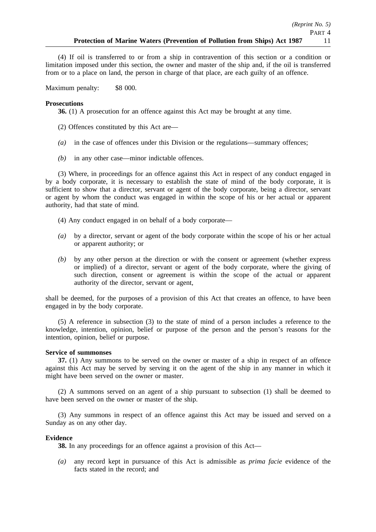(4) If oil is transferred to or from a ship in contravention of this section or a condition or limitation imposed under this section, the owner and master of the ship and, if the oil is transferred from or to a place on land, the person in charge of that place, are each guilty of an offence.

Maximum penalty: \$8 000.

# **Prosecutions**

**36.** (1) A prosecution for an offence against this Act may be brought at any time.

- (2) Offences constituted by this Act are—
- *(a)* in the case of offences under this Division or the regulations—summary offences;
- *(b)* in any other case—minor indictable offences.

(3) Where, in proceedings for an offence against this Act in respect of any conduct engaged in by a body corporate, it is necessary to establish the state of mind of the body corporate, it is sufficient to show that a director, servant or agent of the body corporate, being a director, servant or agent by whom the conduct was engaged in within the scope of his or her actual or apparent authority, had that state of mind.

- (4) Any conduct engaged in on behalf of a body corporate—
- *(a)* by a director, servant or agent of the body corporate within the scope of his or her actual or apparent authority; or
- *(b)* by any other person at the direction or with the consent or agreement (whether express or implied) of a director, servant or agent of the body corporate, where the giving of such direction, consent or agreement is within the scope of the actual or apparent authority of the director, servant or agent,

shall be deemed, for the purposes of a provision of this Act that creates an offence, to have been engaged in by the body corporate.

(5) A reference in subsection (3) to the state of mind of a person includes a reference to the knowledge, intention, opinion, belief or purpose of the person and the person's reasons for the intention, opinion, belief or purpose.

# **Service of summonses**

**37.** (1) Any summons to be served on the owner or master of a ship in respect of an offence against this Act may be served by serving it on the agent of the ship in any manner in which it might have been served on the owner or master.

(2) A summons served on an agent of a ship pursuant to subsection (1) shall be deemed to have been served on the owner or master of the ship.

(3) Any summons in respect of an offence against this Act may be issued and served on a Sunday as on any other day.

# **Evidence**

**38.** In any proceedings for an offence against a provision of this Act—

*(a)* any record kept in pursuance of this Act is admissible as *prima facie* evidence of the facts stated in the record; and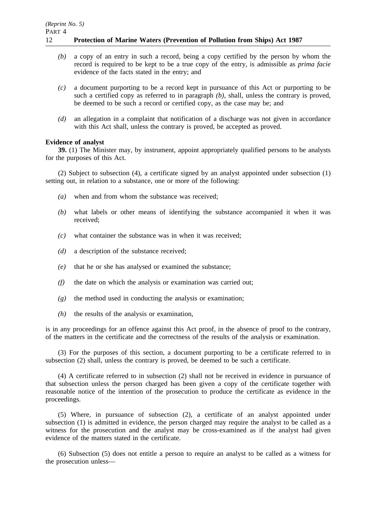- *(b)* a copy of an entry in such a record, being a copy certified by the person by whom the record is required to be kept to be a true copy of the entry, is admissible as *prima facie* evidence of the facts stated in the entry; and
- *(c)* a document purporting to be a record kept in pursuance of this Act or purporting to be such a certified copy as referred to in paragraph *(b)*, shall, unless the contrary is proved, be deemed to be such a record or certified copy, as the case may be; and
- *(d)* an allegation in a complaint that notification of a discharge was not given in accordance with this Act shall, unless the contrary is proved, be accepted as proved.

# **Evidence of analyst**

**39.** (1) The Minister may, by instrument, appoint appropriately qualified persons to be analysts for the purposes of this Act.

(2) Subject to subsection (4), a certificate signed by an analyst appointed under subsection (1) setting out, in relation to a substance, one or more of the following:

- *(a)* when and from whom the substance was received;
- *(b)* what labels or other means of identifying the substance accompanied it when it was received;
- *(c)* what container the substance was in when it was received;
- *(d)* a description of the substance received;
- *(e)* that he or she has analysed or examined the substance;
- *(f)* the date on which the analysis or examination was carried out;
- *(g)* the method used in conducting the analysis or examination;
- *(h)* the results of the analysis or examination,

is in any proceedings for an offence against this Act proof, in the absence of proof to the contrary, of the matters in the certificate and the correctness of the results of the analysis or examination.

(3) For the purposes of this section, a document purporting to be a certificate referred to in subsection (2) shall, unless the contrary is proved, be deemed to be such a certificate.

(4) A certificate referred to in subsection (2) shall not be received in evidence in pursuance of that subsection unless the person charged has been given a copy of the certificate together with reasonable notice of the intention of the prosecution to produce the certificate as evidence in the proceedings.

(5) Where, in pursuance of subsection (2), a certificate of an analyst appointed under subsection (1) is admitted in evidence, the person charged may require the analyst to be called as a witness for the prosecution and the analyst may be cross-examined as if the analyst had given evidence of the matters stated in the certificate.

(6) Subsection (5) does not entitle a person to require an analyst to be called as a witness for the prosecution unless—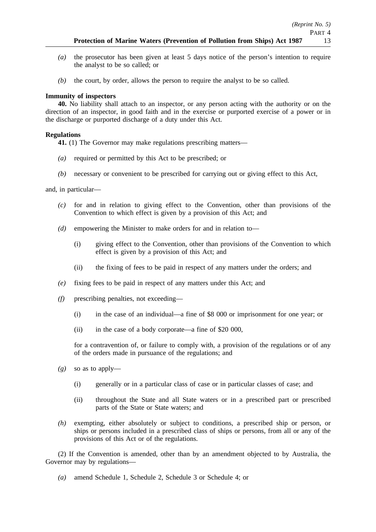- *(a)* the prosecutor has been given at least 5 days notice of the person's intention to require the analyst to be so called; or
- *(b)* the court, by order, allows the person to require the analyst to be so called.

# **Immunity of inspectors**

**40.** No liability shall attach to an inspector, or any person acting with the authority or on the direction of an inspector, in good faith and in the exercise or purported exercise of a power or in the discharge or purported discharge of a duty under this Act.

# **Regulations**

**41.** (1) The Governor may make regulations prescribing matters—

- *(a)* required or permitted by this Act to be prescribed; or
- *(b)* necessary or convenient to be prescribed for carrying out or giving effect to this Act,

and, in particular—

- *(c)* for and in relation to giving effect to the Convention, other than provisions of the Convention to which effect is given by a provision of this Act; and
- *(d)* empowering the Minister to make orders for and in relation to—
	- (i) giving effect to the Convention, other than provisions of the Convention to which effect is given by a provision of this Act; and
	- (ii) the fixing of fees to be paid in respect of any matters under the orders; and
- *(e)* fixing fees to be paid in respect of any matters under this Act; and
- *(f)* prescribing penalties, not exceeding—
	- (i) in the case of an individual—a fine of \$8 000 or imprisonment for one year; or
	- (ii) in the case of a body corporate—a fine of \$20 000,

for a contravention of, or failure to comply with, a provision of the regulations or of any of the orders made in pursuance of the regulations; and

- *(g)* so as to apply—
	- (i) generally or in a particular class of case or in particular classes of case; and
	- (ii) throughout the State and all State waters or in a prescribed part or prescribed parts of the State or State waters; and
- *(h)* exempting, either absolutely or subject to conditions, a prescribed ship or person, or ships or persons included in a prescribed class of ships or persons, from all or any of the provisions of this Act or of the regulations.

(2) If the Convention is amended, other than by an amendment objected to by Australia, the Governor may by regulations—

*(a)* amend Schedule 1, Schedule 2, Schedule 3 or Schedule 4; or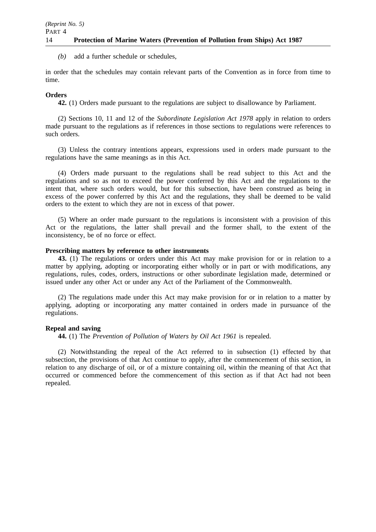*(b)* add a further schedule or schedules,

in order that the schedules may contain relevant parts of the Convention as in force from time to time.

# **Orders**

**42.** (1) Orders made pursuant to the regulations are subject to disallowance by Parliament.

(2) Sections 10, 11 and 12 of the *Subordinate Legislation Act 1978* apply in relation to orders made pursuant to the regulations as if references in those sections to regulations were references to such orders.

(3) Unless the contrary intentions appears, expressions used in orders made pursuant to the regulations have the same meanings as in this Act.

(4) Orders made pursuant to the regulations shall be read subject to this Act and the regulations and so as not to exceed the power conferred by this Act and the regulations to the intent that, where such orders would, but for this subsection, have been construed as being in excess of the power conferred by this Act and the regulations, they shall be deemed to be valid orders to the extent to which they are not in excess of that power.

(5) Where an order made pursuant to the regulations is inconsistent with a provision of this Act or the regulations, the latter shall prevail and the former shall, to the extent of the inconsistency, be of no force or effect.

# **Prescribing matters by reference to other instruments**

**43.** (1) The regulations or orders under this Act may make provision for or in relation to a matter by applying, adopting or incorporating either wholly or in part or with modifications, any regulations, rules, codes, orders, instructions or other subordinate legislation made, determined or issued under any other Act or under any Act of the Parliament of the Commonwealth.

(2) The regulations made under this Act may make provision for or in relation to a matter by applying, adopting or incorporating any matter contained in orders made in pursuance of the regulations.

# **Repeal and saving**

**44.** (1) The *Prevention of Pollution of Waters by Oil Act 1961* is repealed.

(2) Notwithstanding the repeal of the Act referred to in subsection (1) effected by that subsection, the provisions of that Act continue to apply, after the commencement of this section, in relation to any discharge of oil, or of a mixture containing oil, within the meaning of that Act that occurred or commenced before the commencement of this section as if that Act had not been repealed.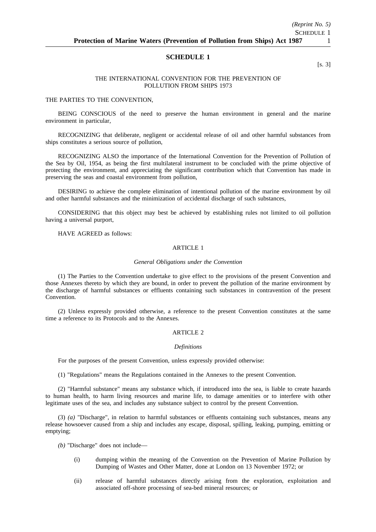## **SCHEDULE 1**

[s. 3]

### THE INTERNATIONAL CONVENTION FOR THE PREVENTION OF POLLUTION FROM SHIPS 1973

## THE PARTIES TO THE CONVENTION,

BEING CONSCIOUS of the need to preserve the human environment in general and the marine environment in particular,

RECOGNIZING that deliberate, negligent or accidental release of oil and other harmful substances from ships constitutes a serious source of pollution,

RECOGNIZING ALSO the importance of the International Convention for the Prevention of Pollution of the Sea by Oil, 1954, as being the first multilateral instrument to be concluded with the prime objective of protecting the environment, and appreciating the significant contribution which that Convention has made in preserving the seas and coastal environment from pollution,

DESIRING to achieve the complete elimination of intentional pollution of the marine environment by oil and other harmful substances and the minimization of accidental discharge of such substances,

CONSIDERING that this object may best be achieved by establishing rules not limited to oil pollution having a universal purport,

HAVE AGREED as follows:

# ARTICLE 1

#### *General Obligations under the Convention*

(1) The Parties to the Convention undertake to give effect to the provisions of the present Convention and those Annexes thereto by which they are bound, in order to prevent the pollution of the marine environment by the discharge of harmful substances or effluents containing such substances in contravention of the present Convention.

(2) Unless expressly provided otherwise, a reference to the present Convention constitutes at the same time a reference to its Protocols and to the Annexes.

# ARTICLE 2

#### *Definitions*

For the purposes of the present Convention, unless expressly provided otherwise:

(1) "Regulations" means the Regulations contained in the Annexes to the present Convention.

(2) "Harmful substance" means any substance which, if introduced into the sea, is liable to create hazards to human health, to harm living resources and marine life, to damage amenities or to interfere with other legitimate uses of the sea, and includes any substance subject to control by the present Convention.

(3) *(a)* "Discharge", in relation to harmful substances or effluents containing such substances, means any release howsoever caused from a ship and includes any escape, disposal, spilling, leaking, pumping, emitting or emptying;

*(b)* "Discharge" does not include—

- (i) dumping within the meaning of the Convention on the Prevention of Marine Pollution by Dumping of Wastes and Other Matter, done at London on 13 November 1972; or
- (ii) release of harmful substances directly arising from the exploration, exploitation and associated off-shore processing of sea-bed mineral resources; or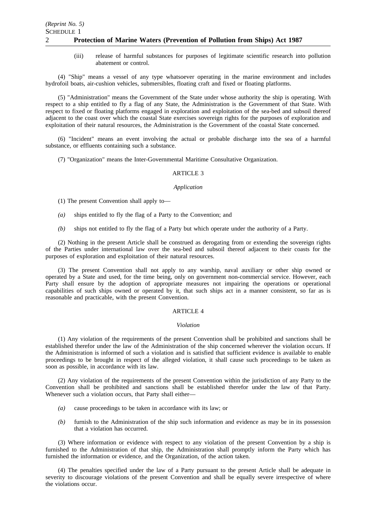(iii) release of harmful substances for purposes of legitimate scientific research into pollution abatement or control.

(4) "Ship" means a vessel of any type whatsoever operating in the marine environment and includes hydrofoil boats, air-cushion vehicles, submersibles, floating craft and fixed or floating platforms.

(5) "Administration" means the Government of the State under whose authority the ship is operating. With respect to a ship entitled to fly a flag of any State, the Administration is the Government of that State. With respect to fixed or floating platforms engaged in exploration and exploitation of the sea-bed and subsoil thereof adjacent to the coast over which the coastal State exercises sovereign rights for the purposes of exploration and exploitation of their natural resources, the Administration is the Government of the coastal State concerned.

(6) "Incident" means an event involving the actual or probable discharge into the sea of a harmful substance, or effluents containing such a substance.

(7) "Organization" means the Inter-Governmental Maritime Consultative Organization.

#### ARTICLE 3

#### *Application*

- (1) The present Convention shall apply to—
- *(a)* ships entitled to fly the flag of a Party to the Convention; and
- *(b)* ships not entitled to fly the flag of a Party but which operate under the authority of a Party.

(2) Nothing in the present Article shall be construed as derogating from or extending the sovereign rights of the Parties under international law over the sea-bed and subsoil thereof adjacent to their coasts for the purposes of exploration and exploitation of their natural resources.

(3) The present Convention shall not apply to any warship, naval auxiliary or other ship owned or operated by a State and used, for the time being, only on government non-commercial service. However, each Party shall ensure by the adoption of appropriate measures not impairing the operations or operational capabilities of such ships owned or operated by it, that such ships act in a manner consistent, so far as is reasonable and practicable, with the present Convention.

#### ARTICLE 4

#### *Violation*

(1) Any violation of the requirements of the present Convention shall be prohibited and sanctions shall be established therefor under the law of the Administration of the ship concerned wherever the violation occurs. If the Administration is informed of such a violation and is satisfied that sufficient evidence is available to enable proceedings to be brought in respect of the alleged violation, it shall cause such proceedings to be taken as soon as possible, in accordance with its law.

(2) Any violation of the requirements of the present Convention within the jurisdiction of any Party to the Convention shall be prohibited and sanctions shall be established therefor under the law of that Party. Whenever such a violation occurs, that Party shall either—

- *(a)* cause proceedings to be taken in accordance with its law; or
- *(b)* furnish to the Administration of the ship such information and evidence as may be in its possession that a violation has occurred.

(3) Where information or evidence with respect to any violation of the present Convention by a ship is furnished to the Administration of that ship, the Administration shall promptly inform the Party which has furnished the information or evidence, and the Organization, of the action taken.

(4) The penalties specified under the law of a Party pursuant to the present Article shall be adequate in severity to discourage violations of the present Convention and shall be equally severe irrespective of where the violations occur.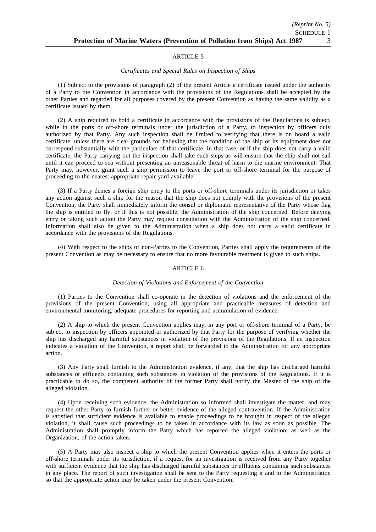#### *Certificates and Special Rules on Inspection of Ships*

(1) Subject to the provisions of paragraph (2) of the present Article a certificate issued under the authority of a Party to the Convention in accordance with the provisions of the Regulations shall be accepted by the other Parties and regarded for all purposes covered by the present Convention as having the same validity as a certificate issued by them.

(2) A ship required to hold a certificate in accordance with the provisions of the Regulations is subject, while in the ports or off-shore terminals under the jurisdiction of a Party, to inspection by officers duly authorized by that Party. Any such inspection shall be limited to verifying that there is on board a valid certificate, unless there are clear grounds for believing that the condition of the ship or its equipment does not correspond substantially with the particulars of that certificate. In that case, or if the ship does not carry a valid certificate, the Party carrying out the inspection shall take such steps as will ensure that the ship shall not sail until it can proceed to sea without presenting an unreasonable threat of harm to the marine environment. That Party may, however, grant such a ship permission to leave the port or off-shore terminal for the purpose of proceeding to the nearest appropriate repair yard available.

(3) If a Party denies a foreign ship entry to the ports or off-shore terminals under its jurisdiction or takes any action against such a ship for the reason that the ship does not comply with the provisions of the present Convention, the Party shall immediately inform the consul or diplomatic representative of the Party whose flag the ship is entitled to fly, or if this is not possible, the Administration of the ship concerned. Before denying entry or taking such action the Party may request consultation with the Administration of the ship concerned. Information shall also be given to the Administration when a ship does not carry a valid certificate in accordance with the provisions of the Regulations.

(4) With respect to the ships of non-Parties to the Convention, Parties shall apply the requirements of the present Convention as may be necessary to ensure that no more favourable treatment is given to such ships.

# ARTICLE 6

### *Detection of Violations and Enforcement of the Convention*

(1) Parties to the Convention shall co-operate in the detection of violations and the enforcement of the provisions of the present Convention, using all appropriate and practicable measures of detection and environmental monitoring, adequate procedures for reporting and accumulation of evidence.

(2) A ship to which the present Convention applies may, in any port or off-shore terminal of a Party, be subject to inspection by officers appointed or authorized by that Party for the purpose of verifying whether the ship has discharged any harmful substances in violation of the provisions of the Regulations. If an inspection indicates a violation of the Convention, a report shall be forwarded to the Administration for any appropriate action.

(3) Any Party shall furnish to the Administration evidence, if any, that the ship has discharged harmful substances or effluents containing such substances in violation of the provisions of the Regulations. If it is practicable to do so, the competent authority of the former Party shall notify the Master of the ship of the alleged violation.

(4) Upon receiving such evidence, the Administration so informed shall investigate the matter, and may request the other Party to furnish further or better evidence of the alleged contravention. If the Administration is satisfied that sufficient evidence is available to enable proceedings to be brought in respect of the alleged violation, it shall cause such proceedings to be taken in accordance with its law as soon as possible. The Administration shall promptly inform the Party which has reported the alleged violation, as well as the Organization, of the action taken.

(5) A Party may also inspect a ship to which the present Convention applies when it enters the ports or off-shore terminals under its jurisdiction, if a request for an investigation is received from any Party together with sufficient evidence that the ship has discharged harmful substances or effluents containing such substances in any place. The report of such investigation shall be sent to the Party requesting it and to the Administration so that the appropriate action may be taken under the present Convention.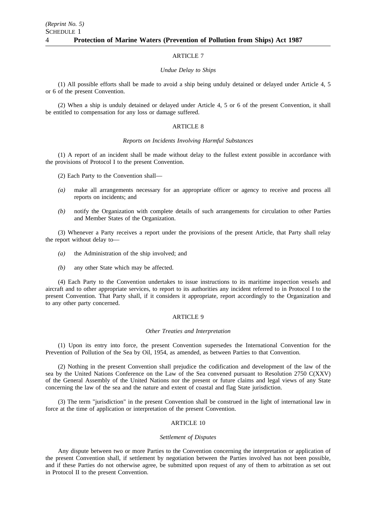#### *Undue Delay to Ships*

(1) All possible efforts shall be made to avoid a ship being unduly detained or delayed under Article 4, 5 or 6 of the present Convention.

(2) When a ship is unduly detained or delayed under Article 4, 5 or 6 of the present Convention, it shall be entitled to compensation for any loss or damage suffered.

#### ARTICLE 8

### *Reports on Incidents Involving Harmful Substances*

(1) A report of an incident shall be made without delay to the fullest extent possible in accordance with the provisions of Protocol I to the present Convention.

(2) Each Party to the Convention shall—

- *(a)* make all arrangements necessary for an appropriate officer or agency to receive and process all reports on incidents; and
- *(b)* notify the Organization with complete details of such arrangements for circulation to other Parties and Member States of the Organization.

(3) Whenever a Party receives a report under the provisions of the present Article, that Party shall relay the report without delay to—

- *(a)* the Administration of the ship involved; and
- *(b)* any other State which may be affected.

(4) Each Party to the Convention undertakes to issue instructions to its maritime inspection vessels and aircraft and to other appropriate services, to report to its authorities any incident referred to in Protocol I to the present Convention. That Party shall, if it considers it appropriate, report accordingly to the Organization and to any other party concerned.

#### ARTICLE 9

#### *Other Treaties and Interpretation*

(1) Upon its entry into force, the present Convention supersedes the International Convention for the Prevention of Pollution of the Sea by Oil, 1954, as amended, as between Parties to that Convention.

(2) Nothing in the present Convention shall prejudice the codification and development of the law of the sea by the United Nations Conference on the Law of the Sea convened pursuant to Resolution 2750 C(XXV) of the General Assembly of the United Nations nor the present or future claims and legal views of any State concerning the law of the sea and the nature and extent of coastal and flag State jurisdiction.

(3) The term "jurisdiction" in the present Convention shall be construed in the light of international law in force at the time of application or interpretation of the present Convention.

## ARTICLE 10

#### *Settlement of Disputes*

Any dispute between two or more Parties to the Convention concerning the interpretation or application of the present Convention shall, if settlement by negotiation between the Parties involved has not been possible, and if these Parties do not otherwise agree, be submitted upon request of any of them to arbitration as set out in Protocol II to the present Convention.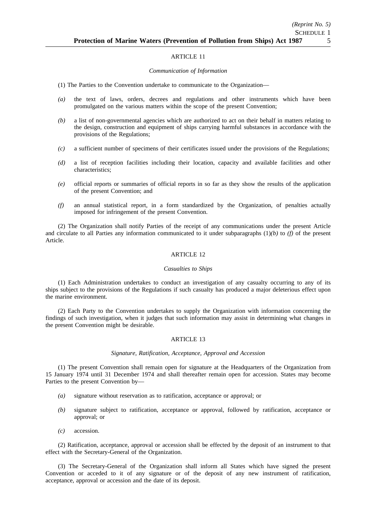#### *Communication of Information*

- (1) The Parties to the Convention undertake to communicate to the Organization—
- *(a)* the text of laws, orders, decrees and regulations and other instruments which have been promulgated on the various matters within the scope of the present Convention;
- *(b)* a list of non-governmental agencies which are authorized to act on their behalf in matters relating to the design, construction and equipment of ships carrying harmful substances in accordance with the provisions of the Regulations;
- *(c)* a sufficient number of specimens of their certificates issued under the provisions of the Regulations;
- *(d)* a list of reception facilities including their location, capacity and available facilities and other characteristics;
- *(e)* official reports or summaries of official reports in so far as they show the results of the application of the present Convention; and
- *(f)* an annual statistical report, in a form standardized by the Organization, of penalties actually imposed for infringement of the present Convention.

(2) The Organization shall notify Parties of the receipt of any communications under the present Article and circulate to all Parties any information communicated to it under subparagraphs (1)*(b)* to *(f)* of the present Article.

## ARTICLE 12

#### *Casualties to Ships*

(1) Each Administration undertakes to conduct an investigation of any casualty occurring to any of its ships subject to the provisions of the Regulations if such casualty has produced a major deleterious effect upon the marine environment.

(2) Each Party to the Convention undertakes to supply the Organization with information concerning the findings of such investigation, when it judges that such information may assist in determining what changes in the present Convention might be desirable.

### ARTICLE 13

#### *Signature, Ratification, Acceptance, Approval and Accession*

(1) The present Convention shall remain open for signature at the Headquarters of the Organization from 15 January 1974 until 31 December 1974 and shall thereafter remain open for accession. States may become Parties to the present Convention by—

- *(a)* signature without reservation as to ratification, acceptance or approval; or
- *(b)* signature subject to ratification, acceptance or approval, followed by ratification, acceptance or approval; or
- *(c)* accession.

(2) Ratification, acceptance, approval or accession shall be effected by the deposit of an instrument to that effect with the Secretary-General of the Organization.

(3) The Secretary-General of the Organization shall inform all States which have signed the present Convention or acceded to it of any signature or of the deposit of any new instrument of ratification, acceptance, approval or accession and the date of its deposit.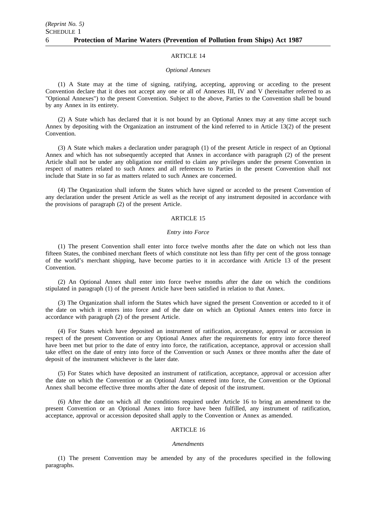#### *Optional Annexes*

(1) A State may at the time of signing, ratifying, accepting, approving or acceding to the present Convention declare that it does not accept any one or all of Annexes III, IV and V (hereinafter referred to as "Optional Annexes") to the present Convention. Subject to the above, Parties to the Convention shall be bound by any Annex in its entirety.

(2) A State which has declared that it is not bound by an Optional Annex may at any time accept such Annex by depositing with the Organization an instrument of the kind referred to in Article 13(2) of the present Convention.

(3) A State which makes a declaration under paragraph (1) of the present Article in respect of an Optional Annex and which has not subsequently accepted that Annex in accordance with paragraph (2) of the present Article shall not be under any obligation nor entitled to claim any privileges under the present Convention in respect of matters related to such Annex and all references to Parties in the present Convention shall not include that State in so far as matters related to such Annex are concerned.

(4) The Organization shall inform the States which have signed or acceded to the present Convention of any declaration under the present Article as well as the receipt of any instrument deposited in accordance with the provisions of paragraph (2) of the present Article.

# ARTICLE 15

# *Entry into Force*

(1) The present Convention shall enter into force twelve months after the date on which not less than fifteen States, the combined merchant fleets of which constitute not less than fifty per cent of the gross tonnage of the world's merchant shipping, have become parties to it in accordance with Article 13 of the present Convention.

(2) An Optional Annex shall enter into force twelve months after the date on which the conditions stipulated in paragraph (1) of the present Article have been satisfied in relation to that Annex.

(3) The Organization shall inform the States which have signed the present Convention or acceded to it of the date on which it enters into force and of the date on which an Optional Annex enters into force in accordance with paragraph (2) of the present Article.

(4) For States which have deposited an instrument of ratification, acceptance, approval or accession in respect of the present Convention or any Optional Annex after the requirements for entry into force thereof have been met but prior to the date of entry into force, the ratification, acceptance, approval or accession shall take effect on the date of entry into force of the Convention or such Annex or three months after the date of deposit of the instrument whichever is the later date.

(5) For States which have deposited an instrument of ratification, acceptance, approval or accession after the date on which the Convention or an Optional Annex entered into force, the Convention or the Optional Annex shall become effective three months after the date of deposit of the instrument.

(6) After the date on which all the conditions required under Article 16 to bring an amendment to the present Convention or an Optional Annex into force have been fulfilled, any instrument of ratification, acceptance, approval or accession deposited shall apply to the Convention or Annex as amended.

### ARTICLE 16

#### *Amendments*

(1) The present Convention may be amended by any of the procedures specified in the following paragraphs.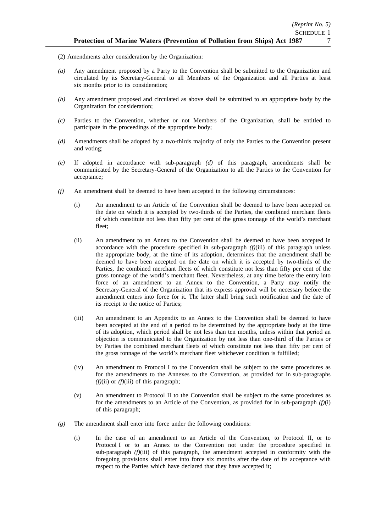(2) Amendments after consideration by the Organization:

- *(a)* Any amendment proposed by a Party to the Convention shall be submitted to the Organization and circulated by its Secretary-General to all Members of the Organization and all Parties at least six months prior to its consideration;
- *(b)* Any amendment proposed and circulated as above shall be submitted to an appropriate body by the Organization for consideration;
- *(c)* Parties to the Convention, whether or not Members of the Organization, shall be entitled to participate in the proceedings of the appropriate body;
- *(d)* Amendments shall be adopted by a two-thirds majority of only the Parties to the Convention present and voting;
- *(e)* If adopted in accordance with sub-paragraph *(d)* of this paragraph, amendments shall be communicated by the Secretary-General of the Organization to all the Parties to the Convention for acceptance;
- *(f)* An amendment shall be deemed to have been accepted in the following circumstances:
	- (i) An amendment to an Article of the Convention shall be deemed to have been accepted on the date on which it is accepted by two-thirds of the Parties, the combined merchant fleets of which constitute not less than fifty per cent of the gross tonnage of the world's merchant fleet;
	- (ii) An amendment to an Annex to the Convention shall be deemed to have been accepted in accordance with the procedure specified in sub-paragraph *(f)*(iii) of this paragraph unless the appropriate body, at the time of its adoption, determines that the amendment shall be deemed to have been accepted on the date on which it is accepted by two-thirds of the Parties, the combined merchant fleets of which constitute not less than fifty per cent of the gross tonnage of the world's merchant fleet. Nevertheless, at any time before the entry into force of an amendment to an Annex to the Convention, a Party may notify the Secretary-General of the Organization that its express approval will be necessary before the amendment enters into force for it. The latter shall bring such notification and the date of its receipt to the notice of Parties;
	- (iii) An amendment to an Appendix to an Annex to the Convention shall be deemed to have been accepted at the end of a period to be determined by the appropriate body at the time of its adoption, which period shall be not less than ten months, unless within that period an objection is communicated to the Organization by not less than one-third of the Parties or by Parties the combined merchant fleets of which constitute not less than fifty per cent of the gross tonnage of the world's merchant fleet whichever condition is fulfilled;
	- (iv) An amendment to Protocol I to the Convention shall be subject to the same procedures as for the amendments to the Annexes to the Convention, as provided for in sub-paragraphs  $(f)(ii)$  or  $(f)(iii)$  of this paragraph;
	- (v) An amendment to Protocol II to the Convention shall be subject to the same procedures as for the amendments to an Article of the Convention, as provided for in sub-paragraph  $(f)(i)$ of this paragraph;
- *(g)* The amendment shall enter into force under the following conditions:
	- (i) In the case of an amendment to an Article of the Convention, to Protocol II, or to Protocol I or to an Annex to the Convention not under the procedure specified in sub-paragraph  $(f)(iii)$  of this paragraph, the amendment accepted in conformity with the foregoing provisions shall enter into force six months after the date of its acceptance with respect to the Parties which have declared that they have accepted it;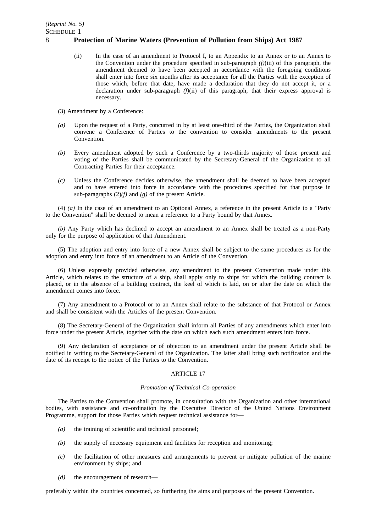(ii) In the case of an amendment to Protocol I, to an Appendix to an Annex or to an Annex to the Convention under the procedure specified in sub-paragraph *(f)*(iii) of this paragraph, the amendment deemed to have been accepted in accordance with the foregoing conditions shall enter into force six months after its acceptance for all the Parties with the exception of those which, before that date, have made a declaration that they do not accept it, or a declaration under sub-paragraph *(f)*(ii) of this paragraph, that their express approval is necessary.

(3) Amendment by a Conference:

- *(a)* Upon the request of a Party, concurred in by at least one-third of the Parties, the Organization shall convene a Conference of Parties to the convention to consider amendments to the present Convention.
- *(b)* Every amendment adopted by such a Conference by a two-thirds majority of those present and voting of the Parties shall be communicated by the Secretary-General of the Organization to all Contracting Parties for their acceptance.
- *(c)* Unless the Conference decides otherwise, the amendment shall be deemed to have been accepted and to have entered into force in accordance with the procedures specified for that purpose in sub-paragraphs (2)*(f)* and *(g)* of the present Article.

(4) *(a)* In the case of an amendment to an Optional Annex, a reference in the present Article to a "Party to the Convention" shall be deemed to mean a reference to a Party bound by that Annex.

*(b)* Any Party which has declined to accept an amendment to an Annex shall be treated as a non-Party only for the purpose of application of that Amendment.

(5) The adoption and entry into force of a new Annex shall be subject to the same procedures as for the adoption and entry into force of an amendment to an Article of the Convention.

(6) Unless expressly provided otherwise, any amendment to the present Convention made under this Article, which relates to the structure of a ship, shall apply only to ships for which the building contract is placed, or in the absence of a building contract, the keel of which is laid, on or after the date on which the amendment comes into force.

(7) Any amendment to a Protocol or to an Annex shall relate to the substance of that Protocol or Annex and shall be consistent with the Articles of the present Convention.

(8) The Secretary-General of the Organization shall inform all Parties of any amendments which enter into force under the present Article, together with the date on which each such amendment enters into force.

(9) Any declaration of acceptance or of objection to an amendment under the present Article shall be notified in writing to the Secretary-General of the Organization. The latter shall bring such notification and the date of its receipt to the notice of the Parties to the Convention.

### ARTICLE 17

### *Promotion of Technical Co-operation*

The Parties to the Convention shall promote, in consultation with the Organization and other international bodies, with assistance and co-ordination by the Executive Director of the United Nations Environment Programme, support for those Parties which request technical assistance for—

- *(a)* the training of scientific and technical personnel;
- *(b)* the supply of necessary equipment and facilities for reception and monitoring;
- *(c)* the facilitation of other measures and arrangements to prevent or mitigate pollution of the marine environment by ships; and
- *(d)* the encouragement of research—

preferably within the countries concerned, so furthering the aims and purposes of the present Convention.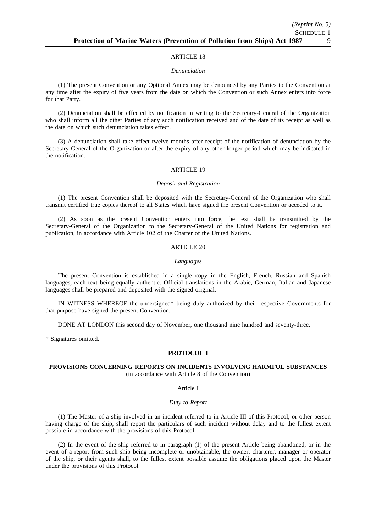#### *Denunciation*

(1) The present Convention or any Optional Annex may be denounced by any Parties to the Convention at any time after the expiry of five years from the date on which the Convention or such Annex enters into force for that Party.

(2) Denunciation shall be effected by notification in writing to the Secretary-General of the Organization who shall inform all the other Parties of any such notification received and of the date of its receipt as well as the date on which such denunciation takes effect.

(3) A denunciation shall take effect twelve months after receipt of the notification of denunciation by the Secretary-General of the Organization or after the expiry of any other longer period which may be indicated in the notification.

# ARTICLE 19

#### *Deposit and Registration*

(1) The present Convention shall be deposited with the Secretary-General of the Organization who shall transmit certified true copies thereof to all States which have signed the present Convention or acceded to it.

(2) As soon as the present Convention enters into force, the text shall be transmitted by the Secretary-General of the Organization to the Secretary-General of the United Nations for registration and publication, in accordance with Article 102 of the Charter of the United Nations.

# ARTICLE 20

### *Languages*

The present Convention is established in a single copy in the English, French, Russian and Spanish languages, each text being equally authentic. Official translations in the Arabic, German, Italian and Japanese languages shall be prepared and deposited with the signed original.

IN WITNESS WHEREOF the undersigned\* being duly authorized by their respective Governments for that purpose have signed the present Convention.

DONE AT LONDON this second day of November, one thousand nine hundred and seventy-three.

\* Signatures omitted.

#### **PROTOCOL I**

### **PROVISIONS CONCERNING REPORTS ON INCIDENTS INVOLVING HARMFUL SUBSTANCES** (in accordance with Article 8 of the Convention)

#### Article I

#### *Duty to Report*

(1) The Master of a ship involved in an incident referred to in Article III of this Protocol, or other person having charge of the ship, shall report the particulars of such incident without delay and to the fullest extent possible in accordance with the provisions of this Protocol.

(2) In the event of the ship referred to in paragraph (1) of the present Article being abandoned, or in the event of a report from such ship being incomplete or unobtainable, the owner, charterer, manager or operator of the ship, or their agents shall, to the fullest extent possible assume the obligations placed upon the Master under the provisions of this Protocol.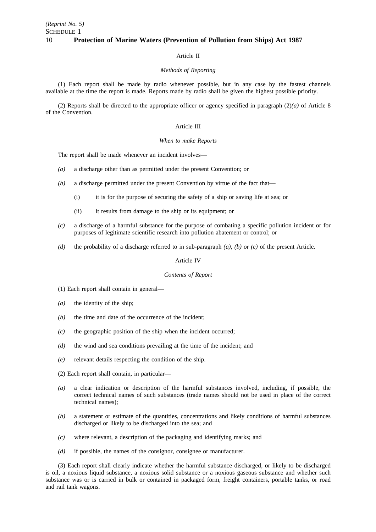### Article II

#### *Methods of Reporting*

(1) Each report shall be made by radio whenever possible, but in any case by the fastest channels available at the time the report is made. Reports made by radio shall be given the highest possible priority.

(2) Reports shall be directed to the appropriate officer or agency specified in paragraph  $(2)(a)$  of Article 8 of the Convention.

#### Article III

# *When to make Reports*

The report shall be made whenever an incident involves—

- *(a)* a discharge other than as permitted under the present Convention; or
- *(b)* a discharge permitted under the present Convention by virtue of the fact that—
	- (i) it is for the purpose of securing the safety of a ship or saving life at sea; or
	- (ii) it results from damage to the ship or its equipment; or
- *(c)* a discharge of a harmful substance for the purpose of combating a specific pollution incident or for purposes of legitimate scientific research into pollution abatement or control; or
- *(d)* the probability of a discharge referred to in sub-paragraph *(a)*, *(b)* or *(c)* of the present Article.

### Article IV

#### *Contents of Report*

- (1) Each report shall contain in general—
- *(a)* the identity of the ship;
- *(b)* the time and date of the occurrence of the incident;
- *(c)* the geographic position of the ship when the incident occurred;
- *(d)* the wind and sea conditions prevailing at the time of the incident; and
- *(e)* relevant details respecting the condition of the ship.
- (2) Each report shall contain, in particular—
- *(a)* a clear indication or description of the harmful substances involved, including, if possible, the correct technical names of such substances (trade names should not be used in place of the correct technical names);
- *(b)* a statement or estimate of the quantities, concentrations and likely conditions of harmful substances discharged or likely to be discharged into the sea; and
- *(c)* where relevant, a description of the packaging and identifying marks; and
- *(d)* if possible, the names of the consignor, consignee or manufacturer.

(3) Each report shall clearly indicate whether the harmful substance discharged, or likely to be discharged is oil, a noxious liquid substance, a noxious solid substance or a noxious gaseous substance and whether such substance was or is carried in bulk or contained in packaged form, freight containers, portable tanks, or road and rail tank wagons.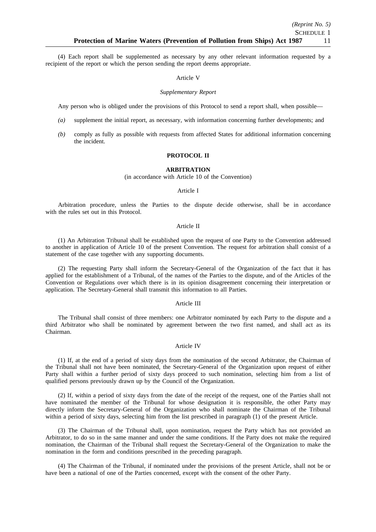(4) Each report shall be supplemented as necessary by any other relevant information requested by a recipient of the report or which the person sending the report deems appropriate.

### Article V

#### *Supplementary Report*

Any person who is obliged under the provisions of this Protocol to send a report shall, when possible—

- *(a)* supplement the initial report, as necessary, with information concerning further developments; and
- *(b)* comply as fully as possible with requests from affected States for additional information concerning the incident.

## **PROTOCOL II**

### **ARBITRATION**

(in accordance with Article 10 of the Convention)

### Article I

Arbitration procedure, unless the Parties to the dispute decide otherwise, shall be in accordance with the rules set out in this Protocol.

## Article II

(1) An Arbitration Tribunal shall be established upon the request of one Party to the Convention addressed to another in application of Article 10 of the present Convention. The request for arbitration shall consist of a statement of the case together with any supporting documents.

(2) The requesting Party shall inform the Secretary-General of the Organization of the fact that it has applied for the establishment of a Tribunal, of the names of the Parties to the dispute, and of the Articles of the Convention or Regulations over which there is in its opinion disagreement concerning their interpretation or application. The Secretary-General shall transmit this information to all Parties.

#### Article III

The Tribunal shall consist of three members: one Arbitrator nominated by each Party to the dispute and a third Arbitrator who shall be nominated by agreement between the two first named, and shall act as its Chairman.

# Article IV

(1) If, at the end of a period of sixty days from the nomination of the second Arbitrator, the Chairman of the Tribunal shall not have been nominated, the Secretary-General of the Organization upon request of either Party shall within a further period of sixty days proceed to such nomination, selecting him from a list of qualified persons previously drawn up by the Council of the Organization.

(2) If, within a period of sixty days from the date of the receipt of the request, one of the Parties shall not have nominated the member of the Tribunal for whose designation it is responsible, the other Party may directly inform the Secretary-General of the Organization who shall nominate the Chairman of the Tribunal within a period of sixty days, selecting him from the list prescribed in paragraph (1) of the present Article.

(3) The Chairman of the Tribunal shall, upon nomination, request the Party which has not provided an Arbitrator, to do so in the same manner and under the same conditions. If the Party does not make the required nomination, the Chairman of the Tribunal shall request the Secretary-General of the Organization to make the nomination in the form and conditions prescribed in the preceding paragraph.

(4) The Chairman of the Tribunal, if nominated under the provisions of the present Article, shall not be or have been a national of one of the Parties concerned, except with the consent of the other Party.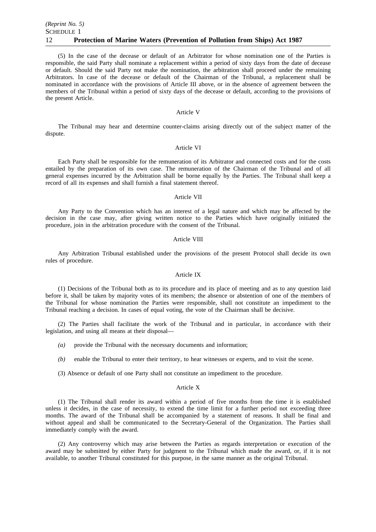# *(Reprint No. 5)* SCHEDULE 1 12 **Protection of Marine Waters (Prevention of Pollution from Ships) Act 1987**

(5) In the case of the decease or default of an Arbitrator for whose nomination one of the Parties is responsible, the said Party shall nominate a replacement within a period of sixty days from the date of decease or default. Should the said Party not make the nomination, the arbitration shall proceed under the remaining Arbitrators. In case of the decease or default of the Chairman of the Tribunal, a replacement shall be nominated in accordance with the provisions of Article III above, or in the absence of agreement between the members of the Tribunal within a period of sixty days of the decease or default, according to the provisions of the present Article.

#### Article V

The Tribunal may hear and determine counter-claims arising directly out of the subject matter of the dispute.

#### Article VI

Each Party shall be responsible for the remuneration of its Arbitrator and connected costs and for the costs entailed by the preparation of its own case. The remuneration of the Chairman of the Tribunal and of all general expenses incurred by the Arbitration shall be borne equally by the Parties. The Tribunal shall keep a record of all its expenses and shall furnish a final statement thereof.

### Article VII

Any Party to the Convention which has an interest of a legal nature and which may be affected by the decision in the case may, after giving written notice to the Parties which have originally initiated the procedure, join in the arbitration procedure with the consent of the Tribunal.

# Article VIII

Any Arbitration Tribunal established under the provisions of the present Protocol shall decide its own rules of procedure.

### Article IX

(1) Decisions of the Tribunal both as to its procedure and its place of meeting and as to any question laid before it, shall be taken by majority votes of its members; the absence or abstention of one of the members of the Tribunal for whose nomination the Parties were responsible, shall not constitute an impediment to the Tribunal reaching a decision. In cases of equal voting, the vote of the Chairman shall be decisive.

(2) The Parties shall facilitate the work of the Tribunal and in particular, in accordance with their legislation, and using all means at their disposal—

- *(a)* provide the Tribunal with the necessary documents and information;
- *(b)* enable the Tribunal to enter their territory, to hear witnesses or experts, and to visit the scene.

(3) Absence or default of one Party shall not constitute an impediment to the procedure.

#### Article X

(1) The Tribunal shall render its award within a period of five months from the time it is established unless it decides, in the case of necessity, to extend the time limit for a further period not exceeding three months. The award of the Tribunal shall be accompanied by a statement of reasons. It shall be final and without appeal and shall be communicated to the Secretary-General of the Organization. The Parties shall immediately comply with the award.

(2) Any controversy which may arise between the Parties as regards interpretation or execution of the award may be submitted by either Party for judgment to the Tribunal which made the award, or, if it is not available, to another Tribunal constituted for this purpose, in the same manner as the original Tribunal.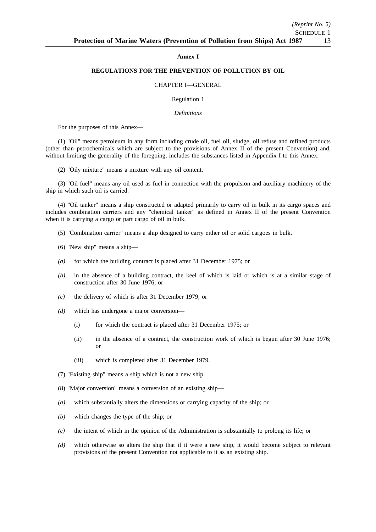#### **Annex I**

#### **REGULATIONS FOR THE PREVENTION OF POLLUTION BY OIL**

#### CHAPTER I—GENERAL

#### Regulation 1

#### *Definitions*

For the purposes of this Annex—

(1) "Oil" means petroleum in any form including crude oil, fuel oil, sludge, oil refuse and refined products (other than petrochemicals which are subject to the provisions of Annex II of the present Convention) and, without limiting the generality of the foregoing, includes the substances listed in Appendix I to this Annex.

(2) "Oily mixture" means a mixture with any oil content.

(3) "Oil fuel" means any oil used as fuel in connection with the propulsion and auxiliary machinery of the ship in which such oil is carried.

(4) "Oil tanker" means a ship constructed or adapted primarily to carry oil in bulk in its cargo spaces and includes combination carriers and any "chemical tanker" as defined in Annex II of the present Convention when it is carrying a cargo or part cargo of oil in bulk.

(5) "Combination carrier" means a ship designed to carry either oil or solid cargoes in bulk.

(6) "New ship" means a ship—

- *(a)* for which the building contract is placed after 31 December 1975; or
- *(b)* in the absence of a building contract, the keel of which is laid or which is at a similar stage of construction after 30 June 1976; or
- *(c)* the delivery of which is after 31 December 1979; or
- *(d)* which has undergone a major conversion—
	- (i) for which the contract is placed after 31 December 1975; or
	- (ii) in the absence of a contract, the construction work of which is begun after 30 June 1976; or
	- (iii) which is completed after 31 December 1979.
- (7) "Existing ship" means a ship which is not a new ship.
- (8) "Major conversion" means a conversion of an existing ship—
- *(a)* which substantially alters the dimensions or carrying capacity of the ship; or
- *(b)* which changes the type of the ship; or
- *(c)* the intent of which in the opinion of the Administration is substantially to prolong its life; or
- *(d)* which otherwise so alters the ship that if it were a new ship, it would become subject to relevant provisions of the present Convention not applicable to it as an existing ship.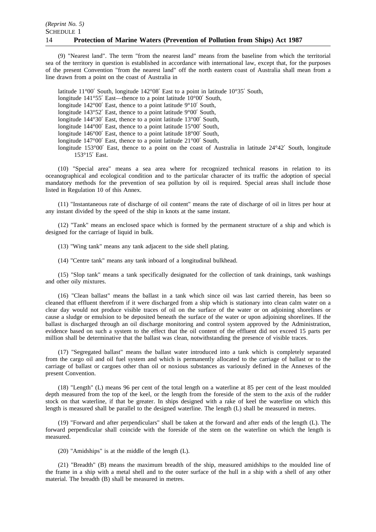(9) "Nearest land". The term "from the nearest land" means from the baseline from which the territorial sea of the territory in question is established in accordance with international law, except that, for the purposes of the present Convention "from the nearest land" off the north eastern coast of Australia shall mean from a line drawn from a point on the coast of Australia in

latitude 11°00′ South, longitude 142°08′ East to a point in latitude 10°35′ South,

longitude 141°55′ East—thence to a point latitude 10°00′ South,

longitude 142°00′ East, thence to a point latitude 9°10′ South,

longitude 143°52′ East, thence to a point latitude 9°00′ South,

longitude 144°30′ East, thence to a point latitude 13°00′ South,

longitude 144°00′ East, thence to a point latitude 15°00′ South,

longitude 146°00′ East, thence to a point latitude 18°00′ South,

longitude 147°00′ East, thence to a point latitude 21°00′ South,

longitude 153°00′ East, thence to a point on the coast of Australia in latitude 24°42′ South, longitude 153°15′ East.

(10) "Special area" means a sea area where for recognized technical reasons in relation to its oceanographical and ecological condition and to the particular character of its traffic the adoption of special mandatory methods for the prevention of sea pollution by oil is required. Special areas shall include those listed in Regulation 10 of this Annex.

(11) "Instantaneous rate of discharge of oil content" means the rate of discharge of oil in litres per hour at any instant divided by the speed of the ship in knots at the same instant.

(12) "Tank" means an enclosed space which is formed by the permanent structure of a ship and which is designed for the carriage of liquid in bulk.

(13) "Wing tank" means any tank adjacent to the side shell plating.

(14) "Centre tank" means any tank inboard of a longitudinal bulkhead.

(15) "Slop tank" means a tank specifically designated for the collection of tank drainings, tank washings and other oily mixtures.

(16) "Clean ballast" means the ballast in a tank which since oil was last carried therein, has been so cleaned that effluent therefrom if it were discharged from a ship which is stationary into clean calm water on a clear day would not produce visible traces of oil on the surface of the water or on adjoining shorelines or cause a sludge or emulsion to be deposited beneath the surface of the water or upon adjoining shorelines. If the ballast is discharged through an oil discharge monitoring and control system approved by the Administration, evidence based on such a system to the effect that the oil content of the effluent did not exceed 15 parts per million shall be determinative that the ballast was clean, notwithstanding the presence of visible traces.

(17) "Segregated ballast" means the ballast water introduced into a tank which is completely separated from the cargo oil and oil fuel system and which is permanently allocated to the carriage of ballast or to the carriage of ballast or cargoes other than oil or noxious substances as variously defined in the Annexes of the present Convention.

(18) "Length" (L) means 96 per cent of the total length on a waterline at 85 per cent of the least moulded depth measured from the top of the keel, or the length from the foreside of the stem to the axis of the rudder stock on that waterline, if that be greater. In ships designed with a rake of keel the waterline on which this length is measured shall be parallel to the designed waterline. The length (L) shall be measured in metres.

(19) "Forward and after perpendiculars" shall be taken at the forward and after ends of the length (L). The forward perpendicular shall coincide with the foreside of the stem on the waterline on which the length is measured.

(20) "Amidships" is at the middle of the length (L).

(21) "Breadth" (B) means the maximum breadth of the ship, measured amidships to the moulded line of the frame in a ship with a metal shell and to the outer surface of the hull in a ship with a shell of any other material. The breadth (B) shall be measured in metres.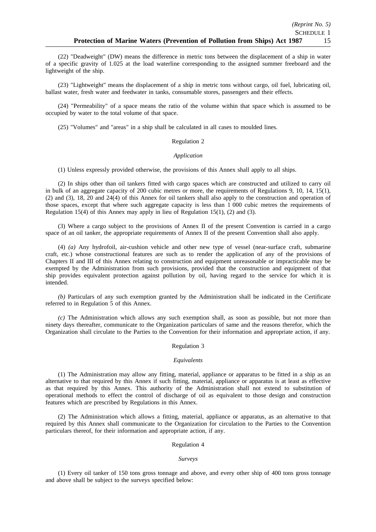(22) "Deadweight" (DW) means the difference in metric tons between the displacement of a ship in water of a specific gravity of 1.025 at the load waterline corresponding to the assigned summer freeboard and the lightweight of the ship.

(23) "Lightweight" means the displacement of a ship in metric tons without cargo, oil fuel, lubricating oil, ballast water, fresh water and feedwater in tanks, consumable stores, passengers and their effects.

(24) "Permeability" of a space means the ratio of the volume within that space which is assumed to be occupied by water to the total volume of that space.

(25) "Volumes" and "areas" in a ship shall be calculated in all cases to moulded lines.

### Regulation 2

### *Application*

(1) Unless expressly provided otherwise, the provisions of this Annex shall apply to all ships.

(2) In ships other than oil tankers fitted with cargo spaces which are constructed and utilized to carry oil in bulk of an aggregate capacity of 200 cubic metres or more, the requirements of Regulations 9, 10, 14, 15(1), (2) and (3), 18, 20 and 24(4) of this Annex for oil tankers shall also apply to the construction and operation of those spaces, except that where such aggregate capacity is less than 1 000 cubic metres the requirements of Regulation 15(4) of this Annex may apply in lieu of Regulation 15(1), (2) and (3).

(3) Where a cargo subject to the provisions of Annex II of the present Convention is carried in a cargo space of an oil tanker, the appropriate requirements of Annex II of the present Convention shall also apply.

(4) *(a)* Any hydrofoil, air-cushion vehicle and other new type of vessel (near-surface craft, submarine craft, etc.) whose constructional features are such as to render the application of any of the provisions of Chapters II and III of this Annex relating to construction and equipment unreasonable or impracticable may be exempted by the Administration from such provisions, provided that the construction and equipment of that ship provides equivalent protection against pollution by oil, having regard to the service for which it is intended.

*(b)* Particulars of any such exemption granted by the Administration shall be indicated in the Certificate referred to in Regulation 5 of this Annex.

*(c)* The Administration which allows any such exemption shall, as soon as possible, but not more than ninety days thereafter, communicate to the Organization particulars of same and the reasons therefor, which the Organization shall circulate to the Parties to the Convention for their information and appropriate action, if any.

## Regulation 3

#### *Equivalents*

(1) The Administration may allow any fitting, material, appliance or apparatus to be fitted in a ship as an alternative to that required by this Annex if such fitting, material, appliance or apparatus is at least as effective as that required by this Annex. This authority of the Administration shall not extend to substitution of operational methods to effect the control of discharge of oil as equivalent to those design and construction features which are prescribed by Regulations in this Annex.

(2) The Administration which allows a fitting, material, appliance or apparatus, as an alternative to that required by this Annex shall communicate to the Organization for circulation to the Parties to the Convention particulars thereof, for their information and appropriate action, if any.

### Regulation 4

#### *Surveys*

(1) Every oil tanker of 150 tons gross tonnage and above, and every other ship of 400 tons gross tonnage and above shall be subject to the surveys specified below: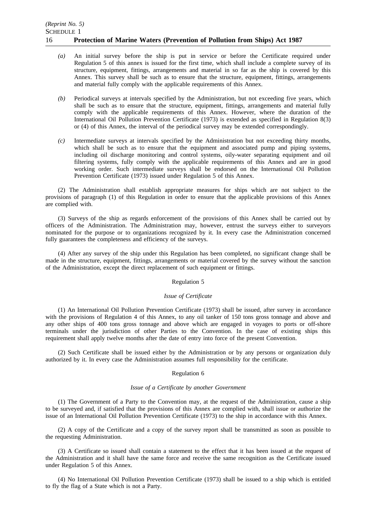- *(a)* An initial survey before the ship is put in service or before the Certificate required under Regulation 5 of this annex is issued for the first time, which shall include a complete survey of its structure, equipment, fittings, arrangements and material in so far as the ship is covered by this Annex. This survey shall be such as to ensure that the structure, equipment, fittings, arrangements and material fully comply with the applicable requirements of this Annex.
- *(b)* Periodical surveys at intervals specified by the Administration, but not exceeding five years, which shall be such as to ensure that the structure, equipment, fittings, arrangements and material fully comply with the applicable requirements of this Annex. However, where the duration of the International Oil Pollution Prevention Certificate (1973) is extended as specified in Regulation 8(3) or (4) of this Annex, the interval of the periodical survey may be extended correspondingly.
- *(c)* Intermediate surveys at intervals specified by the Administration but not exceeding thirty months, which shall be such as to ensure that the equipment and associated pump and piping systems, including oil discharge monitoring and control systems, oily-water separating equipment and oil filtering systems, fully comply with the applicable requirements of this Annex and are in good working order. Such intermediate surveys shall be endorsed on the International Oil Pollution Prevention Certificate (1973) issued under Regulation 5 of this Annex.

(2) The Administration shall establish appropriate measures for ships which are not subject to the provisions of paragraph (1) of this Regulation in order to ensure that the applicable provisions of this Annex are complied with.

(3) Surveys of the ship as regards enforcement of the provisions of this Annex shall be carried out by officers of the Administration. The Administration may, however, entrust the surveys either to surveyors nominated for the purpose or to organizations recognized by it. In every case the Administration concerned fully guarantees the completeness and efficiency of the surveys.

(4) After any survey of the ship under this Regulation has been completed, no significant change shall be made in the structure, equipment, fittings, arrangements or material covered by the survey without the sanction of the Administration, except the direct replacement of such equipment or fittings.

### Regulation 5

### *Issue of Certificate*

(1) An International Oil Pollution Prevention Certificate (1973) shall be issued, after survey in accordance with the provisions of Regulation 4 of this Annex, to any oil tanker of 150 tons gross tonnage and above and any other ships of 400 tons gross tonnage and above which are engaged in voyages to ports or off-shore terminals under the jurisdiction of other Parties to the Convention. In the case of existing ships this requirement shall apply twelve months after the date of entry into force of the present Convention.

(2) Such Certificate shall be issued either by the Administration or by any persons or organization duly authorized by it. In every case the Administration assumes full responsibility for the certificate.

### Regulation 6

# *Issue of a Certificate by another Government*

(1) The Government of a Party to the Convention may, at the request of the Administration, cause a ship to be surveyed and, if satisfied that the provisions of this Annex are complied with, shall issue or authorize the issue of an International Oil Pollution Prevention Certificate (1973) to the ship in accordance with this Annex.

(2) A copy of the Certificate and a copy of the survey report shall be transmitted as soon as possible to the requesting Administration.

(3) A Certificate so issued shall contain a statement to the effect that it has been issued at the request of the Administration and it shall have the same force and receive the same recognition as the Certificate issued under Regulation 5 of this Annex.

(4) No International Oil Pollution Prevention Certificate (1973) shall be issued to a ship which is entitled to fly the flag of a State which is not a Party.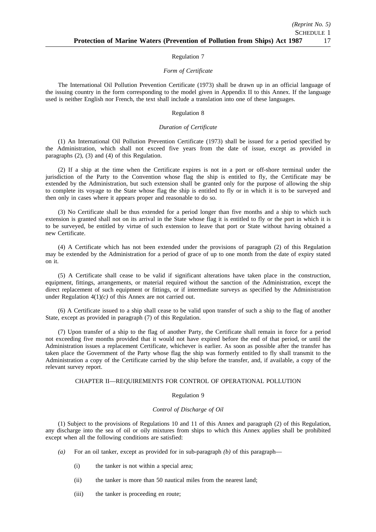### Regulation 7

#### *Form of Certificate*

The International Oil Pollution Prevention Certificate (1973) shall be drawn up in an official language of the issuing country in the form corresponding to the model given in Appendix II to this Annex. If the language used is neither English nor French, the text shall include a translation into one of these languages.

### Regulation 8

### *Duration of Certificate*

(1) An International Oil Pollution Prevention Certificate (1973) shall be issued for a period specified by the Administration, which shall not exceed five years from the date of issue, except as provided in paragraphs (2), (3) and (4) of this Regulation.

(2) If a ship at the time when the Certificate expires is not in a port or off-shore terminal under the jurisdiction of the Party to the Convention whose flag the ship is entitled to fly, the Certificate may be extended by the Administration, but such extension shall be granted only for the purpose of allowing the ship to complete its voyage to the State whose flag the ship is entitled to fly or in which it is to be surveyed and then only in cases where it appears proper and reasonable to do so.

(3) No Certificate shall be thus extended for a period longer than five months and a ship to which such extension is granted shall not on its arrival in the State whose flag it is entitled to fly or the port in which it is to be surveyed, be entitled by virtue of such extension to leave that port or State without having obtained a new Certificate.

(4) A Certificate which has not been extended under the provisions of paragraph (2) of this Regulation may be extended by the Administration for a period of grace of up to one month from the date of expiry stated on it.

(5) A Certificate shall cease to be valid if significant alterations have taken place in the construction, equipment, fittings, arrangements, or material required without the sanction of the Administration, except the direct replacement of such equipment or fittings, or if intermediate surveys as specified by the Administration under Regulation 4(1)*(c)* of this Annex are not carried out.

(6) A Certificate issued to a ship shall cease to be valid upon transfer of such a ship to the flag of another State, except as provided in paragraph (7) of this Regulation.

(7) Upon transfer of a ship to the flag of another Party, the Certificate shall remain in force for a period not exceeding five months provided that it would not have expired before the end of that period, or until the Administration issues a replacement Certificate, whichever is earlier. As soon as possible after the transfer has taken place the Government of the Party whose flag the ship was formerly entitled to fly shall transmit to the Administration a copy of the Certificate carried by the ship before the transfer, and, if available, a copy of the relevant survey report.

#### CHAPTER II—REQUIREMENTS FOR CONTROL OF OPERATIONAL POLLUTION

### Regulation 9

#### *Control of Discharge of Oil*

(1) Subject to the provisions of Regulations 10 and 11 of this Annex and paragraph (2) of this Regulation, any discharge into the sea of oil or oily mixtures from ships to which this Annex applies shall be prohibited except when all the following conditions are satisfied:

- *(a)* For an oil tanker, except as provided for in sub-paragraph *(b)* of this paragraph—
	- (i) the tanker is not within a special area;
	- (ii) the tanker is more than 50 nautical miles from the nearest land;
	- (iii) the tanker is proceeding en route;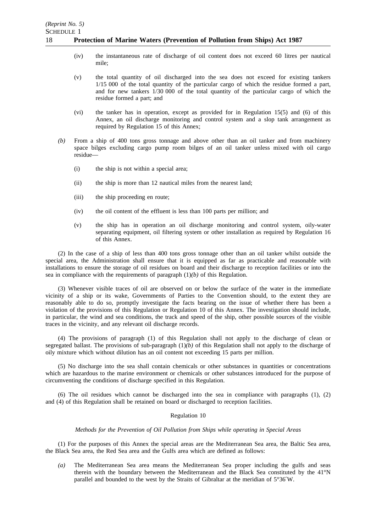- (iv) the instantaneous rate of discharge of oil content does not exceed 60 litres per nautical mile;
- (v) the total quantity of oil discharged into the sea does not exceed for existing tankers 1/15 000 of the total quantity of the particular cargo of which the residue formed a part, and for new tankers 1/30 000 of the total quantity of the particular cargo of which the residue formed a part; and
- (vi) the tanker has in operation, except as provided for in Regulation 15(5) and (6) of this Annex, an oil discharge monitoring and control system and a slop tank arrangement as required by Regulation 15 of this Annex;
- *(b)* From a ship of 400 tons gross tonnage and above other than an oil tanker and from machinery space bilges excluding cargo pump room bilges of an oil tanker unless mixed with oil cargo residue—
	- (i) the ship is not within a special area;
	- (ii) the ship is more than 12 nautical miles from the nearest land;
	- (iii) the ship proceeding en route;
	- (iv) the oil content of the effluent is less than 100 parts per million; and
	- (v) the ship has in operation an oil discharge monitoring and control system, oily-water separating equipment, oil filtering system or other installation as required by Regulation 16 of this Annex.

(2) In the case of a ship of less than 400 tons gross tonnage other than an oil tanker whilst outside the special area, the Administration shall ensure that it is equipped as far as practicable and reasonable with installations to ensure the storage of oil residues on board and their discharge to reception facilities or into the sea in compliance with the requirements of paragraph (1)*(b)* of this Regulation.

(3) Whenever visible traces of oil are observed on or below the surface of the water in the immediate vicinity of a ship or its wake, Governments of Parties to the Convention should, to the extent they are reasonably able to do so, promptly investigate the facts bearing on the issue of whether there has been a violation of the provisions of this Regulation or Regulation 10 of this Annex. The investigation should include, in particular, the wind and sea conditions, the track and speed of the ship, other possible sources of the visible traces in the vicinity, and any relevant oil discharge records.

(4) The provisions of paragraph (1) of this Regulation shall not apply to the discharge of clean or segregated ballast. The provisions of sub-paragraph (1)*(b)* of this Regulation shall not apply to the discharge of oily mixture which without dilution has an oil content not exceeding 15 parts per million.

(5) No discharge into the sea shall contain chemicals or other substances in quantities or concentrations which are hazardous to the marine environment or chemicals or other substances introduced for the purpose of circumventing the conditions of discharge specified in this Regulation.

(6) The oil residues which cannot be discharged into the sea in compliance with paragraphs (1), (2) and (4) of this Regulation shall be retained on board or discharged to reception facilities.

#### Regulation 10

#### *Methods for the Prevention of Oil Pollution from Ships while operating in Special Areas*

(1) For the purposes of this Annex the special areas are the Mediterranean Sea area, the Baltic Sea area, the Black Sea area, the Red Sea area and the Gulfs area which are defined as follows:

*(a)* The Mediterranean Sea area means the Mediterranean Sea proper including the gulfs and seas therein with the boundary between the Mediterranean and the Black Sea constituted by the 41°N parallel and bounded to the west by the Straits of Gibraltar at the meridian of 5°36′W.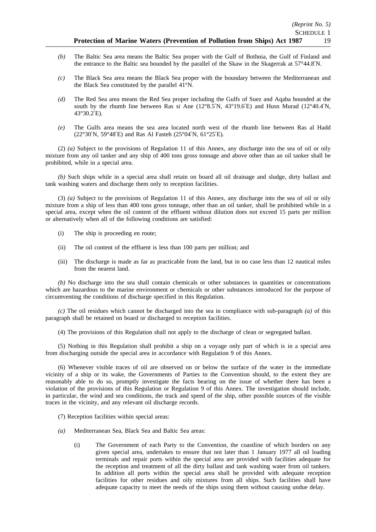- *(c)* The Black Sea area means the Black Sea proper with the boundary between the Mediterranean and the Black Sea constituted by the parallel 41°N.
- *(d)* The Red Sea area means the Red Sea proper including the Gulfs of Suez and Aqaba bounded at the south by the rhumb line between Ras si Ane  $(12^{\circ}8.5'N, 43^{\circ}19.6'E)$  and Husn Murad  $(12^{\circ}40.4'N,$ 43°30.2′E).
- *(e)* The Gulfs area means the sea area located north west of the rhumb line between Ras al Hadd (22°30′N, 59°48′E) and Ras Al Fasteh (25°04′N, 61°25′E).

(2) *(a)* Subject to the provisions of Regulation 11 of this Annex, any discharge into the sea of oil or oily mixture from any oil tanker and any ship of 400 tons gross tonnage and above other than an oil tanker shall be prohibited, while in a special area.

*(b)* Such ships while in a special area shall retain on board all oil drainage and sludge, dirty ballast and tank washing waters and discharge them only to reception facilities.

(3) *(a)* Subject to the provisions of Regulation 11 of this Annex, any discharge into the sea of oil or oily mixture from a ship of less than 400 tons gross tonnage, other than an oil tanker, shall be prohibited while in a special area, except when the oil content of the effluent without dilution does not exceed 15 parts per million or alternatively when all of the following conditions are satisfied:

- (i) The ship is proceeding en route;
- (ii) The oil content of the effluent is less than 100 parts per million; and
- (iii) The discharge is made as far as practicable from the land, but in no case less than 12 nautical miles from the nearest land.

*(b)* No discharge into the sea shall contain chemicals or other substances in quantities or concentrations which are hazardous to the marine environment or chemicals or other substances introduced for the purpose of circumventing the conditions of discharge specified in this Regulation.

*(c)* The oil residues which cannot be discharged into the sea in compliance with sub-paragraph *(a)* of this paragraph shall be retained on board or discharged to reception facilities.

(4) The provisions of this Regulation shall not apply to the discharge of clean or segregated ballast.

(5) Nothing in this Regulation shall prohibit a ship on a voyage only part of which is in a special area from discharging outside the special area in accordance with Regulation 9 of this Annex.

(6) Whenever visible traces of oil are observed on or below the surface of the water in the immediate vicinity of a ship or its wake, the Governments of Parties to the Convention should, to the extent they are reasonably able to do so, promptly investigate the facts bearing on the issue of whether there has been a violation of the provisions of this Regulation or Regulation 9 of this Annex. The investigation should include, in particular, the wind and sea conditions, the track and speed of the ship, other possible sources of the visible traces in the vicinity, and any relevant oil discharge records.

- (7) Reception facilities within special areas:
- *(a)* Mediterranean Sea, Black Sea and Baltic Sea areas:
	- (i) The Government of each Party to the Convention, the coastline of which borders on any given special area, undertakes to ensure that not later than 1 January 1977 all oil loading terminals and repair ports within the special area are provided with facilities adequate for the reception and treatment of all the dirty ballast and tank washing water from oil tankers. In addition all ports within the special area shall be provided with adequate reception facilities for other residues and oily mixtures from all ships. Such facilities shall have adequate capacity to meet the needs of the ships using them without causing undue delay.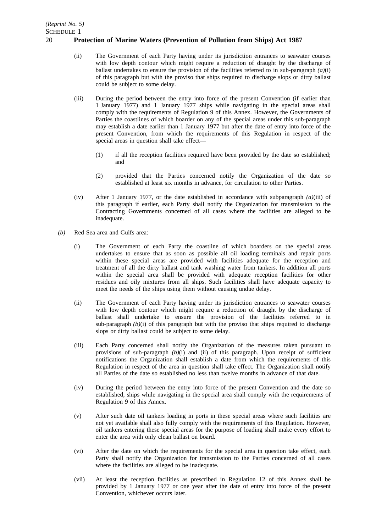- (ii) The Government of each Party having under its jurisdiction entrances to seawater courses with low depth contour which might require a reduction of draught by the discharge of ballast undertakes to ensure the provision of the facilities referred to in sub-paragraph  $(a)(i)$ of this paragraph but with the proviso that ships required to discharge slops or dirty ballast could be subject to some delay.
- (iii) During the period between the entry into force of the present Convention (if earlier than 1 January 1977) and 1 January 1977 ships while navigating in the special areas shall comply with the requirements of Regulation 9 of this Annex. However, the Governments of Parties the coastlines of which boarder on any of the special areas under this sub-paragraph may establish a date earlier than 1 January 1977 but after the date of entry into force of the present Convention, from which the requirements of this Regulation in respect of the special areas in question shall take effect—
	- (1) if all the reception facilities required have been provided by the date so established; and
	- (2) provided that the Parties concerned notify the Organization of the date so established at least six months in advance, for circulation to other Parties.
- (iv) After 1 January 1977, or the date established in accordance with subparagraph *(a)*(iii) of this paragraph if earlier, each Party shall notify the Organization for transmission to the Contracting Governments concerned of all cases where the facilities are alleged to be inadequate.
- *(b)* Red Sea area and Gulfs area:
	- (i) The Government of each Party the coastline of which boarders on the special areas undertakes to ensure that as soon as possible all oil loading terminals and repair ports within these special areas are provided with facilities adequate for the reception and treatment of all the dirty ballast and tank washing water from tankers. In addition all ports within the special area shall be provided with adequate reception facilities for other residues and oily mixtures from all ships. Such facilities shall have adequate capacity to meet the needs of the ships using them without causing undue delay.
	- (ii) The Government of each Party having under its jurisdiction entrances to seawater courses with low depth contour which might require a reduction of draught by the discharge of ballast shall undertake to ensure the provision of the facilities referred to in sub-paragraph  $(b)(i)$  of this paragraph but with the proviso that ships required to discharge slops or dirty ballast could be subject to some delay.
	- (iii) Each Party concerned shall notify the Organization of the measures taken pursuant to provisions of sub-paragraph *(b)*(i) and (ii) of this paragraph. Upon receipt of sufficient notifications the Organization shall establish a date from which the requirements of this Regulation in respect of the area in question shall take effect. The Organization shall notify all Parties of the date so established no less than twelve months in advance of that date.
	- (iv) During the period between the entry into force of the present Convention and the date so established, ships while navigating in the special area shall comply with the requirements of Regulation 9 of this Annex.
	- (v) After such date oil tankers loading in ports in these special areas where such facilities are not yet available shall also fully comply with the requirements of this Regulation. However, oil tankers entering these special areas for the purpose of loading shall make every effort to enter the area with only clean ballast on board.
	- (vi) After the date on which the requirements for the special area in question take effect, each Party shall notify the Organization for transmission to the Parties concerned of all cases where the facilities are alleged to be inadequate.
	- (vii) At least the reception facilities as prescribed in Regulation 12 of this Annex shall be provided by 1 January 1977 or one year after the date of entry into force of the present Convention, whichever occurs later.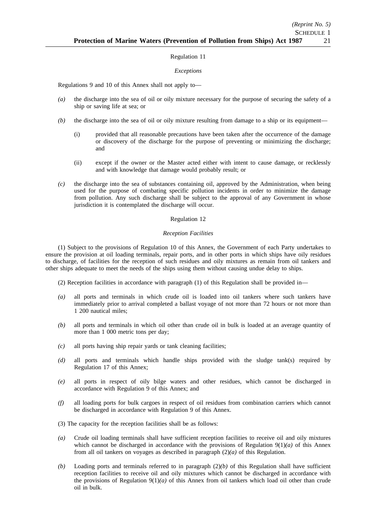## Regulation 11

### *Exceptions*

Regulations 9 and 10 of this Annex shall not apply to—

- *(a)* the discharge into the sea of oil or oily mixture necessary for the purpose of securing the safety of a ship or saving life at sea; or
- *(b)* the discharge into the sea of oil or oily mixture resulting from damage to a ship or its equipment—
	- (i) provided that all reasonable precautions have been taken after the occurrence of the damage or discovery of the discharge for the purpose of preventing or minimizing the discharge; and
	- (ii) except if the owner or the Master acted either with intent to cause damage, or recklessly and with knowledge that damage would probably result; or
- *(c)* the discharge into the sea of substances containing oil, approved by the Administration, when being used for the purpose of combating specific pollution incidents in order to minimize the damage from pollution. Any such discharge shall be subject to the approval of any Government in whose jurisdiction it is contemplated the discharge will occur.

### Regulation 12

### *Reception Facilities*

(1) Subject to the provisions of Regulation 10 of this Annex, the Government of each Party undertakes to ensure the provision at oil loading terminals, repair ports, and in other ports in which ships have oily residues to discharge, of facilities for the reception of such residues and oily mixtures as remain from oil tankers and other ships adequate to meet the needs of the ships using them without causing undue delay to ships.

- (2) Reception facilities in accordance with paragraph (1) of this Regulation shall be provided in—
- *(a)* all ports and terminals in which crude oil is loaded into oil tankers where such tankers have immediately prior to arrival completed a ballast voyage of not more than 72 hours or not more than 1 200 nautical miles;
- *(b)* all ports and terminals in which oil other than crude oil in bulk is loaded at an average quantity of more than 1 000 metric tons per day;
- *(c)* all ports having ship repair yards or tank cleaning facilities;
- *(d)* all ports and terminals which handle ships provided with the sludge tank(s) required by Regulation 17 of this Annex;
- *(e)* all ports in respect of oily bilge waters and other residues, which cannot be discharged in accordance with Regulation 9 of this Annex; and
- *(f)* all loading ports for bulk cargoes in respect of oil residues from combination carriers which cannot be discharged in accordance with Regulation 9 of this Annex.
- (3) The capacity for the reception facilities shall be as follows:
- *(a)* Crude oil loading terminals shall have sufficient reception facilities to receive oil and oily mixtures which cannot be discharged in accordance with the provisions of Regulation  $9(1)(a)$  of this Annex from all oil tankers on voyages as described in paragraph (2)*(a)* of this Regulation.
- *(b)* Loading ports and terminals referred to in paragraph (2)*(b)* of this Regulation shall have sufficient reception facilities to receive oil and oily mixtures which cannot be discharged in accordance with the provisions of Regulation  $9(1)(a)$  of this Annex from oil tankers which load oil other than crude oil in bulk.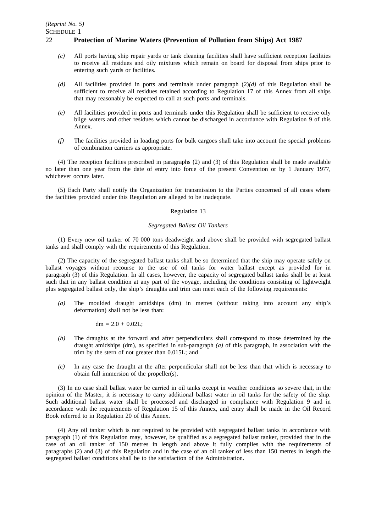- *(c)* All ports having ship repair yards or tank cleaning facilities shall have sufficient reception facilities to receive all residues and oily mixtures which remain on board for disposal from ships prior to entering such yards or facilities.
- *(d)* All facilities provided in ports and terminals under paragraph (2)*(d)* of this Regulation shall be sufficient to receive all residues retained according to Regulation 17 of this Annex from all ships that may reasonably be expected to call at such ports and terminals.
- *(e)* All facilities provided in ports and terminals under this Regulation shall be sufficient to receive oily bilge waters and other residues which cannot be discharged in accordance with Regulation 9 of this Annex.
- *(f)* The facilities provided in loading ports for bulk cargoes shall take into account the special problems of combination carriers as appropriate.

(4) The reception facilities prescribed in paragraphs (2) and (3) of this Regulation shall be made available no later than one year from the date of entry into force of the present Convention or by 1 January 1977, whichever occurs later.

(5) Each Party shall notify the Organization for transmission to the Parties concerned of all cases where the facilities provided under this Regulation are alleged to be inadequate.

# Regulation 13

# *Segregated Ballast Oil Tankers*

(1) Every new oil tanker of 70 000 tons deadweight and above shall be provided with segregated ballast tanks and shall comply with the requirements of this Regulation.

(2) The capacity of the segregated ballast tanks shall be so determined that the ship may operate safely on ballast voyages without recourse to the use of oil tanks for water ballast except as provided for in paragraph (3) of this Regulation. In all cases, however, the capacity of segregated ballast tanks shall be at least such that in any ballast condition at any part of the voyage, including the conditions consisting of lightweight plus segregated ballast only, the ship's draughts and trim can meet each of the following requirements:

*(a)* The moulded draught amidships (dm) in metres (without taking into account any ship's deformation) shall not be less than:

 $dm = 2.0 + 0.02L$ ;

- *(b)* The draughts at the forward and after perpendiculars shall correspond to those determined by the draught amidships (dm), as specified in sub-paragraph *(a)* of this paragraph, in association with the trim by the stern of not greater than 0.015L; and
- *(c)* In any case the draught at the after perpendicular shall not be less than that which is necessary to obtain full immersion of the propeller(s).

(3) In no case shall ballast water be carried in oil tanks except in weather conditions so severe that, in the opinion of the Master, it is necessary to carry additional ballast water in oil tanks for the safety of the ship. Such additional ballast water shall be processed and discharged in compliance with Regulation 9 and in accordance with the requirements of Regulation 15 of this Annex, and entry shall be made in the Oil Record Book referred to in Regulation 20 of this Annex.

(4) Any oil tanker which is not required to be provided with segregated ballast tanks in accordance with paragraph (1) of this Regulation may, however, be qualified as a segregated ballast tanker, provided that in the case of an oil tanker of 150 metres in length and above it fully complies with the requirements of paragraphs (2) and (3) of this Regulation and in the case of an oil tanker of less than 150 metres in length the segregated ballast conditions shall be to the satisfaction of the Administration.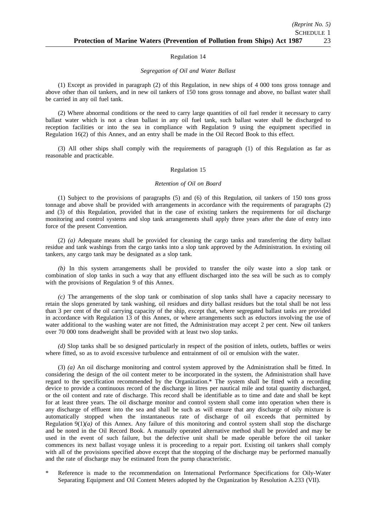## Regulation 14

## *Segregation of Oil and Water Ballast*

(1) Except as provided in paragraph (2) of this Regulation, in new ships of 4 000 tons gross tonnage and above other than oil tankers, and in new oil tankers of 150 tons gross tonnage and above, no ballast water shall be carried in any oil fuel tank.

(2) Where abnormal conditions or the need to carry large quantities of oil fuel render it necessary to carry ballast water which is not a clean ballast in any oil fuel tank, such ballast water shall be discharged to reception facilities or into the sea in compliance with Regulation 9 using the equipment specified in Regulation 16(2) of this Annex, and an entry shall be made in the Oil Record Book to this effect.

(3) All other ships shall comply with the requirements of paragraph (1) of this Regulation as far as reasonable and practicable.

## Regulation 15

## *Retention of Oil on Board*

(1) Subject to the provisions of paragraphs (5) and (6) of this Regulation, oil tankers of 150 tons gross tonnage and above shall be provided with arrangements in accordance with the requirements of paragraphs (2) and (3) of this Regulation, provided that in the case of existing tankers the requirements for oil discharge monitoring and control systems and slop tank arrangements shall apply three years after the date of entry into force of the present Convention.

(2) *(a)* Adequate means shall be provided for cleaning the cargo tanks and transferring the dirty ballast residue and tank washings from the cargo tanks into a slop tank approved by the Administration. In existing oil tankers, any cargo tank may be designated as a slop tank.

*(b)* In this system arrangements shall be provided to transfer the oily waste into a slop tank or combination of slop tanks in such a way that any effluent discharged into the sea will be such as to comply with the provisions of Regulation 9 of this Annex.

*(c)* The arrangements of the slop tank or combination of slop tanks shall have a capacity necessary to retain the slops generated by tank washing, oil residues and dirty ballast residues but the total shall be not less than 3 per cent of the oil carrying capacity of the ship, except that, where segregated ballast tanks are provided in accordance with Regulation 13 of this Annex, or where arrangements such as eductors involving the use of water additional to the washing water are not fitted, the Administration may accept 2 per cent. New oil tankers over 70 000 tons deadweight shall be provided with at least two slop tanks.

*(d)* Slop tanks shall be so designed particularly in respect of the position of inlets, outlets, baffles or weirs where fitted, so as to avoid excessive turbulence and entrainment of oil or emulsion with the water.

(3) *(a)* An oil discharge monitoring and control system approved by the Administration shall be fitted. In considering the design of the oil content meter to be incorporated in the system, the Administration shall have regard to the specification recommended by the Organization.\* The system shall be fitted with a recording device to provide a continuous record of the discharge in litres per nautical mile and total quantity discharged, or the oil content and rate of discharge. This record shall be identifiable as to time and date and shall be kept for at least three years. The oil discharge monitor and control system shall come into operation when there is any discharge of effluent into the sea and shall be such as will ensure that any discharge of oily mixture is automatically stopped when the instantaneous rate of discharge of oil exceeds that permitted by Regulation  $9(1)(a)$  of this Annex. Any failure of this monitoring and control system shall stop the discharge and be noted in the Oil Record Book. A manually operated alternative method shall be provided and may be used in the event of such failure, but the defective unit shall be made operable before the oil tanker commences its next ballast voyage unless it is proceeding to a repair port. Existing oil tankers shall comply with all of the provisions specified above except that the stopping of the discharge may be performed manually and the rate of discharge may be estimated from the pump characteristic.

\* Reference is made to the recommendation on International Performance Specifications for Oily-Water Separating Equipment and Oil Content Meters adopted by the Organization by Resolution A.233 (VII).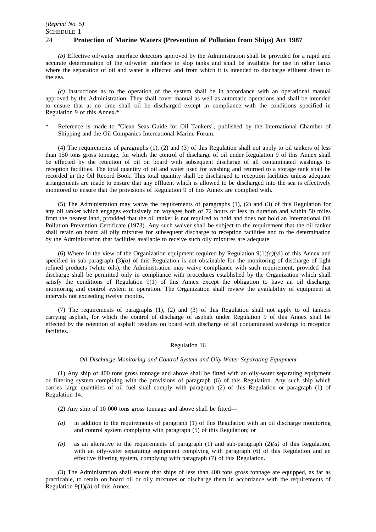*(b)* Effective oil/water interface detectors approved by the Administration shall be provided for a rapid and accurate determination of the oil/water interface in slop tanks and shall be available for use in other tanks where the separation of oil and water is effected and from which it is intended to discharge effluent direct to the sea.

*(c)* Instructions as to the operation of the system shall be in accordance with an operational manual approved by the Administration. They shall cover manual as well as automatic operations and shall be intended to ensure that at no time shall oil be discharged except in compliance with the conditions specified in Regulation 9 of this Annex.\*

Reference is made to "Clean Seas Guide for Oil Tankers", published by the International Chamber of Shipping and the Oil Companies International Marine Forum.

(4) The requirements of paragraphs (1), (2) and (3) of this Regulation shall not apply to oil tankers of less than 150 tons gross tonnage, for which the control of discharge of oil under Regulation 9 of this Annex shall be effected by the retention of oil on board with subsequent discharge of all contaminated washings to reception facilities. The total quantity of oil and water used for washing and returned to a storage tank shall be recorded in the Oil Record Book. This total quantity shall be discharged to reception facilities unless adequate arrangements are made to ensure that any effluent which is allowed to be discharged into the sea is effectively monitored to ensure that the provisions of Regulation 9 of this Annex are complied with.

(5) The Administration may waive the requirements of paragraphs (1), (2) and (3) of this Regulation for any oil tanker which engages exclusively on voyages both of 72 hours or less in duration and within 50 miles from the nearest land, provided that the oil tanker is not required to hold and does not hold an International Oil Pollution Prevention Certificate (1973). Any such waiver shall be subject to the requirement that the oil tanker shall retain on board all oily mixtures for subsequent discharge to reception facilities and to the determination by the Administration that facilities available to receive such oily mixtures are adequate.

(6) Where in the view of the Organization equipment required by Regulation  $9(1)(a)(vi)$  of this Annex and specified in sub-paragraph  $(3)(a)$  of this Regulation is not obtainable for the monitoring of discharge of light refined products (white oils), the Administration may waive compliance with such requirement, provided that discharge shall be permitted only in compliance with procedures established by the Organization which shall satisfy the conditions of Regulation 9(1) of this Annex except the obligation to have an oil discharge monitoring and control system in operation. The Organization shall review the availability of equipment at intervals not exceeding twelve months.

(7) The requirements of paragraphs (1), (2) and (3) of this Regulation shall not apply to oil tankers carrying asphalt, for which the control of discharge of asphalt under Regulation 9 of this Annex shall be effected by the retention of asphalt residues on board with discharge of all contaminated washings to reception facilities.

## Regulation 16

## *Oil Discharge Monitoring and Control System and Oily-Water Separating Equipment*

(1) Any ship of 400 tons gross tonnage and above shall be fitted with an oily-water separating equipment or filtering system complying with the provisions of paragraph (6) of this Regulation. Any such ship which carries large quantities of oil fuel shall comply with paragraph (2) of this Regulation or paragraph (1) of Regulation 14.

- (2) Any ship of 10 000 tons gross tonnage and above shall be fitted—
- *(a)* in addition to the requirements of paragraph (1) of this Regulation with an oil discharge monitoring and control system complying with paragraph (5) of this Regulation; or
- *(b)* as an alterative to the requirements of paragraph (1) and sub-paragraph  $(2)(a)$  of this Regulation, with an oily-water separating equipment complying with paragraph (6) of this Regulation and an effective filtering system, complying with paragraph (7) of this Regulation.

(3) The Administration shall ensure that ships of less than 400 tons gross tonnage are equipped, as far as practicable, to retain on board oil or oily mixtures or discharge them in accordance with the requirements of Regulation 9(1)*(b)* of this Annex.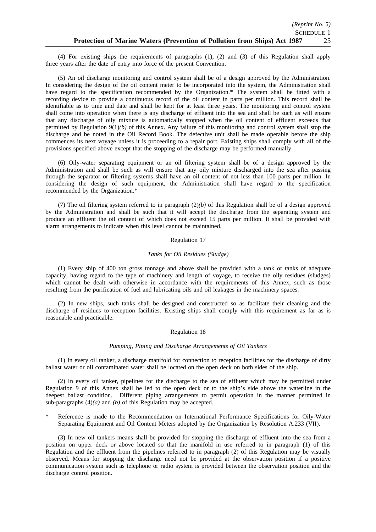(4) For existing ships the requirements of paragraphs (1), (2) and (3) of this Regulation shall apply three years after the date of entry into force of the present Convention.

(5) An oil discharge monitoring and control system shall be of a design approved by the Administration. In considering the design of the oil content meter to be incorporated into the system, the Administration shall have regard to the specification recommended by the Organization.\* The system shall be fitted with a recording device to provide a continuous record of the oil content in parts per million. This record shall be identifiable as to time and date and shall be kept for at least three years. The monitoring and control system shall come into operation when there is any discharge of effluent into the sea and shall be such as will ensure that any discharge of oily mixture is automatically stopped when the oil content of effluent exceeds that permitted by Regulation 9(1)*(b)* of this Annex. Any failure of this monitoring and control system shall stop the discharge and be noted in the Oil Record Book. The defective unit shall be made operable before the ship commences its next voyage unless it is proceeding to a repair port. Existing ships shall comply with all of the provisions specified above except that the stopping of the discharge may be performed manually.

(6) Oily-water separating equipment or an oil filtering system shall be of a design approved by the Administration and shall be such as will ensure that any oily mixture discharged into the sea after passing through the separator or filtering systems shall have an oil content of not less than 100 parts per million. In considering the design of such equipment, the Administration shall have regard to the specification recommended by the Organization.\*

(7) The oil filtering system referred to in paragraph (2)*(b)* of this Regulation shall be of a design approved by the Administration and shall be such that it will accept the discharge from the separating system and produce an effluent the oil content of which does not exceed 15 parts per million. It shall be provided with alarm arrangements to indicate when this level cannot be maintained.

# Regulation 17

# *Tanks for Oil Residues (Sludge)*

(1) Every ship of 400 ton gross tonnage and above shall be provided with a tank or tanks of adequate capacity, having regard to the type of machinery and length of voyage, to receive the oily residues (sludges) which cannot be dealt with otherwise in accordance with the requirements of this Annex, such as those resulting from the purification of fuel and lubricating oils and oil leakages in the machinery spaces.

(2) In new ships, such tanks shall be designed and constructed so as facilitate their cleaning and the discharge of residues to reception facilities. Existing ships shall comply with this requirement as far as is reasonable and practicable.

### Regulation 18

## *Pumping, Piping and Discharge Arrangements of Oil Tankers*

(1) In every oil tanker, a discharge manifold for connection to reception facilities for the discharge of dirty ballast water or oil contaminated water shall be located on the open deck on both sides of the ship.

(2) In every oil tanker, pipelines for the discharge to the sea of effluent which may be permitted under Regulation 9 of this Annex shall be led to the open deck or to the ship's side above the waterline in the deepest ballast condition. Different piping arrangements to permit operation in the manner permitted in sub-paragraphs (4)*(a)* and *(b)* of this Regulation may be accepted.

\* Reference is made to the Recommendation on International Performance Specifications for Oily-Water Separating Equipment and Oil Content Meters adopted by the Organization by Resolution A.233 (VII).

(3) In new oil tankers means shall be provided for stopping the discharge of effluent into the sea from a position on upper deck or above located so that the manifold in use referred to in paragraph (1) of this Regulation and the effluent from the pipelines referred to in paragraph (2) of this Regulation may be visually observed. Means for stopping the discharge need not be provided at the observation position if a positive communication system such as telephone or radio system is provided between the observation position and the discharge control position.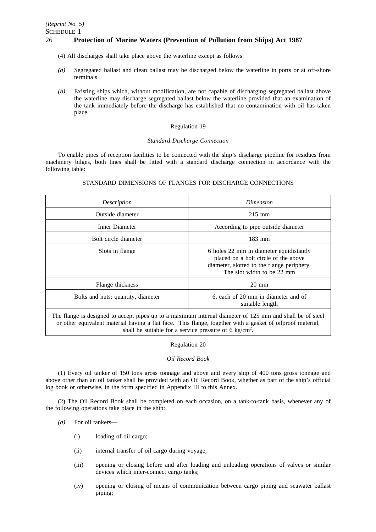(4) All discharges shall take place above the waterline except as follows:

- *(a)* Segregated ballast and clean ballast may be discharged below the waterline in ports or at off-shore terminals.
- *(b)* Existing ships which, without modification, are not capable of discharging segregated ballast above the waterline may discharge segregated ballast below the waterline provided that an examination of the tank immediately before the discharge has established that no contamination with oil has taken place.

# Regulation 19

## *Standard Discharge Connection*

To enable pipes of reception facilities to be connected with the ship's discharge pipeline for residues from machinery bilges, both lines shall be fitted with a standard discharge connection in accordance with the following table:

# STANDARD DIMENSIONS OF FLANGES FOR DISCHARGE CONNECTIONS

| Description                                                                                                                                                                                                            | Dimension                                                                                                                                                   |  |  |
|------------------------------------------------------------------------------------------------------------------------------------------------------------------------------------------------------------------------|-------------------------------------------------------------------------------------------------------------------------------------------------------------|--|--|
| Outside diameter                                                                                                                                                                                                       | $215 \text{ mm}$                                                                                                                                            |  |  |
| Inner Diameter                                                                                                                                                                                                         | According to pipe outside diameter                                                                                                                          |  |  |
| Bolt circle diameter                                                                                                                                                                                                   | $183$ mm                                                                                                                                                    |  |  |
| Slots in flange                                                                                                                                                                                                        | 6 holes 22 mm in diameter equidistantly<br>placed on a bolt circle of the above<br>diameter, slotted to the flange periphery.<br>The slot width to be 22 mm |  |  |
| Flange thickness                                                                                                                                                                                                       | $20 \text{ mm}$                                                                                                                                             |  |  |
| Bolts and nuts: quantity, diameter                                                                                                                                                                                     | 6, each of 20 mm in diameter and of<br>suitable length                                                                                                      |  |  |
| The flange is designed to accept pipes up to a maximum internal diameter of 125 mm and shall be of steel<br>or other equivalent material having a flat face. This flange, together with a gasket of oilproof material, |                                                                                                                                                             |  |  |

shall be suitable for a service pressure of 6 kg/cm<sup>2</sup>.

# Regulation 20

# *Oil Record Book*

(1) Every oil tanker of 150 tons gross tonnage and above and every ship of 400 tons gross tonnage and above other than an oil tanker shall be provided with an Oil Record Book, whether as part of the ship's official log book or otherwise, in the form specified in Appendix III to this Annex.

(2) The Oil Record Book shall be completed on each occasion, on a tank-to-tank basis, whenever any of the following operations take place in the ship:

- *(a)* For oil tankers—
	- (i) loading of oil cargo;
	- (ii) internal transfer of oil cargo during voyage;
	- (iii) opening or closing before and after loading and unloading operations of valves or similar devices which inter-connect cargo tanks;
	- (iv) opening or closing of means of communication between cargo piping and seawater ballast piping;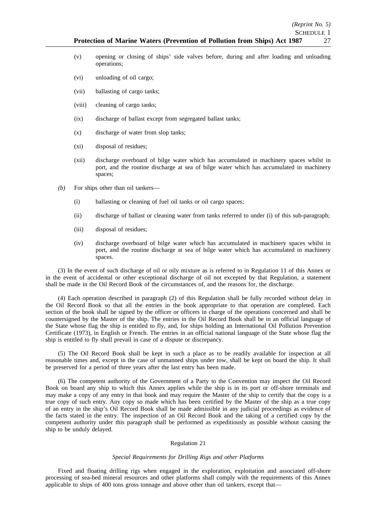- (v) opening or closing of ships' side valves before, during and after loading and unloading operations;
- (vi) unloading of oil cargo;
- (vii) ballasting of cargo tanks;
- (viii) cleaning of cargo tanks;
- (ix) discharge of ballast except from segregated ballast tanks;
- (x) discharge of water from slop tanks;
- (xi) disposal of residues;
- (xii) discharge overboard of bilge water which has accumulated in machinery spaces whilst in port, and the routine discharge at sea of bilge water which has accumulated in machinery spaces;
- *(b)* For ships other than oil tankers—
	- (i) ballasting or cleaning of fuel oil tanks or oil cargo spaces;
	- (ii) discharge of ballast or cleaning water from tanks referred to under (i) of this sub-paragraph;
	- (iii) disposal of residues;
	- (iv) discharge overboard of bilge water which has accumulated in machinery spaces whilst in port, and the routine discharge at sea of bilge water which has accumulated in machinery spaces.

(3) In the event of such discharge of oil or oily mixture as is referred to in Regulation 11 of this Annex or in the event of accidental or other exceptional discharge of oil not excepted by that Regulation, a statement shall be made in the Oil Record Book of the circumstances of, and the reasons for, the discharge.

(4) Each operation described in paragraph (2) of this Regulation shall be fully recorded without delay in the Oil Record Book so that all the entries in the book appropriate to that operation are completed. Each section of the book shall be signed by the officer or officers in charge of the operations concerned and shall be countersigned by the Master of the ship. The entries in the Oil Record Book shall be in an official language of the State whose flag the ship is entitled to fly, and, for ships holding an International Oil Pollution Prevention Certificate (1973), in English or French. The entries in an official national language of the State whose flag the ship is entitled to fly shall prevail in case of a dispute or discrepancy.

(5) The Oil Record Book shall be kept in such a place as to be readily available for inspection at all reasonable times and, except in the case of unmanned ships under tow, shall be kept on board the ship. It shall be preserved for a period of three years after the last entry has been made.

(6) The competent authority of the Government of a Party to the Convention may inspect the Oil Record Book on board any ship to which this Annex applies while the ship is in its port or off-shore terminals and may make a copy of any entry in that book and may require the Master of the ship to certify that the copy is a true copy of such entry. Any copy so made which has been certified by the Master of the ship as a true copy of an entry in the ship's Oil Record Book shall be made admissible in any judicial proceedings as evidence of the facts stated in the entry. The inspection of an Oil Record Book and the taking of a certified copy by the competent authority under this paragraph shall be performed as expeditiously as possible without causing the ship to be unduly delayed.

## Regulation 21

## *Special Requirements for Drilling Rigs and other Platforms*

Fixed and floating drilling rigs when engaged in the exploration, exploitation and associated off-shore processing of sea-bed mineral resources and other platforms shall comply with the requirements of this Annex applicable to ships of 400 tons gross tonnage and above other than oil tankers, except that—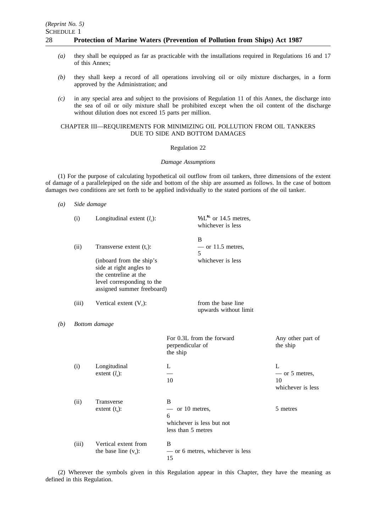- *(a)* they shall be equipped as far as practicable with the installations required in Regulations 16 and 17 of this Annex;
- *(b)* they shall keep a record of all operations involving oil or oily mixture discharges, in a form approved by the Administration; and
- *(c)* in any special area and subject to the provisions of Regulation 11 of this Annex, the discharge into the sea of oil or oily mixture shall be prohibited except when the oil content of the discharge without dilution does not exceed 15 parts per million.

# CHAPTER III—REQUIREMENTS FOR MINIMIZING OIL POLLUTION FROM OIL TANKERS DUE TO SIDE AND BOTTOM DAMAGES

## Regulation 22

# *Damage Assumptions*

(1) For the purpose of calculating hypothetical oil outflow from oil tankers, three dimensions of the extent of damage of a parallelepiped on the side and bottom of the ship are assumed as follows. In the case of bottom damages two conditions are set forth to be applied individually to the stated portions of the oil tanker.

*(a) Side damage*

|     | (i)   | Longitudinal extent $(l_c)$ :                                                                                                                                           |                                                   | $1/3L$ <sup>%</sup> or 14.5 metres,<br>whichever is less |                                                |
|-----|-------|-------------------------------------------------------------------------------------------------------------------------------------------------------------------------|---------------------------------------------------|----------------------------------------------------------|------------------------------------------------|
|     | (ii)  | Transverse extent $(t_c)$ :<br>(inboard from the ship's<br>side at right angles to<br>the centreline at the<br>level corresponding to the<br>assigned summer freeboard) |                                                   | B<br>$-$ or 11.5 metres,<br>5<br>whichever is less       |                                                |
|     | (iii) | Vertical extent $(V_c)$ :                                                                                                                                               |                                                   | from the base line<br>upwards without limit              |                                                |
| (b) |       | Bottom damage                                                                                                                                                           |                                                   |                                                          |                                                |
|     |       |                                                                                                                                                                         | perpendicular of<br>the ship                      | For 0.3L from the forward                                | Any other part of<br>the ship                  |
|     | (i)   | Longitudinal<br>extent $(l_s)$ :                                                                                                                                        | L<br>10                                           |                                                          | L<br>— or 5 metres,<br>10<br>whichever is less |
|     | (ii)  | Transverse<br>extent $(t_s)$ :                                                                                                                                          | B<br>$-$ or 10 metres,<br>6<br>less than 5 metres | whichever is less but not                                | 5 metres                                       |
|     | (iii) | Vertical extent from<br>the base line $(v_s)$ :                                                                                                                         | B<br>15                                           | — or 6 metres, whichever is less                         |                                                |

(2) Wherever the symbols given in this Regulation appear in this Chapter, they have the meaning as defined in this Regulation.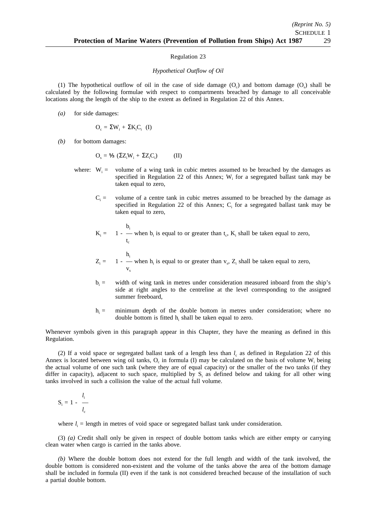## Regulation 23

## *Hypothetical Outflow of Oil*

(1) The hypothetical outflow of oil in the case of side damage  $(O<sub>c</sub>)$  and bottom damage  $(O<sub>c</sub>)$  shall be calculated by the following formulae with respect to compartments breached by damage to all conceivable locations along the length of the ship to the extent as defined in Regulation 22 of this Annex.

*(a)* for side damages:

$$
O_c = \Sigma W_i + \Sigma K_i C_i \quad (I)
$$

*(b)* for bottom damages:

$$
O_s = V_3 \left( \Sigma Z_i W_i + \Sigma Z_i C_i \right) \tag{II}
$$

- where:  $W_i$  = volume of a wing tank in cubic metres assumed to be breached by the damages as specified in Regulation 22 of this Annex; W<sub>i</sub> for a segregated ballast tank may be taken equal to zero,
	- $C_i$  = volume of a centre tank in cubic metres assumed to be breached by the damage as specified in Regulation 22 of this Annex;  $C_i$  for a segregated ballast tank may be taken equal to zero,
	- $b_i$  $K_i = 1 - \text{when } b_i$  is equal to or greater than  $t_c$ ,  $K_i$  shall be taken equal to zero,  $t_c$
	- $h_i$  $Z_i = 1 - \text{when } h_i$  is equal to or greater than  $v_s$ ,  $Z_i$  shall be taken equal to zero,  $V<sub>s</sub>$
	- $b_i$  = width of wing tank in metres under consideration measured inboard from the ship's side at right angles to the centreline at the level corresponding to the assigned summer freeboard,
	- $h_i =$  minimum depth of the double bottom in metres under consideration; where no double bottom is fitted h<sub>i</sub> shall be taken equal to zero.

Whenever symbols given in this paragraph appear in this Chapter, they have the meaning as defined in this Regulation.

(2) If a void space or segregated ballast tank of a length less than  $l_c$  as defined in Regulation 22 of this Annex is located between wing oil tanks,  $O$ , in formula (I) may be calculated on the basis of volume W<sub>i</sub> being the actual volume of one such tank (where they are of equal capacity) or the smaller of the two tanks (if they differ in capacity), adjacent to such space, multiplied by S<sub>i</sub> as defined below and taking for all other wing tanks involved in such a collision the value of the actual full volume.

$$
S_i = 1 - \frac{l_i}{l_c}
$$

where  $l_i$  = length in metres of void space or segregated ballast tank under consideration.

(3) *(a)* Credit shall only be given in respect of double bottom tanks which are either empty or carrying clean water when cargo is carried in the tanks above.

*(b)* Where the double bottom does not extend for the full length and width of the tank involved, the double bottom is considered non-existent and the volume of the tanks above the area of the bottom damage shall be included in formula (II) even if the tank is not considered breached because of the installation of such a partial double bottom.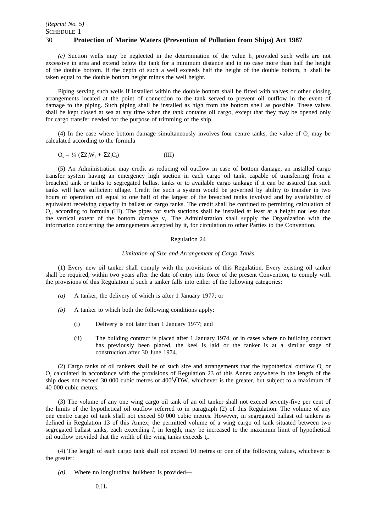# *(Reprint No. 5)* SCHEDULE 1 30 **Protection of Marine Waters (Prevention of Pollution from Ships) Act 1987**

*(c)* Suction wells may be neglected in the determination of the value hi provided such wells are not excessive in area and extend below the tank for a minimum distance and in no case more than half the height of the double bottom. If the depth of such a well exceeds half the height of the double bottom, hi shall be taken equal to the double bottom height minus the well height.

Piping serving such wells if installed within the double bottom shall be fitted with valves or other closing arrangements located at the point of connection to the tank served to prevent oil outflow in the event of damage to the piping. Such piping shall be installed as high from the bottom shell as possible. These valves shall be kept closed at sea at any time when the tank contains oil cargo, except that they may be opened only for cargo transfer needed for the purpose of trimming of the ship.

(4) In the case where bottom damage simultaneously involves four centre tanks, the value of  $O_s$  may be calculated according to the formula

$$
O_s = \frac{1}{4} \left( \Sigma Z_i W_i + \Sigma Z_i C_i \right) \tag{III}
$$

(5) An Administration may credit as reducing oil outflow in case of bottom damage, an installed cargo transfer system having an emergency high suction in each cargo oil tank, capable of transferring from a breached tank or tanks to segregated ballast tanks or to available cargo tankage if it can be assured that such tanks will have sufficient ullage. Credit for such a system would be governed by ability to transfer in two hours of operation oil equal to one half of the largest of the breached tanks involved and by availability of equivalent receiving capacity in ballast or cargo tanks. The credit shall be confined to permitting calculation of Os, according to formula (III). The pipes for such suctions shall be installed at least at a height not less than the vertical extent of the bottom damage  $v<sub>s</sub>$ . The Administration shall supply the Organization with the information concerning the arrangements accepted by it, for circulation to other Parties to the Convention.

# Regulation 24

## *Limitation of Size and Arrangement of Cargo Tanks*

(1) Every new oil tanker shall comply with the provisions of this Regulation. Every existing oil tanker shall be required, within two years after the date of entry into force of the present Convention, to comply with the provisions of this Regulation if such a tanker falls into either of the following categories:

- *(a)* A tanker, the delivery of which is after 1 January 1977; or
- *(b)* A tanker to which both the following conditions apply:
	- (i) Delivery is not later than 1 January 1977; and
	- (ii) The building contract is placed after 1 January 1974, or in cases where no building contract has previously been placed, the keel is laid or the tanker is at a similar stage of construction after 30 June 1974.

(2) Cargo tanks of oil tankers shall be of such size and arrangements that the hypothetical outflow  $O<sub>c</sub>$  or Os calculated in accordance with the provisions of Regulation 23 of this Annex anywhere in the length of the ship does not exceed 30 000 cubic metres or  $400<sup>3</sup>$ DW, whichever is the greater, but subject to a maximum of 40 000 cubic metres.

(3) The volume of any one wing cargo oil tank of an oil tanker shall not exceed seventy-five per cent of the limits of the hypothetical oil outflow referred to in paragraph (2) of this Regulation. The volume of any one centre cargo oil tank shall not exceed 50 000 cubic metres. However, in segregated ballast oil tankers as defined in Regulation 13 of this Annex, the permitted volume of a wing cargo oil tank situated between two segregated ballast tanks, each exceeding  $l_c$  in length, may be increased to the maximum limit of hypothetical oil outflow provided that the width of the wing tanks exceeds  $t_c$ .

(4) The length of each cargo tank shall not exceed 10 metres or one of the following values, whichever is the greater:

*(a)* Where no longitudinal bulkhead is provided—

0.1L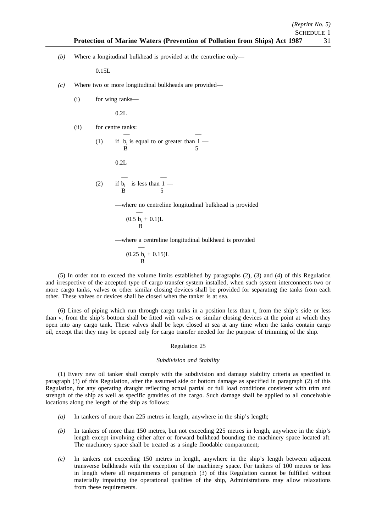*(b)* Where a longitudinal bulkhead is provided at the centreline only—

0.15L

- *(c)* Where two or more longitudinal bulkheads are provided—
	- (i) for wing tanks—

0.2L

- (ii) for centre tanks:
	- — — — — (1) if  $b_i$  is equal to or greater than 1 —  $\overline{\mathbf{B}}$  5

0.2L

(2) if 
$$
\overline{b_i}
$$
 is less than  $\frac{1}{1 - \frac{1}{B}}$ 

—where no centreline longitudinal bulkhead is provided

$$
\frac{-}{(0.5\ \frac{b_i}{B} + 0.1)L}
$$

—where a centreline longitudinal bulkhead is provided

$$
\begin{array}{c} \\ (0.25\ \overset{\text{L}}{b_i} + 0.15)L \\ B \end{array}
$$

(5) In order not to exceed the volume limits established by paragraphs (2), (3) and (4) of this Regulation and irrespective of the accepted type of cargo transfer system installed, when such system interconnects two or more cargo tanks, valves or other similar closing devices shall be provided for separating the tanks from each other. These valves or devices shall be closed when the tanker is at sea.

(6) Lines of piping which run through cargo tanks in a position less than  $t_c$  from the ship's side or less than  $v<sub>s</sub>$  from the ship's bottom shall be fitted with valves or similar closing devices at the point at which they open into any cargo tank. These valves shall be kept closed at sea at any time when the tanks contain cargo oil, except that they may be opened only for cargo transfer needed for the purpose of trimming of the ship.

# Regulation 25

## *Subdivision and Stability*

(1) Every new oil tanker shall comply with the subdivision and damage stability criteria as specified in paragraph (3) of this Regulation, after the assumed side or bottom damage as specified in paragraph (2) of this Regulation, for any operating draught reflecting actual partial or full load conditions consistent with trim and strength of the ship as well as specific gravities of the cargo. Such damage shall be applied to all conceivable locations along the length of the ship as follows:

- *(a)* In tankers of more than 225 metres in length, anywhere in the ship's length;
- *(b)* In tankers of more than 150 metres, but not exceeding 225 metres in length, anywhere in the ship's length except involving either after or forward bulkhead bounding the machinery space located aft. The machinery space shall be treated as a single floodable compartment;
- *(c)* In tankers not exceeding 150 metres in length, anywhere in the ship's length between adjacent transverse bulkheads with the exception of the machinery space. For tankers of 100 metres or less in length where all requirements of paragraph (3) of this Regulation cannot be fulfilled without materially impairing the operational qualities of the ship, Administrations may allow relaxations from these requirements.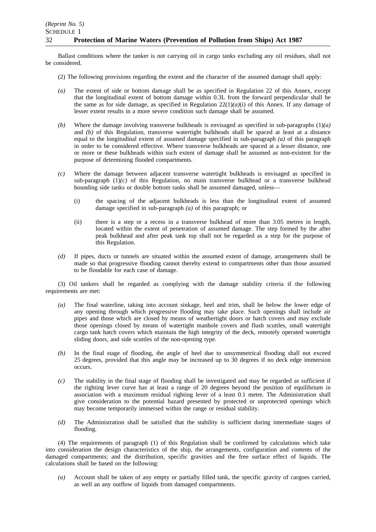Ballast conditions where the tanker is not carrying oil in cargo tanks excluding any oil residues, shall not be considered.

- (2) The following provisions regarding the extent and the character of the assumed damage shall apply:
- *(a)* The extent of side or bottom damage shall be as specified in Regulation 22 of this Annex, except that the longitudinal extent of bottom damage within 0.3L from the forward perpendicular shall be the same as for side damage, as specified in Regulation  $22(1)(a)(i)$  of this Annex. If any damage of lesser extent results in a more severe condition such damage shall be assumed.
- *(b)* Where the damage involving transverse bulkheads is envisaged as specified in sub-paragraphs (1)*(a)* and *(b)* of this Regulation, transverse watertight bulkheads shall be spaced at least at a distance equal to the longitudinal extent of assumed damage specified in sub-paragraph *(a)* of this paragraph in order to be considered effective. Where transverse bulkheads are spaced at a lesser distance, one or more or these bulkheads within such extent of damage shall be assumed as non-existent for the purpose of determining flooded compartments.
- *(c)* Where the damage between adjacent transverse watertight bulkheads is envisaged as specified in sub-paragraph  $(1)/c$  of this Regulation, no main transverse bulkhead or a transverse bulkhead bounding side tanks or double bottom tanks shall be assumed damaged, unless—
	- (i) the spacing of the adjacent bulkheads is less than the longitudinal extent of assumed damage specified in sub-paragraph *(a)* of this paragraph; or
	- (ii) there is a step or a recess in a transverse bulkhead of more than 3.05 metres in length, located within the extent of penetration of assumed damage. The step formed by the after peak bulkhead and after peak tank top shall not be regarded as a step for the purpose of this Regulation.
- *(d)* If pipes, ducts or tunnels are situated within the assumed extent of damage, arrangements shall be made so that progressive flooding cannot thereby extend to compartments other than those assumed to be floodable for each case of damage.

(3) Oil tankers shall be regarded as complying with the damage stability criteria if the following requirements are met:

- *(a)* The final waterline, taking into account sinkage, heel and trim, shall be below the lower edge of any opening through which progressive flooding may take place. Such openings shall include air pipes and those which are closed by means of weathertight doors or hatch covers and may exclude those openings closed by means of watertight manhole covers and flush scuttles, small watertight cargo tank hatch covers which maintain the high integrity of the deck, remotely operated watertight sliding doors, and side scuttles of the non-opening type.
- *(b)* In the final stage of flooding, the angle of heel due to unsymmetrical flooding shall not exceed 25 degrees, provided that this angle may be increased up to 30 degrees if no deck edge immersion occurs.
- *(c)* The stability in the final stage of flooding shall be investigated and may be regarded as sufficient if the righting lever curve has at least a range of 20 degrees beyond the position of equilibrium in association with a maximum residual righting lever of a least 0.1 metre. The Administration shall give consideration to the potential hazard presented by protected or unprotected openings which may become temporarily immersed within the range or residual stability.
- *(d)* The Administration shall be satisfied that the stability is sufficient during intermediate stages of flooding.

(4) The requirements of paragraph (1) of this Regulation shall be confirmed by calculations which take into consideration the design characteristics of the ship, the arrangements, configuration and contents of the damaged compartments; and the distribution, specific gravities and the free surface effect of liquids. The calculations shall be based on the following:

*(a)* Account shall be taken of any empty or partially filled tank, the specific gravity of cargoes carried, as well an any outflow of liquids from damaged compartments.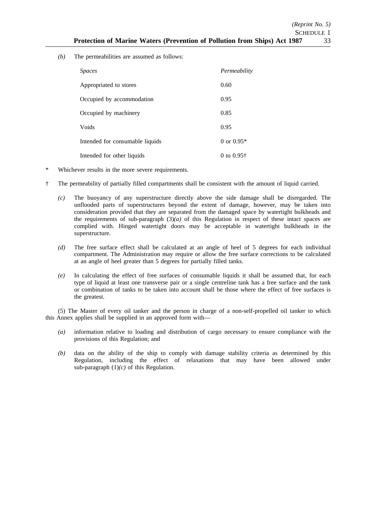*(b)* The permeabilities are assumed as follows:

| <i>Spaces</i>                   | Permeability  |
|---------------------------------|---------------|
| Appropriated to stores          | 0.60          |
| Occupied by accommodation       | 0.95          |
| Occupied by machinery           | 0.85          |
| Voids                           | 0.95          |
| Intended for consumable liquids | 0 or $0.95*$  |
| Intended for other liquids      | 0 to $0.95^+$ |

- Whichever results in the more severe requirements.
- † The permeability of partially filled compartments shall be consistent with the amount of liquid carried.
	- *(c)* The buoyancy of any superstructure directly above the side damage shall be disregarded. The unflooded parts of superstructures beyond the extent of damage, however, may be taken into consideration provided that they are separated from the damaged space by watertight bulkheads and the requirements of sub-paragraph  $(3)(a)$  of this Regulation in respect of these intact spaces are complied with. Hinged watertight doors may be acceptable in watertight bulkheads in the superstructure.
	- *(d)* The free surface effect shall be calculated at an angle of heel of 5 degrees for each individual compartment. The Administration may require or allow the free surface corrections to be calculated at an angle of heel greater than 5 degrees for partially filled tanks.
	- *(e)* In calculating the effect of free surfaces of consumable liquids it shall be assumed that, for each type of liquid at least one transverse pair or a single centreline tank has a free surface and the tank or combination of tanks to be taken into account shall be those where the effect of free surfaces is the greatest.

(5) The Master of every oil tanker and the person in charge of a non-self-propelled oil tanker to which this Annex applies shall be supplied in an approved form with—

- *(a)* information relative to loading and distribution of cargo necessary to ensure compliance with the provisions of this Regulation; and
- *(b)* data on the ability of the ship to comply with damage stability criteria as determined by this Regulation, including the effect of relaxations that may have been allowed under sub-paragraph (1)*(c)* of this Regulation.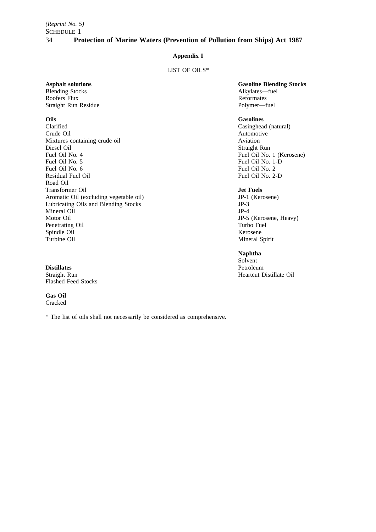# **Appendix I**

# LIST OF OILS\*

Blending Stocks Alkylates—fuel Roofers Flux Reformates Straight Run Residue Polymer—fuel

**Oils** Gasolines<br>
Clarified Casinghead Casing Casing Casing Casing Casing Casing Casing Casing Casing Casing Casing Casing Casing Casing Casing Casing Casing Casing Casing Casing Casing Casing Casing Casing Casing Casing C Clarified Casinghead (natural)<br>Crude Oil Automotive Automotive Mixtures containing crude oil Aviation Diesel Oil Straight Run Fuel Oil No. 4 Fuel Oil No. 1 (Kerosene) Fuel Oil No. 5 Fuel Oil No. 1-D Fuel Oil No. 6 Fuel Oil No. 2 Fuel Oil No. 2 Fuel Oil No. 2 Fuel Oil No. 2 Fuel Oil No. 2 Fuel Oil No. 2 Fuel Oil No. 2 Road Oil Transformer Oil<br>Aromatic Oil (excluding vegetable oil)<br>JP-1 (Kerosene) Aromatic Oil (excluding vegetable oil) JP-1<br>
Lubricating Oils and Blending Stocks JP-3 Lubricating Oils and Blending Stocks JP-3<br>Mineral Oil JP-4 Mineral Oil Motor Oil JP-5 (Kerosene, Heavy) Penetrating Oil **Turbo** Fuel Spindle Oil Kerosene Turbine Oil Mineral Spirit

## **Distillates**

Flashed Feed Stocks

## **Gas Oil** Cracked

\* The list of oils shall not necessarily be considered as comprehensive.

**Asphalt solutions Gasoline Blending Stocks**

Automotive Fuel Oil No. 2-D

**Naphtha** Solvent<br>Petroleum Straight Run Heartcut Distillate Oil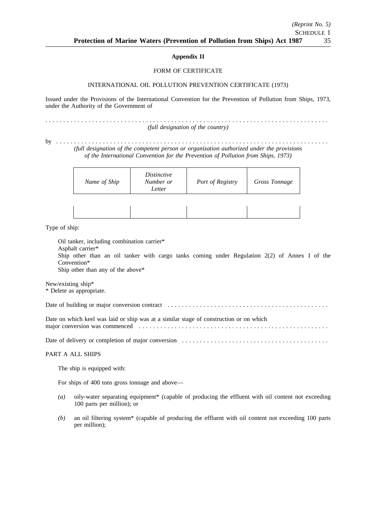# **Appendix II**

## FORM OF CERTIFICATE

## INTERNATIONAL OIL POLLUTION PREVENTION CERTIFICATE (1973)

Issued under the Provisions of the International Convention for the Prevention of Pollution from Ships, 1973, under the Authority of the Government of

............................................................................... *(full designation of the country)*

by . . . . . . . . . . . . . . . . . . . . . . . . . . . . . . . . . . . . . . . . . . . . . . . . . . . . . . . . . . . . . . . . . . . . . . . . . . . . *(full designation of the competent person or organization authorized under the provisions of the International Convention for the Prevention of Pollution from Ships, 1973)*

| Name of Ship | <i>Distinctive</i><br>Number or<br>Letter | Port of Registry | Gross Tonnage |
|--------------|-------------------------------------------|------------------|---------------|
|              |                                           |                  |               |

Type of ship:

Oil tanker, including combination carrier\*

Asphalt carrier\*

Ship other than an oil tanker with cargo tanks coming under Regulation 2(2) of Annex I of the Convention\*

Ship other than any of the above\*

New/existing ship\* \* Delete as appropriate.

Date of building or major conversion contract .............................................

Date on which keel was laid or ship was at a similar stage of construction or on which major conversion was commenced .....................................................

Date of delivery or completion of major conversion .........................................

PART A ALL SHIPS

The ship is equipped with:

For ships of 400 tons gross tonnage and above—

- *(a)* oily-water separating equipment\* (capable of producing the effluent with oil content not exceeding 100 parts per million); or
- *(b)* an oil filtering system\* (capable of producing the effluent with oil content not exceeding 100 parts per million);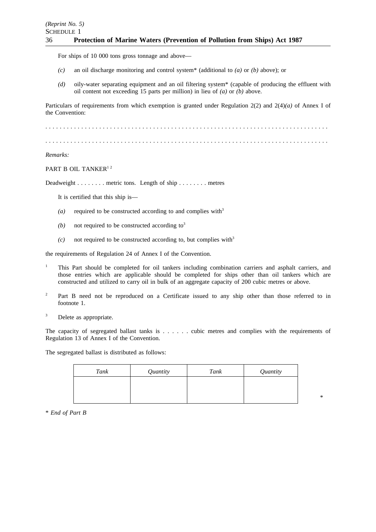For ships of 10 000 tons gross tonnage and above—

- *(c)* an oil discharge monitoring and control system\* (additional to *(a)* or *(b)* above); or
- *(d)* oily-water separating equipment and an oil filtering system\* (capable of producing the effluent with oil content not exceeding 15 parts per million) in lieu of *(a)* or *(b)* above.

Particulars of requirements from which exemption is granted under Regulation 2(2) and 2(4)*(a)* of Annex I of the Convention:

............................................................................... ...............................................................................

*Remarks:*

PART B OIL TANKER<sup>12</sup>

Deadweight........ metric tons. Length of ship........ metres

It is certified that this ship is—

- $(a)$  required to be constructed according to and complies with<sup>3</sup>
- *(b)* not required to be constructed according to<sup>3</sup>
- $(c)$  not required to be constructed according to, but complies with<sup>3</sup>

the requirements of Regulation 24 of Annex I of the Convention.

- <sup>1</sup> This Part should be completed for oil tankers including combination carriers and asphalt carriers, and those entries which are applicable should be completed for ships other than oil tankers which are constructed and utilized to carry oil in bulk of an aggregate capacity of 200 cubic metres or above.
- <sup>2</sup> Part B need not be reproduced on a Certificate issued to any ship other than those referred to in footnote 1.
- <sup>3</sup> Delete as appropriate.

The capacity of segregated ballast tanks is . . . . . . cubic metres and complies with the requirements of Regulation 13 of Annex I of the Convention.

The segregated ballast is distributed as follows:

| Tank | Quantity | Tank | Quantity |
|------|----------|------|----------|
|      |          |      |          |
|      |          |      |          |

\*

\* *End of Part B*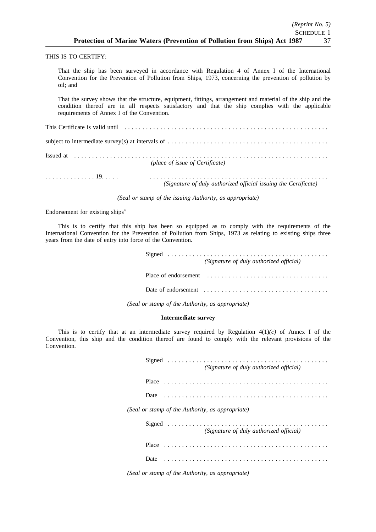THIS IS TO CERTIFY:

That the ship has been surveyed in accordance with Regulation 4 of Annex I of the International Convention for the Prevention of Pollution from Ships, 1973, concerning the prevention of pollution by oil; and

That the survey shows that the structure, equipment, fittings, arrangement and material of the ship and the condition thereof are in all respects satisfactory and that the ship complies with the applicable requirements of Annex I of the Convention.

This Certificate is valid until ......................................................... subject to intermediate survey(s) at intervals of ............................................. Issued at ....................................................................... *(place of issue of Certificate)* . . . . . . . . . . . . . . 19. . . . . . . . . . . . . . . . . . . . . . . . . . . . . . . . . . . . . . . . . . . . . . . . . . . . . . .

*(Signature of duly authorized official issuing the Certificate)*

*(Seal or stamp of the issuing Authority, as appropriate)*

Endorsement for existing ships<sup>4</sup>

This is to certify that this ship has been so equipped as to comply with the requirements of the International Convention for the Prevention of Pollution from Ships, 1973 as relating to existing ships three years from the date of entry into force of the Convention.

> Signed ............................................. *(Signature of duly authorized official)* Place of endorsement .................................. Date of endorsement ...................................

*(Seal or stamp of the Authority, as appropriate)*

## **Intermediate survey**

This is to certify that at an intermediate survey required by Regulation  $4(1)(c)$  of Annex I of the Convention, this ship and the condition thereof are found to comply with the relevant provisions of the Convention.

| (Signature of duly authorized official)                                                                                                                 |  |  |
|---------------------------------------------------------------------------------------------------------------------------------------------------------|--|--|
|                                                                                                                                                         |  |  |
| Date                                                                                                                                                    |  |  |
| (Seal or stamp of the Authority, as appropriate)<br>(Signature of duly authorized official)<br>Date<br>(Seal or stamp of the Authority, as appropriate) |  |  |
|                                                                                                                                                         |  |  |
|                                                                                                                                                         |  |  |
|                                                                                                                                                         |  |  |
|                                                                                                                                                         |  |  |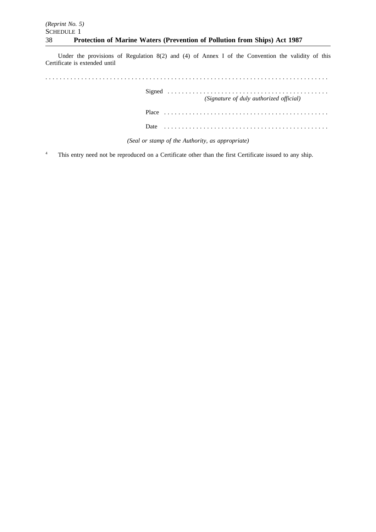# *(Reprint No. 5)* SCHEDULE 1<br>38 Pro 38 **Protection of Marine Waters (Prevention of Pollution from Ships) Act 1987**

Under the provisions of Regulation 8(2) and (4) of Annex I of the Convention the validity of this Certificate is extended until

| (Signature of duly authorized official) |
|-----------------------------------------|
|                                         |
|                                         |

*(Seal or stamp of the Authority, as appropriate)*

<sup>4</sup> This entry need not be reproduced on a Certificate other than the first Certificate issued to any ship.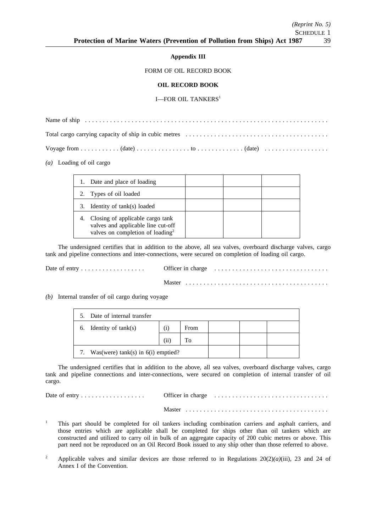# **Appendix III**

## FORM OF OIL RECORD BOOK

# **OIL RECORD BOOK**

# I-FOR OIL TANKERS<sup>1</sup>

*(a)* Loading of oil cargo

| 1. Date and place of loading                                                                                              |  |  |
|---------------------------------------------------------------------------------------------------------------------------|--|--|
| 2. Types of oil loaded                                                                                                    |  |  |
| 3. Identity of tank(s) loaded                                                                                             |  |  |
| 4. Closing of applicable cargo tank<br>valves and applicable line cut-off<br>valves on completion of loading <sup>2</sup> |  |  |

The undersigned certifies that in addition to the above, all sea valves, overboard discharge valves, cargo tank and pipeline connections and inter-connections, were secured on completion of loading oil cargo.

Date of entry.................. Officer in charge ................................

Master ........................................

*(b)* Internal transfer of oil cargo during voyage

| 5. | Date of internal transfer          |                   |      |  |  |
|----|------------------------------------|-------------------|------|--|--|
|    | 6. Identity of $tank(s)$           | $\left( 1\right)$ | From |  |  |
|    |                                    | (11)              | To   |  |  |
|    | Was(were) tank(s) in 6(i) emplied? |                   |      |  |  |

The undersigned certifies that in addition to the above, all sea valves, overboard discharge valves, cargo tank and pipeline connections and inter-connections, were secured on completion of internal transfer of oil cargo.

Date of entry.................. Officer in charge ................................

Master ........................................

- <sup>1</sup> This part should be completed for oil tankers including combination carriers and asphalt carriers, and those entries which are applicable shall be completed for ships other than oil tankers which are constructed and utilized to carry oil in bulk of an aggregate capacity of 200 cubic metres or above. This part need not be reproduced on an Oil Record Book issued to any ship other than those referred to above.
- <sup>2</sup> Applicable valves and similar devices are those referred to in Regulations  $20(2)(a)(iii)$ , 23 and 24 of Annex I of the Convention.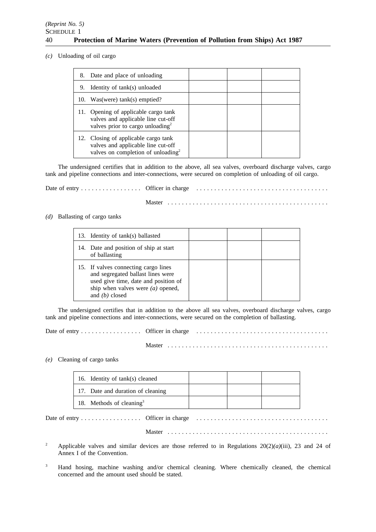*(c)* Unloading of oil cargo

| 8. Date and place of unloading                                                                                               |  |  |
|------------------------------------------------------------------------------------------------------------------------------|--|--|
| 9. Identity of tank(s) unloaded                                                                                              |  |  |
| 10. Was (were) $tank(s)$ emptied?                                                                                            |  |  |
| 11. Opening of applicable cargo tank<br>valves and applicable line cut-off<br>valves prior to cargo unloading <sup>2</sup>   |  |  |
| 12. Closing of applicable cargo tank<br>valves and applicable line cut-off<br>valves on completion of unloading <sup>2</sup> |  |  |

The undersigned certifies that in addition to the above, all sea valves, overboard discharge valves, cargo tank and pipeline connections and inter-connections, were secured on completion of unloading of oil cargo.

Date of entry................. Officer in charge .....................................

Master .............................................

*(d)* Ballasting of cargo tanks

| 13. Identity of tank(s) ballasted                                                                                                                                            |  |  |
|------------------------------------------------------------------------------------------------------------------------------------------------------------------------------|--|--|
| 14. Date and position of ship at start<br>of ballasting                                                                                                                      |  |  |
| 15. If valves connecting cargo lines<br>and segregated ballast lines were<br>used give time, date and position of<br>ship when valves were $(a)$ opened,<br>and $(b)$ closed |  |  |

The undersigned certifies that in addition to the above all sea valves, overboard discharge valves, cargo tank and pipeline connections and inter-connections, were secured on the completion of ballasting.

Date of entry................. Officer in charge .....................................

Master .............................................

*(e)* Cleaning of cargo tanks

| 16. Identity of tank(s) cleaned      |  |  |
|--------------------------------------|--|--|
| 17. Date and duration of cleaning    |  |  |
| 18. Methods of cleaning <sup>3</sup> |  |  |

Date of entry................. Officer in charge .....................................

Master .............................................

- <sup>2</sup> Applicable valves and similar devices are those referred to in Regulations  $20(2)(a)(iii)$ , 23 and 24 of Annex I of the Convention.
- <sup>3</sup> Hand hosing, machine washing and/or chemical cleaning. Where chemically cleaned, the chemical concerned and the amount used should be stated.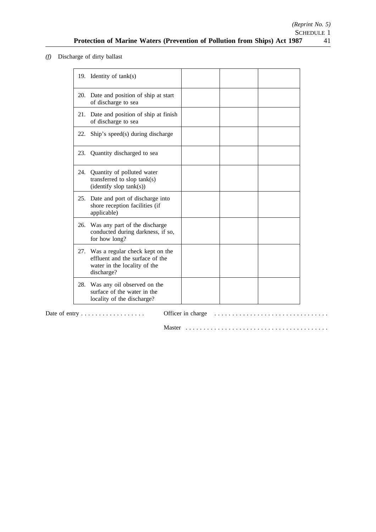*(f)* Discharge of dirty ballast

|     | 19. Identity of $tank(s)$                                                                                            |  |  |
|-----|----------------------------------------------------------------------------------------------------------------------|--|--|
|     | 20. Date and position of ship at start<br>of discharge to sea                                                        |  |  |
|     | 21. Date and position of ship at finish<br>of discharge to sea                                                       |  |  |
|     | 22. Ship's speed(s) during discharge                                                                                 |  |  |
|     | 23. Quantity discharged to sea                                                                                       |  |  |
|     | 24. Quantity of polluted water<br>transferred to slop $tank(s)$<br>$(identity$ slop $tank(s))$                       |  |  |
| 25. | Date and port of discharge into<br>shore reception facilities (if<br>applicable)                                     |  |  |
| 26. | Was any part of the discharge<br>conducted during darkness, if so,<br>for how long?                                  |  |  |
|     | 27. Was a regular check kept on the<br>effluent and the surface of the<br>water in the locality of the<br>discharge? |  |  |
| 28. | Was any oil observed on the<br>surface of the water in the<br>locality of the discharge?                             |  |  |

Date of entry.................. Officer in charge ................................

Master ........................................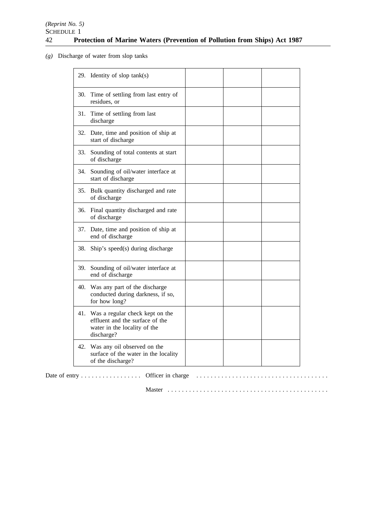*(g)* Discharge of water from slop tanks

|     | 29. Identity of slop $tank(s)$                                                                                       |  |  |
|-----|----------------------------------------------------------------------------------------------------------------------|--|--|
|     | 30. Time of settling from last entry of<br>residues, or                                                              |  |  |
|     | 31. Time of settling from last<br>discharge                                                                          |  |  |
|     | 32. Date, time and position of ship at<br>start of discharge                                                         |  |  |
| 33. | Sounding of total contents at start<br>of discharge                                                                  |  |  |
|     | 34. Sounding of oil/water interface at<br>start of discharge                                                         |  |  |
| 35. | Bulk quantity discharged and rate<br>of discharge                                                                    |  |  |
|     | 36. Final quantity discharged and rate<br>of discharge                                                               |  |  |
|     | 37. Date, time and position of ship at<br>end of discharge                                                           |  |  |
|     | 38. Ship's speed(s) during discharge                                                                                 |  |  |
| 39. | Sounding of oil/water interface at<br>end of discharge                                                               |  |  |
| 40. | Was any part of the discharge<br>conducted during darkness, if so,<br>for how long?                                  |  |  |
|     | 41. Was a regular check kept on the<br>effluent and the surface of the<br>water in the locality of the<br>discharge? |  |  |
|     | 42. Was any oil observed on the<br>surface of the water in the locality<br>of the discharge?                         |  |  |

Date of entry................. Officer in charge .....................................

Master .............................................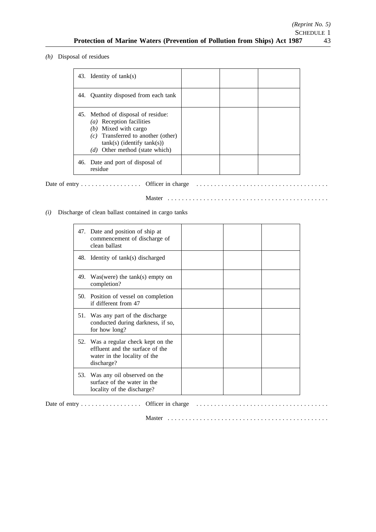*(h)* Disposal of residues

| 43. Identity of $tank(s)$                                                                                                                                                                               |  |  |
|---------------------------------------------------------------------------------------------------------------------------------------------------------------------------------------------------------|--|--|
| 44. Quantity disposed from each tank                                                                                                                                                                    |  |  |
| 45. Method of disposal of residue:<br>$(a)$ Reception facilities<br>$(b)$ Mixed with cargo<br>$(c)$ Transferred to another (other)<br>$tank(s)$ (identify $tank(s)$ )<br>(d) Other method (state which) |  |  |
| 46. Date and port of disposal of<br>residue                                                                                                                                                             |  |  |

Date of entry................. Officer in charge .....................................

Master .............................................

*(i)* Discharge of clean ballast contained in cargo tanks

| 47. Date and position of ship at<br>commencement of discharge of<br>clean ballast                                    |  |  |
|----------------------------------------------------------------------------------------------------------------------|--|--|
| 48. Identity of tank(s) discharged                                                                                   |  |  |
| 49. Was (were) the $tank(s)$ empty on<br>completion?                                                                 |  |  |
| 50. Position of vessel on completion<br>if different from 47                                                         |  |  |
| 51. Was any part of the discharge<br>conducted during darkness, if so,<br>for how long?                              |  |  |
| 52. Was a regular check kept on the<br>effluent and the surface of the<br>water in the locality of the<br>discharge? |  |  |
| 53. Was any oil observed on the<br>surface of the water in the<br>locality of the discharge?                         |  |  |

Date of entry................. Officer in charge .....................................

Master .............................................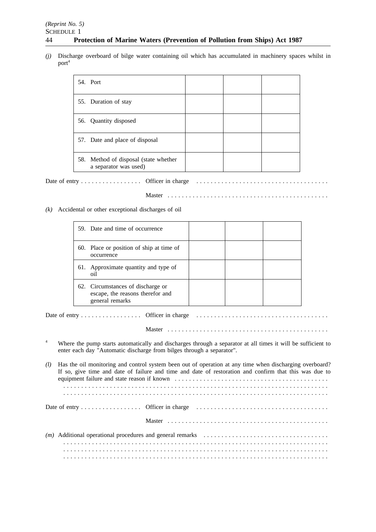*(j)* Discharge overboard of bilge water containing oil which has accumulated in machinery spaces whilst in port<sup>4</sup>

| 54. Port                                                       |  |  |
|----------------------------------------------------------------|--|--|
| 55. Duration of stay                                           |  |  |
| 56. Quantity disposed                                          |  |  |
| 57. Date and place of disposal                                 |  |  |
| 58. Method of disposal (state whether<br>a separator was used) |  |  |

Date of entry................. Officer in charge .....................................

Master .............................................

# *(k)* Accidental or other exceptional discharges of oil

| 59. Date and time of occurrence                                                          |  |  |
|------------------------------------------------------------------------------------------|--|--|
| 60. Place or position of ship at time of<br>occurrence                                   |  |  |
| 61. Approximate quantity and type of<br>oil                                              |  |  |
| 62. Circumstances of discharge or<br>escape, the reasons therefor and<br>general remarks |  |  |

Date of entry................. Officer in charge .....................................

Master .............................................

<sup>4</sup> Where the pump starts automatically and discharges through a separator at all times it will be sufficient to enter each day "Automatic discharge from bilges through a separator".

*(l)* Has the oil monitoring and control system been out of operation at any time when discharging overboard? If so, give time and date of failure and time and date of restoration and confirm that this was due to equipment failure and state reason if known ........................................... .......................................................................... .......................................................................... Date of entry................. Officer in charge ..................................... Master ............................................. *(m)* Additional operational procedures and general remarks ................................... .......................................................................... .......................................................................... ..........................................................................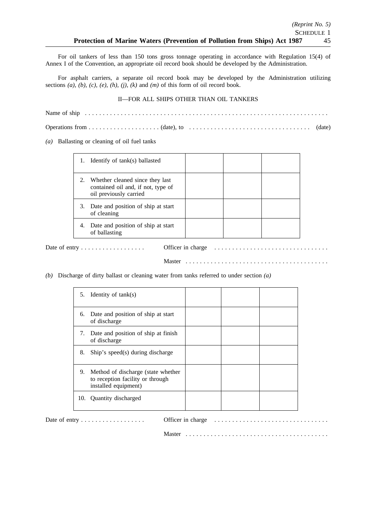For oil tankers of less than 150 tons gross tonnage operating in accordance with Regulation 15(4) of Annex I of the Convention, an appropriate oil record book should be developed by the Administration.

For asphalt carriers, a separate oil record book may be developed by the Administration utilizing sections  $(a)$ ,  $(b)$ ,  $(c)$ ,  $(e)$ ,  $(h)$ ,  $(j)$ ,  $(k)$  and  $(m)$  of this form of oil record book.

# II—FOR ALL SHIPS OTHER THAN OIL TANKERS

Name of ship .................................................................... Operations from.................... (date), to .................................. (date)

*(a)* Ballasting or cleaning of oil fuel tanks

|    | Identify of tank(s) ballasted                                                                      |  |  |
|----|----------------------------------------------------------------------------------------------------|--|--|
|    | 2. Whether cleaned since they last<br>contained oil and, if not, type of<br>oil previously carried |  |  |
|    | 3. Date and position of ship at start<br>of cleaning                                               |  |  |
| 4. | Date and position of ship at start<br>of ballasting                                                |  |  |

Date of entry.................. Officer in charge ................................

Master ........................................

*(b)* Discharge of dirty ballast or cleaning water from tanks referred to under section *(a)*

|    | 5. Identity of tank(s)                                                                            |  |  |
|----|---------------------------------------------------------------------------------------------------|--|--|
|    | 6. Date and position of ship at start<br>of discharge                                             |  |  |
|    | 7. Date and position of ship at finish<br>of discharge                                            |  |  |
| 8. | Ship's speed(s) during discharge                                                                  |  |  |
|    | 9. Method of discharge (state whether<br>to reception facility or through<br>installed equipment) |  |  |
|    | 10. Quantity discharged                                                                           |  |  |

Date of entry.................. Officer in charge ................................

Master ........................................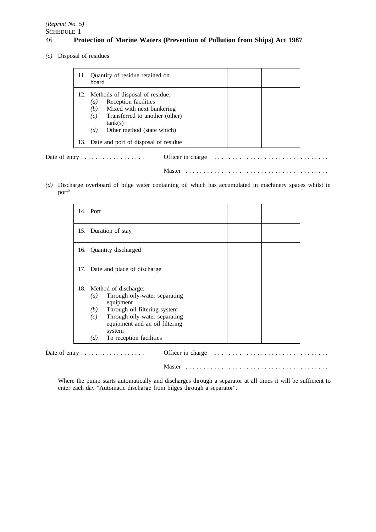*(c)* Disposal of residues

| 11. Quantity of residue retained on<br>board                                                                                                                                                                 |  |  |
|--------------------------------------------------------------------------------------------------------------------------------------------------------------------------------------------------------------|--|--|
| 12. Methods of disposal of residue:<br>Reception facilities<br>$\left(a\right)$<br>Mixed with next bunkering<br>(b)<br>Transferred to another (other)<br>(c)<br>tank(s)<br>Other method (state which)<br>(d) |  |  |
| 13. Date and port of disposal of residue                                                                                                                                                                     |  |  |

- Master ........................................
- *(d)* Discharge overboard of bilge water containing oil which has accumulated in machinery spaces whilst in port<sup>5</sup>

| 14. Port                              |                                                                                                                                                                                                                |  |  |
|---------------------------------------|----------------------------------------------------------------------------------------------------------------------------------------------------------------------------------------------------------------|--|--|
|                                       | 15. Duration of stay                                                                                                                                                                                           |  |  |
|                                       | 16. Quantity discharged                                                                                                                                                                                        |  |  |
|                                       | 17. Date and place of discharge                                                                                                                                                                                |  |  |
| $\left(a\right)$<br>(b)<br>(c)<br>(d) | 18. Method of discharge:<br>Through oily-water separating<br>equipment<br>Through oil filtering system<br>Through oily-water separating<br>equipment and an oil filtering<br>system<br>To reception facilities |  |  |

Date of entry.................. Officer in charge ................................

Master ........................................

<sup>5</sup> Where the pump starts automatically and discharges through a separator at all times it will be sufficient to enter each day "Automatic discharge from bilges through a separator".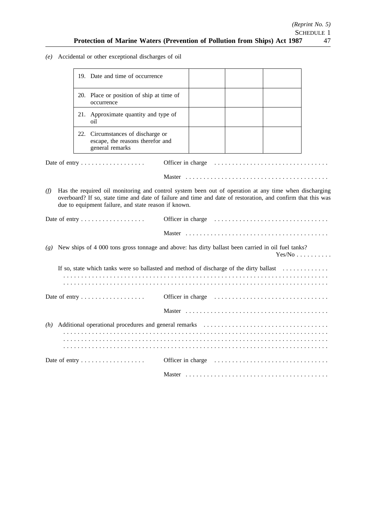# *(e)* Accidental or other exceptional discharges of oil

|     | 19. Date and time of occurrence                                                                                                                                                                                                                                               |  |                                                                                              |          |
|-----|-------------------------------------------------------------------------------------------------------------------------------------------------------------------------------------------------------------------------------------------------------------------------------|--|----------------------------------------------------------------------------------------------|----------|
|     | 20. Place or position of ship at time of<br>occurrence                                                                                                                                                                                                                        |  |                                                                                              |          |
|     | 21. Approximate quantity and type of<br>oil                                                                                                                                                                                                                                   |  |                                                                                              |          |
|     | 22. Circumstances of discharge or<br>escape, the reasons therefor and<br>general remarks                                                                                                                                                                                      |  |                                                                                              |          |
|     | Date of entry $\dots \dots \dots \dots \dots$                                                                                                                                                                                                                                 |  |                                                                                              |          |
|     |                                                                                                                                                                                                                                                                               |  |                                                                                              |          |
| (f) | Has the required oil monitoring and control system been out of operation at any time when discharging<br>overboard? If so, state time and date of failure and time and date of restoration, and confirm that this was<br>due to equipment failure, and state reason if known. |  |                                                                                              |          |
|     |                                                                                                                                                                                                                                                                               |  |                                                                                              |          |
|     |                                                                                                                                                                                                                                                                               |  |                                                                                              |          |
| (g) | New ships of 4 000 tons gross tonnage and above: has dirty ballast been carried in oil fuel tanks?                                                                                                                                                                            |  |                                                                                              | $Yes/No$ |
|     | If so, state which tanks were so ballasted and method of discharge of the dirty ballast                                                                                                                                                                                       |  |                                                                                              |          |
|     | Date of entry $\dots \dots \dots \dots \dots$                                                                                                                                                                                                                                 |  |                                                                                              |          |
|     |                                                                                                                                                                                                                                                                               |  | Master $\ldots \ldots \ldots \ldots \ldots \ldots \ldots \ldots \ldots \ldots \ldots \ldots$ |          |
| (h) |                                                                                                                                                                                                                                                                               |  |                                                                                              |          |
|     | Date of entry $\dots \dots \dots \dots \dots$                                                                                                                                                                                                                                 |  |                                                                                              |          |
|     |                                                                                                                                                                                                                                                                               |  |                                                                                              |          |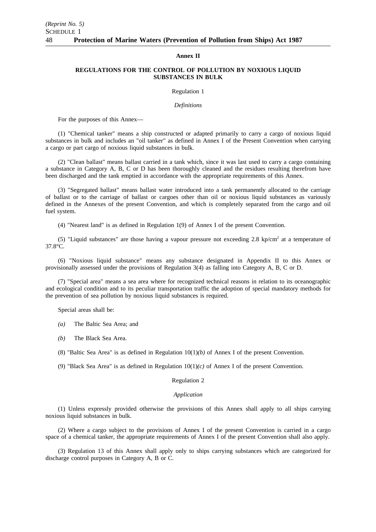## **Annex II**

# **REGULATIONS FOR THE CONTROL OF POLLUTION BY NOXIOUS LIQUID SUBSTANCES IN BULK**

## Regulation 1

## *Definitions*

For the purposes of this Annex—

(1) "Chemical tanker" means a ship constructed or adapted primarily to carry a cargo of noxious liquid substances in bulk and includes an "oil tanker" as defined in Annex I of the Present Convention when carrying a cargo or part cargo of noxious liquid substances in bulk.

(2) "Clean ballast" means ballast carried in a tank which, since it was last used to carry a cargo containing a substance in Category A, B, C or D has been thoroughly cleaned and the residues resulting therefrom have been discharged and the tank emptied in accordance with the appropriate requirements of this Annex.

(3) "Segregated ballast" means ballast water introduced into a tank permanently allocated to the carriage of ballast or to the carriage of ballast or cargoes other than oil or noxious liquid substances as variously defined in the Annexes of the present Convention, and which is completely separated from the cargo and oil fuel system.

(4) "Nearest land" is as defined in Regulation 1(9) of Annex I of the present Convention.

(5) "Liquid substances" are those having a vapour pressure not exceeding 2.8 kp/cm<sup>2</sup> at a temperature of 37.8°C.

(6) "Noxious liquid substance" means any substance designated in Appendix II to this Annex or provisionally assessed under the provisions of Regulation 3(4) as falling into Category A, B, C or D.

(7) "Special area" means a sea area where for recognized technical reasons in relation to its oceanographic and ecological condition and to its peculiar transportation traffic the adoption of special mandatory methods for the prevention of sea pollution by noxious liquid substances is required.

Special areas shall be:

- *(a)* The Baltic Sea Area; and
- *(b)* The Black Sea Area.
- (8) "Baltic Sea Area" is as defined in Regulation  $10(1)(b)$  of Annex I of the present Convention.
- (9) "Black Sea Area" is as defined in Regulation  $10(1)(c)$  of Annex I of the present Convention.

## Regulation 2

### *Application*

(1) Unless expressly provided otherwise the provisions of this Annex shall apply to all ships carrying noxious liquid substances in bulk.

(2) Where a cargo subject to the provisions of Annex I of the present Convention is carried in a cargo space of a chemical tanker, the appropriate requirements of Annex I of the present Convention shall also apply.

(3) Regulation 13 of this Annex shall apply only to ships carrying substances which are categorized for discharge control purposes in Category A, B or C.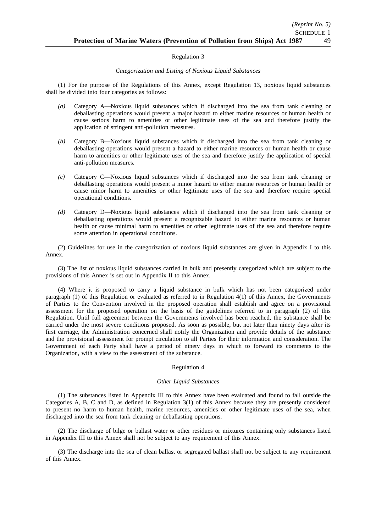# Regulation 3

## *Categorization and Listing of Noxious Liquid Substances*

(1) For the purpose of the Regulations of this Annex, except Regulation 13, noxious liquid substances shall be divided into four categories as follows:

- *(a)* Category A—Noxious liquid substances which if discharged into the sea from tank cleaning or deballasting operations would present a major hazard to either marine resources or human health or cause serious harm to amenities or other legitimate uses of the sea and therefore justify the application of stringent anti-pollution measures.
- *(b)* Category B—Noxious liquid substances which if discharged into the sea from tank cleaning or deballasting operations would present a hazard to either marine resources or human health or cause harm to amenities or other legitimate uses of the sea and therefore justify the application of special anti-pollution measures.
- *(c)* Category C—Noxious liquid substances which if discharged into the sea from tank cleaning or deballasting operations would present a minor hazard to either marine resources or human health or cause minor harm to amenities or other legitimate uses of the sea and therefore require special operational conditions.
- *(d)* Category D—Noxious liquid substances which if discharged into the sea from tank cleaning or deballasting operations would present a recognizable hazard to either marine resources or human health or cause minimal harm to amenities or other legitimate uses of the sea and therefore require some attention in operational conditions.

(2) Guidelines for use in the categorization of noxious liquid substances are given in Appendix I to this Annex.

(3) The list of noxious liquid substances carried in bulk and presently categorized which are subject to the provisions of this Annex is set out in Appendix II to this Annex.

(4) Where it is proposed to carry a liquid substance in bulk which has not been categorized under paragraph (1) of this Regulation or evaluated as referred to in Regulation 4(1) of this Annex, the Governments of Parties to the Convention involved in the proposed operation shall establish and agree on a provisional assessment for the proposed operation on the basis of the guidelines referred to in paragraph (2) of this Regulation. Until full agreement between the Governments involved has been reached, the substance shall be carried under the most severe conditions proposed. As soon as possible, but not later than ninety days after its first carriage, the Administration concerned shall notify the Organization and provide details of the substance and the provisional assessment for prompt circulation to all Parties for their information and consideration. The Government of each Party shall have a period of ninety days in which to forward its comments to the Organization, with a view to the assessment of the substance.

## Regulation 4

## *Other Liquid Substances*

(1) The substances listed in Appendix III to this Annex have been evaluated and found to fall outside the Categories A, B, C and D, as defined in Regulation 3(1) of this Annex because they are presently considered to present no harm to human health, marine resources, amenities or other legitimate uses of the sea, when discharged into the sea from tank cleaning or deballasting operations.

(2) The discharge of bilge or ballast water or other residues or mixtures containing only substances listed in Appendix III to this Annex shall not be subject to any requirement of this Annex.

(3) The discharge into the sea of clean ballast or segregated ballast shall not be subject to any requirement of this Annex.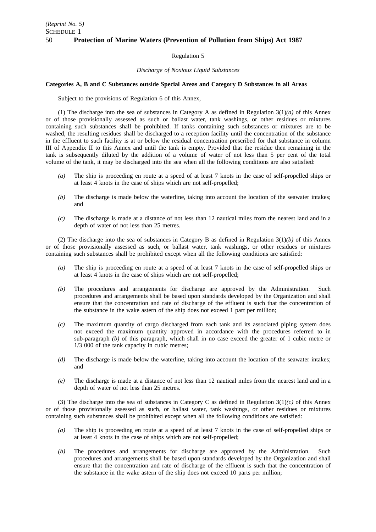## Regulation 5

## *Discharge of Noxious Liquid Substances*

## **Categories A, B and C Substances outside Special Areas and Category D Substances in all Areas**

Subject to the provisions of Regulation 6 of this Annex,

(1) The discharge into the sea of substances in Category A as defined in Regulation  $3(1)(a)$  of this Annex or of those provisionally assessed as such or ballast water, tank washings, or other residues or mixtures containing such substances shall be prohibited. If tanks containing such substances or mixtures are to be washed, the resulting residues shall be discharged to a reception facility until the concentration of the substance in the effluent to such facility is at or below the residual concentration prescribed for that substance in column III of Appendix II to this Annex and until the tank is empty. Provided that the residue then remaining in the tank is subsequently diluted by the addition of a volume of water of not less than 5 per cent of the total volume of the tank, it may be discharged into the sea when all the following conditions are also satisfied:

- *(a)* The ship is proceeding en route at a speed of at least 7 knots in the case of self-propelled ships or at least 4 knots in the case of ships which are not self-propelled;
- *(b)* The discharge is made below the waterline, taking into account the location of the seawater intakes; and
- *(c)* The discharge is made at a distance of not less than 12 nautical miles from the nearest land and in a depth of water of not less than 25 metres.

(2) The discharge into the sea of substances in Category B as defined in Regulation 3(1)*(b)* of this Annex or of those provisionally assessed as such, or ballast water, tank washings, or other residues or mixtures containing such substances shall be prohibited except when all the following conditions are satisfied:

- *(a)* The ship is proceeding en route at a speed of at least 7 knots in the case of self-propelled ships or at least 4 knots in the case of ships which are not self-propelled;
- *(b)* The procedures and arrangements for discharge are approved by the Administration. Such procedures and arrangements shall be based upon standards developed by the Organization and shall ensure that the concentration and rate of discharge of the effluent is such that the concentration of the substance in the wake astern of the ship does not exceed 1 part per million;
- *(c)* The maximum quantity of cargo discharged from each tank and its associated piping system does not exceed the maximum quantity approved in accordance with the procedures referred to in sub-paragraph *(b)* of this paragraph, which shall in no case exceed the greater of 1 cubic metre or 1/3 000 of the tank capacity in cubic metres;
- *(d)* The discharge is made below the waterline, taking into account the location of the seawater intakes; and
- *(e)* The discharge is made at a distance of not less than 12 nautical miles from the nearest land and in a depth of water of not less than 25 metres.

(3) The discharge into the sea of substances in Category C as defined in Regulation 3(1)*(c)* of this Annex or of those provisionally assessed as such, or ballast water, tank washings, or other residues or mixtures containing such substances shall be prohibited except when all the following conditions are satisfied:

- *(a)* The ship is proceeding en route at a speed of at least 7 knots in the case of self-propelled ships or at least 4 knots in the case of ships which are not self-propelled;
- *(b)* The procedures and arrangements for discharge are approved by the Administration. Such procedures and arrangements shall be based upon standards developed by the Organization and shall ensure that the concentration and rate of discharge of the effluent is such that the concentration of the substance in the wake astern of the ship does not exceed 10 parts per million;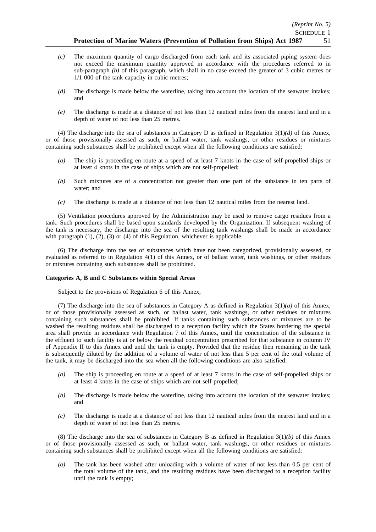- *(c)* The maximum quantity of cargo discharged from each tank and its associated piping system does not exceed the maximum quantity approved in accordance with the procedures referred to in sub-paragraph *(b)* of this paragraph, which shall in no case exceed the greater of 3 cubic metres or 1/1 000 of the tank capacity in cubic metres;
- *(d)* The discharge is made below the waterline, taking into account the location of the seawater intakes; and
- *(e)* The discharge is made at a distance of not less than 12 nautical miles from the nearest land and in a depth of water of not less than 25 metres.

(4) The discharge into the sea of substances in Category D as defined in Regulation 3(1)*(d)* of this Annex, or of those provisionally assessed as such, or ballast water, tank washings, or other residues or mixtures containing such substances shall be prohibited except when all the following conditions are satisfied:

- *(a)* The ship is proceeding en route at a speed of at least 7 knots in the case of self-propelled ships or at least 4 knots in the case of ships which are not self-propelled;
- *(b)* Such mixtures are of a concentration not greater than one part of the substance in ten parts of water; and
- *(c)* The discharge is made at a distance of not less than 12 nautical miles from the nearest land.

(5) Ventilation procedures approved by the Administration may be used to remove cargo residues from a tank. Such procedures shall be based upon standards developed by the Organization. If subsequent washing of the tank is necessary, the discharge into the sea of the resulting tank washings shall be made in accordance with paragraph  $(1)$ ,  $(2)$ ,  $(3)$  or  $(4)$  of this Regulation, whichever is applicable.

(6) The discharge into the sea of substances which have not been categorized, provisionally assessed, or evaluated as referred to in Regulation 4(1) of this Annex, or of ballast water, tank washings, or other residues or mixtures containing such substances shall be prohibited.

## **Categories A, B and C Substances within Special Areas**

Subject to the provisions of Regulation 6 of this Annex,

(7) The discharge into the sea of substances in Category A as defined in Regulation 3(1)*(a)* of this Annex, or of those provisionally assessed as such, or ballast water, tank washings, or other residues or mixtures containing such substances shall be prohibited. If tanks containing such substances or mixtures are to be washed the resulting residues shall be discharged to a reception facility which the States bordering the special area shall provide in accordance with Regulation 7 of this Annex, until the concentration of the substance in the effluent to such facility is at or below the residual concentration prescribed for that substance in column IV of Appendix II to this Annex and until the tank is empty. Provided that the residue then remaining in the tank is subsequently diluted by the addition of a volume of water of not less than 5 per cent of the total volume of the tank, it may be discharged into the sea when all the following conditions are also satisfied:

- *(a)* The ship is proceeding en route at a speed of at least 7 knots in the case of self-propelled ships or at least 4 knots in the case of ships which are not self-propelled;
- *(b)* The discharge is made below the waterline, taking into account the location of the seawater intakes; and
- *(c)* The discharge is made at a distance of not less than 12 nautical miles from the nearest land and in a depth of water of not less than 25 metres.

(8) The discharge into the sea of substances in Category B as defined in Regulation 3(1)*(b)* of this Annex or of those provisionally assessed as such, or ballast water, tank washings, or other residues or mixtures containing such substances shall be prohibited except when all the following conditions are satisfied:

*(a)* The tank has been washed after unloading with a volume of water of not less than 0.5 per cent of the total volume of the tank, and the resulting residues have been discharged to a reception facility until the tank is empty;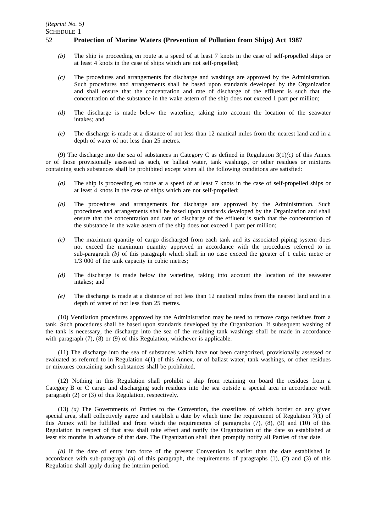- *(b)* The ship is proceeding en route at a speed of at least 7 knots in the case of self-propelled ships or at least 4 knots in the case of ships which are not self-propelled;
- *(c)* The procedures and arrangements for discharge and washings are approved by the Administration. Such procedures and arrangements shall be based upon standards developed by the Organization and shall ensure that the concentration and rate of discharge of the effluent is such that the concentration of the substance in the wake astern of the ship does not exceed 1 part per million;
- *(d)* The discharge is made below the waterline, taking into account the location of the seawater intakes; and
- *(e)* The discharge is made at a distance of not less than 12 nautical miles from the nearest land and in a depth of water of not less than 25 metres.

(9) The discharge into the sea of substances in Category C as defined in Regulation  $3(1)(c)$  of this Annex or of those provisionally assessed as such, or ballast water, tank washings, or other residues or mixtures containing such substances shall be prohibited except when all the following conditions are satisfied:

- *(a)* The ship is proceeding en route at a speed of at least 7 knots in the case of self-propelled ships or at least 4 knots in the case of ships which are not self-propelled;
- *(b)* The procedures and arrangements for discharge are approved by the Administration. Such procedures and arrangements shall be based upon standards developed by the Organization and shall ensure that the concentration and rate of discharge of the effluent is such that the concentration of the substance in the wake astern of the ship does not exceed 1 part per million;
- *(c)* The maximum quantity of cargo discharged from each tank and its associated piping system does not exceed the maximum quantity approved in accordance with the procedures referred to in sub-paragraph *(b)* of this paragraph which shall in no case exceed the greater of 1 cubic metre or 1/3 000 of the tank capacity in cubic metres;
- *(d)* The discharge is made below the waterline, taking into account the location of the seawater intakes; and
- *(e)* The discharge is made at a distance of not less than 12 nautical miles from the nearest land and in a depth of water of not less than 25 metres.

(10) Ventilation procedures approved by the Administration may be used to remove cargo residues from a tank. Such procedures shall be based upon standards developed by the Organization. If subsequent washing of the tank is necessary, the discharge into the sea of the resulting tank washings shall be made in accordance with paragraph (7), (8) or (9) of this Regulation, whichever is applicable.

(11) The discharge into the sea of substances which have not been categorized, provisionally assessed or evaluated as referred to in Regulation 4(1) of this Annex, or of ballast water, tank washings, or other residues or mixtures containing such substances shall be prohibited.

(12) Nothing in this Regulation shall prohibit a ship from retaining on board the residues from a Category B or C cargo and discharging such residues into the sea outside a special area in accordance with paragraph (2) or (3) of this Regulation, respectively.

(13) *(a)* The Governments of Parties to the Convention, the coastlines of which border on any given special area, shall collectively agree and establish a date by which time the requirement of Regulation 7(1) of this Annex will be fulfilled and from which the requirements of paragraphs (7), (8), (9) and (10) of this Regulation in respect of that area shall take effect and notify the Organization of the date so established at least six months in advance of that date. The Organization shall then promptly notify all Parties of that date.

*(b)* If the date of entry into force of the present Convention is earlier than the date established in accordance with sub-paragraph *(a)* of this paragraph, the requirements of paragraphs (1), (2) and (3) of this Regulation shall apply during the interim period.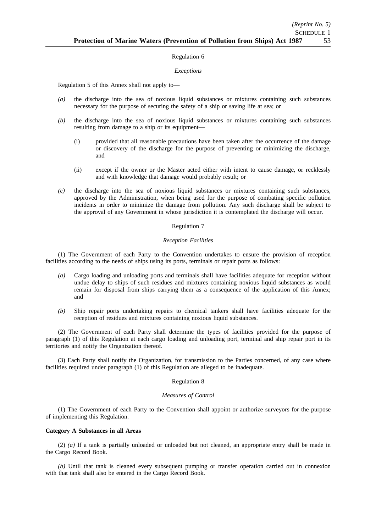## Regulation 6

## *Exceptions*

Regulation 5 of this Annex shall not apply to—

- *(a)* the discharge into the sea of noxious liquid substances or mixtures containing such substances necessary for the purpose of securing the safety of a ship or saving life at sea; or
- *(b)* the discharge into the sea of noxious liquid substances or mixtures containing such substances resulting from damage to a ship or its equipment—
	- (i) provided that all reasonable precautions have been taken after the occurrence of the damage or discovery of the discharge for the purpose of preventing or minimizing the discharge, and
	- (ii) except if the owner or the Master acted either with intent to cause damage, or recklessly and with knowledge that damage would probably result; or
- *(c)* the discharge into the sea of noxious liquid substances or mixtures containing such substances, approved by the Administration, when being used for the purpose of combating specific pollution incidents in order to minimize the damage from pollution. Any such discharge shall be subject to the approval of any Government in whose jurisdiction it is contemplated the discharge will occur.

# Regulation 7

## *Reception Facilities*

(1) The Government of each Party to the Convention undertakes to ensure the provision of reception facilities according to the needs of ships using its ports, terminals or repair ports as follows:

- *(a)* Cargo loading and unloading ports and terminals shall have facilities adequate for reception without undue delay to ships of such residues and mixtures containing noxious liquid substances as would remain for disposal from ships carrying them as a consequence of the application of this Annex; and
- *(b)* Ship repair ports undertaking repairs to chemical tankers shall have facilities adequate for the reception of residues and mixtures containing noxious liquid substances.

(2) The Government of each Party shall determine the types of facilities provided for the purpose of paragraph (1) of this Regulation at each cargo loading and unloading port, terminal and ship repair port in its territories and notify the Organization thereof.

(3) Each Party shall notify the Organization, for transmission to the Parties concerned, of any case where facilities required under paragraph (1) of this Regulation are alleged to be inadequate.

## Regulation 8

## *Measures of Control*

(1) The Government of each Party to the Convention shall appoint or authorize surveyors for the purpose of implementing this Regulation.

## **Category A Substances in all Areas**

(2) *(a)* If a tank is partially unloaded or unloaded but not cleaned, an appropriate entry shall be made in the Cargo Record Book.

*(b)* Until that tank is cleaned every subsequent pumping or transfer operation carried out in connexion with that tank shall also be entered in the Cargo Record Book.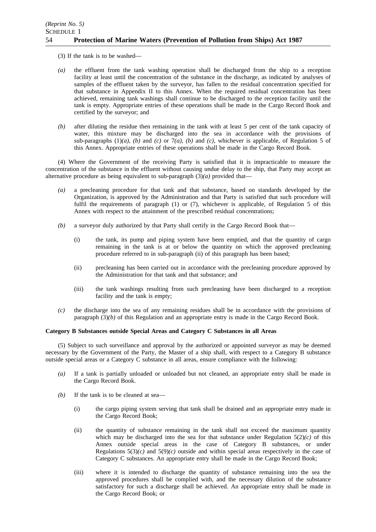(3) If the tank is to be washed—

- *(a)* the effluent from the tank washing operation shall be discharged from the ship to a reception facility at least until the concentration of the substance in the discharge, as indicated by analyses of samples of the effluent taken by the surveyor, has fallen to the residual concentration specified for that substance in Appendix II to this Annex. When the required residual concentration has been achieved, remaining tank washings shall continue to be discharged to the reception facility until the tank is empty. Appropriate entries of these operations shall be made in the Cargo Record Book and certified by the surveyor; and
- *(b)* after diluting the residue then remaining in the tank with at least 5 per cent of the tank capacity of water, this mixture may be discharged into the sea in accordance with the provisions of sub-paragraphs  $(1)(a)$ ,  $(b)$  and  $(c)$  or  $7(a)$ ,  $(b)$  and  $(c)$ , whichever is applicable, of Regulation 5 of this Annex. Appropriate entries of these operations shall be made in the Cargo Record Book.

(4) Where the Government of the receiving Party is satisfied that it is impracticable to measure the concentration of the substance in the effluent without causing undue delay to the ship, that Party may accept an alternative procedure as being equivalent to sub-paragraph  $(3)(a)$  provided that—

- *(a)* a precleaning procedure for that tank and that substance, based on standards developed by the Organization, is approved by the Administration and that Party is satisfied that such procedure will fulfil the requirements of paragraph (1) or (7), whichever is applicable, of Regulation 5 of this Annex with respect to the attainment of the prescribed residual concentrations;
- *(b)* a surveyor duly authorized by that Party shall certify in the Cargo Record Book that—
	- (i) the tank, its pump and piping system have been emptied, and that the quantity of cargo remaining in the tank is at or below the quantity on which the approved precleaning procedure referred to in sub-paragraph (ii) of this paragraph has been based;
	- (ii) precleaning has been carried out in accordance with the precleaning procedure approved by the Administration for that tank and that substance; and
	- (iii) the tank washings resulting from such precleaning have been discharged to a reception facility and the tank is empty;
- *(c)* the discharge into the sea of any remaining residues shall be in accordance with the provisions of paragraph (3)*(b)* of this Regulation and an appropriate entry is made in the Cargo Record Book.

# **Category B Substances outside Special Areas and Category C Substances in all Areas**

(5) Subject to such surveillance and approval by the authorized or appointed surveyor as may be deemed necessary by the Government of the Party, the Master of a ship shall, with respect to a Category B substance outside special areas or a Category C substance in all areas, ensure compliance with the following:

- *(a)* If a tank is partially unloaded or unloaded but not cleaned, an appropriate entry shall be made in the Cargo Record Book.
- *(b)* If the tank is to be cleaned at sea—
	- (i) the cargo piping system serving that tank shall be drained and an appropriate entry made in the Cargo Record Book;
	- (ii) the quantity of substance remaining in the tank shall not exceed the maximum quantity which may be discharged into the sea for that substance under Regulation  $5(2)(c)$  of this Annex outside special areas in the case of Category B substances, or under Regulations  $5(3)(c)$  and  $5(9)(c)$  outside and within special areas respectively in the case of Category C substances. An appropriate entry shall be made in the Cargo Record Book;
	- (iii) where it is intended to discharge the quantity of substance remaining into the sea the approved procedures shall be complied with, and the necessary dilution of the substance satisfactory for such a discharge shall be achieved. An appropriate entry shall be made in the Cargo Record Book; or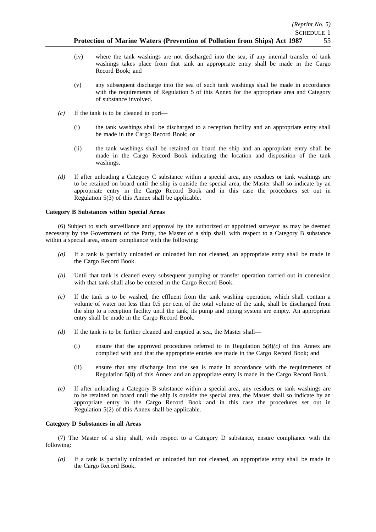- (iv) where the tank washings are not discharged into the sea, if any internal transfer of tank washings takes place from that tank an appropriate entry shall be made in the Cargo Record Book; and
- (v) any subsequent discharge into the sea of such tank washings shall be made in accordance with the requirements of Regulation 5 of this Annex for the appropriate area and Category of substance involved.
- *(c)* If the tank is to be cleaned in port—
	- (i) the tank washings shall be discharged to a reception facility and an appropriate entry shall be made in the Cargo Record Book; or
	- (ii) the tank washings shall be retained on board the ship and an appropriate entry shall be made in the Cargo Record Book indicating the location and disposition of the tank washings.
- *(d)* If after unloading a Category C substance within a special area, any residues or tank washings are to be retained on board until the ship is outside the special area, the Master shall so indicate by an appropriate entry in the Cargo Record Book and in this case the procedures set out in Regulation 5(3) of this Annex shall be applicable.

## **Category B Substances within Special Areas**

(6) Subject to such surveillance and approval by the authorized or appointed surveyor as may be deemed necessary by the Government of the Party, the Master of a ship shall, with respect to a Category B substance within a special area, ensure compliance with the following:

- *(a)* If a tank is partially unloaded or unloaded but not cleaned, an appropriate entry shall be made in the Cargo Record Book.
- *(b)* Until that tank is cleaned every subsequent pumping or transfer operation carried out in connexion with that tank shall also be entered in the Cargo Record Book.
- *(c)* If the tank is to be washed, the effluent from the tank washing operation, which shall contain a volume of water not less than 0.5 per cent of the total volume of the tank, shall be discharged from the ship to a reception facility until the tank, its pump and piping system are empty. An appropriate entry shall be made in the Cargo Record Book.
- *(d)* If the tank is to be further cleaned and emptied at sea, the Master shall—
	- (i) ensure that the approved procedures referred to in Regulation  $5(8)(c)$  of this Annex are complied with and that the appropriate entries are made in the Cargo Record Book; and
	- (ii) ensure that any discharge into the sea is made in accordance with the requirements of Regulation 5(8) of this Annex and an appropriate entry is made in the Cargo Record Book.
- *(e)* If after unloading a Category B substance within a special area, any residues or tank washings are to be retained on board until the ship is outside the special area, the Master shall so indicate by an appropriate entry in the Cargo Record Book and in this case the procedures set out in Regulation 5(2) of this Annex shall be applicable.

## **Category D Substances in all Areas**

(7) The Master of a ship shall, with respect to a Category D substance, ensure compliance with the following:

*(a)* If a tank is partially unloaded or unloaded but not cleaned, an appropriate entry shall be made in the Cargo Record Book.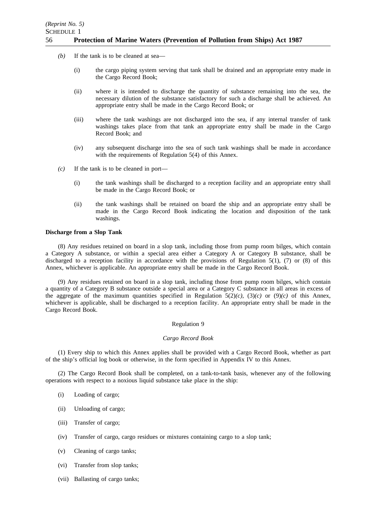- *(b)* If the tank is to be cleaned at sea—
	- (i) the cargo piping system serving that tank shall be drained and an appropriate entry made in the Cargo Record Book;
	- (ii) where it is intended to discharge the quantity of substance remaining into the sea, the necessary dilution of the substance satisfactory for such a discharge shall be achieved. An appropriate entry shall be made in the Cargo Record Book; or
	- (iii) where the tank washings are not discharged into the sea, if any internal transfer of tank washings takes place from that tank an appropriate entry shall be made in the Cargo Record Book; and
	- (iv) any subsequent discharge into the sea of such tank washings shall be made in accordance with the requirements of Regulation 5(4) of this Annex.
- *(c)* If the tank is to be cleaned in port—
	- (i) the tank washings shall be discharged to a reception facility and an appropriate entry shall be made in the Cargo Record Book; or
	- (ii) the tank washings shall be retained on board the ship and an appropriate entry shall be made in the Cargo Record Book indicating the location and disposition of the tank washings.

# **Discharge from a Slop Tank**

(8) Any residues retained on board in a slop tank, including those from pump room bilges, which contain a Category A substance, or within a special area either a Category A or Category B substance, shall be discharged to a reception facility in accordance with the provisions of Regulation 5(1), (7) or (8) of this Annex, whichever is applicable. An appropriate entry shall be made in the Cargo Record Book.

(9) Any residues retained on board in a slop tank, including those from pump room bilges, which contain a quantity of a Category B substance outside a special area or a Category C substance in all areas in excess of the aggregate of the maximum quantities specified in Regulation  $5(2)(c)$ ,  $(3)(c)$  or  $(9)(c)$  of this Annex, whichever is applicable, shall be discharged to a reception facility. An appropriate entry shall be made in the Cargo Record Book.

## Regulation 9

## *Cargo Record Book*

(1) Every ship to which this Annex applies shall be provided with a Cargo Record Book, whether as part of the ship's official log book or otherwise, in the form specified in Appendix IV to this Annex.

(2) The Cargo Record Book shall be completed, on a tank-to-tank basis, whenever any of the following operations with respect to a noxious liquid substance take place in the ship:

- (i) Loading of cargo;
- (ii) Unloading of cargo;
- (iii) Transfer of cargo;
- (iv) Transfer of cargo, cargo residues or mixtures containing cargo to a slop tank;
- (v) Cleaning of cargo tanks;
- (vi) Transfer from slop tanks;
- (vii) Ballasting of cargo tanks;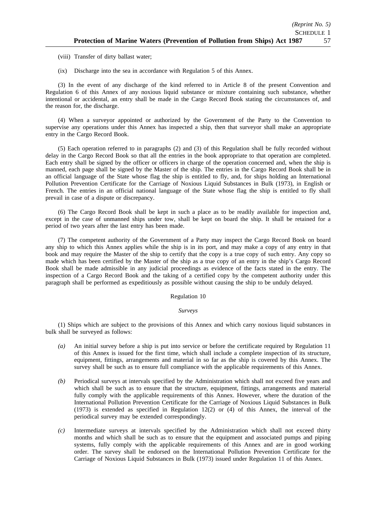(viii) Transfer of dirty ballast water;

(ix) Discharge into the sea in accordance with Regulation 5 of this Annex.

(3) In the event of any discharge of the kind referred to in Article 8 of the present Convention and Regulation 6 of this Annex of any noxious liquid substance or mixture containing such substance, whether intentional or accidental, an entry shall be made in the Cargo Record Book stating the circumstances of, and the reason for, the discharge.

(4) When a surveyor appointed or authorized by the Government of the Party to the Convention to supervise any operations under this Annex has inspected a ship, then that surveyor shall make an appropriate entry in the Cargo Record Book.

(5) Each operation referred to in paragraphs (2) and (3) of this Regulation shall be fully recorded without delay in the Cargo Record Book so that all the entries in the book appropriate to that operation are completed. Each entry shall be signed by the officer or officers in charge of the operation concerned and, when the ship is manned, each page shall be signed by the Master of the ship. The entries in the Cargo Record Book shall be in an official language of the State whose flag the ship is entitled to fly, and, for ships holding an International Pollution Prevention Certificate for the Carriage of Noxious Liquid Substances in Bulk (1973), in English or French. The entries in an official national language of the State whose flag the ship is entitled to fly shall prevail in case of a dispute or discrepancy.

(6) The Cargo Record Book shall be kept in such a place as to be readily available for inspection and, except in the case of unmanned ships under tow, shall be kept on board the ship. It shall be retained for a period of two years after the last entry has been made.

(7) The competent authority of the Government of a Party may inspect the Cargo Record Book on board any ship to which this Annex applies while the ship is in its port, and may make a copy of any entry in that book and may require the Master of the ship to certify that the copy is a true copy of such entry. Any copy so made which has been certified by the Master of the ship as a true copy of an entry in the ship's Cargo Record Book shall be made admissible in any judicial proceedings as evidence of the facts stated in the entry. The inspection of a Cargo Record Book and the taking of a certified copy by the competent authority under this paragraph shall be performed as expeditiously as possible without causing the ship to be unduly delayed.

## Regulation 10

## *Surveys*

(1) Ships which are subject to the provisions of this Annex and which carry noxious liquid substances in bulk shall be surveyed as follows:

- *(a)* An initial survey before a ship is put into service or before the certificate required by Regulation 11 of this Annex is issued for the first time, which shall include a complete inspection of its structure, equipment, fittings, arrangements and material in so far as the ship is covered by this Annex. The survey shall be such as to ensure full compliance with the applicable requirements of this Annex.
- *(b)* Periodical surveys at intervals specified by the Administration which shall not exceed five years and which shall be such as to ensure that the structure, equipment, fittings, arrangements and material fully comply with the applicable requirements of this Annex. However, where the duration of the International Pollution Prevention Certificate for the Carriage of Noxious Liquid Substances in Bulk (1973) is extended as specified in Regulation 12(2) or (4) of this Annex, the interval of the periodical survey may be extended correspondingly.
- *(c)* Intermediate surveys at intervals specified by the Administration which shall not exceed thirty months and which shall be such as to ensure that the equipment and associated pumps and piping systems, fully comply with the applicable requirements of this Annex and are in good working order. The survey shall be endorsed on the International Pollution Prevention Certificate for the Carriage of Noxious Liquid Substances in Bulk (1973) issued under Regulation 11 of this Annex.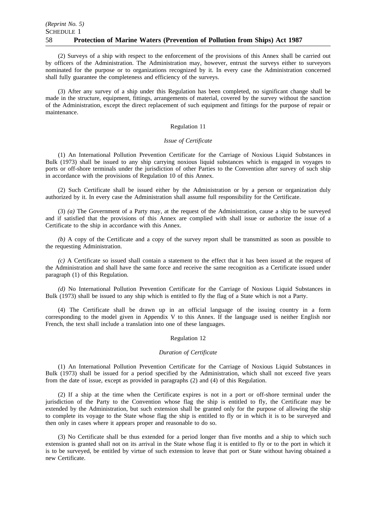(2) Surveys of a ship with respect to the enforcement of the provisions of this Annex shall be carried out by officers of the Administration. The Administration may, however, entrust the surveys either to surveyors nominated for the purpose or to organizations recognized by it. In every case the Administration concerned shall fully guarantee the completeness and efficiency of the surveys.

(3) After any survey of a ship under this Regulation has been completed, no significant change shall be made in the structure, equipment, fittings, arrangements of material, covered by the survey without the sanction of the Administration, except the direct replacement of such equipment and fittings for the purpose of repair or maintenance.

#### Regulation 11

#### *Issue of Certificate*

(1) An International Pollution Prevention Certificate for the Carriage of Noxious Liquid Substances in Bulk (1973) shall be issued to any ship carrying noxious liquid substances which is engaged in voyages to ports or off-shore terminals under the jurisdiction of other Parties to the Convention after survey of such ship in accordance with the provisions of Regulation 10 of this Annex.

(2) Such Certificate shall be issued either by the Administration or by a person or organization duly authorized by it. In every case the Administration shall assume full responsibility for the Certificate.

(3) *(a)* The Government of a Party may, at the request of the Administration, cause a ship to be surveyed and if satisfied that the provisions of this Annex are complied with shall issue or authorize the issue of a Certificate to the ship in accordance with this Annex.

*(b)* A copy of the Certificate and a copy of the survey report shall be transmitted as soon as possible to the requesting Administration.

*(c)* A Certificate so issued shall contain a statement to the effect that it has been issued at the request of the Administration and shall have the same force and receive the same recognition as a Certificate issued under paragraph (1) of this Regulation.

*(d)* No International Pollution Prevention Certificate for the Carriage of Noxious Liquid Substances in Bulk (1973) shall be issued to any ship which is entitled to fly the flag of a State which is not a Party.

(4) The Certificate shall be drawn up in an official language of the issuing country in a form corresponding to the model given in Appendix V to this Annex. If the language used is neither English nor French, the text shall include a translation into one of these languages.

# Regulation 12

#### *Duration of Certificate*

(1) An International Pollution Prevention Certificate for the Carriage of Noxious Liquid Substances in Bulk (1973) shall be issued for a period specified by the Administration, which shall not exceed five years from the date of issue, except as provided in paragraphs (2) and (4) of this Regulation.

(2) If a ship at the time when the Certificate expires is not in a port or off-shore terminal under the jurisdiction of the Party to the Convention whose flag the ship is entitled to fly, the Certificate may be extended by the Administration, but such extension shall be granted only for the purpose of allowing the ship to complete its voyage to the State whose flag the ship is entitled to fly or in which it is to be surveyed and then only in cases where it appears proper and reasonable to do so.

(3) No Certificate shall be thus extended for a period longer than five months and a ship to which such extension is granted shall not on its arrival in the State whose flag it is entitled to fly or to the port in which it is to be surveyed, be entitled by virtue of such extension to leave that port or State without having obtained a new Certificate.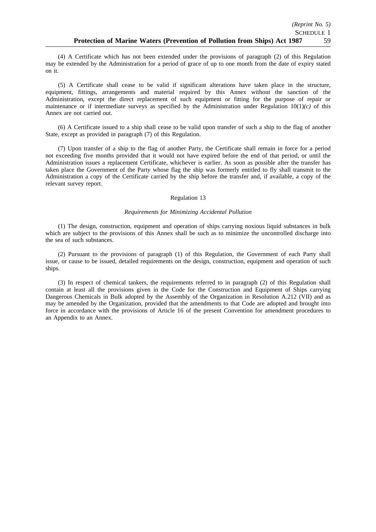(4) A Certificate which has not been extended under the provisions of paragraph (2) of this Regulation may be extended by the Administration for a period of grace of up to one month from the date of expiry stated on it.

(5) A Certificate shall cease to be valid if significant alterations have taken place in the structure, equipment, fittings, arrangements and material required by this Annex without the sanction of the Administration, except the direct replacement of such equipment or fitting for the purpose of repair or maintenance or if intermediate surveys as specified by the Administration under Regulation  $10(1)(c)$  of this Annex are not carried out.

(6) A Certificate issued to a ship shall cease to be valid upon transfer of such a ship to the flag of another State, except as provided in paragraph (7) of this Regulation.

(7) Upon transfer of a ship to the flag of another Party, the Certificate shall remain in force for a period not exceeding five months provided that it would not have expired before the end of that period, or until the Administration issues a replacement Certificate, whichever is earlier. As soon as possible after the transfer has taken place the Government of the Party whose flag the ship was formerly entitled to fly shall transmit to the Administration a copy of the Certificate carried by the ship before the transfer and, if available, a copy of the relevant survey report.

#### Regulation 13

# *Requirements for Minimizing Accidental Pollution*

(1) The design, construction, equipment and operation of ships carrying noxious liquid substances in bulk which are subject to the provisions of this Annex shall be such as to minimize the uncontrolled discharge into the sea of such substances.

(2) Pursuant to the provisions of paragraph (1) of this Regulation, the Government of each Party shall issue, or cause to be issued, detailed requirements on the design, construction, equipment and operation of such ships.

(3) In respect of chemical tankers, the requirements referred to in paragraph (2) of this Regulation shall contain at least all the provisions given in the Code for the Construction and Equipment of Ships carrying Dangerous Chemicals in Bulk adopted by the Assembly of the Organization in Resolution A.212 (VII) and as may be amended by the Organization, provided that the amendments to that Code are adopted and brought into force in accordance with the provisions of Article 16 of the present Convention for amendment procedures to an Appendix to an Annex.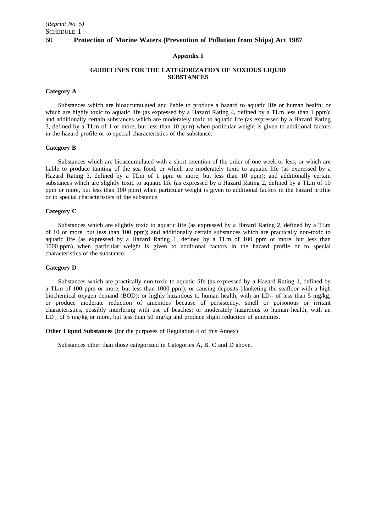#### **Appendix I**

# **GUIDELINES FOR THE CATEGORIZATION OF NOXIOUS LIQUID SUBSTANCES**

# **Category A**

Substances which are bioaccumulated and liable to produce a hazard to aquatic life or human health; or which are highly toxic to aquatic life (as expressed by a Hazard Rating 4, defined by a TLm less than 1 ppm); and additionally certain substances which are moderately toxic to aquatic life (as expressed by a Hazard Rating 3, defined by a TLm of 1 or more, but less than 10 ppm) when particular weight is given to additional factors in the hazard profile or to special characteristics of the substance.

#### **Category B**

Substances which are bioaccumulated with a short retention of the order of one week or less; or which are liable to produce tainting of the sea food; or which are moderately toxic to aquatic life (as expressed by a Hazard Rating 3, defined by a TLm of 1 ppm or more, but less than 10 ppm); and additionally certain substances which are slightly toxic to aquatic life (as expressed by a Hazard Rating 2, defined by a TLm of 10 ppm or more, but less than 100 ppm) when particular weight is given to additional factors in the hazard profile or to special characteristics of the substance.

# **Category C**

Substances which are slightly toxic to aquatic life (as expressed by a Hazard Rating 2, defined by a TLm of 10 or more, but less than 100 ppm); and additionally certain substances which are practically non-toxic to aquatic life (as expressed by a Hazard Rating 1, defined by a TLm of 100 ppm or more, but less than 1000 ppm) when particular weight is given to additional factors in the hazard profile or to special characteristics of the substance.

### **Category D**

Substances which are practically non-toxic to aquatic life (as expressed by a Hazard Rating 1, defined by a TLm of 100 ppm or more, but less than 1000 ppm); or causing deposits blanketing the seafloor with a high biochemical oxygen demand (BOD); or highly hazardous to human health, with an  $LD_{50}$  of less than 5 mg/kg; or produce moderate reduction of amenities because of persistency, smell or poisonous or irritant characteristics, possibly interfering with use of beaches; or moderately hazardous to human health, with an  $LD<sub>50</sub>$  of 5 mg/kg or more, but less than 50 mg/kg and produce slight reduction of amenities.

**Other Liquid Substances** (for the purposes of Regulation 4 of this Annex)

Substances other than those categorized in Categories A, B, C and D above.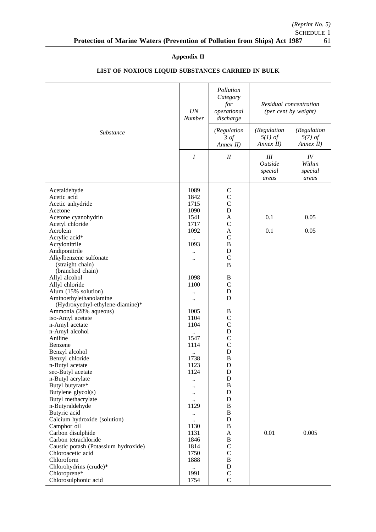# **Appendix II**

|                                       | UN<br><b>Number</b>  | Pollution<br>Category<br>for<br>operational<br>discharge |                                       | Residual concentration<br>(per cent by weight) |
|---------------------------------------|----------------------|----------------------------------------------------------|---------------------------------------|------------------------------------------------|
| <b>Substance</b>                      |                      | (Regulation<br>$3 \text{ of}$<br>Annex II)               | (Regulation<br>$5(1)$ of<br>Annex II) | (Regulation<br>$5(7)$ of<br>Annex II)          |
|                                       | $\boldsymbol{I}$     | I                                                        | III<br>Outside<br>special<br>areas    | IV<br>Within<br>special<br>areas               |
| Acetaldehyde                          | 1089                 | $\mathsf{C}$                                             |                                       |                                                |
| Acetic acid                           | 1842                 | $\mathbf C$                                              |                                       |                                                |
| Acetic anhydride                      | 1715                 | $\overline{C}$                                           |                                       |                                                |
| Acetone                               | 1090                 | D                                                        |                                       |                                                |
| Acetone cyanohydrin                   | 1541                 | $\mathbf{A}$                                             | 0.1                                   | 0.05                                           |
| Acetyl chloride                       | 1717                 | $\mathbf C$                                              |                                       |                                                |
| Acrolein                              | 1092                 | $\mathbf{A}$                                             | 0.1                                   | 0.05                                           |
| Acrylic acid*<br>Acrylonitrile        | $\ddotsc$            | $\mathbf C$<br>$\, {\bf B}$                              |                                       |                                                |
| Andiponitrile                         | 1093                 | $\mathbf D$                                              |                                       |                                                |
| Alkylbenzene sulfonate                | $\ddotsc$            | $\mathbf C$                                              |                                       |                                                |
| (straight chain)                      | $\cdot$ .            | B                                                        |                                       |                                                |
| (branched chain)                      |                      |                                                          |                                       |                                                |
| Allyl alcohol                         | 1098                 | B                                                        |                                       |                                                |
| Allyl chloride                        | 1100                 | $\mathsf{C}$                                             |                                       |                                                |
| Alum (15% solution)                   | $\ddot{\phantom{a}}$ | $\mathbf D$                                              |                                       |                                                |
| Aminoethylethanolamine                | $\ddotsc$            | $\mathbf D$                                              |                                       |                                                |
| (Hydroxyethyl-ethylene-diamine)*      |                      |                                                          |                                       |                                                |
| Ammonia (28% aqueous)                 | 1005                 | B                                                        |                                       |                                                |
| iso-Amyl acetate<br>n-Amyl acetate    | 1104<br>1104         | $\mathsf{C}$<br>$\overline{C}$                           |                                       |                                                |
| n-Amyl alcohol                        |                      | D                                                        |                                       |                                                |
| Aniline                               | $\ddotsc$<br>1547    | $\mathbf C$                                              |                                       |                                                |
| Benzene                               | 1114                 | $\overline{C}$                                           |                                       |                                                |
| Benzyl alcohol                        |                      | $\mathbf D$                                              |                                       |                                                |
| Benzyl chloride                       | 1738                 | $\overline{B}$                                           |                                       |                                                |
| n-Butyl acetate                       | 1123                 | $\mathbf D$                                              |                                       |                                                |
| sec-Butyl acetate                     | 1124                 | $\mathbf D$                                              |                                       |                                                |
| n-Butyl acrylate                      |                      | $\mathbf D$                                              |                                       |                                                |
| Butyl butyrate*                       |                      | B                                                        |                                       |                                                |
| Butylene glycol(s)                    | $\cdot$ .            | $\mathbf D$<br>$\mathbf D$                               |                                       |                                                |
| Butyl methacrylate<br>n-Butyraldehyde | 1129                 | $\, {\bf B}$                                             |                                       |                                                |
| Butyric acid                          | $\cdot$ .            | $\, {\bf B}$                                             |                                       |                                                |
| Calcium hydroxide (solution)          | $\ddot{\phantom{a}}$ | $\mathbf D$                                              |                                       |                                                |
| Camphor oil                           | 1130                 | B                                                        |                                       |                                                |
| Carbon disulphide                     | 1131                 | A                                                        | 0.01                                  | 0.005                                          |
| Carbon tetrachloride                  | 1846                 | $\, {\bf B}$                                             |                                       |                                                |
| Caustic potash (Potassium hydroxide)  | 1814                 | $\mathsf{C}$                                             |                                       |                                                |
| Chloroacetic acid                     | 1750                 | $\mathsf{C}$                                             |                                       |                                                |
| Chloroform                            | 1888                 | $\, {\bf B}$                                             |                                       |                                                |
| Chlorohydrins (crude)*                | $\ddotsc$            | $\mathbf D$<br>$\mathsf{C}$                              |                                       |                                                |
| Chloroprene*<br>Chlorosulphonic acid  | 1991<br>1754         | $\mathcal{C}$                                            |                                       |                                                |

# **LIST OF NOXIOUS LIQUID SUBSTANCES CARRIED IN BULK**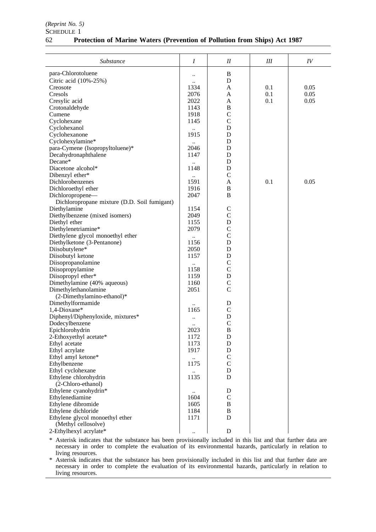| (Reprint No. 5) |                                                                           |  |
|-----------------|---------------------------------------------------------------------------|--|
| SCHEDULE 1      |                                                                           |  |
| 62              | Protection of Marine Waters (Prevention of Pollution from Ships) Act 1987 |  |

|                                              | $\boldsymbol{I}$          |                |     |      |
|----------------------------------------------|---------------------------|----------------|-----|------|
| Substance                                    |                           | $I\!I$         | Ш   | IV   |
| para-Chlorotoluene                           | $\ddotsc$                 | B              |     |      |
| Citric acid (10%-25%)                        | $\ddotsc$                 | D              |     |      |
| Creosote                                     | 1334                      | A              | 0.1 | 0.05 |
| Cresols                                      | 2076                      | A              | 0.1 | 0.05 |
| Cresylic acid                                | 2022                      | A              | 0.1 | 0.05 |
| Crotonaldehyde                               | 1143                      | $\, {\bf B}$   |     |      |
| Cumene                                       | 1918                      | $\mathsf{C}$   |     |      |
| Cyclohexane                                  | 1145                      | $\mathsf{C}$   |     |      |
| Cyclohexanol                                 | $\ddotsc$                 | D              |     |      |
| Cyclohexanone                                | 1915                      | D              |     |      |
| Cyclohexylamine*                             |                           | D              |     |      |
| para-Cymene (Isopropyltoluene)*              | 2046                      | D              |     |      |
| Decahydronaphthalene                         | 1147                      | D              |     |      |
| Decane*                                      | $\ddot{\phantom{a}}$      | D              |     |      |
| Diacetone alcohol*                           | 1148                      | D              |     |      |
| Dibenzyl ether*                              | $\ddotsc$                 | $\mathsf{C}$   |     |      |
| Dichlorobenzenes                             | 1591                      | A              | 0.1 | 0.05 |
| Dichloroethyl ether                          | 1916                      | B              |     |      |
| Dichloropropene-                             | 2047                      | $\bf{B}$       |     |      |
| Dichloropropane mixture (D.D. Soil fumigant) |                           |                |     |      |
| Diethylamine                                 | 1154                      | $\mathsf{C}$   |     |      |
| Diethylbenzene (mixed isomers)               | 2049                      | $\mathsf{C}$   |     |      |
| Diethyl ether                                | 1155                      | D              |     |      |
| Diethylenetriamine*                          | 2079                      | $\mathsf{C}$   |     |      |
| Diethylene glycol monoethyl ether            | $\ddot{\phantom{0}}$      | $\mathbf C$    |     |      |
| Diethylketone (3-Pentanone)                  | 1156                      | D              |     |      |
| Diisobutylene*                               | 2050                      | D              |     |      |
| Diisobutyl ketone                            | 1157                      | D              |     |      |
| Diisopropanolamine                           | $\ddot{\phantom{0}}\cdot$ | $\mathsf{C}$   |     |      |
| Diisopropylamine                             | 1158                      | $\mathsf{C}$   |     |      |
| Diisopropyl ether*                           | 1159                      | D              |     |      |
| Dimethylamine (40% aqueous)                  | 1160                      | $\mathcal{C}$  |     |      |
| Dimethylethanolamine                         | 2051                      | $\mathcal{C}$  |     |      |
| (2-Dimethylamino-ethanol)*                   |                           |                |     |      |
| Dimethylformamide                            |                           | D              |     |      |
| 1,4-Dioxane*                                 | 1165                      | $\mathsf{C}$   |     |      |
| Diphenyl/Diphenyloxide, mixtures*            |                           | $\mathbf D$    |     |      |
| Dodecylbenzene                               |                           | $\mathsf{C}$   |     |      |
| Epichlorohydrin                              | 2023                      | $\overline{B}$ |     |      |
| 2-Ethoxyethyl acetate*                       | 1172                      | D              |     |      |
| Ethyl acetate                                | 1173                      | D              |     |      |
| Ethyl acrylate                               | 1917                      | D              |     |      |
| Ethyl amyl ketone*                           | $\ldots$                  | $\mathsf{C}$   |     |      |
| Ethylbenzene                                 | 1175                      | $\mathsf{C}$   |     |      |
| Ethyl cyclohexane                            | $\ddotsc$                 | $\mathbf D$    |     |      |
| Ethylene chlorohydrin                        | 1135                      | D              |     |      |
| (2-Chloro-ethanol)                           |                           |                |     |      |
| Ethylene cyanohydrin*                        |                           | D              |     |      |
| Ethylenediamine                              | 1604                      | $\mathcal{C}$  |     |      |
| Ethylene dibromide                           | 1605                      | B              |     |      |
| Ethylene dichloride                          | 1184                      | B              |     |      |
| Ethylene glycol monoethyl ether              | 1171                      | D              |     |      |
| (Methyl cellosolve)                          |                           |                |     |      |
| 2-Ethylhexyl acrylate*                       |                           | D              |     |      |

\* Asterisk indicates that the substance has been provisionally included in this list and that further data are necessary in order to complete the evaluation of its environmental hazards, particularly in relation to living resources.

\* Asterisk indicates that the substance has been provisionally included in this list and that further date are necessary in order to complete the evaluation of its environmental hazards, particularly in relation to living resources.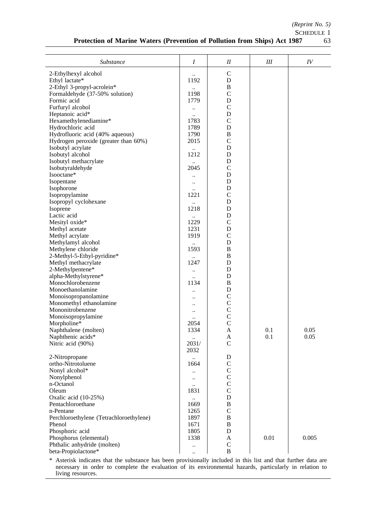*(Reprint No. 5)*

SCHEDULE 1

**Protection of Marine Waters (Prevention of Pollution from Ships) Act 1987** 63

| Substance                                 | $\boldsymbol{I}$                  | $I\!I$                       | Ш    | IV    |
|-------------------------------------------|-----------------------------------|------------------------------|------|-------|
| 2-Ethylhexyl alcohol                      |                                   | $\mathsf{C}$                 |      |       |
| Ethyl lactate*                            | 1192                              | D                            |      |       |
| 2-Ethyl 3-propyl-acrolein*                | $\ddot{\phantom{0}}$              | B                            |      |       |
| Formaldehyde (37-50% solution)            | 1198                              | $\mathcal{C}$                |      |       |
| Formic acid                               | 1779                              | D                            |      |       |
| Furfuryl alcohol                          | $\ddotsc$                         | $\mathsf{C}$                 |      |       |
| Heptanoic acid*                           | $\ddotsc$                         | D                            |      |       |
| Hexamethylenediamine*                     | 1783                              | $\mathsf{C}$                 |      |       |
| Hydrochloric acid                         | 1789                              | D                            |      |       |
| Hydrofluoric acid (40% aqueous)           | 1790                              | $\bf{B}$                     |      |       |
| Hydrogen peroxide (greater than 60%)      | 2015                              | $\mathcal{C}$<br>$\mathbf D$ |      |       |
| Isobutyl acrylate                         | $\ddotsc$<br>1212                 | D                            |      |       |
| Isobutyl alcohol<br>Isobutyl methacrylate |                                   | D                            |      |       |
| Isobutyraldehyde                          | $\ddotsc$<br>2045                 | $\mathcal{C}$                |      |       |
| Isooctane*                                |                                   | $\mathbf D$                  |      |       |
| Isopentane                                | $\ddot{\phantom{0}}$<br>$\ddotsc$ | D                            |      |       |
| Isophorone                                | $\ddotsc$                         | D                            |      |       |
| Isopropylamine                            | 1221                              | $\mathsf{C}$                 |      |       |
| Isopropyl cyclohexane                     |                                   | D                            |      |       |
| Isoprene                                  | 1218                              | D                            |      |       |
| Lactic acid                               |                                   | D                            |      |       |
| Mesityl oxide*                            | 1229                              | $\mathcal{C}$                |      |       |
| Methyl acetate                            | 1231                              | $\mathbf D$                  |      |       |
| Methyl acrylate                           | 1919                              | $\mathcal{C}$                |      |       |
| Methylamyl alcohol                        | $\ddotsc$                         | D                            |      |       |
| Methylene chloride                        | 1593                              | $\bf{B}$                     |      |       |
| 2-Methyl-5-Ethyl-pyridine*                | $\ddotsc$                         | $\, {\bf B}$                 |      |       |
| Methyl methacrylate                       | 1247                              | D                            |      |       |
| 2-Methylpentene*                          | $\ddotsc$                         | D                            |      |       |
| alpha-Methylstyrene*<br>Monochlorobenzene | $\ddot{\phantom{0}}$              | D<br>$\boldsymbol{B}$        |      |       |
| Monoethanolamine                          | 1134                              | $\mathbf D$                  |      |       |
| Monoisopropanolamine                      |                                   | $\mathsf{C}$                 |      |       |
| Monomethyl ethanolamine                   |                                   | $\mathsf{C}$                 |      |       |
| Mononitrobenzene                          | <br>$\ddot{\phantom{0}}$          | $\mathbf C$                  |      |       |
| Monoisopropylamine                        | $\ddotsc$                         | $\mathbf C$                  |      |       |
| Morpholine*                               | 2054                              | $\mathsf{C}$                 |      |       |
| Naphthalene (molten)                      | 1334                              | $\overline{A}$               | 0.1  | 0.05  |
| Naphthenic acids*                         |                                   | A                            | 0.1  | 0.05  |
| Nitric acid (90%)                         | 2031/                             | $\mathcal{C}$                |      |       |
|                                           | 2032                              |                              |      |       |
| 2-Nitropropane                            | $\ddotsc$                         | D                            |      |       |
| ortho-Nitrotoluene                        | 1664                              | $\mathsf C$                  |      |       |
| Nonyl alcohol*                            |                                   | $\mathsf{C}$                 |      |       |
| Nonylphenol                               | $\ddotsc$                         | $\mathbf C$                  |      |       |
| n-Octanol                                 |                                   | $\mathsf{C}$                 |      |       |
| Oleum                                     | 1831                              | $\mathbf C$                  |      |       |
| Oxalic acid (10-25%)<br>Pentachloroethane | $\ddotsc$                         | $\mathbf D$<br>$\, {\bf B}$  |      |       |
| n-Pentane                                 | 1669<br>1265                      | $\mathsf{C}$                 |      |       |
| Perchloroethylene (Tetrachloroethylene)   | 1897                              | B                            |      |       |
| Phenol                                    | 1671                              | B                            |      |       |
| Phosphoric acid                           | 1805                              | D                            |      |       |
| Phosphorus (elemental)                    | 1338                              | A                            | 0.01 | 0.005 |
| Phthalic anhydride (molten)               | $\ddotsc$                         | $\mathsf C$                  |      |       |
| beta-Propiolactone*                       | $\ddot{\phantom{a}}$              | B                            |      |       |

\* Asterisk indicates that the substance has been provisionally included in this list and that further data are necessary in order to complete the evaluation of its environmental hazards, particularly in relation to living resources.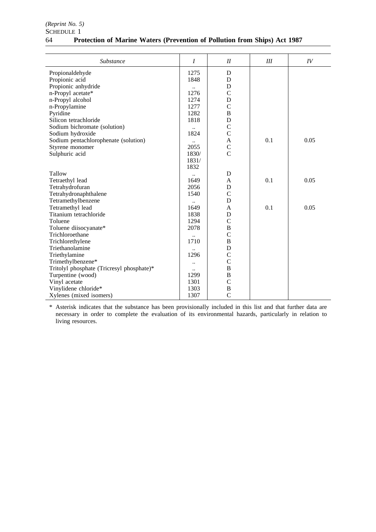| (Reprint No. 5) |                                                                           |  |  |
|-----------------|---------------------------------------------------------------------------|--|--|
| SCHEDULE 1      |                                                                           |  |  |
| 64              | Protection of Marine Waters (Prevention of Pollution from Ships) Act 1987 |  |  |

| Substance                                 | $\boldsymbol{I}$     | $I\!I$         | $I\!I\!I$ | ${\cal IV}$ |
|-------------------------------------------|----------------------|----------------|-----------|-------------|
|                                           |                      |                |           |             |
| Propionaldehyde                           | 1275                 | D              |           |             |
| Propionic acid                            | 1848                 | D              |           |             |
| Propionic anhydride                       | $\ddotsc$            | D              |           |             |
| n-Propyl acetate*                         | 1276                 | $\mathsf{C}$   |           |             |
| n-Propyl alcohol                          | 1274                 | D              |           |             |
| n-Propylamine                             | 1277                 | $\overline{C}$ |           |             |
| Pyridine                                  | 1282                 | $\overline{B}$ |           |             |
| Silicon tetrachloride                     | 1818                 | D              |           |             |
| Sodium bichromate (solution)              | $\ddotsc$            | $\mathbf C$    |           |             |
| Sodium hydroxide                          | 1824                 | $\mathbf C$    |           |             |
| Sodium pentachlorophenate (solution)      | $\ddot{\phantom{0}}$ | $\overline{A}$ | 0.1       | 0.05        |
| Styrene monomer                           | 2055                 | $\frac{C}{C}$  |           |             |
| Sulphuric acid                            | 1830/                |                |           |             |
|                                           | 1831/                |                |           |             |
|                                           | 1832                 |                |           |             |
| Tallow                                    | $\ddotsc$            | D              |           |             |
| Tetraethyl lead                           | 1649                 | A              | 0.1       | 0.05        |
| Tetrahydrofuran                           | 2056                 | D              |           |             |
| Tetrahydronaphthalene                     | 1540                 | $\mathbf C$    |           |             |
| Tetramethylbenzene                        | $\ddotsc$            | D              |           |             |
| Tetramethyl lead                          | 1649                 | $\overline{A}$ | 0.1       | 0.05        |
| Titanium tetrachloride                    | 1838                 | D              |           |             |
| Toluene                                   | 1294                 | $\mathbf C$    |           |             |
| Toluene diisocyanate*                     | 2078                 | $\overline{B}$ |           |             |
| Trichloroethane                           | $\ddotsc$            | $\mathbf C$    |           |             |
| Trichlorethylene                          | 1710                 | $\overline{B}$ |           |             |
| Triethanolamine                           | $\ddotsc$            | D              |           |             |
| Triethylamine                             | 1296                 | $\mathbf C$    |           |             |
| Trimethylbenzene*                         | $\ddot{\phantom{a}}$ | $\mathbf C$    |           |             |
| Tritolyl phosphate (Tricresyl phosphate)* | $\ddotsc$            | $\overline{B}$ |           |             |
| Turpentine (wood)                         | 1299                 | $\, {\bf B}$   |           |             |
| Vinyl acetate                             | 1301                 | $\mathbf C$    |           |             |
| Vinylidene chloride*                      | 1303                 | $\, {\bf B}$   |           |             |
| Xylenes (mixed isomers)                   | 1307                 | $\overline{C}$ |           |             |

\* Asterisk indicates that the substance has been provisionally included in this list and that further data are necessary in order to complete the evaluation of its environmental hazards, particularly in relation to living resources.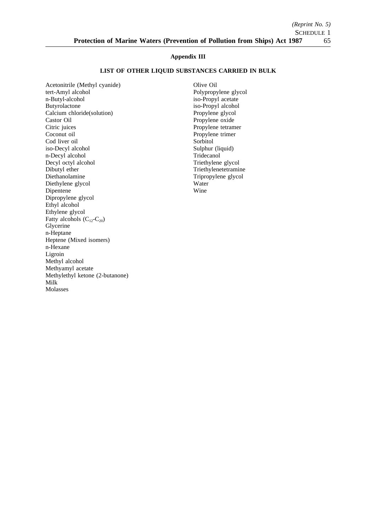# **Appendix III**

# **LIST OF OTHER LIQUID SUBSTANCES CARRIED IN BULK**

Acetonitrile (Methyl cyanide) Olive Oil tert-Amyl alcohol Polypropylene glycol n-Butyl-alcohol iso-Propyl acetate Butyrolactone iso-Propyl alcohol Calcium chloride(solution) Propylene glycol Castor Oil Propylene oxide Citric juices Propylene tetramer Coconut oil Propylene trimer Cod liver oil Sorbitol iso-Decyl alcohol Sulphur (liquid) n-Decyl alcohol Tridecanol<br>Decyl octyl alcohol Triethylene glycol Triethylene glycol Decyl octyl alcohol<br>Dibutyl ether Dibutyl ether Triethylenetetramine<br>Diethanolamine Tripropylene glycol Diethylene glycol Water Dipentene Dipropylene glycol Ethyl alcohol Ethylene glycol Fatty alcohols  $(C_{12}-C_{20})$ Glycerine n-Heptane Heptene (Mixed isomers) n-Hexane Ligroin Methyl alcohol Methyamyl acetate Methylethyl ketone (2-butanone) Milk Molasses

Tripropylene glycol<br>Water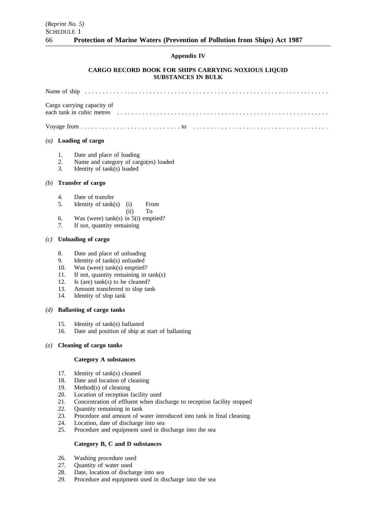# **Appendix IV**

# **CARGO RECORD BOOK FOR SHIPS CARRYING NOXIOUS LIQUID SUBSTANCES IN BULK**

|     |                                                             | Cargo carrying capacity of<br>each tank in cubic metres                                                                                                                                                                                                                                                                                                                                                        |  |  |  |  |  |  |  |
|-----|-------------------------------------------------------------|----------------------------------------------------------------------------------------------------------------------------------------------------------------------------------------------------------------------------------------------------------------------------------------------------------------------------------------------------------------------------------------------------------------|--|--|--|--|--|--|--|
|     |                                                             |                                                                                                                                                                                                                                                                                                                                                                                                                |  |  |  |  |  |  |  |
|     | $(a)$ Loading of cargo                                      |                                                                                                                                                                                                                                                                                                                                                                                                                |  |  |  |  |  |  |  |
|     | 1.<br>2.<br>3.                                              | Date and place of loading<br>Name and category of cargo(es) loaded<br>Identity of tank(s) loaded                                                                                                                                                                                                                                                                                                               |  |  |  |  |  |  |  |
| (b) |                                                             | <b>Transfer of cargo</b>                                                                                                                                                                                                                                                                                                                                                                                       |  |  |  |  |  |  |  |
|     | 4.<br>5.<br>6.                                              | Date of transfer<br>Identity of tank(s)<br>(i)<br>From<br>(ii)<br>To<br>Was (were) $tank(s)$ in $5(i)$ emptied?                                                                                                                                                                                                                                                                                                |  |  |  |  |  |  |  |
|     | 7.                                                          | If not, quantity remaining                                                                                                                                                                                                                                                                                                                                                                                     |  |  |  |  |  |  |  |
| (c) |                                                             | <b>Unloading of cargo</b>                                                                                                                                                                                                                                                                                                                                                                                      |  |  |  |  |  |  |  |
|     | 8.<br>9.<br>10.<br>11.<br>12.<br>13.<br>14.                 | Date and place of unloading<br>Identity of tank(s) unloaded<br>Was (were) $tank(s)$ emptied?<br>If not, quantity remaining in $tank(s)$<br>Is (are) $tank(s)$ to be cleaned?<br>Amount transferred to slop tank<br>Identity of slop tank                                                                                                                                                                       |  |  |  |  |  |  |  |
| (d) |                                                             | <b>Ballasting of cargo tanks</b>                                                                                                                                                                                                                                                                                                                                                                               |  |  |  |  |  |  |  |
|     | 15.<br>16.                                                  | Identity of tank(s) ballasted<br>Date and position of ship at start of ballasting                                                                                                                                                                                                                                                                                                                              |  |  |  |  |  |  |  |
| (e) |                                                             | <b>Cleaning of cargo tanks</b>                                                                                                                                                                                                                                                                                                                                                                                 |  |  |  |  |  |  |  |
|     |                                                             | <b>Category A substances</b>                                                                                                                                                                                                                                                                                                                                                                                   |  |  |  |  |  |  |  |
|     | 17.<br>18.<br>19.<br>20.<br>21.<br>22.<br>23.<br>24.<br>25. | Identity of tank(s) cleaned<br>Date and location of cleaning<br>Method(s) of cleaning<br>Location of reception facility used<br>Concentration of effluent when discharge to reception facility stopped<br>Quantity remaining in tank<br>Procedure and amount of water introduced into tank in final cleaning<br>Location, date of discharge into sea<br>Procedure and equipment used in discharge into the sea |  |  |  |  |  |  |  |
|     |                                                             | Category B, C and D substances                                                                                                                                                                                                                                                                                                                                                                                 |  |  |  |  |  |  |  |
|     | 26.                                                         | Washing procedure used                                                                                                                                                                                                                                                                                                                                                                                         |  |  |  |  |  |  |  |

- 27. Quantity of water used
- 
- 28. Date, location of discharge into sea<br>29. Procedure and equipment used in di Procedure and equipment used in discharge into the sea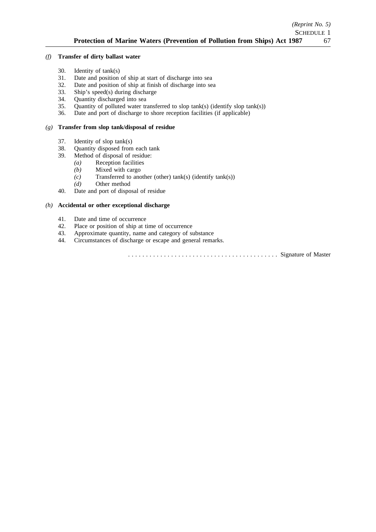# *(f)* **Transfer of dirty ballast water**

- 30. Identity of tank(s)
- 31. Date and position of ship at start of discharge into sea
- 32. Date and position of ship at finish of discharge into sea
- 33. Ship's speed(s) during discharge
- 34. Quantity discharged into sea
- 35. Quantity of polluted water transferred to slop tank(s) (identify slop tank(s))
- 36. Date and port of discharge to shore reception facilities (if applicable)

# *(g)* **Transfer from slop tank/disposal of residue**

- 37. Identity of slop tank(s)
- 38. Quantity disposed from each tank
- 39. Method of disposal of residue:
	- *(a)* Reception facilities
	- *(b)* Mixed with cargo
	- *(c)* Transferred to another (other) tank(s) (identify tank(s))
	- *(d)* Other method
- 40. Date and port of disposal of residue

# *(h)* **Accidental or other exceptional discharge**

- 41. Date and time of occurrence
- 42. Place or position of ship at time of occurrence
- 43. Approximate quantity, name and category of substance
- 44. Circumstances of discharge or escape and general remarks.

.......................................... Signature of Master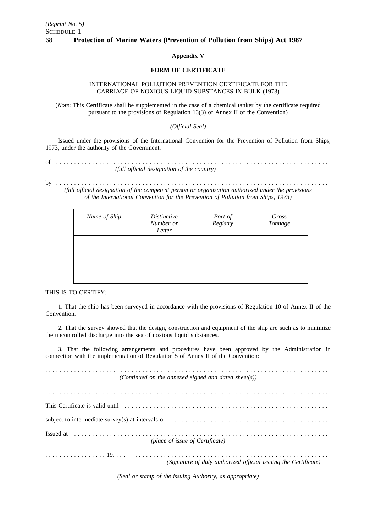# **Appendix V**

# **FORM OF CERTIFICATE**

# INTERNATIONAL POLLUTION PREVENTION CERTIFICATE FOR THE CARRIAGE OF NOXIOUS LIQUID SUBSTANCES IN BULK (1973)

(*Note*: This Certificate shall be supplemented in the case of a chemical tanker by the certificate required pursuant to the provisions of Regulation 13(3) of Annex II of the Convention)

# *(Official Seal)*

Issued under the provisions of the International Convention for the Prevention of Pollution from Ships, 1973, under the authority of the Government.

of . . . . . . . . . . . . . . . . . . . . . . . . . . . . . . . . . . . . . . . . . . . . . . . . . . . . . . . . . . . . . . . . . . . . . . . . . . . . *(full official designation of the country)*

by . . . . . . . . . . . . . . . . . . . . . . . . . . . . . . . . . . . . . . . . . . . . . . . . . . . . . . . . . . . . . . . . . . . . . . . . . . . . *(full official designation of the competent person or organization authorized under the provisions of the International Convention for the Prevention of Pollution from Ships, 1973)*

| Name of Ship | <i>Distinctive</i><br>Number or<br>Letter | Port of<br>Registry | Gross<br>Tonnage |
|--------------|-------------------------------------------|---------------------|------------------|
|              |                                           |                     |                  |
|              |                                           |                     |                  |

THIS IS TO CERTIFY:

1. That the ship has been surveyed in accordance with the provisions of Regulation 10 of Annex II of the Convention.

2. That the survey showed that the design, construction and equipment of the ship are such as to minimize the uncontrolled discharge into the sea of noxious liquid substances.

3. That the following arrangements and procedures have been approved by the Administration in connection with the implementation of Regulation 5 of Annex II of the Convention:

............................................................................... *(Continued on the annexed signed and dated sheet(s))* ............................................................................... This Certificate is valid until ......................................................... subject to intermediate survey(s) at intervals of ............................................ Issued at ....................................................................... *(place of issue of Certificate)* . . . . . . . . . . . . . . . . . 19. . . . . . . . . . . . . . . . . . . . . . . . . . . . . . . . . . . . . . . . . . . . . . . . . . . . . . . . . . *(Signature of duly authorized official issuing the Certificate)*

*(Seal or stamp of the issuing Authority, as appropriate)*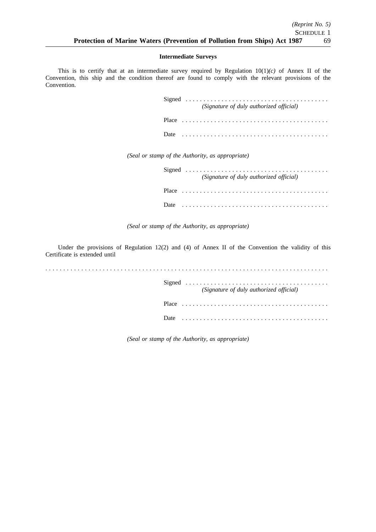# **Intermediate Surveys**

This is to certify that at an intermediate survey required by Regulation  $10(1)(c)$  of Annex II of the Convention, this ship and the condition thereof are found to comply with the relevant provisions of the Convention.

|      |  | (Signature of duly authorized official) |  |  |  |  |  |  |  |
|------|--|-----------------------------------------|--|--|--|--|--|--|--|
|      |  |                                         |  |  |  |  |  |  |  |
| Date |  |                                         |  |  |  |  |  |  |  |

*(Seal or stamp of the Authority, as appropriate)*

|  | (Signature of duly authorized official) |  |  |  |  |  |  |  |
|--|-----------------------------------------|--|--|--|--|--|--|--|
|  |                                         |  |  |  |  |  |  |  |
|  |                                         |  |  |  |  |  |  |  |

Date .........................................

*(Seal or stamp of the Authority, as appropriate)*

Under the provisions of Regulation 12(2) and (4) of Annex II of the Convention the validity of this Certificate is extended until

...............................................................................  $Signed \dots \dots \dots \dots \dots \dots \dots \dots \dots \dots \dots \dots \dots \dots$ *(Signature of duly authorized official)* Place .........................................

*(Seal or stamp of the Authority, as appropriate)*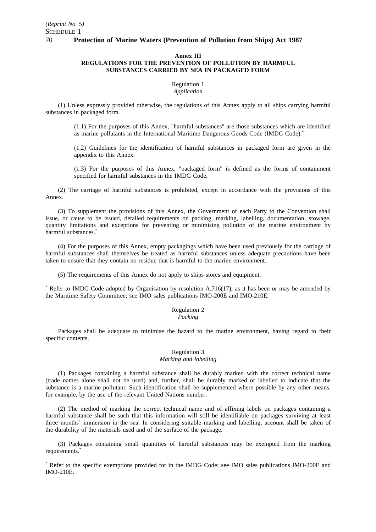#### **Annex III REGULATIONS FOR THE PREVENTION OF POLLUTION BY HARMFUL SUBSTANCES CARRIED BY SEA IN PACKAGED FORM**

# Regulation 1 *Application*

(1) Unless expressly provided otherwise, the regulations of this Annex apply to all ships carrying harmful substances in packaged form.

> (1.1) For the purposes of this Annex, "harmful substances" are those substances which are identified as marine pollutants in the International Maritime Dangerous Goods Code (IMDG Code).\*

> (1.2) Guidelines for the identification of harmful substances in packaged form are given in the appendix to this Annex.

> (1.3) For the purposes of this Annex, "packaged form" is defined as the forms of containment specified for harmful substances in the IMDG Code.

(2) The carriage of harmful substances is prohibited, except in accordance with the provisions of this Annex.

(3) To supplement the provisions of this Annex, the Government of each Party to the Convention shall issue, or cause to be issued, detailed requirements on packing, marking, labelling, documentation, stowage, quantity limitations and exceptions for preventing or minimising pollution of the marine environment by harmful substances.<sup>\*</sup>

(4) For the purposes of this Annex, empty packagings which have been used previously for the carriage of harmful substances shall themselves be treated as harmful substances unless adequate precautions have been taken to ensure that they contain no residue that is harmful to the marine environment.

(5) The requirements of this Annex do not apply to ships stores and equipment.

\* Refer to IMDG Code adopted by Organisation by resolution A.716(17), as it has been or may be amended by the Maritime Safety Committee; see IMO sales publications IMO-200E and IMO-210E.

# Regulation 2 *Packing*

Packages shall be adequate to minimise the hazard to the marine environment, having regard to their specific contents.

# Regulation 3 *Marking and labelling*

(1) Packages containing a harmful substance shall be durably marked with the correct technical name (trade names alone shall not be used) and, further, shall be durably marked or labelled to indicate that the substance is a marine pollutant. Such identification shall be supplemented where possible by any other means, for example, by the use of the relevant United Nations number.

(2) The method of marking the correct technical name and of affixing labels on packages containing a harmful substance shall be such that this information will still be identifiable on packages surviving at least three months' immersion in the sea. In considering suitable marking and labelling, account shall be taken of the durability of the materials used and of the surface of the package.

(3) Packages containing small quantities of harmful substances may be exempted from the marking requirements.<sup>\*</sup>

\* Refer to the specific exemptions provided for in the IMDG Code; see IMO sales publications IMO-200E and IMO-210E.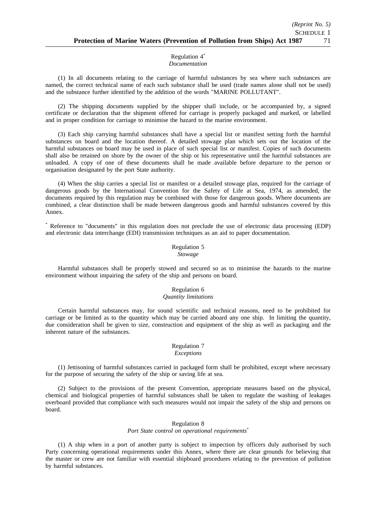#### Regulation 4\* *Documentation*

(1) In all documents relating to the carriage of harmful substances by sea where such substances are named, the correct technical name of each such substance shall be used (trade names alone shall not be used) and the substance further identified by the addition of the words "MARINE POLLUTANT".

(2) The shipping documents supplied by the shipper shall include, or be accompanied by, a signed certificate or declaration that the shipment offered for carriage is properly packaged and marked, or labelled and in proper condition for carriage to minimise the hazard to the marine environment.

(3) Each ship carrying harmful substances shall have a special list or manifest setting forth the harmful substances on board and the location thereof. A detailed stowage plan which sets out the location of the harmful substances on board may be used in place of such special list or manifest. Copies of such documents shall also be retained on shore by the owner of the ship or his representative until the harmful substances are unloaded. A copy of one of these documents shall be made available before departure to the person or organisation designated by the port State authority.

(4) When the ship carries a special list or manifest or a detailed stowage plan, required for the carriage of dangerous goods by the International Convention for the Safety of Life at Sea, 1974, as amended, the documents required by this regulation may be combined with those for dangerous goods. Where documents are combined, a clear distinction shall be made between dangerous goods and harmful substances covered by this Annex.

\* Reference to "documents" in this regulation does not preclude the use of electronic data processing (EDP) and electronic data interchange (EDI) transmission techniques as an aid to paper documentation.

## Regulation 5 *Stowage*

Harmful substances shall be properly stowed and secured so as to minimise the hazards to the marine environment without impairing the safety of the ship and persons on board.

# Regulation 6 *Quantity limitations*

Certain harmful substances may, for sound scientific and technical reasons, need to be prohibited for carriage or be limited as to the quantity which may be carried aboard any one ship. In limiting the quantity, due consideration shall be given to size, construction and equipment of the ship as well as packaging and the inherent nature of the substances.

# Regulation 7 *Exceptions*

(1) Jettisoning of harmful substances carried in packaged form shall be prohibited, except where necessary for the purpose of securing the safety of the ship or saving life at sea.

(2) Subject to the provisions of the present Convention, appropriate measures based on the physical, chemical and biological properties of harmful substances shall be taken to regulate the washing of leakages overboard provided that compliance with such measures would not impair the safety of the ship and persons on board.

# Regulation 8 *Port State control on operational requirements*\*

(1) A ship when in a port of another party is subject to inspection by officers duly authorised by such Party concerning operational requirements under this Annex, where there are clear grounds for believing that the master or crew are not familiar with essential shipboard procedures relating to the prevention of pollution by harmful substances.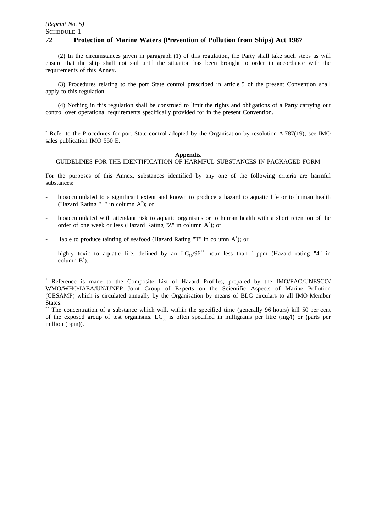(2) In the circumstances given in paragraph (1) of this regulation, the Party shall take such steps as will ensure that the ship shall not sail until the situation has been brought to order in accordance with the requirements of this Annex.

(3) Procedures relating to the port State control prescribed in article 5 of the present Convention shall apply to this regulation.

(4) Nothing in this regulation shall be construed to limit the rights and obligations of a Party carrying out control over operational requirements specifically provided for in the present Convention.

\* Refer to the Procedures for port State control adopted by the Organisation by resolution A.787(19); see IMO sales publication IMO 550 E.

#### **Appendix**

# GUIDELINES FOR THE IDENTIFICATION OF HARMFUL SUBSTANCES IN PACKAGED FORM

For the purposes of this Annex, substances identified by any one of the following criteria are harmful substances:

- bioaccumulated to a significant extent and known to produce a hazard to aquatic life or to human health (Hazard Rating "+" in column A\* ); or
- bioaccumulated with attendant risk to aquatic organisms or to human health with a short retention of the order of one week or less (Hazard Rating "Z" in column A\* ); or
- liable to produce tainting of seafood (Hazard Rating "T" in column A<sup>\*</sup>); or
- highly toxic to aquatic life, defined by an  $LC<sub>50</sub>/96^{**}$  hour less than 1 ppm (Hazard rating "4" in column B\* ).

Reference is made to the Composite List of Hazard Profiles, prepared by the IMO/FAO/UNESCO/ WMO/WHO/IAEA/UN/UNEP Joint Group of Experts on the Scientific Aspects of Marine Pollution (GESAMP) which is circulated annually by the Organisation by means of BLG circulars to all IMO Member States.

<sup>\*\*</sup> The concentration of a substance which will, within the specified time (generally 96 hours) kill 50 per cent of the exposed group of test organisms. LC<sub>50</sub> is often specified in milligrams per litre (mg/l) or (parts per million (ppm)).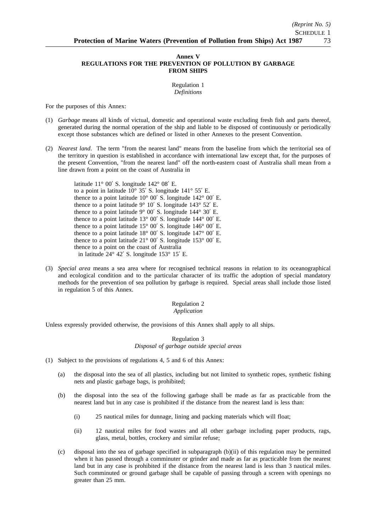#### **Annex V REGULATIONS FOR THE PREVENTION OF POLLUTION BY GARBAGE FROM SHIPS**

# Regulation 1 *Definitions*

For the purposes of this Annex:

- (1) *Garbage* means all kinds of victual, domestic and operational waste excluding fresh fish and parts thereof, generated during the normal operation of the ship and liable to be disposed of continuously or periodically except those substances which are defined or listed in other Annexes to the present Convention.
- (2) *Nearest land*. The term "from the nearest land" means from the baseline from which the territorial sea of the territory in question is established in accordance with international law except that, for the purposes of the present Convention, "from the nearest land" off the north-eastern coast of Australia shall mean from a line drawn from a point on the coast of Australia in

latitude 11° 00′ S. longitude 142° 08′ E. to a point in latitude  $10^{\circ}$  35' S. longitude  $141^{\circ}$  55' E. thence to a point latitude 10° 00′ S. longitude 142° 00′ E. thence to a point latitude  $9^{\circ}$  10' S. longitude 143 $^{\circ}$  52' E. thence to a point latitude  $9^{\circ}$  00' S. longitude 144 $^{\circ}$  30' E. thence to a point latitude 13° 00′ S. longitude 144° 00′ E. thence to a point latitude 15° 00′ S. longitude 146° 00′ E. thence to a point latitude  $18^{\circ}$  00' S. longitude  $147^{\circ}$  00' E. thence to a point latitude  $21^{\circ}$  00' S. longitude  $153^{\circ}$  00' E. thence to a point on the coast of Australia in latitude 24° 42′ S. longitude 153° 15′ E.

(3) *Special area* means a sea area where for recognised technical reasons in relation to its oceanographical and ecological condition and to the particular character of its traffic the adoption of special mandatory methods for the prevention of sea pollution by garbage is required. Special areas shall include those listed in regulation 5 of this Annex.

# Regulation 2 *Application*

Unless expressly provided otherwise, the provisions of this Annex shall apply to all ships.

# Regulation 3 *Disposal of garbage outside special areas*

- (1) Subject to the provisions of regulations 4, 5 and 6 of this Annex:
	- (a) the disposal into the sea of all plastics, including but not limited to synthetic ropes, synthetic fishing nets and plastic garbage bags, is prohibited;
	- (b) the disposal into the sea of the following garbage shall be made as far as practicable from the nearest land but in any case is prohibited if the distance from the nearest land is less than:
		- (i) 25 nautical miles for dunnage, lining and packing materials which will float;
		- (ii) 12 nautical miles for food wastes and all other garbage including paper products, rags, glass, metal, bottles, crockery and similar refuse;
	- (c) disposal into the sea of garbage specified in subparagraph (b)(ii) of this regulation may be permitted when it has passed through a comminuter or grinder and made as far as practicable from the nearest land but in any case is prohibited if the distance from the nearest land is less than 3 nautical miles. Such comminuted or ground garbage shall be capable of passing through a screen with openings no greater than 25 mm.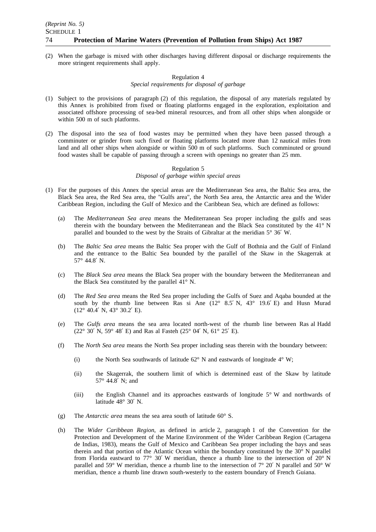(2) When the garbage is mixed with other discharges having different disposal or discharge requirements the more stringent requirements shall apply.

#### Regulation 4

# *Special requirements for disposal of garbage*

- (1) Subject to the provisions of paragraph (2) of this regulation, the disposal of any materials regulated by this Annex is prohibited from fixed or floating platforms engaged in the exploration, exploitation and associated offshore processing of sea-bed mineral resources, and from all other ships when alongside or within 500 m of such platforms.
- (2) The disposal into the sea of food wastes may be permitted when they have been passed through a comminuter or grinder from such fixed or floating platforms located more than 12 nautical miles from land and all other ships when alongside or within 500 m of such platforms. Such comminuted or ground food wastes shall be capable of passing through a screen with openings no greater than 25 mm.

# Regulation 5

# *Disposal of garbage within special areas*

- (1) For the purposes of this Annex the special areas are the Mediterranean Sea area, the Baltic Sea area, the Black Sea area, the Red Sea area, the "Gulfs area", the North Sea area, the Antarctic area and the Wider Caribbean Region, including the Gulf of Mexico and the Caribbean Sea, which are defined as follows:
	- (a) The *Mediterranean Sea area* means the Mediterranean Sea proper including the gulfs and seas therein with the boundary between the Mediterranean and the Black Sea constituted by the 41° N parallel and bounded to the west by the Straits of Gibraltar at the meridian 5° 36′ W.
	- (b) The *Baltic Sea area* means the Baltic Sea proper with the Gulf of Bothnia and the Gulf of Finland and the entrance to the Baltic Sea bounded by the parallel of the Skaw in the Skagerrak at 57° 44.8′ N.
	- (c) The *Black Sea area* means the Black Sea proper with the boundary between the Mediterranean and the Black Sea constituted by the parallel 41° N.
	- (d) The *Red Sea area* means the Red Sea proper including the Gulfs of Suez and Aqaba bounded at the south by the rhumb line between Ras si Ane  $(12^{\circ}$  8.5' N, 43° 19.6' E) and Husn Murad  $(12^{\circ}$  40.4' N, 43° 30.2' E).
	- (e) The *Gulfs area* means the sea area located north-west of the rhumb line between Ras al Hadd (22° 30′ N, 59° 48′ E) and Ras al Fasteh (25° 04′ N, 61° 25′ E).
	- (f) The *North Sea area* means the North Sea proper including seas therein with the boundary between:
		- (i) the North Sea southwards of latitude  $62^{\circ}$  N and eastwards of longitude  $4^{\circ}$  W;
		- (ii) the Skagerrak, the southern limit of which is determined east of the Skaw by latitude 57° 44.8′ N; and
		- (iii) the English Channel and its approaches eastwards of longitude 5° W and northwards of latitude 48° 30′ N.
	- (g) The *Antarctic area* means the sea area south of latitude 60° S.
	- (h) The *Wider Caribbean Region*, as defined in article 2, paragraph 1 of the Convention for the Protection and Development of the Marine Environment of the Wider Caribbean Region (Cartagena de Indias, 1983), means the Gulf of Mexico and Caribbean Sea proper including the bays and seas therein and that portion of the Atlantic Ocean within the boundary constituted by the 30° N parallel from Florida eastward to 77° 30′ W meridian, thence a rhumb line to the intersection of 20° N parallel and 59° W meridian, thence a rhumb line to the intersection of  $7^{\circ}$  20′ N parallel and 50° W meridian, thence a rhumb line drawn south-westerly to the eastern boundary of French Guiana.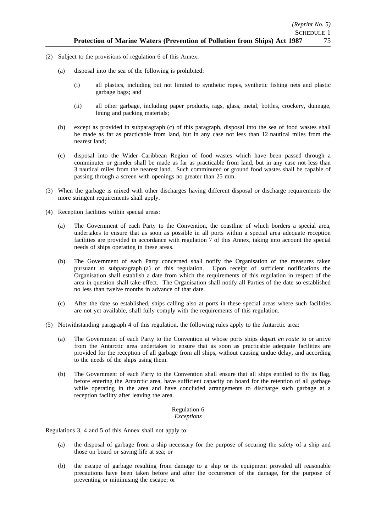- (2) Subject to the provisions of regulation 6 of this Annex:
	- (a) disposal into the sea of the following is prohibited:
		- (i) all plastics, including but not limited to synthetic ropes, synthetic fishing nets and plastic garbage bags; and
		- (ii) all other garbage, including paper products, rags, glass, metal, bottles, crockery, dunnage, lining and packing materials;
	- (b) except as provided in subparagraph (c) of this paragraph, disposal into the sea of food wastes shall be made as far as practicable from land, but in any case not less than 12 nautical miles from the nearest land;
	- (c) disposal into the Wider Caribbean Region of food wastes which have been passed through a comminuter or grinder shall be made as far as practicable from land, but in any case not less than 3 nautical miles from the nearest land. Such comminuted or ground food wastes shall be capable of passing through a screen with openings no greater than 25 mm.
- (3) When the garbage is mixed with other discharges having different disposal or discharge requirements the more stringent requirements shall apply.
- (4) Reception facilities within special areas:
	- (a) The Government of each Party to the Convention, the coastline of which borders a special area, undertakes to ensure that as soon as possible in all ports within a special area adequate reception facilities are provided in accordance with regulation  $\overline{7}$  of this Annex, taking into account the special needs of ships operating in these areas.
	- (b) The Government of each Party concerned shall notify the Organisation of the measures taken pursuant to subparagraph (a) of this regulation. Upon receipt of sufficient notifications the Organisation shall establish a date from which the requirements of this regulation in respect of the area in question shall take effect. The Organisation shall notify all Parties of the date so established no less than twelve months in advance of that date.
	- (c) After the date so established, ships calling also at ports in these special areas where such facilities are not yet available, shall fully comply with the requirements of this regulation.
- (5) Notwithstanding paragraph 4 of this regulation, the following rules apply to the Antarctic area:
	- (a) The Government of each Party to the Convention at whose ports ships depart *en route* to or arrive from the Antarctic area undertakes to ensure that as soon as practicable adequate facilities are provided for the reception of all garbage from all ships, without causing undue delay, and according to the needs of the ships using them.
	- (b) The Government of each Party to the Convention shall ensure that all ships entitled to fly its flag, before entering the Antarctic area, have sufficient capacity on board for the retention of all garbage while operating in the area and have concluded arrangements to discharge such garbage at a reception facility after leaving the area.

# Regulation 6 *Exceptions*

Regulations 3, 4 and 5 of this Annex shall not apply to:

- (a) the disposal of garbage from a ship necessary for the purpose of securing the safety of a ship and those on board or saving life at sea; or
- (b) the escape of garbage resulting from damage to a ship or its equipment provided all reasonable precautions have been taken before and after the occurrence of the damage, for the purpose of preventing or minimising the escape; or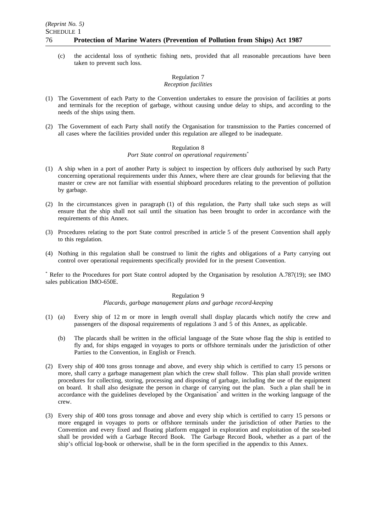(c) the accidental loss of synthetic fishing nets, provided that all reasonable precautions have been taken to prevent such loss.

# Regulation 7 *Reception facilities*

- (1) The Government of each Party to the Convention undertakes to ensure the provision of facilities at ports and terminals for the reception of garbage, without causing undue delay to ships, and according to the needs of the ships using them.
- (2) The Government of each Party shall notify the Organisation for transmission to the Parties concerned of all cases where the facilities provided under this regulation are alleged to be inadequate.

# Regulation 8

*Port State control on operational requirements*\*

- (1) A ship when in a port of another Party is subject to inspection by officers duly authorised by such Party concerning operational requirements under this Annex, where there are clear grounds for believing that the master or crew are not familiar with essential shipboard procedures relating to the prevention of pollution by garbage.
- (2) In the circumstances given in paragraph (1) of this regulation, the Party shall take such steps as will ensure that the ship shall not sail until the situation has been brought to order in accordance with the requirements of this Annex.
- (3) Procedures relating to the port State control prescribed in article 5 of the present Convention shall apply to this regulation.
- (4) Nothing in this regulation shall be construed to limit the rights and obligations of a Party carrying out control over operational requirements specifically provided for in the present Convention.

\* Refer to the Procedures for port State control adopted by the Organisation by resolution A.787(19); see IMO sales publication IMO-650E.

# Regulation 9

*Placards, garbage management plans and garbage record-keeping*

- (1) (a) Every ship of 12 m or more in length overall shall display placards which notify the crew and passengers of the disposal requirements of regulations 3 and 5 of this Annex, as applicable.
	- (b) The placards shall be written in the official language of the State whose flag the ship is entitled to fly and, for ships engaged in voyages to ports or offshore terminals under the jurisdiction of other Parties to the Convention, in English or French.
- (2) Every ship of 400 tons gross tonnage and above, and every ship which is certified to carry 15 persons or more, shall carry a garbage management plan which the crew shall follow. This plan shall provide written procedures for collecting, storing, processing and disposing of garbage, including the use of the equipment on board. It shall also designate the person in charge of carrying out the plan. Such a plan shall be in accordance with the guidelines developed by the Organisation\* and written in the working language of the crew.
- (3) Every ship of 400 tons gross tonnage and above and every ship which is certified to carry 15 persons or more engaged in voyages to ports or offshore terminals under the jurisdiction of other Parties to the Convention and every fixed and floating platform engaged in exploration and exploitation of the sea-bed shall be provided with a Garbage Record Book. The Garbage Record Book, whether as a part of the ship's official log-book or otherwise, shall be in the form specified in the appendix to this Annex.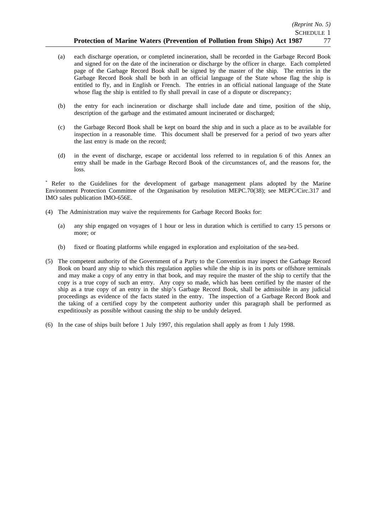- (a) each discharge operation, or completed incineration, shall be recorded in the Garbage Record Book and signed for on the date of the incineration or discharge by the officer in charge. Each completed page of the Garbage Record Book shall be signed by the master of the ship. The entries in the Garbage Record Book shall be both in an official language of the State whose flag the ship is entitled to fly, and in English or French. The entries in an official national language of the State whose flag the ship is entitled to fly shall prevail in case of a dispute or discrepancy;
- (b) the entry for each incineration or discharge shall include date and time, position of the ship, description of the garbage and the estimated amount incinerated or discharged;
- (c) the Garbage Record Book shall be kept on board the ship and in such a place as to be available for inspection in a reasonable time. This document shall be preserved for a period of two years after the last entry is made on the record;
- (d) in the event of discharge, escape or accidental loss referred to in regulation 6 of this Annex an entry shall be made in the Garbage Record Book of the circumstances of, and the reasons for, the loss.

\* Refer to the Guidelines for the development of garbage management plans adopted by the Marine Environment Protection Committee of the Organisation by resolution MEPC.70(38); see MEPC/Circ.317 and IMO sales publication IMO-656E.

- (4) The Administration may waive the requirements for Garbage Record Books for:
	- (a) any ship engaged on voyages of 1 hour or less in duration which is certified to carry 15 persons or more; or
	- (b) fixed or floating platforms while engaged in exploration and exploitation of the sea-bed.
- (5) The competent authority of the Government of a Party to the Convention may inspect the Garbage Record Book on board any ship to which this regulation applies while the ship is in its ports or offshore terminals and may make a copy of any entry in that book, and may require the master of the ship to certify that the copy is a true copy of such an entry. Any copy so made, which has been certified by the master of the ship as a true copy of an entry in the ship's Garbage Record Book, shall be admissible in any judicial proceedings as evidence of the facts stated in the entry. The inspection of a Garbage Record Book and the taking of a certified copy by the competent authority under this paragraph shall be performed as expeditiously as possible without causing the ship to be unduly delayed.
- (6) In the case of ships built before 1 July 1997, this regulation shall apply as from 1 July 1998.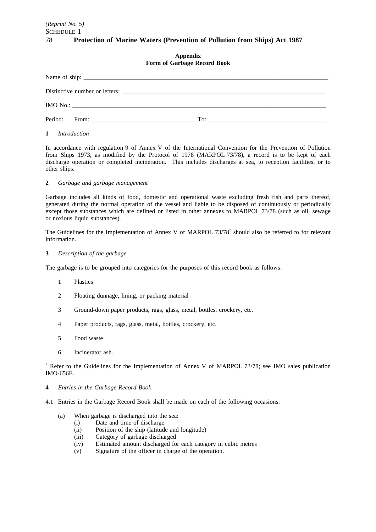# **Appendix Form of Garbage Record Book**

| Period: | $\Gamma$ o: $\begin{array}{ccc}\n\Gamma \end{array}$ |
|---------|------------------------------------------------------|

# **1** *Introduction*

In accordance with regulation 9 of Annex V of the International Convention for the Prevention of Pollution from Ships 1973, as modified by the Protocol of 1978 (MARPOL 73/78), a record is to be kept of each discharge operation or completed incineration. This includes discharges at sea, to reception facilities, or to other ships.

# **2** *Garbage and garbage management*

Garbage includes all kinds of food, domestic and operational waste excluding fresh fish and parts thereof, generated during the normal operation of the vessel and liable to be disposed of continuously or periodically except those substances which are defined or listed in other annexes to MARPOL 73/78 (such as oil, sewage or noxious liquid substances).

The Guidelines for the Implementation of Annex V of MARPOL 73/78\* should also be referred to for relevant information.

# **3** *Description of the garbage*

The garbage is to be grouped into categories for the purposes of this record book as follows:

- 1 Plastics
- 2 Floating dunnage, lining, or packing material
- 3 Ground-down paper products, rags, glass, metal, bottles, crockery, etc.
- 4 Paper products, rags, glass, metal, bottles, crockery, etc.
- 5 Food waste
- 6 Incinerator ash.

Refer to the Guidelines for the Implementation of Annex V of MARPOL 73/78; see IMO sales publication IMO-656E.

- **4** *Entries in the Garbage Record Book*
- 4.1 Entries in the Garbage Record Book shall be made on each of the following occasions:
	- (a) When garbage is discharged into the sea:
		- (i) Date and time of discharge
		- (ii) Position of the ship (latitude and longitude)
		- (iii) Category of garbage discharged
		- (iv) Estimated amount discharged for each category in cubic metres
		- (v) Signature of the officer in charge of the operation.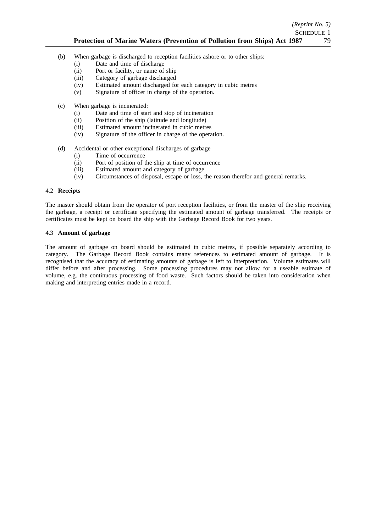- (b) When garbage is discharged to reception facilities ashore or to other ships:
	- (i) Date and time of discharge
	- (ii) Port or facility, or name of ship
	- (iii) Category of garbage discharged
	- (iv) Estimated amount discharged for each category in cubic metres
	- (v) Signature of officer in charge of the operation.
- (c) When garbage is incinerated:
	- (i) Date and time of start and stop of incineration
	- (ii) Position of the ship (latitude and longitude)
	- (iii) Estimated amount incinerated in cubic metres
	- (iv) Signature of the officer in charge of the operation.
- (d) Accidental or other exceptional discharges of garbage
	- (i) Time of occurrence
	- (ii) Port of position of the ship at time of occurrence
	- (iii) Estimated amount and category of garbage
	- (iv) Circumstances of disposal, escape or loss, the reason therefor and general remarks.

# 4.2 **Receipts**

The master should obtain from the operator of port reception facilities, or from the master of the ship receiving the garbage, a receipt or certificate specifying the estimated amount of garbage transferred. The receipts or certificates must be kept on board the ship with the Garbage Record Book for two years.

# 4.3 **Amount of garbage**

The amount of garbage on board should be estimated in cubic metres, if possible separately according to category. The Garbage Record Book contains many references to estimated amount of garbage. It is recognised that the accuracy of estimating amounts of garbage is left to interpretation. Volume estimates will differ before and after processing. Some processing procedures may not allow for a useable estimate of volume, e.g. the continuous processing of food waste. Such factors should be taken into consideration when making and interpreting entries made in a record.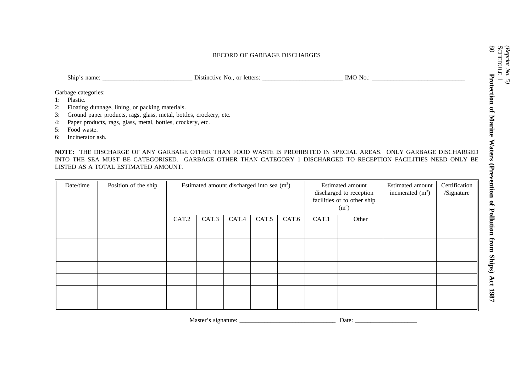| Ship's name: | or letters:<br>Distinctive No | IMO N<br>$'$ No |  |
|--------------|-------------------------------|-----------------|--|
|              |                               |                 |  |

- 
- 
- 
- 
- 
- 

|                                                                                                     |                                                                                                                                                                                                                                                                                                                                                                                                                                                                    |                                             |       |       |       | RECORD OF GARBAGE DISCHARGES |                                                                                       |       |                                        |                             |
|-----------------------------------------------------------------------------------------------------|--------------------------------------------------------------------------------------------------------------------------------------------------------------------------------------------------------------------------------------------------------------------------------------------------------------------------------------------------------------------------------------------------------------------------------------------------------------------|---------------------------------------------|-------|-------|-------|------------------------------|---------------------------------------------------------------------------------------|-------|----------------------------------------|-----------------------------|
|                                                                                                     |                                                                                                                                                                                                                                                                                                                                                                                                                                                                    |                                             |       |       |       |                              |                                                                                       |       |                                        |                             |
| Garbage categories:<br>1: Plastic.<br>2:<br>3:<br>4:<br>Food waste.<br>5:<br>Incinerator ash.<br>6: | Floating dunnage, lining, or packing materials.<br>Ground paper products, rags, glass, metal, bottles, crockery, etc.<br>Paper products, rags, glass, metal, bottles, crockery, etc.<br>NOTE: THE DISCHARGE OF ANY GARBAGE OTHER THAN FOOD WASTE IS PROHIBITED IN SPECIAL AREAS. ONLY GARBAGE DISCHARGED<br>INTO THE SEA MUST BE CATEGORISED. GARBAGE OTHER THAN CATEGORY 1 DISCHARGED TO RECEPTION FACILITIES NEED ONLY BE<br>LISTED AS A TOTAL ESTIMATED AMOUNT. |                                             |       |       |       |                              |                                                                                       |       |                                        |                             |
| Date/time                                                                                           | Position of the ship                                                                                                                                                                                                                                                                                                                                                                                                                                               | Estimated amount discharged into sea $(m3)$ |       |       |       |                              | Estimated amount<br>discharged to reception<br>facilities or to other ship<br>$(m^3)$ |       | Estimated amount<br>incinerated $(m3)$ | Certification<br>/Signature |
|                                                                                                     |                                                                                                                                                                                                                                                                                                                                                                                                                                                                    | CAT.2                                       | CAT.3 | CAT.4 | CAT.5 | CAT.6                        | CAT.1                                                                                 | Other |                                        |                             |
|                                                                                                     |                                                                                                                                                                                                                                                                                                                                                                                                                                                                    |                                             |       |       |       |                              |                                                                                       |       |                                        |                             |
|                                                                                                     |                                                                                                                                                                                                                                                                                                                                                                                                                                                                    |                                             |       |       |       |                              |                                                                                       |       |                                        |                             |
|                                                                                                     |                                                                                                                                                                                                                                                                                                                                                                                                                                                                    |                                             |       |       |       |                              |                                                                                       |       |                                        |                             |
|                                                                                                     |                                                                                                                                                                                                                                                                                                                                                                                                                                                                    |                                             |       |       |       |                              |                                                                                       |       |                                        |                             |
|                                                                                                     |                                                                                                                                                                                                                                                                                                                                                                                                                                                                    |                                             |       |       |       |                              |                                                                                       |       |                                        |                             |

80

Master's signature: \_\_\_\_\_\_\_\_\_\_\_\_\_\_\_\_\_\_\_\_\_\_\_\_\_\_\_\_\_\_\_ Date: \_\_\_\_\_\_\_\_\_\_\_\_\_\_\_\_\_\_\_\_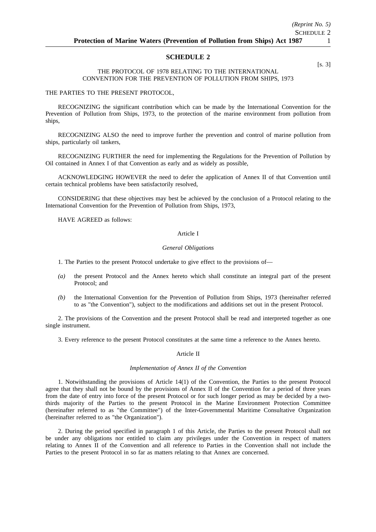# **SCHEDULE 2**

# THE PROTOCOL OF 1978 RELATING TO THE INTERNATIONAL CONVENTION FOR THE PREVENTION OF POLLUTION FROM SHIPS, 1973

#### THE PARTIES TO THE PRESENT PROTOCOL,

RECOGNIZING the significant contribution which can be made by the International Convention for the Prevention of Pollution from Ships, 1973, to the protection of the marine environment from pollution from ships,

RECOGNIZING ALSO the need to improve further the prevention and control of marine pollution from ships, particularly oil tankers,

RECOGNIZING FURTHER the need for implementing the Regulations for the Prevention of Pollution by Oil contained in Annex I of that Convention as early and as widely as possible,

ACKNOWLEDGING HOWEVER the need to defer the application of Annex II of that Convention until certain technical problems have been satisfactorily resolved,

CONSIDERING that these objectives may best be achieved by the conclusion of a Protocol relating to the International Convention for the Prevention of Pollution from Ships, 1973,

HAVE AGREED as follows:

### Article I

#### *General Obligations*

1. The Parties to the present Protocol undertake to give effect to the provisions of—

- *(a)* the present Protocol and the Annex hereto which shall constitute an integral part of the present Protocol; and
- *(b)* the International Convention for the Prevention of Pollution from Ships, 1973 (hereinafter referred to as "the Convention"), subject to the modifications and additions set out in the present Protocol.

2. The provisions of the Convention and the present Protocol shall be read and interpreted together as one single instrument.

3. Every reference to the present Protocol constitutes at the same time a reference to the Annex hereto.

#### Article II

#### *Implementation of Annex II of the Convention*

1. Notwithstanding the provisions of Article 14(1) of the Convention, the Parties to the present Protocol agree that they shall not be bound by the provisions of Annex II of the Convention for a period of three years from the date of entry into force of the present Protocol or for such longer period as may be decided by a twothirds majority of the Parties to the present Protocol in the Marine Environment Protection Committee (hereinafter referred to as "the Committee") of the Inter-Governmental Maritime Consultative Organization (hereinafter referred to as "the Organization").

2. During the period specified in paragraph 1 of this Article, the Parties to the present Protocol shall not be under any obligations nor entitled to claim any privileges under the Convention in respect of matters relating to Annex II of the Convention and all reference to Parties in the Convention shall not include the Parties to the present Protocol in so far as matters relating to that Annex are concerned.

[s. 3]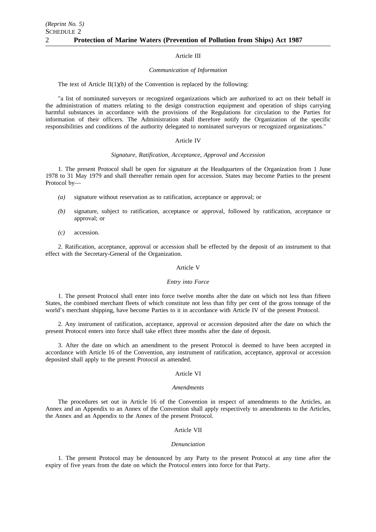#### Article III

#### *Communication of Information*

The text of Article  $II(1)(b)$  of the Convention is replaced by the following:

"a list of nominated surveyors or recognized organizations which are authorized to act on their behalf in the administration of matters relating to the design construction equipment and operation of ships carrying harmful substances in accordance with the provisions of the Regulations for circulation to the Parties for information of their officers. The Administration shall therefore notify the Organization of the specific responsibilities and conditions of the authority delegated to nominated surveyors or recognized organizations."

#### Article IV

# *Signature, Ratification, Acceptance, Approval and Accession*

1. The present Protocol shall be open for signature at the Headquarters of the Organization from 1 June 1978 to 31 May 1979 and shall thereafter remain open for accession. States may become Parties to the present Protocol by—

- *(a)* signature without reservation as to ratification, acceptance or approval; or
- *(b)* signature, subject to ratification, acceptance or approval, followed by ratification, acceptance or approval; or
- *(c)* accession.

2. Ratification, acceptance, approval or accession shall be effected by the deposit of an instrument to that effect with the Secretary-General of the Organization.

# Article V

#### *Entry into Force*

1. The present Protocol shall enter into force twelve months after the date on which not less than fifteen States, the combined merchant fleets of which constitute not less than fifty per cent of the gross tonnage of the world's merchant shipping, have become Parties to it in accordance with Article IV of the present Protocol.

2. Any instrument of ratification, acceptance, approval or accession deposited after the date on which the present Protocol enters into force shall take effect three months after the date of deposit.

3. After the date on which an amendment to the present Protocol is deemed to have been accepted in accordance with Article 16 of the Convention, any instrument of ratification, acceptance, approval or accession deposited shall apply to the present Protocol as amended.

#### Article VI

#### *Amendments*

The procedures set out in Article 16 of the Convention in respect of amendments to the Articles, an Annex and an Appendix to an Annex of the Convention shall apply respectively to amendments to the Articles, the Annex and an Appendix to the Annex of the present Protocol.

#### Article VII

#### *Denunciation*

1. The present Protocol may be denounced by any Party to the present Protocol at any time after the expiry of five years from the date on which the Protocol enters into force for that Party.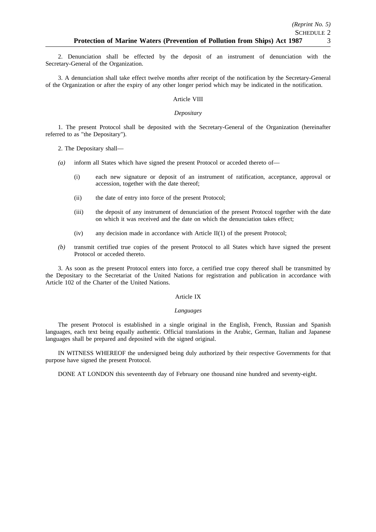2. Denunciation shall be effected by the deposit of an instrument of denunciation with the Secretary-General of the Organization.

3. A denunciation shall take effect twelve months after receipt of the notification by the Secretary-General of the Organization or after the expiry of any other longer period which may be indicated in the notification.

# Article VIII

#### *Depositary*

1. The present Protocol shall be deposited with the Secretary-General of the Organization (hereinafter referred to as "the Depositary").

2. The Depositary shall—

*(a)* inform all States which have signed the present Protocol or acceded thereto of—

- (i) each new signature or deposit of an instrument of ratification, acceptance, approval or accession, together with the date thereof;
- (ii) the date of entry into force of the present Protocol;
- (iii) the deposit of any instrument of denunciation of the present Protocol together with the date on which it was received and the date on which the denunciation takes effect;
- (iv) any decision made in accordance with Article II(1) of the present Protocol;
- *(b)* transmit certified true copies of the present Protocol to all States which have signed the present Protocol or acceded thereto.

3. As soon as the present Protocol enters into force, a certified true copy thereof shall be transmitted by the Depositary to the Secretariat of the United Nations for registration and publication in accordance with Article 102 of the Charter of the United Nations.

# Article IX

## *Languages*

The present Protocol is established in a single original in the English, French, Russian and Spanish languages, each text being equally authentic. Official translations in the Arabic, German, Italian and Japanese languages shall be prepared and deposited with the signed original.

IN WITNESS WHEREOF the undersigned being duly authorized by their respective Governments for that purpose have signed the present Protocol.

DONE AT LONDON this seventeenth day of February one thousand nine hundred and seventy-eight.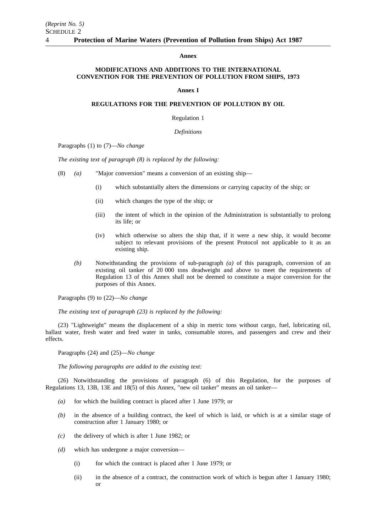#### **Annex**

# **MODIFICATIONS AND ADDITIONS TO THE INTERNATIONAL CONVENTION FOR THE PREVENTION OF POLLUTION FROM SHIPS, 1973**

#### **Annex I**

# **REGULATIONS FOR THE PREVENTION OF POLLUTION BY OIL**

Regulation 1

*Definitions*

Paragraphs (1) to (7)—*No change*

*The existing text of paragraph (8) is replaced by the following:*

- (8) *(a)* "Major conversion" means a conversion of an existing ship—
	- (i) which substantially alters the dimensions or carrying capacity of the ship; or
	- (ii) which changes the type of the ship; or
	- (iii) the intent of which in the opinion of the Administration is substantially to prolong its life; or
	- (iv) which otherwise so alters the ship that, if it were a new ship, it would become subject to relevant provisions of the present Protocol not applicable to it as an existing ship.
	- *(b)* Notwithstanding the provisions of sub-paragraph *(a)* of this paragraph, conversion of an existing oil tanker of 20 000 tons deadweight and above to meet the requirements of Regulation 13 of this Annex shall not be deemed to constitute a major conversion for the purposes of this Annex.

Paragraphs (9) to (22)—*No change*

*The existing text of paragraph (23) is replaced by the following:*

(23) "Lightweight" means the displacement of a ship in metric tons without cargo, fuel, lubricating oil, ballast water, fresh water and feed water in tanks, consumable stores, and passengers and crew and their effects.

Paragraphs (24) and (25)—*No change*

*The following paragraphs are added to the existing text:*

(26) Notwithstanding the provisions of paragraph (6) of this Regulation, for the purposes of Regulations 13, 13B, 13E and  $18(5)$  of this Annex, "new oil tanker" means an oil tanker—

- *(a)* for which the building contract is placed after 1 June 1979; or
- *(b)* in the absence of a building contract, the keel of which is laid, or which is at a similar stage of construction after 1 January 1980; or
- *(c)* the delivery of which is after 1 June 1982; or
- *(d)* which has undergone a major conversion—
	- (i) for which the contract is placed after 1 June 1979; or
	- (ii) in the absence of a contract, the construction work of which is begun after 1 January 1980; or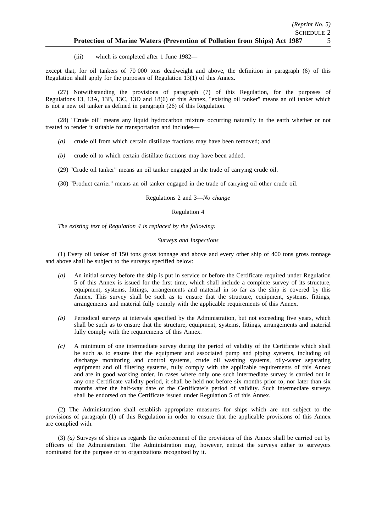(iii) which is completed after 1 June 1982—

except that, for oil tankers of 70 000 tons deadweight and above, the definition in paragraph (6) of this Regulation shall apply for the purposes of Regulation 13(1) of this Annex.

(27) Notwithstanding the provisions of paragraph (7) of this Regulation, for the purposes of Regulations 13, 13A, 13B, 13C, 13D and 18(6) of this Annex, "existing oil tanker" means an oil tanker which is not a new oil tanker as defined in paragraph (26) of this Regulation.

(28) "Crude oil" means any liquid hydrocarbon mixture occurring naturally in the earth whether or not treated to render it suitable for transportation and includes—

- *(a)* crude oil from which certain distillate fractions may have been removed; and
- *(b)* crude oil to which certain distillate fractions may have been added.
- (29) "Crude oil tanker" means an oil tanker engaged in the trade of carrying crude oil.
- (30) "Product carrier" means an oil tanker engaged in the trade of carrying oil other crude oil.

# Regulations 2 and 3—*No change*

# Regulation 4

*The existing text of Regulation 4 is replaced by the following:*

# *Surveys and Inspections*

(1) Every oil tanker of 150 tons gross tonnage and above and every other ship of 400 tons gross tonnage and above shall be subject to the surveys specified below:

- *(a)* An initial survey before the ship is put in service or before the Certificate required under Regulation 5 of this Annex is issued for the first time, which shall include a complete survey of its structure, equipment, systems, fittings, arrangements and material in so far as the ship is covered by this Annex. This survey shall be such as to ensure that the structure, equipment, systems, fittings, arrangements and material fully comply with the applicable requirements of this Annex.
- *(b)* Periodical surveys at intervals specified by the Administration, but not exceeding five years, which shall be such as to ensure that the structure, equipment, systems, fittings, arrangements and material fully comply with the requirements of this Annex.
- *(c)* A minimum of one intermediate survey during the period of validity of the Certificate which shall be such as to ensure that the equipment and associated pump and piping systems, including oil discharge monitoring and control systems, crude oil washing systems, oily-water separating equipment and oil filtering systems, fully comply with the applicable requirements of this Annex and are in good working order. In cases where only one such intermediate survey is carried out in any one Certificate validity period, it shall be held not before six months prior to, nor later than six months after the half-way date of the Certificate's period of validity. Such intermediate surveys shall be endorsed on the Certificate issued under Regulation 5 of this Annex.

(2) The Administration shall establish appropriate measures for ships which are not subject to the provisions of paragraph (1) of this Regulation in order to ensure that the applicable provisions of this Annex are complied with.

(3) *(a)* Surveys of ships as regards the enforcement of the provisions of this Annex shall be carried out by officers of the Administration. The Administration may, however, entrust the surveys either to surveyors nominated for the purpose or to organizations recognized by it.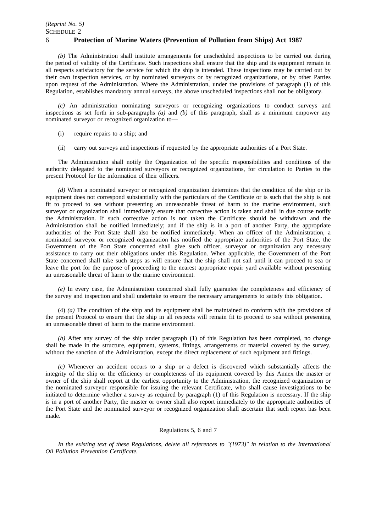*(b)* The Administration shall institute arrangements for unscheduled inspections to be carried out during the period of validity of the Certificate. Such inspections shall ensure that the ship and its equipment remain in all respects satisfactory for the service for which the ship is intended. These inspections may be carried out by their own inspection services, or by nominated surveyors or by recognized organizations, or by other Parties upon request of the Administration. Where the Administration, under the provisions of paragraph (1) of this Regulation, establishes mandatory annual surveys, the above unscheduled inspections shall not be obligatory.

*(c)* An administration nominating surveyors or recognizing organizations to conduct surveys and inspections as set forth in sub-paragraphs *(a)* and *(b)* of this paragraph, shall as a minimum empower any nominated surveyor or recognized organization to—

- (i) require repairs to a ship; and
- (ii) carry out surveys and inspections if requested by the appropriate authorities of a Port State.

The Administration shall notify the Organization of the specific responsibilities and conditions of the authority delegated to the nominated surveyors or recognized organizations, for circulation to Parties to the present Protocol for the information of their officers.

*(d)* When a nominated surveyor or recognized organization determines that the condition of the ship or its equipment does not correspond substantially with the particulars of the Certificate or is such that the ship is not fit to proceed to sea without presenting an unreasonable threat of harm to the marine environment, such surveyor or organization shall immediately ensure that corrective action is taken and shall in due course notify the Administration. If such corrective action is not taken the Certificate should be withdrawn and the Administration shall be notified immediately; and if the ship is in a port of another Party, the appropriate authorities of the Port State shall also be notified immediately. When an officer of the Administration, a nominated surveyor or recognized organization has notified the appropriate authorities of the Port State, the Government of the Port State concerned shall give such officer, surveyor or organization any necessary assistance to carry out their obligations under this Regulation. When applicable, the Government of the Port State concerned shall take such steps as will ensure that the ship shall not sail until it can proceed to sea or leave the port for the purpose of proceeding to the nearest appropriate repair yard available without presenting an unreasonable threat of harm to the marine environment.

*(e)* In every case, the Administration concerned shall fully guarantee the completeness and efficiency of the survey and inspection and shall undertake to ensure the necessary arrangements to satisfy this obligation.

(4) *(a)* The condition of the ship and its equipment shall be maintained to conform with the provisions of the present Protocol to ensure that the ship in all respects will remain fit to proceed to sea without presenting an unreasonable threat of harm to the marine environment.

*(b)* After any survey of the ship under paragraph (1) of this Regulation has been completed, no change shall be made in the structure, equipment, systems, fittings, arrangements or material covered by the survey, without the sanction of the Administration, except the direct replacement of such equipment and fittings.

*(c)* Whenever an accident occurs to a ship or a defect is discovered which substantially affects the integrity of the ship or the efficiency or completeness of its equipment covered by this Annex the master or owner of the ship shall report at the earliest opportunity to the Administration, the recognized organization or the nominated surveyor responsible for issuing the relevant Certificate, who shall cause investigations to be initiated to determine whether a survey as required by paragraph (1) of this Regulation is necessary. If the ship is in a port of another Party, the master or owner shall also report immediately to the appropriate authorities of the Port State and the nominated surveyor or recognized organization shall ascertain that such report has been made.

#### Regulations 5, 6 and 7

*In the existing text of these Regulations, delete all references to "(1973)" in relation to the International Oil Pollution Prevention Certificate.*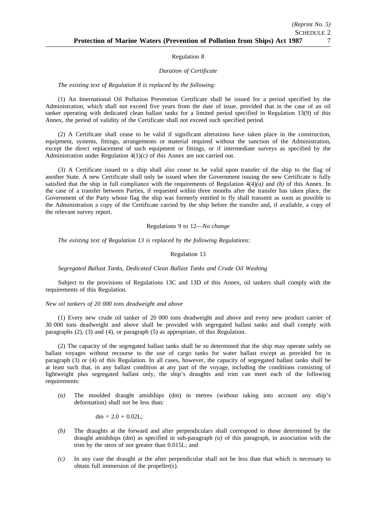# Regulation 8

#### *Duration of Certificate*

## *The existing text of Regulation 8 is replaced by the following:*

(1) An International Oil Pollution Prevention Certificate shall be issued for a period specified by the Administration, which shall not exceed five years from the date of issue, provided that in the case of an oil tanker operating with dedicated clean ballast tanks for a limited period specified in Regulation 13(9) of this Annex, the period of validity of the Certificate shall not exceed such specified period.

(2) A Certificate shall cease to be valid if significant alterations have taken place in the construction, equipment, systems, fittings, arrangements or material required without the sanction of the Administration, except the direct replacement of such equipment or fittings, or if intermediate surveys as specified by the Administration under Regulation 4(1)*(c)* of this Annex are not carried out.

(3) A Certificate issued to a ship shall also cease to be valid upon transfer of the ship to the flag of another State. A new Certificate shall only be issued when the Government issuing the new Certificate is fully satisfied that the ship in full compliance with the requirements of Regulation 4(4)*(a)* and *(b)* of this Annex. In the case of a transfer between Parties, if requested within three months after the transfer has taken place, the Government of the Party whose flag the ship was formerly entitled to fly shall transmit as soon as possible to the Administration a copy of the Certificate carried by the ship before the transfer and, if available, a copy of the relevant survey report.

#### Regulations 9 to 12—*No change*

*The existing text of Regulation 13 is replaced by the following Regulations:*

#### Regulation 13

*Segregated Ballast Tanks, Dedicated Clean Ballast Tanks and Crude Oil Washing*

Subject to the provisions of Regulations 13C and 13D of this Annex, oil tankers shall comply with the requirements of this Regulation.

#### *New oil tankers of 20 000 tons deadweight and above*

(1) Every new crude oil tanker of 20 000 tons deadweight and above and every new product carrier of 30 000 tons deadweight and above shall be provided with segregated ballast tanks and shall comply with paragraphs (2), (3) and (4), or paragraph (5) as appropriate, of this Regulation.

(2) The capacity of the segregated ballast tanks shall be so determined that the ship may operate safely on ballast voyages without recourse to the use of cargo tanks for water ballast except as provided for in paragraph (3) or (4) of this Regulation. In all cases, however, the capacity of segregated ballast tanks shall be at least such that, in any ballast condition at any part of the voyage, including the conditions consisting of lightweight plus segregated ballast only, the ship's draughts and trim can meet each of the following requirements:

*(a)* The moulded draught amidships (dm) in metres (without taking into account any ship's deformation) shall not be less than:

$$
dm = 2.0 + 0.02L;
$$

- *(b)* The draughts at the forward and after perpendiculars shall correspond to those determined by the draught amidships (dm) as specified in sub-paragraph *(a)* of this paragraph, in association with the trim by the stern of not greater than 0.015L; and
- *(c)* In any case the draught at the after perpendicular shall not be less than that which is necessary to obtain full immersion of the propeller(s).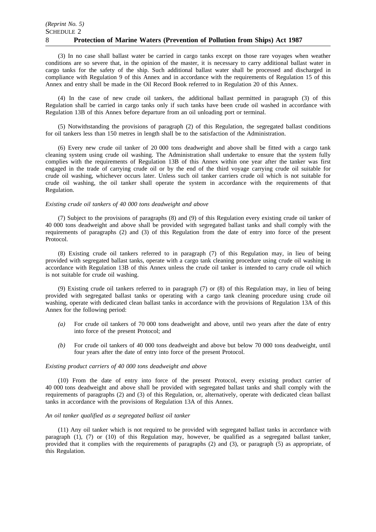(3) In no case shall ballast water be carried in cargo tanks except on those rare voyages when weather conditions are so severe that, in the opinion of the master, it is necessary to carry additional ballast water in cargo tanks for the safety of the ship. Such additional ballast water shall be processed and discharged in compliance with Regulation 9 of this Annex and in accordance with the requirements of Regulation 15 of this Annex and entry shall be made in the Oil Record Book referred to in Regulation 20 of this Annex.

(4) In the case of new crude oil tankers, the additional ballast permitted in paragraph (3) of this Regulation shall be carried in cargo tanks only if such tanks have been crude oil washed in accordance with Regulation 13B of this Annex before departure from an oil unloading port or terminal.

(5) Notwithstanding the provisions of paragraph (2) of this Regulation, the segregated ballast conditions for oil tankers less than 150 metres in length shall be to the satisfaction of the Administration.

(6) Every new crude oil tanker of 20 000 tons deadweight and above shall be fitted with a cargo tank cleaning system using crude oil washing. The Administration shall undertake to ensure that the system fully complies with the requirements of Regulation 13B of this Annex within one year after the tanker was first engaged in the trade of carrying crude oil or by the end of the third voyage carrying crude oil suitable for crude oil washing, whichever occurs later. Unless such oil tanker carriers crude oil which is not suitable for crude oil washing, the oil tanker shall operate the system in accordance with the requirements of that Regulation.

# *Existing crude oil tankers of 40 000 tons deadweight and above*

(7) Subject to the provisions of paragraphs (8) and (9) of this Regulation every existing crude oil tanker of 40 000 tons deadweight and above shall be provided with segregated ballast tanks and shall comply with the requirements of paragraphs (2) and (3) of this Regulation from the date of entry into force of the present Protocol.

(8) Existing crude oil tankers referred to in paragraph (7) of this Regulation may, in lieu of being provided with segregated ballast tanks, operate with a cargo tank cleaning procedure using crude oil washing in accordance with Regulation 13B of this Annex unless the crude oil tanker is intended to carry crude oil which is not suitable for crude oil washing.

(9) Existing crude oil tankers referred to in paragraph (7) or (8) of this Regulation may, in lieu of being provided with segregated ballast tanks or operating with a cargo tank cleaning procedure using crude oil washing, operate with dedicated clean ballast tanks in accordance with the provisions of Regulation 13A of this Annex for the following period:

- *(a)* For crude oil tankers of 70 000 tons deadweight and above, until two years after the date of entry into force of the present Protocol; and
- *(b)* For crude oil tankers of 40 000 tons deadweight and above but below 70 000 tons deadweight, until four years after the date of entry into force of the present Protocol.

#### *Existing product carriers of 40 000 tons deadweight and above*

(10) From the date of entry into force of the present Protocol, every existing product carrier of 40 000 tons deadweight and above shall be provided with segregated ballast tanks and shall comply with the requirements of paragraphs (2) and (3) of this Regulation, or, alternatively, operate with dedicated clean ballast tanks in accordance with the provisions of Regulation 13A of this Annex.

#### *An oil tanker qualified as a segregated ballast oil tanker*

(11) Any oil tanker which is not required to be provided with segregated ballast tanks in accordance with paragraph (1), (7) or (10) of this Regulation may, however, be qualified as a segregated ballast tanker, provided that it complies with the requirements of paragraphs (2) and (3), or paragraph (5) as appropriate, of this Regulation.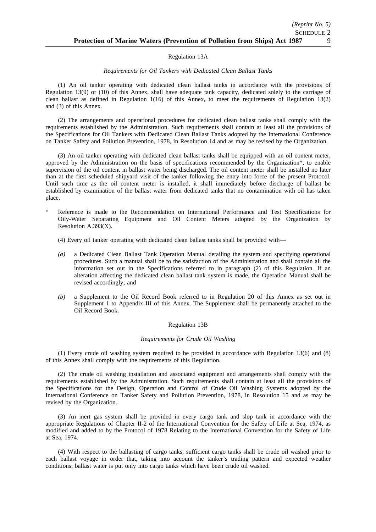# Regulation 13A

#### *Requirements for Oil Tankers with Dedicated Clean Ballast Tanks*

(1) An oil tanker operating with dedicated clean ballast tanks in accordance with the provisions of Regulation 13(9) or (10) of this Annex, shall have adequate tank capacity, dedicated solely to the carriage of clean ballast as defined in Regulation 1(16) of this Annex, to meet the requirements of Regulation 13(2) and (3) of this Annex.

(2) The arrangements and operational procedures for dedicated clean ballast tanks shall comply with the requirements established by the Administration. Such requirements shall contain at least all the provisions of the Specifications for Oil Tankers with Dedicated Clean Ballast Tanks adopted by the International Conference on Tanker Safety and Pollution Prevention, 1978, in Resolution 14 and as may be revised by the Organization.

(3) An oil tanker operating with dedicated clean ballast tanks shall be equipped with an oil content meter, approved by the Administration on the basis of specifications recommended by the Organization\*, to enable supervision of the oil content in ballast water being discharged. The oil content meter shall be installed no later than at the first scheduled shipyard visit of the tanker following the entry into force of the present Protocol. Until such time as the oil content meter is installed, it shall immediately before discharge of ballast be established by examination of the ballast water from dedicated tanks that no contamination with oil has taken place.

- Reference is made to the Recommendation on International Performance and Test Specifications for Oily-Water Separating Equipment and Oil Content Meters adopted by the Organization by Resolution A.393(X).
	- (4) Every oil tanker operating with dedicated clean ballast tanks shall be provided with—
	- *(a)* a Dedicated Clean Ballast Tank Operation Manual detailing the system and specifying operational procedures. Such a manual shall be to the satisfaction of the Administration and shall contain all the information set out in the Specifications referred to in paragraph (2) of this Regulation. If an alteration affecting the dedicated clean ballast tank system is made, the Operation Manual shall be revised accordingly; and
	- *(b)* a Supplement to the Oil Record Book referred to in Regulation 20 of this Annex as set out in Supplement 1 to Appendix III of this Annex. The Supplement shall be permanently attached to the Oil Record Book.

# Regulation 13B

#### *Requirements for Crude Oil Washing*

(1) Every crude oil washing system required to be provided in accordance with Regulation 13(6) and (8) of this Annex shall comply with the requirements of this Regulation.

(2) The crude oil washing installation and associated equipment and arrangements shall comply with the requirements established by the Administration. Such requirements shall contain at least all the provisions of the Specifications for the Design, Operation and Control of Crude Oil Washing Systems adopted by the International Conference on Tanker Safety and Pollution Prevention, 1978, in Resolution 15 and as may be revised by the Organization.

(3) An inert gas system shall be provided in every cargo tank and slop tank in accordance with the appropriate Regulations of Chapter II-2 of the International Convention for the Safety of Life at Sea, 1974, as modified and added to by the Protocol of 1978 Relating to the International Convention for the Safety of Life at Sea, 1974.

(4) With respect to the ballasting of cargo tanks, sufficient cargo tanks shall be crude oil washed prior to each ballast voyage in order that, taking into account the tanker's trading pattern and expected weather conditions, ballast water is put only into cargo tanks which have been crude oil washed.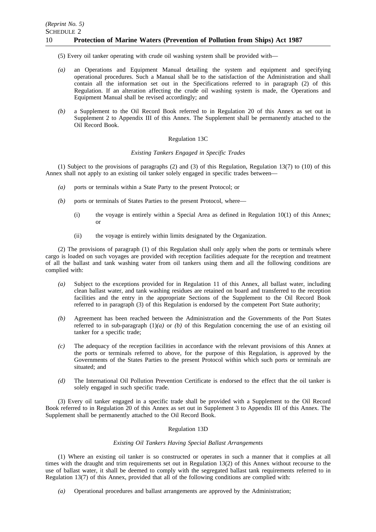(5) Every oil tanker operating with crude oil washing system shall be provided with—

- *(a)* an Operations and Equipment Manual detailing the system and equipment and specifying operational procedures. Such a Manual shall be to the satisfaction of the Administration and shall contain all the information set out in the Specifications referred to in paragraph (2) of this Regulation. If an alteration affecting the crude oil washing system is made, the Operations and Equipment Manual shall be revised accordingly; and
- *(b)* a Supplement to the Oil Record Book referred to in Regulation 20 of this Annex as set out in Supplement 2 to Appendix III of this Annex. The Supplement shall be permanently attached to the Oil Record Book.

# Regulation 13C

# *Existing Tankers Engaged in Specific Trades*

(1) Subject to the provisions of paragraphs (2) and (3) of this Regulation, Regulation 13(7) to (10) of this Annex shall not apply to an existing oil tanker solely engaged in specific trades between—

- *(a)* ports or terminals within a State Party to the present Protocol; or
- *(b)* ports or terminals of States Parties to the present Protocol, where—
	- (i) the voyage is entirely within a Special Area as defined in Regulation  $10(1)$  of this Annex; or
	- (ii) the voyage is entirely within limits designated by the Organization.

(2) The provisions of paragraph (1) of this Regulation shall only apply when the ports or terminals where cargo is loaded on such voyages are provided with reception facilities adequate for the reception and treatment of all the ballast and tank washing water from oil tankers using them and all the following conditions are complied with:

- *(a)* Subject to the exceptions provided for in Regulation 11 of this Annex, all ballast water, including clean ballast water, and tank washing residues are retained on board and transferred to the reception facilities and the entry in the appropriate Sections of the Supplement to the Oil Record Book referred to in paragraph (3) of this Regulation is endorsed by the competent Port State authority;
- *(b)* Agreement has been reached between the Administration and the Governments of the Port States referred to in sub-paragraph  $(1)(a)$  or  $(b)$  of this Regulation concerning the use of an existing oil tanker for a specific trade;
- *(c)* The adequacy of the reception facilities in accordance with the relevant provisions of this Annex at the ports or terminals referred to above, for the purpose of this Regulation, is approved by the Governments of the States Parties to the present Protocol within which such ports or terminals are situated; and
- *(d)* The International Oil Pollution Prevention Certificate is endorsed to the effect that the oil tanker is solely engaged in such specific trade.

(3) Every oil tanker engaged in a specific trade shall be provided with a Supplement to the Oil Record Book referred to in Regulation 20 of this Annex as set out in Supplement 3 to Appendix III of this Annex. The Supplement shall be permanently attached to the Oil Record Book.

# Regulation 13D

# *Existing Oil Tankers Having Special Ballast Arrangements*

(1) Where an existing oil tanker is so constructed or operates in such a manner that it complies at all times with the draught and trim requirements set out in Regulation 13(2) of this Annex without recourse to the use of ballast water, it shall be deemed to comply with the segregated ballast tank requirements referred to in Regulation 13(7) of this Annex, provided that all of the following conditions are complied with:

*(a)* Operational procedures and ballast arrangements are approved by the Administration;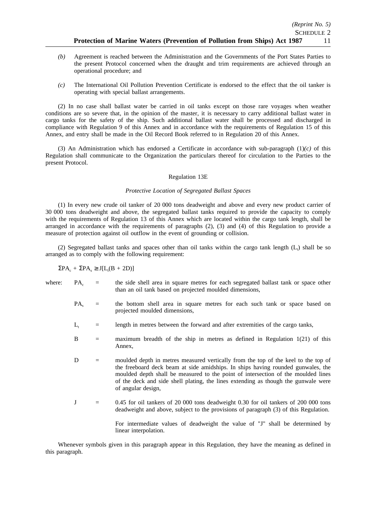- *(b)* Agreement is reached between the Administration and the Governments of the Port States Parties to the present Protocol concerned when the draught and trim requirements are achieved through an operational procedure; and
- *(c)* The International Oil Pollution Prevention Certificate is endorsed to the effect that the oil tanker is operating with special ballast arrangements.

(2) In no case shall ballast water be carried in oil tanks except on those rare voyages when weather conditions are so severe that, in the opinion of the master, it is necessary to carry additional ballast water in cargo tanks for the safety of the ship. Such additional ballast water shall be processed and discharged in compliance with Regulation 9 of this Annex and in accordance with the requirements of Regulation 15 of this Annex, and entry shall be made in the Oil Record Book referred to in Regulation 20 of this Annex.

(3) An Administration which has endorsed a Certificate in accordance with sub-paragraph (1)*(c)* of this Regulation shall communicate to the Organization the particulars thereof for circulation to the Parties to the present Protocol.

# Regulation 13E

#### *Protective Location of Segregated Ballast Spaces*

(1) In every new crude oil tanker of 20 000 tons deadweight and above and every new product carrier of 30 000 tons deadweight and above, the segregated ballast tanks required to provide the capacity to comply with the requirements of Regulation 13 of this Annex which are located within the cargo tank length, shall be arranged in accordance with the requirements of paragraphs (2), (3) and (4) of this Regulation to provide a measure of protection against oil outflow in the event of grounding or collision.

(2) Segregated ballast tanks and spaces other than oil tanks within the cargo tank length  $(L<sub>t</sub>)$  shall be so arranged as to comply with the following requirement:

 $\Sigma PA_c + \Sigma PA_s \geq J[L_t(B + 2D)]$ 

where:  $PA_c$  = the side shell area in square metres for each segregated ballast tank or space other than an oil tank based on projected moulded dimensions,

- PA<sub>s</sub> = the bottom shell area in square metres for each such tank or space based on projected moulded dimensions,
- $L_t$  = length in metres between the forward and after extremities of the cargo tanks,
- B = maximum breadth of the ship in metres as defined in Regulation 1(21) of this Annex,
- D = moulded depth in metres measured vertically from the top of the keel to the top of the freeboard deck beam at side amidships. In ships having rounded gunwales, the moulded depth shall be measured to the point of intersection of the moulded lines of the deck and side shell plating, the lines extending as though the gunwale were of angular design,
- $J = 0.45$  for oil tankers of 20 000 tons deadweight 0.30 for oil tankers of 200 000 tons deadweight and above, subject to the provisions of paragraph (3) of this Regulation.

For intermediate values of deadweight the value of "J" shall be determined by linear interpolation.

Whenever symbols given in this paragraph appear in this Regulation, they have the meaning as defined in this paragraph.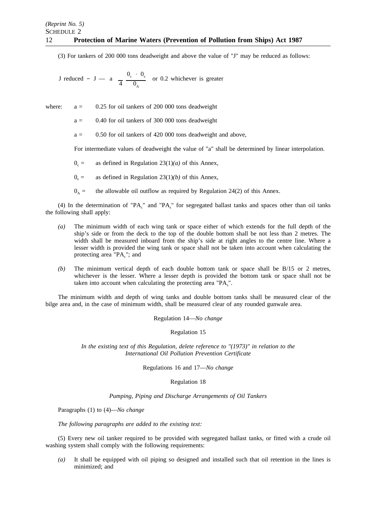(3) For tankers of 200 000 tons deadweight and above the value of "J" may be reduced as follows:

J reduced = 
$$
\left[J - \left(a + \frac{0_c + 0_s}{4}\right)\right]
$$
 or 0.2 whichever is greater

where:  $a = 0.25$  for oil tankers of 200 000 tons deadweight

 $a = 0.40$  for oil tankers of 300 000 tons deadweight

a = 0.50 for oil tankers of 420 000 tons deadweight and above,

For intermediate values of deadweight the value of "a" shall be determined by linear interpolation.

- $0_c$  = as defined in Regulation 23(1)(*a*) of this Annex,
- $0<sub>s</sub>$  = as defined in Regulation 23(1)*(b)* of this Annex,
- $0<sub>A</sub>$  = the allowable oil outflow as required by Regulation 24(2) of this Annex.

(4) In the determination of "PA<sub>c</sub>" and "PA<sub>s</sub>" for segregated ballast tanks and spaces other than oil tanks the following shall apply:

- *(a)* The minimum width of each wing tank or space either of which extends for the full depth of the ship's side or from the deck to the top of the double bottom shall be not less than 2 metres. The width shall be measured inboard from the ship's side at right angles to the centre line. Where a lesser width is provided the wing tank or space shall not be taken into account when calculating the protecting area "PA<sub>c</sub>"; and
- *(b)* The minimum vertical depth of each double bottom tank or space shall be B/15 or 2 metres, whichever is the lesser. Where a lesser depth is provided the bottom tank or space shall not be taken into account when calculating the protecting area "P $A_s$ ".

The minimum width and depth of wing tanks and double bottom tanks shall be measured clear of the bilge area and, in the case of minimum width, shall be measured clear of any rounded gunwale area.

Regulation 14—*No change*

Regulation 15

*In the existing text of this Regulation, delete reference to "(1973)" in relation to the International Oil Pollution Prevention Certificate*

Regulations 16 and 17—*No change*

# Regulation 18

*Pumping, Piping and Discharge Arrangements of Oil Tankers*

Paragraphs (1) to (4)—*No change*

*The following paragraphs are added to the existing text:*

(5) Every new oil tanker required to be provided with segregated ballast tanks, or fitted with a crude oil washing system shall comply with the following requirements:

*(a)* It shall be equipped with oil piping so designed and installed such that oil retention in the lines is minimized; and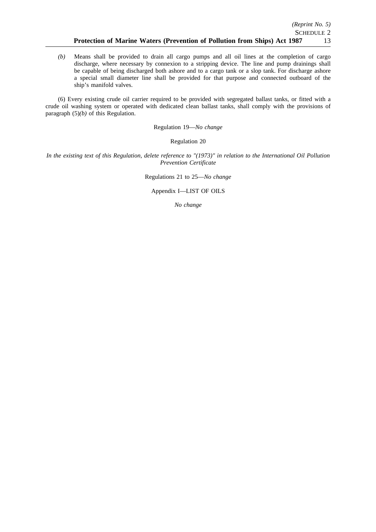*(b)* Means shall be provided to drain all cargo pumps and all oil lines at the completion of cargo discharge, where necessary by connexion to a stripping device. The line and pump drainings shall be capable of being discharged both ashore and to a cargo tank or a slop tank. For discharge ashore a special small diameter line shall be provided for that purpose and connected outboard of the ship's manifold valves.

(6) Every existing crude oil carrier required to be provided with segregated ballast tanks, or fitted with a crude oil washing system or operated with dedicated clean ballast tanks, shall comply with the provisions of paragraph (5)*(b)* of this Regulation.

Regulation 19—*No change*

# Regulation 20

*In the existing text of this Regulation, delete reference to "(1973)" in relation to the International Oil Pollution Prevention Certificate*

Regulations 21 to 25—*No change*

Appendix I—LIST OF OILS

*No change*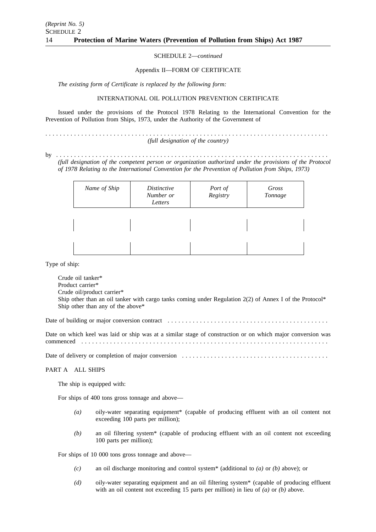SCHEDULE 2—*continued*

#### Appendix II—FORM OF CERTIFICATE

*The existing form of Certificate is replaced by the following form:*

### INTERNATIONAL OIL POLLUTION PREVENTION CERTIFICATE

Issued under the provisions of the Protocol 1978 Relating to the International Convention for the Prevention of Pollution from Ships, 1973, under the Authority of the Government of

............................................................................... *(full designation of the country)*

by . . . . . . . . . . . . . . . . . . . . . . . . . . . . . . . . . . . . . . . . . . . . . . . . . . . . . . . . . . . . . . . . . . . . . . . . . . . . *(full designation of the competent person or organization authorized under the provisions of the Protocol of 1978 Relating to the International Convention for the Prevention of Pollution from Ships, 1973)*

| Name of Ship | <i>Distinctive</i><br>Number or<br>Letters | Port of<br>Registry | Gross<br>Tonnage |
|--------------|--------------------------------------------|---------------------|------------------|
|              |                                            |                     |                  |
|              |                                            |                     |                  |

Type of ship:

Crude oil tanker\* Product carrier\* Crude oil/product carrier\* Ship other than an oil tanker with cargo tanks coming under Regulation 2(2) of Annex I of the Protocol\* Ship other than any of the above\*

Date of building or major conversion contract .............................................

Date on which keel was laid or ship was at a similar stage of construction or on which major conversion was commenced .....................................................................

Date of delivery or completion of major conversion .........................................

### PART A ALL SHIPS

The ship is equipped with:

For ships of 400 tons gross tonnage and above—

- *(a)* oily-water separating equipment\* (capable of producing effluent with an oil content not exceeding 100 parts per million);
- *(b)* an oil filtering system\* (capable of producing effluent with an oil content not exceeding 100 parts per million);

For ships of 10 000 tons gross tonnage and above—

- *(c)* an oil discharge monitoring and control system\* (additional to *(a)* or *(b)* above); or
- *(d)* oily-water separating equipment and an oil filtering system\* (capable of producing effluent with an oil content not exceeding 15 parts per million) in lieu of *(a)* or *(b)* above.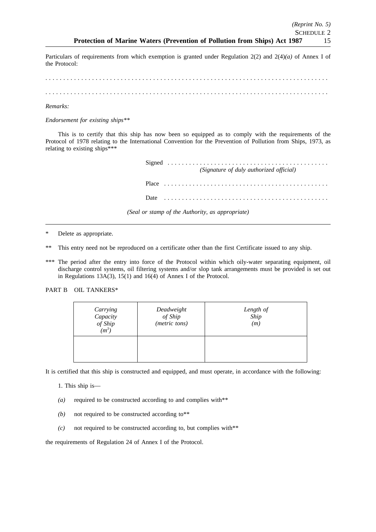Particulars of requirements from which exemption is granted under Regulation 2(2) and 2(4)*(a)* of Annex I of the Protocol:

............................................................................... ...............................................................................

*Remarks:*

*Endorsement for existing ships\*\**

This is to certify that this ship has now been so equipped as to comply with the requirements of the Protocol of 1978 relating to the International Convention for the Prevention of Pollution from Ships, 1973, as relating to existing ships\*\*\*

| (Signature of duly authorized official)          |  |
|--------------------------------------------------|--|
|                                                  |  |
| Date                                             |  |
| (Seal or stamp of the Authority, as appropriate) |  |

\* Delete as appropriate.

\*\* This entry need not be reproduced on a certificate other than the first Certificate issued to any ship.

\*\*\* The period after the entry into force of the Protocol within which oily-water separating equipment, oil discharge control systems, oil filtering systems and/or slop tank arrangements must be provided is set out in Regulations 13A(3), 15(1) and 16(4) of Annex I of the Protocol.

### PART B OIL TANKERS\*

| Carrying<br>Capacity<br>of Ship<br>$(m^3)$ | Deadweight<br>of Ship<br>(metric tons) | Length of<br>Ship<br>(m) |
|--------------------------------------------|----------------------------------------|--------------------------|
|                                            |                                        |                          |

It is certified that this ship is constructed and equipped, and must operate, in accordance with the following:

### 1. This ship is—

- *(a)* required to be constructed according to and complies with\*\*
- $(b)$  not required to be constructed according to\*\*
- $(c)$  not required to be constructed according to, but complies with<sup>\*\*</sup>

the requirements of Regulation 24 of Annex I of the Protocol.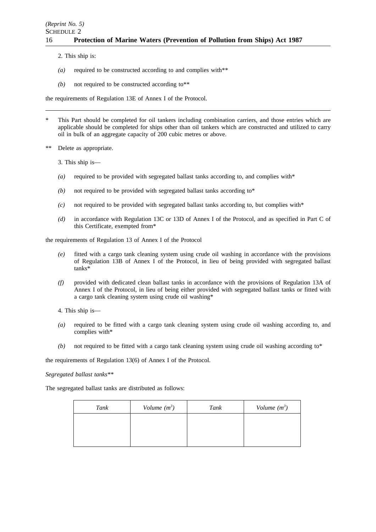2. This ship is:

- *(a)* required to be constructed according to and complies with\*\*
- *(b)* not required to be constructed according to\*\*

the requirements of Regulation 13E of Annex I of the Protocol.

- \* This Part should be completed for oil tankers including combination carriers, and those entries which are applicable should be completed for ships other than oil tankers which are constructed and utilized to carry oil in bulk of an aggregate capacity of 200 cubic metres or above.
- \*\* Delete as appropriate.

3. This ship is—

- *(a)* required to be provided with segregated ballast tanks according to, and complies with\*
- *(b)* not required to be provided with segregated ballast tanks according to\*
- *(c)* not required to be provided with segregated ballast tanks according to, but complies with\*
- *(d)* in accordance with Regulation 13C or 13D of Annex I of the Protocol, and as specified in Part C of this Certificate, exempted from\*

the requirements of Regulation 13 of Annex I of the Protocol

- *(e)* fitted with a cargo tank cleaning system using crude oil washing in accordance with the provisions of Regulation 13B of Annex I of the Protocol, in lieu of being provided with segregated ballast tanks\*
- *(f)* provided with dedicated clean ballast tanks in accordance with the provisions of Regulation 13A of Annex I of the Protocol, in lieu of being either provided with segregated ballast tanks or fitted with a cargo tank cleaning system using crude oil washing\*

4. This ship is—

- *(a)* required to be fitted with a cargo tank cleaning system using crude oil washing according to, and complies with\*
- (b) not required to be fitted with a cargo tank cleaning system using crude oil washing according to\*

the requirements of Regulation 13(6) of Annex I of the Protocol.

#### *Segregated ballast tanks\*\**

The segregated ballast tanks are distributed as follows:

| Tank | Volume $(m^3)$ | Tank | Volume $(m^3)$ |
|------|----------------|------|----------------|
|      |                |      |                |
|      |                |      |                |
|      |                |      |                |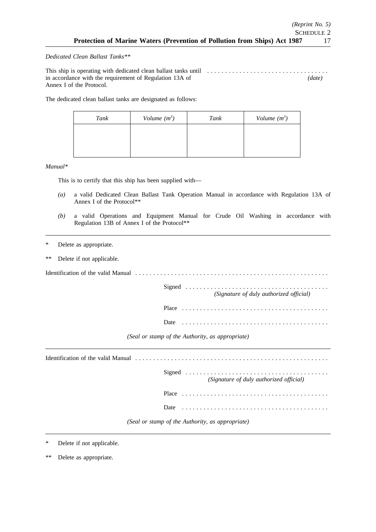*Dedicated Clean Ballast Tanks\*\**

This ship is operating with dedicated clean ballast tanks until .................................. in accordance with the requirement of Regulation 13A of *(date)* Annex I of the Protocol.

The dedicated clean ballast tanks are designated as follows:

| Tank | Volume $(m^3)$ | Tank | Volume $(m^3)$ |
|------|----------------|------|----------------|
|      |                |      |                |
|      |                |      |                |
|      |                |      |                |

*Manual\**

This is to certify that this ship has been supplied with—

- *(a)* a valid Dedicated Clean Ballast Tank Operation Manual in accordance with Regulation 13A of Annex I of the Protocol\*\*
- *(b)* a valid Operations and Equipment Manual for Crude Oil Washing in accordance with Regulation 13B of Annex I of the Protocol\*\*

\* Delete as appropriate.

\*\* Delete if not applicable.

Identification of the valid Manual ......................................................

Signed  $\ldots \ldots \ldots \ldots \ldots \ldots \ldots \ldots \ldots \ldots \ldots$ *(Signature of duly authorized official)* Place ......................................... Date .........................................

*(Seal or stamp of the Authority, as appropriate)*

Identification of the valid Manual ...................................................... Signed ........................................

> *(Signature of duly authorized official)* Place ......................................... Date .........................................

*(Seal or stamp of the Authority, as appropriate)*

\* Delete if not applicable.

\*\* Delete as appropriate.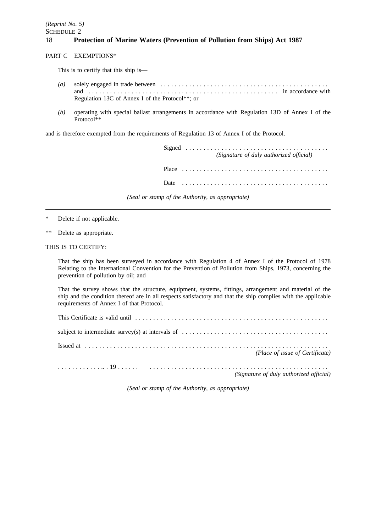# *(Reprint No. 5)* SCHEDULE 2 18 **Protection of Marine Waters (Prevention of Pollution from Ships) Act 1987**

### PART C EXEMPTIONS\*

This is to certify that this ship is—

- *(a)* solely engaged in trade between ............................................... and  $\dots\dots\dots\dots\dots\dots\dots\dots\dots\dots\dots\dots\dots\dots\dots\dots\dots\dots$  in accordance with Regulation 13C of Annex I of the Protocol\*\*; or
- *(b)* operating with special ballast arrangements in accordance with Regulation 13D of Annex I of the Protocol\*\*

and is therefore exempted from the requirements of Regulation 13 of Annex I of the Protocol.

 $Signed \dots \dots \dots \dots \dots \dots \dots \dots \dots \dots \dots \dots \dots \dots$ *(Signature of duly authorized official)* Place ......................................... Date .........................................

*(Seal or stamp of the Authority, as appropriate)*

\* Delete if not applicable.

\*\* Delete as appropriate.

## THIS IS TO CERTIFY:

That the ship has been surveyed in accordance with Regulation 4 of Annex I of the Protocol of 1978 Relating to the International Convention for the Prevention of Pollution from Ships, 1973, concerning the prevention of pollution by oil; and

That the survey shows that the structure, equipment, systems, fittings, arrangement and material of the ship and the condition thereof are in all respects satisfactory and that the ship complies with the applicable requirements of Annex I of that Protocol.

| (Signature of duly authorized official)                                                                                           |
|-----------------------------------------------------------------------------------------------------------------------------------|
| (Place of issue of Certificate)                                                                                                   |
|                                                                                                                                   |
| subject to intermediate survey(s) at intervals of $\dots \dots \dots \dots \dots \dots \dots \dots \dots \dots \dots \dots \dots$ |
|                                                                                                                                   |

*(Seal or stamp of the Authority, as appropriate)*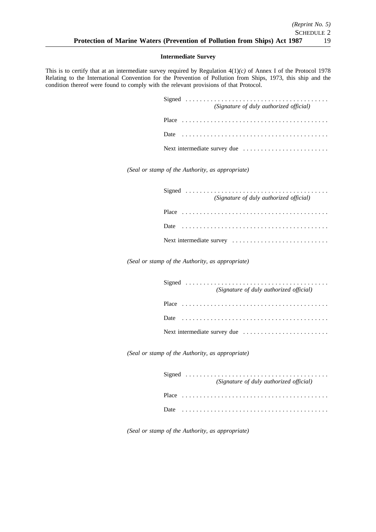# **Intermediate Survey**

This is to certify that at an intermediate survey required by Regulation 4(1)*(c)* of Annex I of the Protocol 1978 Relating to the International Convention for the Prevention of Pollution from Ships, 1973, this ship and the condition thereof were found to comply with the relevant provisions of that Protocol.

| (Signature of duly authorized official) |
|-----------------------------------------|
|                                         |
|                                         |
|                                         |

*(Seal or stamp of the Authority, as appropriate)*

| (Signature of duly authorized official) |  |  |  |  |  |  |  |  |  |  |  |  |  |  |  |
|-----------------------------------------|--|--|--|--|--|--|--|--|--|--|--|--|--|--|--|
|                                         |  |  |  |  |  |  |  |  |  |  |  |  |  |  |  |
|                                         |  |  |  |  |  |  |  |  |  |  |  |  |  |  |  |
|                                         |  |  |  |  |  |  |  |  |  |  |  |  |  |  |  |
|                                         |  |  |  |  |  |  |  |  |  |  |  |  |  |  |  |

*(Seal or stamp of the Authority, as appropriate)*

| (Signature of duly authorized official) |
|-----------------------------------------|
|                                         |
|                                         |
|                                         |

*(Seal or stamp of the Authority, as appropriate)*

| (Signature of duly authorized official) |  |  |  |  |  |  |  |
|-----------------------------------------|--|--|--|--|--|--|--|
|                                         |  |  |  |  |  |  |  |
| Date                                    |  |  |  |  |  |  |  |

*(Seal or stamp of the Authority, as appropriate)*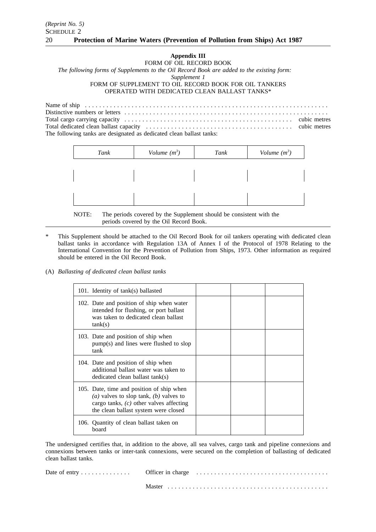# **Appendix III**

FORM OF OIL RECORD BOOK

*The following forms of Supplements to the Oil Record Book are added to the existing form: Supplement 1*

# FORM OF SUPPLEMENT TO OIL RECORD BOOK FOR OIL TANKERS OPERATED WITH DEDICATED CLEAN BALLAST TANKS\*

Name of ship .................................................................... Distinctive numbers or letters ......................................................... Total cargo carrying capacity ............................................... cubic metres Total dedicated clean ballast capacity ......................................... cubic metres The following tanks are designated as dedicated clean ballast tanks:



NOTE: The periods covered by the Supplement should be consistent with the periods covered by the Oil Record Book.

- \* This Supplement should be attached to the Oil Record Book for oil tankers operating with dedicated clean ballast tanks in accordance with Regulation 13A of Annex I of the Protocol of 1978 Relating to the International Convention for the Prevention of Pollution from Ships, 1973. Other information as required should be entered in the Oil Record Book.
- (A) *Ballasting of dedicated clean ballast tanks*

| 101. Identity of tank(s) ballasted                                                                                                                                       |  |
|--------------------------------------------------------------------------------------------------------------------------------------------------------------------------|--|
| 102. Date and position of ship when water<br>intended for flushing, or port ballast<br>was taken to dedicated clean ballast<br>tank(s)                                   |  |
| 103. Date and position of ship when<br>pump(s) and lines were flushed to slop<br>tank                                                                                    |  |
| 104. Date and position of ship when<br>additional ballast water was taken to<br>dedicated clean ballast tank(s)                                                          |  |
| 105. Date, time and position of ship when<br>(a) valves to slop tank, (b) valves to<br>cargo tanks, $(c)$ other valves affecting<br>the clean ballast system were closed |  |
| 106. Quantity of clean ballast taken on<br>board                                                                                                                         |  |

The undersigned certifies that, in addition to the above, all sea valves, cargo tank and pipeline connexions and connexions between tanks or inter-tank connexions, were secured on the completion of ballasting of dedicated clean ballast tanks.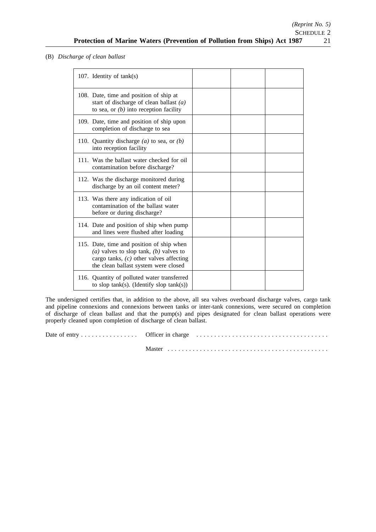(B) *Discharge of clean ballast*

| 107. Identity of $tank(s)$                                                                                                                                                 |  |
|----------------------------------------------------------------------------------------------------------------------------------------------------------------------------|--|
| 108. Date, time and position of ship at<br>start of discharge of clean ballast $(a)$<br>to sea, or $(b)$ into reception facility                                           |  |
| 109. Date, time and position of ship upon<br>completion of discharge to sea                                                                                                |  |
| 110. Quantity discharge $(a)$ to sea, or $(b)$<br>into reception facility                                                                                                  |  |
| 111. Was the ballast water checked for oil<br>contamination before discharge?                                                                                              |  |
| 112. Was the discharge monitored during<br>discharge by an oil content meter?                                                                                              |  |
| 113. Was there any indication of oil<br>contamination of the ballast water<br>before or during discharge?                                                                  |  |
| 114. Date and position of ship when pump<br>and lines were flushed after loading                                                                                           |  |
| 115. Date, time and position of ship when<br>(a) valves to slop tank, $(b)$ valves to<br>cargo tanks, $(c)$ other valves affecting<br>the clean ballast system were closed |  |
| 116. Quantity of polluted water transferred<br>to slop tank(s). (Identify slop tank(s))                                                                                    |  |

The undersigned certifies that, in addition to the above, all sea valves overboard discharge valves, cargo tank and pipeline connexions and connexions between tanks or inter-tank connexions, were secured on completion of discharge of clean ballast and that the pump(s) and pipes designated for clean ballast operations were properly cleaned upon completion of discharge of clean ballast.

| Master |  |
|--------|--|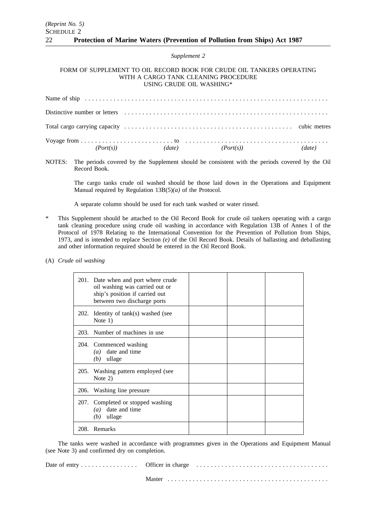#### *Supplement 2*

#### FORM OF SUPPLEMENT TO OIL RECORD BOOK FOR CRUDE OIL TANKERS OPERATING WITH A CARGO TANK CLEANING PROCEDURE USING CRUDE OIL WASHING\*

|  | $(Port(s))$ $(data)$ $(Part(s))$ $(data)$ |  |
|--|-------------------------------------------|--|

NOTES: The periods covered by the Supplement should be consistent with the periods covered by the Oil Record Book.

The cargo tanks crude oil washed should be those laid down in the Operations and Equipment Manual required by Regulation 13B(5)*(a)* of the Protocol.

A separate column should be used for each tank washed or water rinsed.

- \* This Supplement should be attached to the Oil Record Book for crude oil tankers operating with a cargo tank cleaning procedure using crude oil washing in accordance with Regulation 13B of Annex I of the Protocol of 1978 Relating to the International Convention for the Prevention of Pollution from Ships, 1973, and is intended to replace Section *(e)* of the Oil Record Book. Details of ballasting and deballasting and other information required should be entered in the Oil Record Book.
- (A) *Crude oil washing*

|      | 201. Date when and port where crude<br>oil washing was carried out or<br>ship's position if carried out |  |  |
|------|---------------------------------------------------------------------------------------------------------|--|--|
| 202. | between two discharge ports<br>Identity of $tank(s)$ washed (see                                        |  |  |
|      | Note $1)$                                                                                               |  |  |
|      | 203. Number of machines in use                                                                          |  |  |
|      | 204. Commenced washing<br>date and time<br>$\left(a\right)$<br>ullage<br>(b)                            |  |  |
|      | 205. Washing pattern employed (see<br>Note $2)$                                                         |  |  |
| 206. | Washing line pressure                                                                                   |  |  |
|      | 207. Completed or stopped washing<br>date and time<br>(a)<br>(b)<br>ullage                              |  |  |
|      | 208. Remarks                                                                                            |  |  |

The tanks were washed in accordance with programmes given in the Operations and Equipment Manual (see Note 3) and confirmed dry on completion.

Date of entry................ Officer in charge ..................................... Master .............................................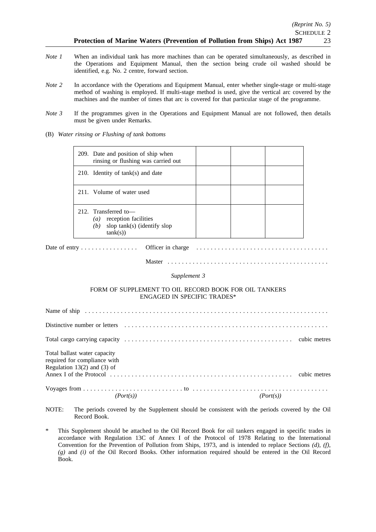- *Note 1* When an individual tank has more machines than can be operated simultaneously, as described in the Operations and Equipment Manual, then the section being crude oil washed should be identified, e.g. No. 2 centre, forward section.
- *Note 2* In accordance with the Operations and Equipment Manual, enter whether single-stage or multi-stage method of washing is employed. If multi-stage method is used, give the vertical arc covered by the machines and the number of times that arc is covered for that particular stage of the programme.
- *Note 3* If the programmes given in the Operations and Equipment Manual are not followed, then details must be given under Remarks.
- (B) *Water rinsing or Flushing of tank bottoms*

| 209. Date and position of ship when<br>rinsing or flushing was carried out                                        |  |  |
|-------------------------------------------------------------------------------------------------------------------|--|--|
| 210. Identity of $tank(s)$ and date                                                                               |  |  |
| 211. Volume of water used                                                                                         |  |  |
| 212. Transferred to-<br>reception facilities<br>$\left(a\right)$<br>slop tank(s) (identify slop<br>(b)<br>tank(s) |  |  |

Date of entry................ Officer in charge .....................................

Master .............................................

#### *Supplement 3*

### FORM OF SUPPLEMENT TO OIL RECORD BOOK FOR OIL TANKERS ENGAGED IN SPECIFIC TRADES\*

| Total ballast water capacity<br>required for compliance with<br>Regulation $13(2)$ and $(3)$ of |                       |  |
|-------------------------------------------------------------------------------------------------|-----------------------|--|
|                                                                                                 | $(Port(s))$ (Port(s)) |  |

- NOTE: The periods covered by the Supplement should be consistent with the periods covered by the Oil Record Book.
- This Supplement should be attached to the Oil Record Book for oil tankers engaged in specific trades in accordance with Regulation 13C of Annex I of the Protocol of 1978 Relating to the International Convention for the Prevention of Pollution from Ships, 1973, and is intended to replace Sections *(d)*, *(f)*, *(g)* and *(i)* of the Oil Record Books. Other information required should be entered in the Oil Record Book.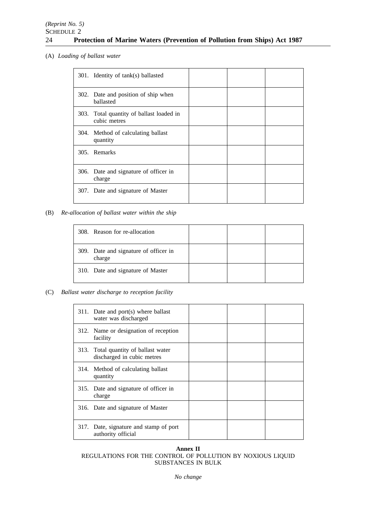# (A) *Loading of ballast water*

|      | 301. Identity of tank(s) ballasted                  |  |  |
|------|-----------------------------------------------------|--|--|
|      | 302. Date and position of ship when<br>ballasted    |  |  |
| 303. | Total quantity of ballast loaded in<br>cubic metres |  |  |
|      | 304. Method of calculating ballast<br>quantity      |  |  |
|      | 305. Remarks                                        |  |  |
|      | 306. Date and signature of officer in<br>charge     |  |  |
|      | 307. Date and signature of Master                   |  |  |

# (B) *Re-allocation of ballast water within the ship*

| 308. Reason for re-allocation                   |  |  |
|-------------------------------------------------|--|--|
| 309. Date and signature of officer in<br>charge |  |  |
| 310. Date and signature of Master               |  |  |

## (C) *Ballast water discharge to reception facility*

| Date and port(s) where ballast<br>311.<br>water was discharged     |  |  |
|--------------------------------------------------------------------|--|--|
| Name or designation of reception<br>312.<br>facility               |  |  |
| 313. Total quantity of ballast water<br>discharged in cubic metres |  |  |
| Method of calculating ballast<br>314.<br>quantity                  |  |  |
| 315. Date and signature of officer in<br>charge                    |  |  |
| 316. Date and signature of Master                                  |  |  |
| 317. Date, signature and stamp of port<br>authority official       |  |  |

### **Annex II** REGULATIONS FOR THE CONTROL OF POLLUTION BY NOXIOUS LIQUID SUBSTANCES IN BULK

*No change*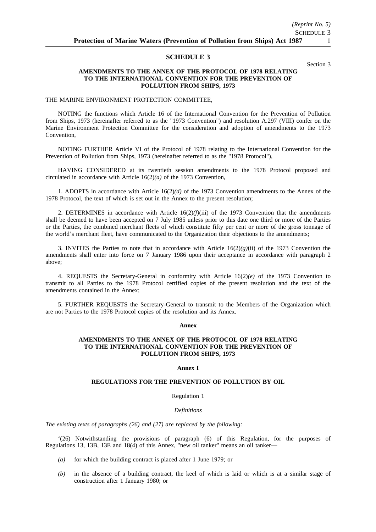#### **SCHEDULE 3**

#### **AMENDMENTS TO THE ANNEX OF THE PROTOCOL OF 1978 RELATING TO THE INTERNATIONAL CONVENTION FOR THE PREVENTION OF POLLUTION FROM SHIPS, 1973**

#### THE MARINE ENVIRONMENT PROTECTION COMMITTEE,

NOTING the functions which Article 16 of the International Convention for the Prevention of Pollution from Ships, 1973 (hereinafter referred to as the "1973 Convention") and resolution A.297 (VIII) confer on the Marine Environment Protection Committee for the consideration and adoption of amendments to the 1973 Convention,

NOTING FURTHER Article VI of the Protocol of 1978 relating to the International Convention for the Prevention of Pollution from Ships, 1973 (hereinafter referred to as the "1978 Protocol"),

HAVING CONSIDERED at its twentieth session amendments to the 1978 Protocol proposed and circulated in accordance with Article 16(2)*(a)* of the 1973 Convention,

1. ADOPTS in accordance with Article 16(2)*(d)* of the 1973 Convention amendments to the Annex of the 1978 Protocol, the text of which is set out in the Annex to the present resolution;

2. DETERMINES in accordance with Article 16(2)*(f)*(iii) of the 1973 Convention that the amendments shall be deemed to have been accepted on 7 July 1985 unless prior to this date one third or more of the Parties or the Parties, the combined merchant fleets of which constitute fifty per cent or more of the gross tonnage of the world's merchant fleet, have communicated to the Organization their objections to the amendments;

3. INVITES the Parties to note that in accordance with Article 16(2)*(g)*(ii) of the 1973 Convention the amendments shall enter into force on 7 January 1986 upon their acceptance in accordance with paragraph 2 above;

4. REQUESTS the Secretary-General in conformity with Article 16(2)*(e)* of the 1973 Convention to transmit to all Parties to the 1978 Protocol certified copies of the present resolution and the text of the amendments contained in the Annex;

5. FURTHER REQUESTS the Secretary-General to transmit to the Members of the Organization which are not Parties to the 1978 Protocol copies of the resolution and its Annex.

#### **Annex**

### **AMENDMENTS TO THE ANNEX OF THE PROTOCOL OF 1978 RELATING TO THE INTERNATIONAL CONVENTION FOR THE PREVENTION OF POLLUTION FROM SHIPS, 1973**

#### **Annex I**

#### **REGULATIONS FOR THE PREVENTION OF POLLUTION BY OIL**

#### Regulation 1

#### *Definitions*

*The existing texts of paragraphs (26) and (27) are replaced by the following:*

'(26) Notwithstanding the provisions of paragraph (6) of this Regulation, for the purposes of Regulations 13, 13B, 13E and 18(4) of this Annex, "new oil tanker" means an oil tanker—

- *(a)* for which the building contract is placed after 1 June 1979; or
- *(b)* in the absence of a building contract, the keel of which is laid or which is at a similar stage of construction after 1 January 1980; or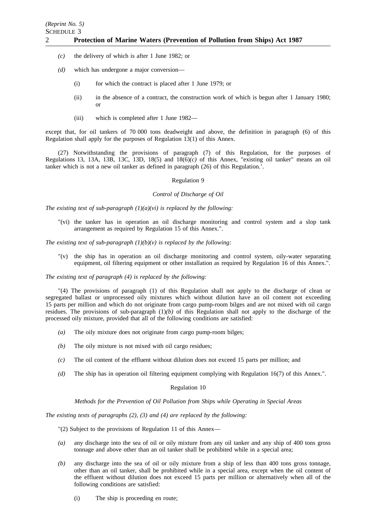- *(c)* the delivery of which is after 1 June 1982; or
- *(d)* which has undergone a major conversion—
	- (i) for which the contract is placed after 1 June 1979; or
	- (ii) in the absence of a contract, the construction work of which is begun after 1 January 1980; or
	- (iii) which is completed after 1 June 1982—

except that, for oil tankers of 70 000 tons deadweight and above, the definition in paragraph (6) of this Regulation shall apply for the purposes of Regulation 13(1) of this Annex.

(27) Notwithstanding the provisions of paragraph (7) of this Regulation, for the purposes of Regulations 13, 13A, 13B, 13C, 13D, 18(5) and 18(6)*(c)* of this Annex, "existing oil tanker" means an oil tanker which is not a new oil tanker as defined in paragraph (26) of this Regulation.'.

#### Regulation 9

#### *Control of Discharge of Oil*

*The existing text of sub-paragraph (1)(a)(vi) is replaced by the following:*

"(vi) the tanker has in operation an oil discharge monitoring and control system and a slop tank arrangement as required by Regulation 15 of this Annex.".

*The existing text of sub-paragraph (1)(b)(v) is replaced by the following:*

"(v) the ship has in operation an oil discharge monitoring and control system, oily-water separating equipment, oil filtering equipment or other installation as required by Regulation 16 of this Annex.".

*The existing text of paragraph (4) is replaced by the following:*

"(4) The provisions of paragraph (1) of this Regulation shall not apply to the discharge of clean or segregated ballast or unprocessed oily mixtures which without dilution have an oil content not exceeding 15 parts per million and which do not originate from cargo pump-room bilges and are not mixed with oil cargo residues. The provisions of sub-paragraph (1)*(b)* of this Regulation shall not apply to the discharge of the processed oily mixture, provided that all of the following conditions are satisfied:

- *(a)* The oily mixture does not originate from cargo pump-room bilges;
- *(b)* The oily mixture is not mixed with oil cargo residues;
- *(c)* The oil content of the effluent without dilution does not exceed 15 parts per million; and
- *(d)* The ship has in operation oil filtering equipment complying with Regulation 16(7) of this Annex.".

#### Regulation 10

*Methods for the Prevention of Oil Pollution from Ships while Operating in Special Areas*

*The existing texts of paragraphs (2), (3) and (4) are replaced by the following:*

"(2) Subject to the provisions of Regulation 11 of this Annex—

- *(a)* any discharge into the sea of oil or oily mixture from any oil tanker and any ship of 400 tons gross tonnage and above other than an oil tanker shall be prohibited while in a special area;
- *(b)* any discharge into the sea of oil or oily mixture from a ship of less than 400 tons gross tonnage, other than an oil tanker, shall be prohibited while in a special area, except when the oil content of the effluent without dilution does not exceed 15 parts per million or alternatively when all of the following conditions are satisfied:
	- (i) The ship is proceeding en route;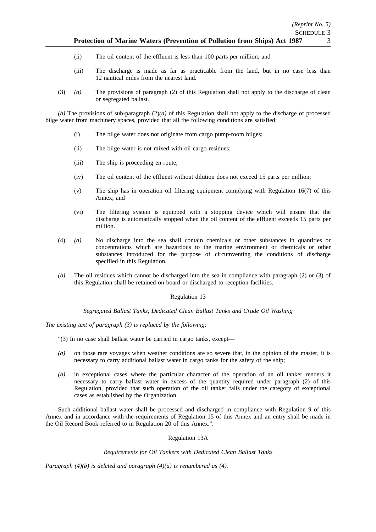- (ii) The oil content of the effluent is less than 100 parts per million; and
- (iii) The discharge is made as far as practicable from the land, but in no case less than 12 nautical miles from the nearest land.
- (3) *(a)* The provisions of paragraph (2) of this Regulation shall not apply to the discharge of clean or segregated ballast.

*(b)* The provisions of sub-paragraph (2)*(a)* of this Regulation shall not apply to the discharge of processed bilge water from machinery spaces, provided that all the following conditions are satisfied:

- (i) The bilge water does not originate from cargo pump-room bilges;
- (ii) The bilge water is not mixed with oil cargo residues;
- (iii) The ship is proceeding en route;
- (iv) The oil content of the effluent without dilution does not exceed 15 parts per million;
- (v) The ship has in operation oil filtering equipment complying with Regulation 16(7) of this Annex; and
- (vi) The filtering system is equipped with a stopping device which will ensure that the discharge is automatically stopped when the oil content of the effluent exceeds 15 parts per million.
- (4) *(a)* No discharge into the sea shall contain chemicals or other substances in quantities or concentrations which are hazardous to the marine environment or chemicals or other substances introduced for the purpose of circumventing the conditions of discharge specified in this Regulation.
- *(b)* The oil residues which cannot be discharged into the sea in compliance with paragraph (2) or (3) of this Regulation shall be retained on board or discharged to reception facilities.

#### Regulation 13

#### *Segregated Ballast Tanks, Dedicated Clean Ballast Tanks and Crude Oil Washing*

*The existing text of paragraph (3) is replaced by the following:*

- "(3) In no case shall ballast water be carried in cargo tanks, except—
- *(a)* on those rare voyages when weather conditions are so severe that, in the opinion of the master, it is necessary to carry additional ballast water in cargo tanks for the safety of the ship;
- *(b)* in exceptional cases where the particular character of the operation of an oil tanker renders it necessary to carry ballast water in excess of the quantity required under paragraph (2) of this Regulation, provided that such operation of the oil tanker falls under the category of exceptional cases as established by the Organization.

Such additional ballast water shall be processed and discharged in compliance with Regulation 9 of this Annex and in accordance with the requirements of Regulation 15 of this Annex and an entry shall be made in the Oil Record Book referred to in Regulation 20 of this Annex.".

### Regulation 13A

#### *Requirements for Oil Tankers with Dedicated Clean Ballast Tanks*

*Paragraph (4)(b) is deleted and paragraph (4)(a) is renumbered as (4).*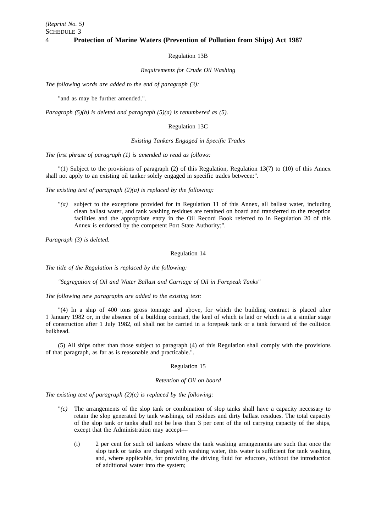Regulation 13B

*Requirements for Crude Oil Washing*

*The following words are added to the end of paragraph (3):*

"and as may be further amended.".

*Paragraph (5)(b) is deleted and paragraph (5)(a) is renumbered as (5).*

Regulation 13C

#### *Existing Tankers Engaged in Specific Trades*

*The first phrase of paragraph (1) is amended to read as follows:*

"(1) Subject to the provisions of paragraph (2) of this Regulation, Regulation 13(7) to (10) of this Annex shall not apply to an existing oil tanker solely engaged in specific trades between:".

*The existing text of paragraph (2)(a) is replaced by the following:*

"*(a)* subject to the exceptions provided for in Regulation 11 of this Annex, all ballast water, including clean ballast water, and tank washing residues are retained on board and transferred to the reception facilities and the appropriate entry in the Oil Record Book referred to in Regulation 20 of this Annex is endorsed by the competent Port State Authority;".

*Paragraph (3) is deleted.*

### Regulation 14

*The title of the Regulation is replaced by the following:*

*"Segregation of Oil and Water Ballast and Carriage of Oil in Forepeak Tanks"*

*The following new paragraphs are added to the existing text:*

"(4) In a ship of 400 tons gross tonnage and above, for which the building contract is placed after 1 January 1982 or, in the absence of a building contract, the keel of which is laid or which is at a similar stage of construction after 1 July 1982, oil shall not be carried in a forepeak tank or a tank forward of the collision bulkhead.

(5) All ships other than those subject to paragraph (4) of this Regulation shall comply with the provisions of that paragraph, as far as is reasonable and practicable.".

#### Regulation 15

#### *Retention of Oil on board*

*The existing text of paragraph (2)(c) is replaced by the following:*

- "*(c)* The arrangements of the slop tank or combination of slop tanks shall have a capacity necessary to retain the slop generated by tank washings, oil residues and dirty ballast residues. The total capacity of the slop tank or tanks shall not be less than 3 per cent of the oil carrying capacity of the ships, except that the Administration may accept—
	- (i) 2 per cent for such oil tankers where the tank washing arrangements are such that once the slop tank or tanks are charged with washing water, this water is sufficient for tank washing and, where applicable, for providing the driving fluid for eductors, without the introduction of additional water into the system;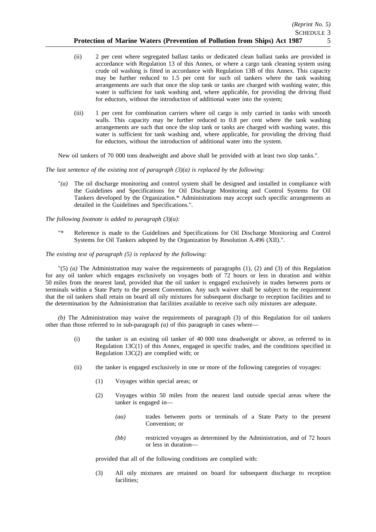- (ii) 2 per cent where segregated ballast tanks or dedicated clean ballast tanks are provided in accordance with Regulation 13 of this Annex, or where a cargo tank cleaning system using crude oil washing is fitted in accordance with Regulation 13B of this Annex. This capacity may be further reduced to 1.5 per cent for such oil tankers where the tank washing arrangements are such that once the slop tank or tanks are charged with washing water, this water is sufficient for tank washing and, where applicable, for providing the driving fluid for eductors, without the introduction of additional water into the system;
- (iii) 1 per cent for combination carriers where oil cargo is only carried in tanks with smooth walls. This capacity may be further reduced to 0.8 per cent where the tank washing arrangements are such that once the slop tank or tanks are charged with washing water, this water is sufficient for tank washing and, where applicable, for providing the driving fluid for eductors, without the introduction of additional water into the system.

New oil tankers of 70 000 tons deadweight and above shall be provided with at least two slop tanks.".

*The last sentence of the existing text of paragraph (3)(a) is replaced by the following:*

"*(a)* The oil discharge monitoring and control system shall be designed and installed in compliance with the Guidelines and Specifications for Oil Discharge Monitoring and Control Systems for Oil Tankers developed by the Organization.\* Administrations may accept such specific arrangements as detailed in the Guidelines and Specifications.".

*The following footnote is added to paragraph (3)(a):*

"\* Reference is made to the Guidelines and Specifications for Oil Discharge Monitoring and Control Systems for Oil Tankers adopted by the Organization by Resolution A.496 (XII).".

*The existing text of paragraph (5) is replaced by the following:*

"(5) *(a)* The Administration may waive the requirements of paragraphs (1), (2) and (3) of this Regulation for any oil tanker which engages exclusively on voyages both of 72 hours or less in duration and within 50 miles from the nearest land, provided that the oil tanker is engaged exclusively in trades between ports or terminals within a State Party to the present Convention. Any such waiver shall be subject to the requirement that the oil tankers shall retain on board all oily mixtures for subsequent discharge to reception facilities and to the determination by the Administration that facilities available to receive such oily mixtures are adequate.

*(b)* The Administration may waive the requirements of paragraph (3) of this Regulation for oil tankers other than those referred to in sub-paragraph  $(a)$  of this paragraph in cases where-

- (i) the tanker is an existing oil tanker of 40 000 tons deadweight or above, as referred to in Regulation 13C(1) of this Annex, engaged in specific trades, and the conditions specified in Regulation 13C(2) are complied with; or
- (ii) the tanker is engaged exclusively in one or more of the following categories of voyages:
	- (1) Voyages within special areas; or
	- (2) Voyages within 50 miles from the nearest land outside special areas where the tanker is engaged in—
		- *(aa)* trades between ports or terminals of a State Party to the present Convention; or
		- *(bb)* restricted voyages as determined by the Administration, and of 72 hours or less in duration—

provided that all of the following conditions are complied with:

(3) All oily mixtures are retained on board for subsequent discharge to reception facilities;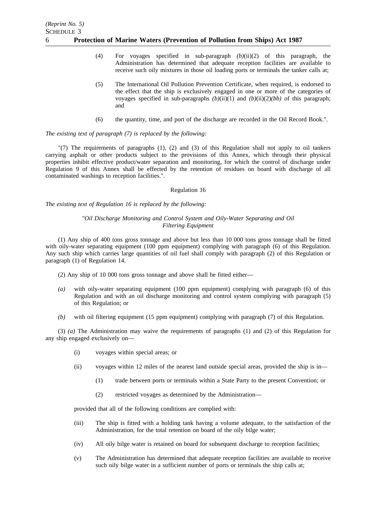- (4) For voyages specified in sub-paragraph *(b)*(ii)(2) of this paragraph, the Administration has determined that adequate reception facilities are available to receive such oily mixtures in those oil loading ports or terminals the tanker calls at;
- (5) The International Oil Pollution Prevention Certificate, when required, is endorsed to the effect that the ship is exclusively engaged in one or more of the categories of voyages specified in sub-paragraphs  $(b)(ii)(1)$  and  $(b)(ii)(2)(bb)$  of this paragraph; and
- (6) the quantity, time, and port of the discharge are recorded in the Oil Record Book.".

*The existing text of paragraph (7) is replaced by the following:*

"(7) The requirements of paragraphs (1), (2) and (3) of this Regulation shall not apply to oil tankers carrying asphalt or other products subject to the provisions of this Annex, which through their physical properties inhibit effective product/water separation and monitoring, for which the control of discharge under Regulation 9 of this Annex shall be effected by the retention of residues on board with discharge of all contaminated washings to reception facilities.".

#### Regulation 16

*The existing text of Regulation 16 is replaced by the following:*

### *"Oil Discharge Monitoring and Control System and Oily-Water Separating and Oil Filtering Equipment*

(1) Any ship of 400 tons gross tonnage and above but less than 10 000 tons gross tonnage shall be fitted with oily-water separating equipment (100 ppm equipment) complying with paragraph (6) of this Regulation. Any such ship which carries large quantities of oil fuel shall comply with paragraph (2) of this Regulation or paragraph (1) of Regulation 14.

- (2) Any ship of 10 000 tons gross tonnage and above shall be fitted either—
- *(a)* with oily-water separating equipment (100 ppm equipment) complying with paragraph (6) of this Regulation and with an oil discharge monitoring and control system complying with paragraph (5) of this Regulation; or
- *(b)* with oil filtering equipment (15 ppm equipment) complying with paragraph (7) of this Regulation.

(3) *(a)* The Administration may waive the requirements of paragraphs (1) and (2) of this Regulation for any ship engaged exclusively on—

- (i) voyages within special areas; or
- (ii) voyages within 12 miles of the nearest land outside special areas, provided the ship is in—
	- (1) trade between ports or terminals within a State Party to the present Convention; or
	- (2) restricted voyages as determined by the Administration—

provided that all of the following conditions are complied with:

- (iii) The ship is fitted with a holding tank having a volume adequate, to the satisfaction of the Administration, for the total retention on board of the oily bilge water;
- (iv) All oily bilge water is retained on board for subsequent discharge to reception facilities;
- (v) The Administration has determined that adequate reception facilities are available to receive such oily bilge water in a sufficient number of ports or terminals the ship calls at;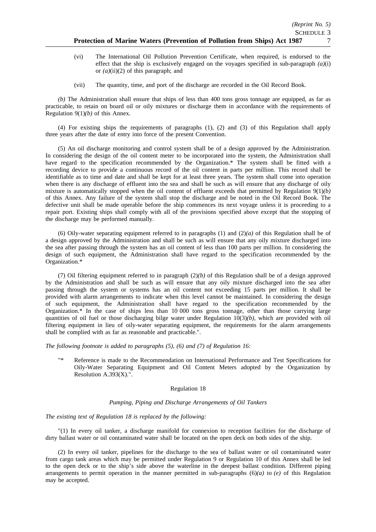- (vi) The International Oil Pollution Prevention Certificate, when required, is endorsed to the effect that the ship is exclusively engaged on the voyages specified in sub-paragraph  $(a)(i)$ or *(a)*(ii)(2) of this paragraph; and
- (vii) The quantity, time, and port of the discharge are recorded in the Oil Record Book.

*(b)* The Administration shall ensure that ships of less than 400 tons gross tonnage are equipped, as far as practicable, to retain on board oil or oily mixtures or discharge them in accordance with the requirements of Regulation 9(1)*(b)* of this Annex.

(4) For existing ships the requirements of paragraphs (1), (2) and (3) of this Regulation shall apply three years after the date of entry into force of the present Convention.

(5) An oil discharge monitoring and control system shall be of a design approved by the Administration. In considering the design of the oil content meter to be incorporated into the system, the Administration shall have regard to the specification recommended by the Organization.\* The system shall be fitted with a recording device to provide a continuous record of the oil content in parts per million. This record shall be identifiable as to time and date and shall be kept for at least three years. The system shall come into operation when there is any discharge of effluent into the sea and shall be such as will ensure that any discharge of oily mixture is automatically stopped when the oil content of effluent exceeds that permitted by Regulation 9(1)*(b)* of this Annex. Any failure of the system shall stop the discharge and be noted in the Oil Record Book. The defective unit shall be made operable before the ship commences its next voyage unless it is proceeding to a repair port. Existing ships shall comply with all of the provisions specified above except that the stopping of the discharge may be performed manually.

(6) Oily-water separating equipment referred to in paragraphs (1) and (2)*(a)* of this Regulation shall be of a design approved by the Administration and shall be such as will ensure that any oily mixture discharged into the sea after passing through the system has an oil content of less than 100 parts per million. In considering the design of such equipment, the Administration shall have regard to the specification recommended by the Organization.\*

(7) Oil filtering equipment referred to in paragraph (2)*(b)* of this Regulation shall be of a design approved by the Administration and shall be such as will ensure that any oily mixture discharged into the sea after passing through the system or systems has an oil content not exceeding 15 parts per million. It shall be provided with alarm arrangements to indicate when this level cannot be maintained. In considering the design of such equipment, the Administration shall have regard to the specification recommended by the Organization.\* In the case of ships less than 10 000 tons gross tonnage, other than those carrying large quantities of oil fuel or those discharging bilge water under Regulation  $10(3)(b)$ , which are provided with oil filtering equipment in lieu of oily-water separating equipment, the requirements for the alarm arrangements shall be complied with as far as reasonable and practicable.".

*The following footnote is added to paragraphs (5), (6) and (7) of Regulation 16:*

"\* Reference is made to the Recommendation on International Performance and Test Specifications for Oily-Water Separating Equipment and Oil Content Meters adopted by the Organization by Resolution A.393(X).".

#### Regulation 18

#### *Pumping, Piping and Discharge Arrangements of Oil Tankers*

*The existing text of Regulation 18 is replaced by the following:*

"(1) In every oil tanker, a discharge manifold for connexion to reception facilities for the discharge of dirty ballast water or oil contaminated water shall be located on the open deck on both sides of the ship.

(2) In every oil tanker, pipelines for the discharge to the sea of ballast water or oil contaminated water from cargo tank areas which may be permitted under Regulation 9 or Regulation 10 of this Annex shall be led to the open deck or to the ship's side above the waterline in the deepest ballast condition. Different piping arrangements to permit operation in the manner permitted in sub-paragraphs (6)*(a)* to *(e)* of this Regulation may be accepted.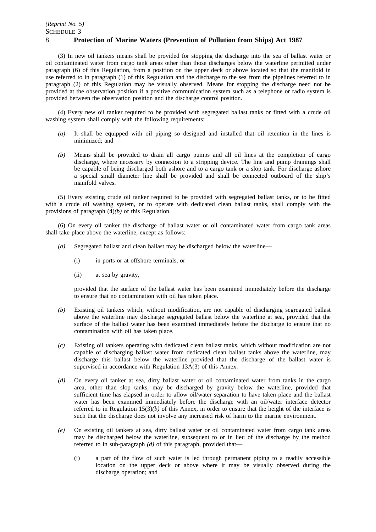# *(Reprint No. 5)* SCHEDULE 3 8 **Protection of Marine Waters (Prevention of Pollution from Ships) Act 1987**

(3) In new oil tankers means shall be provided for stopping the discharge into the sea of ballast water or oil contaminated water from cargo tank areas other than those discharges below the waterline permitted under paragraph (6) of this Regulation, from a position on the upper deck or above located so that the manifold in use referred to in paragraph (1) of this Regulation and the discharge to the sea from the pipelines referred to in paragraph (2) of this Regulation may be visually observed. Means for stopping the discharge need not be provided at the observation position if a positive communication system such as a telephone or radio system is provided between the observation position and the discharge control position.

(4) Every new oil tanker required to be provided with segregated ballast tanks or fitted with a crude oil washing system shall comply with the following requirements:

- *(a)* It shall be equipped with oil piping so designed and installed that oil retention in the lines is minimized; and
- *(b)* Means shall be provided to drain all cargo pumps and all oil lines at the completion of cargo discharge, where necessary by connexion to a stripping device. The line and pump drainings shall be capable of being discharged both ashore and to a cargo tank or a slop tank. For discharge ashore a special small diameter line shall be provided and shall be connected outboard of the ship's manifold valves.

(5) Every existing crude oil tanker required to be provided with segregated ballast tanks, or to be fitted with a crude oil washing system, or to operate with dedicated clean ballast tanks, shall comply with the provisions of paragraph  $(4)(b)$  of this Regulation.

(6) On every oil tanker the discharge of ballast water or oil contaminated water from cargo tank areas shall take place above the waterline, except as follows:

- *(a)* Segregated ballast and clean ballast may be discharged below the waterline—
	- (i) in ports or at offshore terminals, or
	- (ii) at sea by gravity,

provided that the surface of the ballast water has been examined immediately before the discharge to ensure that no contamination with oil has taken place.

- *(b)* Existing oil tankers which, without modification, are not capable of discharging segregated ballast above the waterline may discharge segregated ballast below the waterline at sea, provided that the surface of the ballast water has been examined immediately before the discharge to ensure that no contamination with oil has taken place.
- *(c)* Existing oil tankers operating with dedicated clean ballast tanks, which without modification are not capable of discharging ballast water from dedicated clean ballast tanks above the waterline, may discharge this ballast below the waterline provided that the discharge of the ballast water is supervised in accordance with Regulation 13A(3) of this Annex.
- *(d)* On every oil tanker at sea, dirty ballast water or oil contaminated water from tanks in the cargo area, other than slop tanks, may be discharged by gravity below the waterline, provided that sufficient time has elapsed in order to allow oil/water separation to have taken place and the ballast water has been examined immediately before the discharge with an oil/water interface detector referred to in Regulation  $15(3)(b)$  of this Annex, in order to ensure that the height of the interface is such that the discharge does not involve any increased risk of harm to the marine environment.
- *(e)* On existing oil tankers at sea, dirty ballast water or oil contaminated water from cargo tank areas may be discharged below the waterline, subsequent to or in lieu of the discharge by the method referred to in sub-paragraph *(d)* of this paragraph, provided that—
	- (i) a part of the flow of such water is led through permanent piping to a readily accessible location on the upper deck or above where it may be visually observed during the discharge operation; and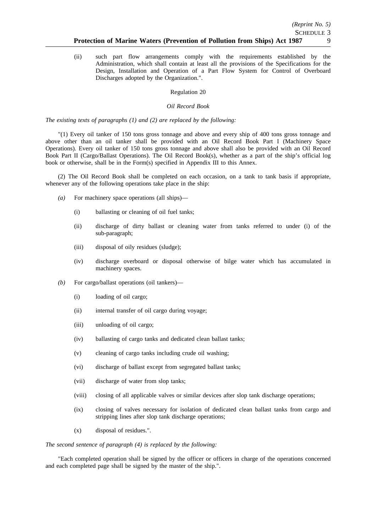(ii) such part flow arrangements comply with the requirements established by the Administration, which shall contain at least all the provisions of the Specifications for the Design, Installation and Operation of a Part Flow System for Control of Overboard Discharges adopted by the Organization.".

#### Regulation 20

#### *Oil Record Book*

#### *The existing texts of paragraphs (1) and (2) are replaced by the following:*

"(1) Every oil tanker of 150 tons gross tonnage and above and every ship of 400 tons gross tonnage and above other than an oil tanker shall be provided with an Oil Record Book Part I (Machinery Space Operations). Every oil tanker of 150 tons gross tonnage and above shall also be provided with an Oil Record Book Part II (Cargo/Ballast Operations). The Oil Record Book(s), whether as a part of the ship's official log book or otherwise, shall be in the Form(s) specified in Appendix III to this Annex.

(2) The Oil Record Book shall be completed on each occasion, on a tank to tank basis if appropriate, whenever any of the following operations take place in the ship:

- *(a)* For machinery space operations (all ships)—
	- (i) ballasting or cleaning of oil fuel tanks;
	- (ii) discharge of dirty ballast or cleaning water from tanks referred to under (i) of the sub-paragraph;
	- (iii) disposal of oily residues (sludge);
	- (iv) discharge overboard or disposal otherwise of bilge water which has accumulated in machinery spaces.
- *(b)* For cargo/ballast operations (oil tankers)—
	- (i) loading of oil cargo;
	- (ii) internal transfer of oil cargo during voyage;
	- (iii) unloading of oil cargo;
	- (iv) ballasting of cargo tanks and dedicated clean ballast tanks;
	- (v) cleaning of cargo tanks including crude oil washing;
	- (vi) discharge of ballast except from segregated ballast tanks;
	- (vii) discharge of water from slop tanks;
	- (viii) closing of all applicable valves or similar devices after slop tank discharge operations;
	- (ix) closing of valves necessary for isolation of dedicated clean ballast tanks from cargo and stripping lines after slop tank discharge operations;
	- (x) disposal of residues.".

#### *The second sentence of paragraph (4) is replaced by the following:*

"Each completed operation shall be signed by the officer or officers in charge of the operations concerned and each completed page shall be signed by the master of the ship.".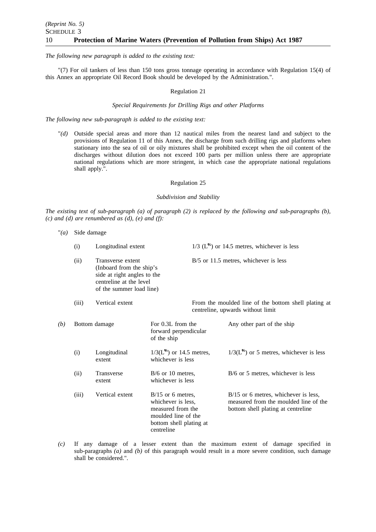*The following new paragraph is added to the existing text:*

"(7) For oil tankers of less than 150 tons gross tonnage operating in accordance with Regulation 15(4) of this Annex an appropriate Oil Record Book should be developed by the Administration.".

### Regulation 21

#### *Special Requirements for Drilling Rigs and other Platforms*

*The following new sub-paragraph is added to the existing text:*

"*(d)* Outside special areas and more than 12 nautical miles from the nearest land and subject to the provisions of Regulation 11 of this Annex, the discharge from such drilling rigs and platforms when stationary into the sea of oil or oily mixtures shall be prohibited except when the oil content of the discharges without dilution does not exceed 100 parts per million unless there are appropriate national regulations which are more stringent, in which case the appropriate national regulations shall apply.".

#### Regulation 25

#### *Subdivision and Stability*

*The existing text of sub-paragraph (a) of paragraph (2) is replaced by the following and sub-paragraphs (b), (c) and (d) are renumbered as (d), (e) and (f):*

- "*(a)* Side damage (i) Longitudinal extent  $1/3$  ( $L^{\mathcal{A}}$ ) or 14.5 metres, whichever is less (ii) Transverse extent B/5 or 11.5 metres, whichever is less (Inboard from the ship's side at right angles to the centreline at the level of the summer load line) (iii) Vertical extent From the moulded line of the bottom shell plating at centreline, upwards without limit *(b)* Bottom damage For 0.3L from the Any other part of the ship forward perpendicular of the ship (i) Longitudinal  $1/3(L^{2/3})$  or 14.5 metres,  $1/3(L^{2/3})$  or 5 metres, whichever is less extent whichever is less (ii) Transverse B/6 or 10 metres, B/6 or 5 metres, whichever is less extent whichever is less (iii) Vertical extent  $B/15$  or 6 metres,  $B/15$  or 6 metres, whichever is less, whichever is less, measured from the moulded line of the measured from the bottom shell plating at centreline bottom shell plating at centreline moulded line of the bottom shell plating at centreline
- *(c)* If any damage of a lesser extent than the maximum extent of damage specified in sub-paragraphs *(a)* and *(b)* of this paragraph would result in a more severe condition, such damage shall be considered.".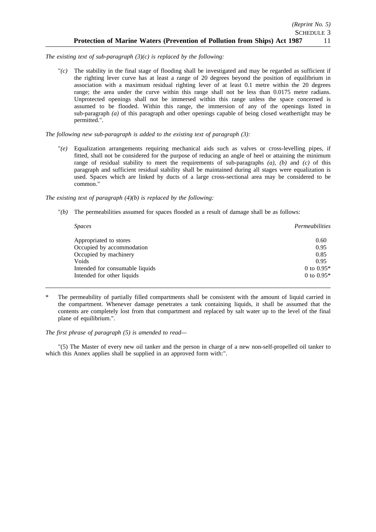*The existing text of sub-paragraph (3)(c) is replaced by the following:*

"*(c)* The stability in the final stage of flooding shall be investigated and may be regarded as sufficient if the righting lever curve has at least a range of 20 degrees beyond the position of equilibrium in association with a maximum residual righting lever of at least 0.1 metre within the 20 degrees range; the area under the curve within this range shall not be less than 0.0175 metre radians. Unprotected openings shall not be immersed within this range unless the space concerned is assumed to be flooded. Within this range, the immersion of any of the openings listed in sub-paragraph *(a)* of this paragraph and other openings capable of being closed weathertight may be permitted.".

*The following new sub-paragraph is added to the existing text of paragraph (3):*

"*(e)* Equalization arrangements requiring mechanical aids such as valves or cross-levelling pipes, if fitted, shall not be considered for the purpose of reducing an angle of heel or attaining the minimum range of residual stability to meet the requirements of sub-paragraphs *(a)*, *(b)* and *(c)* of this paragraph and sufficient residual stability shall be maintained during all stages were equalization is used. Spaces which are linked by ducts of a large cross-sectional area may be considered to be common."

*The existing text of paragraph (4)(b) is replaced by the following:*

"*(b)* The permeabilities assumed for spaces flooded as a result of damage shall be as follows:

| <i>Spaces</i>                   | Permeabilities |
|---------------------------------|----------------|
| Appropriated to stores          | 0.60           |
| Occupied by accommodation       | 0.95           |
| Occupied by machinery           | 0.85           |
| Voids                           | 0.95           |
| Intended for consumable liquids | 0 to $0.95*$   |
| Intended for other liquids      | 0 to $0.95*$   |

The permeability of partially filled compartments shall be consistent with the amount of liquid carried in the compartment. Whenever damage penetrates a tank containing liquids, it shall be assumed that the contents are completely lost from that compartment and replaced by salt water up to the level of the final plane of equilibrium.".

*The first phrase of paragraph (5) is amended to read—*

"(5) The Master of every new oil tanker and the person in charge of a new non-self-propelled oil tanker to which this Annex applies shall be supplied in an approved form with:".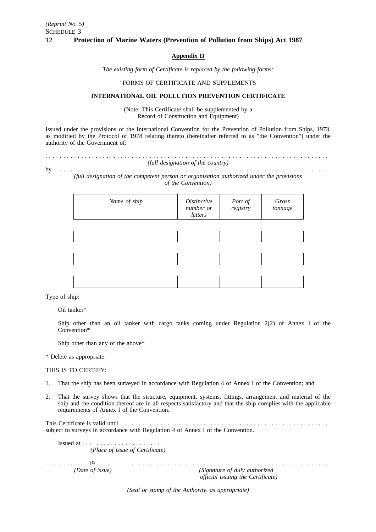#### **Appendix II**

*The existing form of Certificate is replaced by the following forms:*

#### "FORMS OF CERTIFICATE AND SUPPLEMENTS

### **INTERNATIONAL OIL POLLUTION PREVENTION CERTIFICATE**

(Note: This Certificate shall be supplemented by a Record of Construction and Equipment)

Issued under the provisions of the International Convention for the Prevention of Pollution from Ships, 1973, as modified by the Protocol of 1978 relating thereto (hereinafter referred to as "the Convention") under the authority of the Government of:

............................................................................... *(full designation of the country)*

by . . . . . . . . . . . . . . . . . . . . . . . . . . . . . . . . . . . . . . . . . . . . . . . . . . . . . . . . . . . . . . . . . . . . . . . . . . . . *(full designation of the competent person or organization authorized under the provisions of the Convention)*

| Name of ship | <i>Distinctive</i><br>number or<br>letters | Port of<br>registry | Gross<br>tonnage |
|--------------|--------------------------------------------|---------------------|------------------|
|              |                                            |                     |                  |
|              |                                            |                     |                  |
|              |                                            |                     |                  |

Type of ship:

Oil tanker\*

Ship other than an oil tanker with cargo tanks coming under Regulation 2(2) of Annex I of the Convention\*

Ship other than any of the above\*

\* Delete as appropriate.

## THIS IS TO CERTIFY:

- 1. That the ship has been surveyed in accordance with Regulation 4 of Annex I of the Convention; and
- 2. That the survey shows that the structure, equipment, systems, fittings, arrangement and material of the ship and the condition thereof are in all respects satisfactory and that the ship complies with the applicable requirements of Annex I of the Convention.

This Certificate is valid until ......................................................... subject to surveys in accordance with Regulation 4 of Annex I of the Convention.

Issued at...................... *(Place of issue of Certificate)* . . . . . . . . . . . . 19 . . . . . . . . . . . . . . . . . . . . . . . . . . . . . . . . . . . . . . . . . . . . . . . . . . . . . . . . . . . . . *(Signature of duly authorized) official issuing the Certificate)*

*(Seal or stamp of the Authority, as appropriate)*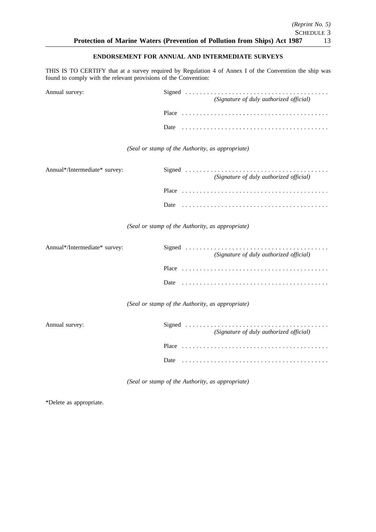# **ENDORSEMENT FOR ANNUAL AND INTERMEDIATE SURVEYS**

THIS IS TO CERTIFY that at a survey required by Regulation 4 of Annex I of the Convention the ship was found to comply with the relevant provisions of the Convention:

| Annual survey:                | (Signature of duly authorized official)          |
|-------------------------------|--------------------------------------------------|
|                               |                                                  |
|                               | Date                                             |
|                               | (Seal or stamp of the Authority, as appropriate) |
| Annual*/Intermediate* survey: | (Signature of duly authorized official)          |
|                               |                                                  |
|                               |                                                  |
|                               | (Seal or stamp of the Authority, as appropriate) |
| Annual*/Intermediate* survey: | (Signature of duly authorized official)          |
|                               |                                                  |
|                               |                                                  |
|                               | (Seal or stamp of the Authority, as appropriate) |
| Annual survey:                | (Signature of duly authorized official)          |
|                               |                                                  |
|                               | Date                                             |

*(Seal or stamp of the Authority, as appropriate)*

\*Delete as appropriate.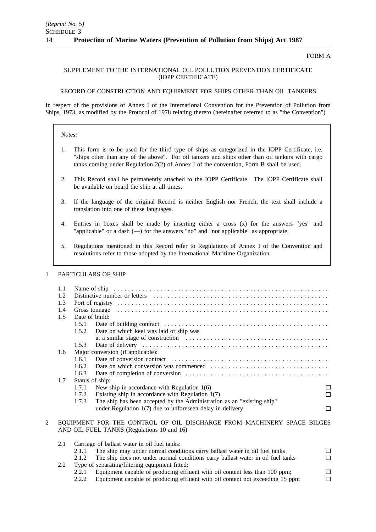#### FORM A

## SUPPLEMENT TO THE INTERNATIONAL OIL POLLUTION PREVENTION CERTIFICATE (IOPP CERTIFICATE)

### RECORD OF CONSTRUCTION AND EQUIPMENT FOR SHIPS OTHER THAN OIL TANKERS

In respect of the provisions of Annex I of the International Convention for the Prevention of Pollution from Ships, 1973, as modified by the Protocol of 1978 relating thereto (hereinafter referred to as "the Convention")

## *Notes:*

- 1. This form is to be used for the third type of ships as categorized in the IOPP Certificate, i.e. "ships other than any of the above". For oil tankers and ships other than oil tankers with cargo tanks coming under Regulation 2(2) of Annex I of the convention, Form B shall be used.
- 2. This Record shall be permanently attached to the IOPP Certificate. The IOPP Certificate shall be available on board the ship at all times.
- 3. If the language of the original Record is neither English nor French, the text shall include a translation into one of these languages.
- 4. Entries in boxes shall be made by inserting either a cross (x) for the answers "yes" and "applicable" or a dash (—) for the answers "no" and "not applicable" as appropriate.
- 5. Regulations mentioned in this Record refer to Regulations of Annex I of the Convention and resolutions refer to those adopted by the International Maritime Organization.

#### 1 PARTICULARS OF SHIP

|                | 1.1 |                                                                                                                                            |        |
|----------------|-----|--------------------------------------------------------------------------------------------------------------------------------------------|--------|
|                | 1.2 |                                                                                                                                            |        |
|                | 1.3 |                                                                                                                                            |        |
|                | 1.4 |                                                                                                                                            |        |
|                | 1.5 | Date of build:                                                                                                                             |        |
|                |     | 1.5.1                                                                                                                                      |        |
|                |     | Date on which keel was laid or ship was<br>1.5.2                                                                                           |        |
|                |     |                                                                                                                                            |        |
|                |     | 1.5.3                                                                                                                                      |        |
|                | 1.6 | Major conversion (if applicable):                                                                                                          |        |
|                |     | 1.6.1                                                                                                                                      |        |
|                |     | 1.6.2<br>Date on which conversion was commenced $\dots \dots \dots \dots \dots \dots \dots \dots \dots \dots \dots \dots$                  |        |
|                |     | 1.6.3                                                                                                                                      |        |
|                | 1.7 | Status of ship:                                                                                                                            |        |
|                |     | New ship in accordance with Regulation $1(6)$<br>1.7.1                                                                                     | □      |
|                |     | Existing ship in accordance with Regulation $1(7)$<br>1.7.2                                                                                | $\Box$ |
|                |     | The ship has been accepted by the Administration as an "existing ship"<br>1.7.3                                                            |        |
|                |     | under Regulation $1(7)$ due to unforeseen delay in delivery                                                                                | $\Box$ |
| $\overline{c}$ |     | EQUIPMENT FOR THE CONTROL OF OIL DISCHARGE FROM MACHINERY SPACE BILGES<br>AND OIL FUEL TANKS (Regulations 10 and 16)                       |        |
|                |     |                                                                                                                                            |        |
|                | 2.1 | Carriage of ballast water in oil fuel tanks:                                                                                               |        |
|                |     | The ship may under normal conditions carry ballast water in oil fuel tanks<br>2.1.1                                                        | □      |
|                | 2.2 | The ship does not under normal conditions carry ballast water in oil fuel tanks<br>2.1.2<br>Type of separating/filtering equipment fitted: | $\Box$ |
|                |     | Equipment capable of producing effluent with oil content less than 100 ppm;<br>2.2.1                                                       | □      |
|                |     | Equipment capable of producing effluent with oil content not exceeding 15 ppm<br>2.2.2                                                     | □      |
|                |     |                                                                                                                                            |        |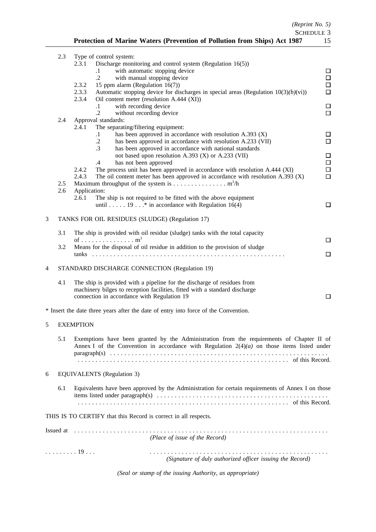*(Reprint No. 5)*

|                         |     | Protection of Marine Waters (Prevention of Pollution from Ships) Act 1987                                                                                                                            | 15     |
|-------------------------|-----|------------------------------------------------------------------------------------------------------------------------------------------------------------------------------------------------------|--------|
|                         | 2.3 | Type of control system:<br>2.3.1<br>Discharge monitoring and control system (Regulation $16(5)$ )                                                                                                    |        |
|                         |     | with automatic stopping device<br>$\cdot$ 1                                                                                                                                                          | $\Box$ |
|                         |     | with manual stopping device<br>$\cdot$                                                                                                                                                               | $\Box$ |
|                         |     | 2.3.2<br>15 ppm alarm (Regulation 16(7))                                                                                                                                                             | $\Box$ |
|                         |     | 2.3.3<br>Automatic stopping device for discharges in special areas (Regulation $10(3)(b)(vi)$ )                                                                                                      | $\Box$ |
|                         |     | 2.3.4<br>Oil content meter (resolution A.444 (XI))                                                                                                                                                   |        |
|                         |     | with recording device<br>$\cdot$ 1<br>$\cdot$ .2                                                                                                                                                     | $\Box$ |
|                         | 2.4 | without recording device<br>Approval standards:                                                                                                                                                      | $\Box$ |
|                         |     | The separating/filtering equipment:<br>2.4.1                                                                                                                                                         |        |
|                         |     | has been approved in accordance with resolution A.393 (X)<br>$\cdot$ 1                                                                                                                               | ப      |
|                         |     | $\cdot$<br>has been approved in accordance with resolution A.233 (VII)                                                                                                                               | $\Box$ |
|                         |     | $\cdot$ 3<br>has been approved in accordance with national standards                                                                                                                                 |        |
|                         |     | not based upon resolution A.393 (X) or A.233 (VII)                                                                                                                                                   | $\Box$ |
|                         |     | has not been approved<br>.4                                                                                                                                                                          | $\Box$ |
|                         |     | 2.4.2<br>The process unit has been approved in accordance with resolution A.444 (XI)                                                                                                                 | $\Box$ |
|                         |     | 2.4.3<br>The oil content meter has been approved in accordance with resolution $A.393$ (X)                                                                                                           | $\Box$ |
|                         | 2.5 | Maximum throughput of the system is m <sup>3</sup> /h                                                                                                                                                |        |
|                         | 2.6 | Application:                                                                                                                                                                                         |        |
|                         |     | 2.6.1<br>The ship is not required to be fitted with the above equipment<br>until 19* in accordance with Regulation 16(4)                                                                             | $\Box$ |
|                         |     |                                                                                                                                                                                                      |        |
| 3                       |     | TANKS FOR OIL RESIDUES (SLUDGE) (Regulation 17)                                                                                                                                                      |        |
|                         | 3.1 | The ship is provided with oil residue (sludge) tanks with the total capacity<br>of $m^3$                                                                                                             | ப      |
|                         | 3.2 | Means for the disposal of oil residue in addition to the provision of sludge                                                                                                                         |        |
|                         |     |                                                                                                                                                                                                      | $\Box$ |
| $\overline{\mathbf{4}}$ |     | STANDARD DISCHARGE CONNECTION (Regulation 19)                                                                                                                                                        |        |
|                         | 4.1 | The ship is provided with a pipeline for the discharge of residues from<br>machinery bilges to reception facilities, fitted with a standard discharge<br>connection in accordance with Regulation 19 | $\Box$ |
|                         |     | * Insert the date three years after the date of entry into force of the Convention.                                                                                                                  |        |
| 5                       |     | <b>EXEMPTION</b>                                                                                                                                                                                     |        |
|                         | 5.1 | Exemptions have been granted by the Administration from the requirements of Chapter II of                                                                                                            |        |
|                         |     | Annex I of the Convention in accordance with Regulation $2(4)(a)$ on those items listed under                                                                                                        |        |
|                         |     |                                                                                                                                                                                                      |        |
|                         |     |                                                                                                                                                                                                      |        |
| 6                       |     | <b>EQUIVALENTS</b> (Regulation 3)                                                                                                                                                                    |        |
|                         | 6.1 | Equivalents have been approved by the Administration for certain requirements of Annex I on those                                                                                                    |        |
|                         |     |                                                                                                                                                                                                      |        |
|                         |     | THIS IS TO CERTIFY that this Record is correct in all respects.                                                                                                                                      |        |
|                         |     | (Place of issue of the Record)                                                                                                                                                                       |        |
|                         |     | . 19<br>(Signature of duly authorized officer issuing the Record)                                                                                                                                    |        |
|                         |     |                                                                                                                                                                                                      |        |

*(Seal or stamp of the issuing Authority, as appropriate)*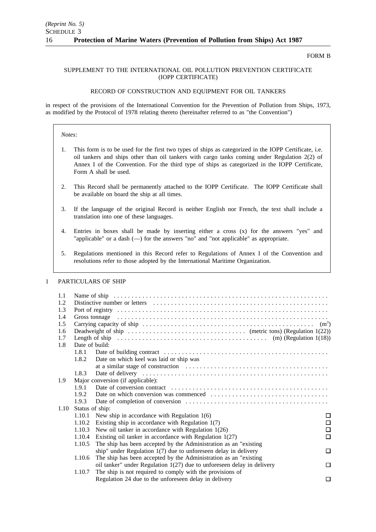FORM B

### SUPPLEMENT TO THE INTERNATIONAL OIL POLLUTION PREVENTION CERTIFICATE (IOPP CERTIFICATE)

### RECORD OF CONSTRUCTION AND EQUIPMENT FOR OIL TANKERS

in respect of the provisions of the International Convention for the Prevention of Pollution from Ships, 1973, as modified by the Protocol of 1978 relating thereto (hereinafter referred to as "the Convention")

### *Notes:*

- 1. This form is to be used for the first two types of ships as categorized in the IOPP Certificate, i.e. oil tankers and ships other than oil tankers with cargo tanks coming under Regulation 2(2) of Annex I of the Convention. For the third type of ships as categorized in the IOPP Certificate, Form A shall be used.
- 2. This Record shall be permanently attached to the IOPP Certificate. The IOPP Certificate shall be available on board the ship at all times.
- 3. If the language of the original Record is neither English nor French, the text shall include a translation into one of these languages.
- 4. Entries in boxes shall be made by inserting either a cross (x) for the answers "yes" and "applicable" or a dash (—) for the answers "no" and "not applicable" as appropriate.
- 5. Regulations mentioned in this Record refer to Regulations of Annex I of the Convention and resolutions refer to those adopted by the International Maritime Organization.

|                                          | Date on which keel was laid or ship was                                   |                                                                                                                                                                                                                                                                                                                                                                                                                                                                                                                                                                                                                                                                                                                                                                                                                                                                                                                                                         |  |  |
|------------------------------------------|---------------------------------------------------------------------------|---------------------------------------------------------------------------------------------------------------------------------------------------------------------------------------------------------------------------------------------------------------------------------------------------------------------------------------------------------------------------------------------------------------------------------------------------------------------------------------------------------------------------------------------------------------------------------------------------------------------------------------------------------------------------------------------------------------------------------------------------------------------------------------------------------------------------------------------------------------------------------------------------------------------------------------------------------|--|--|
|                                          |                                                                           |                                                                                                                                                                                                                                                                                                                                                                                                                                                                                                                                                                                                                                                                                                                                                                                                                                                                                                                                                         |  |  |
| 1.8.3                                    |                                                                           |                                                                                                                                                                                                                                                                                                                                                                                                                                                                                                                                                                                                                                                                                                                                                                                                                                                                                                                                                         |  |  |
| Major conversion (if applicable):<br>1.9 |                                                                           |                                                                                                                                                                                                                                                                                                                                                                                                                                                                                                                                                                                                                                                                                                                                                                                                                                                                                                                                                         |  |  |
|                                          |                                                                           |                                                                                                                                                                                                                                                                                                                                                                                                                                                                                                                                                                                                                                                                                                                                                                                                                                                                                                                                                         |  |  |
|                                          |                                                                           |                                                                                                                                                                                                                                                                                                                                                                                                                                                                                                                                                                                                                                                                                                                                                                                                                                                                                                                                                         |  |  |
|                                          |                                                                           |                                                                                                                                                                                                                                                                                                                                                                                                                                                                                                                                                                                                                                                                                                                                                                                                                                                                                                                                                         |  |  |
|                                          |                                                                           |                                                                                                                                                                                                                                                                                                                                                                                                                                                                                                                                                                                                                                                                                                                                                                                                                                                                                                                                                         |  |  |
|                                          |                                                                           | П                                                                                                                                                                                                                                                                                                                                                                                                                                                                                                                                                                                                                                                                                                                                                                                                                                                                                                                                                       |  |  |
|                                          |                                                                           | П                                                                                                                                                                                                                                                                                                                                                                                                                                                                                                                                                                                                                                                                                                                                                                                                                                                                                                                                                       |  |  |
|                                          |                                                                           | П                                                                                                                                                                                                                                                                                                                                                                                                                                                                                                                                                                                                                                                                                                                                                                                                                                                                                                                                                       |  |  |
|                                          |                                                                           | П                                                                                                                                                                                                                                                                                                                                                                                                                                                                                                                                                                                                                                                                                                                                                                                                                                                                                                                                                       |  |  |
|                                          |                                                                           |                                                                                                                                                                                                                                                                                                                                                                                                                                                                                                                                                                                                                                                                                                                                                                                                                                                                                                                                                         |  |  |
|                                          |                                                                           | □                                                                                                                                                                                                                                                                                                                                                                                                                                                                                                                                                                                                                                                                                                                                                                                                                                                                                                                                                       |  |  |
|                                          |                                                                           |                                                                                                                                                                                                                                                                                                                                                                                                                                                                                                                                                                                                                                                                                                                                                                                                                                                                                                                                                         |  |  |
|                                          |                                                                           | П                                                                                                                                                                                                                                                                                                                                                                                                                                                                                                                                                                                                                                                                                                                                                                                                                                                                                                                                                       |  |  |
|                                          |                                                                           |                                                                                                                                                                                                                                                                                                                                                                                                                                                                                                                                                                                                                                                                                                                                                                                                                                                                                                                                                         |  |  |
|                                          |                                                                           | □                                                                                                                                                                                                                                                                                                                                                                                                                                                                                                                                                                                                                                                                                                                                                                                                                                                                                                                                                       |  |  |
| 1.10                                     | 1.9.1<br>1.9.2<br>1.9.3<br>1.10.1<br>1.10.2<br>1.10.3<br>1.10.5<br>1.10.6 | Deadweight of ship $\dots \dots \dots \dots \dots \dots \dots \dots \dots \dots$ (metric tons) (Regulation 1(22))<br>Length of ship $\dots \dots \dots \dots \dots \dots \dots \dots \dots \dots \dots \dots \dots$ (m) (Regulation 1(18))<br>Date of build:<br>1.8.2<br>Status of ship:<br>New ship in accordance with Regulation $1(6)$<br>Existing ship in accordance with Regulation $1(7)$<br>New oil tanker in accordance with Regulation $1(26)$<br>Existing oil tanker in accordance with Regulation $1(27)$<br>1.10.4<br>The ship has been accepted by the Administration as an "existing<br>ship" under Regulation $1(7)$ due to unforeseen delay in delivery<br>The ship has been accepted by the Administration as an "existing<br>oil tanker" under Regulation $1(27)$ due to unforeseen delay in delivery<br>The ship is not required to comply with the provisions of<br>1.10.7<br>Regulation 24 due to the unforeseen delay in delivery |  |  |

### 1 PARTICULARS OF SHIP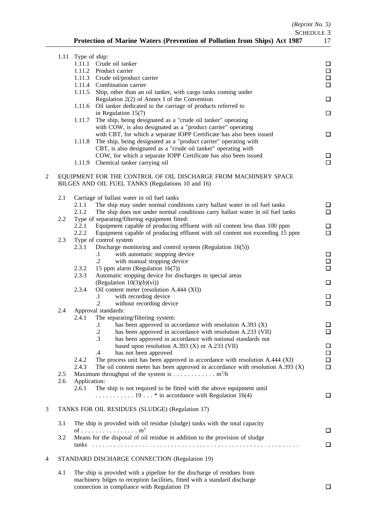| (Reprint No. 5)                                                           |                   |
|---------------------------------------------------------------------------|-------------------|
|                                                                           | <b>SCHEDULE 3</b> |
| Protection of Marine Waters (Prevention of Pollution from Ships) Act 1987 |                   |
| Type of ship:<br>1111 Crude oil tanker                                    |                   |

|                |            | 1.11 Type of ship:                              | 1.11.1 Crude oil tanker                                                                                                                                                                                   | □                |  |
|----------------|------------|-------------------------------------------------|-----------------------------------------------------------------------------------------------------------------------------------------------------------------------------------------------------------|------------------|--|
|                |            |                                                 | 1.11.2 Product carrier<br>1.11.3 Crude oil/product carrier                                                                                                                                                | $\Box$<br>$\Box$ |  |
|                |            |                                                 | 1.11.4 Combination carrier<br>1.11.5 Ship, other than an oil tanker, with cargo tanks coming under                                                                                                        | $\Box$           |  |
|                |            |                                                 | Regulation $2(2)$ of Annex I of the Convention                                                                                                                                                            | $\Box$           |  |
|                |            |                                                 | 1.11.6 Oil tanker dedicated to the carriage of products referred to                                                                                                                                       |                  |  |
|                |            | 1.11.7                                          | in Regulation $15(7)$<br>The ship, being designated as a "crude oil tanker" operating                                                                                                                     | $\Box$           |  |
|                |            | 1.11.8                                          | with COW, is also designated as a "product carrier" operating<br>with CBT, for which a separate IOPP Certificate has also been issued<br>The ship, being designated as a "product carrier" operating with | $\Box$           |  |
|                |            |                                                 | CBT, is also designated as a "crude oil tanker" operating with<br>COW, for which a separate IOPP Certificate has also been issued                                                                         | $\Box$           |  |
|                |            | 1.11.9                                          | Chemical tanker carrying oil                                                                                                                                                                              | $\Box$           |  |
| $\overline{c}$ |            |                                                 | EQUIPMENT FOR THE CONTROL OF OIL DISCHARGE FROM MACHINERY SPACE<br>BILGES AND OIL FUEL TANKS (Regulations 10 and 16)                                                                                      |                  |  |
|                | 2.1        |                                                 | Carriage of ballast water in oil fuel tanks                                                                                                                                                               |                  |  |
|                |            | 2.1.1                                           | The ship may under normal conditions carry ballast water in oil fuel tanks                                                                                                                                | □                |  |
|                |            | 2.1.2                                           | The ship does not under normal conditions carry ballast water in oil fuel tanks                                                                                                                           | □                |  |
|                | 2.2        | 2.2.1                                           | Type of separating/filtering equipment fitted:<br>Equipment capable of producing effluent with oil content less than 100 ppm                                                                              | $\Box$           |  |
|                |            | 2.2.2                                           | Equipment capable of producing effluent with oil content not exceeding 15 ppm                                                                                                                             | $\Box$           |  |
|                | 2.3        |                                                 | Type of control system                                                                                                                                                                                    |                  |  |
|                |            | 2.3.1                                           | Discharge monitoring and control system (Regulation 16(5))                                                                                                                                                |                  |  |
|                |            |                                                 | with automatic stopping device<br>$\cdot$ 1<br>$\cdot$ .2<br>with manual stopping device                                                                                                                  | $\Box$<br>□      |  |
|                |            | 2.3.2                                           | 15 ppm alarm (Regulation 16(7))                                                                                                                                                                           | □                |  |
|                |            | 2.3.3                                           | Automatic stopping device for discharges in special areas                                                                                                                                                 |                  |  |
|                |            |                                                 | (Regulation $10(3)(b)(vi)$ )                                                                                                                                                                              | $\Box$           |  |
|                |            | 2.3.4                                           | Oil content meter (resolution A.444 (XI))<br>$\cdot$ 1                                                                                                                                                    |                  |  |
|                |            |                                                 | with recording device<br>$\cdot$ .2<br>without recording device                                                                                                                                           | $\Box$<br>$\Box$ |  |
|                | 2.4        |                                                 | Approval standards:                                                                                                                                                                                       |                  |  |
|                |            | 2.4.1                                           | The separating/filtering system:                                                                                                                                                                          |                  |  |
|                |            |                                                 | has been approved in accordance with resolution A.393 (X)<br>$\cdot$ 1                                                                                                                                    | $\Box$           |  |
|                |            |                                                 | $\cdot$<br>has been approved in accordance with resolution A.233 (VII)<br>has been approved in accordance with national standards not<br>$\cdot$ 3                                                        | $\Box$           |  |
|                |            |                                                 | based upon resolution A.393 (X) or A.233 (VII)                                                                                                                                                            | $\Box$           |  |
|                |            |                                                 | has not been approved<br>.4                                                                                                                                                                               | $\Box$           |  |
|                |            | 2.4.2                                           | The process unit has been approved in accordance with resolution A.444 (XI)                                                                                                                               | $\Box$           |  |
|                |            | 2.4.3                                           | The oil content meter has been approved in accordance with resolution A.393 $(X)$<br>Maximum throughput of the system is $\dots \dots \dots \dots \dots$ m <sup>3</sup> /h                                | □                |  |
|                | 2.5<br>2.6 | Application:                                    |                                                                                                                                                                                                           |                  |  |
|                |            | 2.6.1                                           | The ship is not required to be fitted with the above equipment until                                                                                                                                      |                  |  |
|                |            |                                                 | $\ldots$ 19* in accordance with Regulation 16(4)                                                                                                                                                          | $\Box$           |  |
| 3              |            | TANKS FOR OIL RESIDUES (SLUDGE) (Regulation 17) |                                                                                                                                                                                                           |                  |  |
|                | 3.1        |                                                 | The ship is provided with oil residue (sludge) tanks with the total capacity<br>of $m3$                                                                                                                   | □                |  |
|                | 3.2        |                                                 | Means for the disposal of oil residue in addition to the provision of sludge                                                                                                                              |                  |  |
|                |            |                                                 |                                                                                                                                                                                                           |                  |  |
| 4              |            |                                                 | STANDARD DISCHARGE CONNECTION (Regulation 19)                                                                                                                                                             |                  |  |
|                | 4.1        |                                                 | The ship is provided with a pipeline for the discharge of residues from                                                                                                                                   |                  |  |
|                |            |                                                 | machinery bilges to reception facilities, fitted with a standard discharge                                                                                                                                |                  |  |
|                |            |                                                 | connection in compliance with Regulation 19                                                                                                                                                               | □                |  |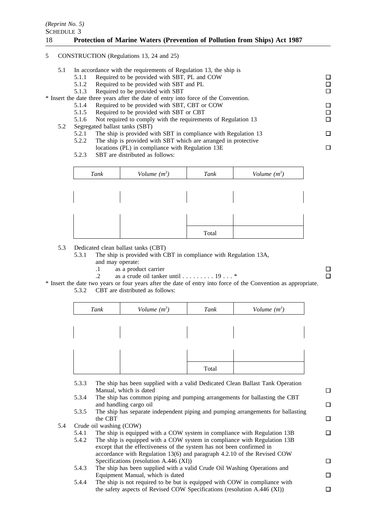5 CONSTRUCTION (Regulations 13, 24 and 25)

| In accordance with the requirements of Regulation 13, the ship is<br>5.1 |                                         |                                                                                     |   |
|--------------------------------------------------------------------------|-----------------------------------------|-------------------------------------------------------------------------------------|---|
|                                                                          | 5.1.1                                   | Required to be provided with SBT, PL and COW                                        |   |
|                                                                          | Required to be provided with SBT and PL |                                                                                     |   |
|                                                                          | 5.1.3                                   | Required to be provided with SBT                                                    | П |
|                                                                          |                                         | * Insert the date three years after the date of entry into force of the Convention. |   |
|                                                                          | 5.1.4                                   | Required to be provided with SBT, CBT or COW                                        |   |
| Required to be provided with SBT or CBT<br>5.1.5                         |                                         |                                                                                     |   |
|                                                                          | 5.1.6                                   | Not required to comply with the requirements of Regulation 13                       |   |
| Segregated ballast tanks (SBT)<br>5.2                                    |                                         |                                                                                     |   |
|                                                                          | 5.2.1                                   | The ship is provided with SBT in compliance with Regulation 13                      |   |
|                                                                          | 5.2.2                                   | The ship is provided with SBT which are arranged in protective                      |   |
|                                                                          |                                         | locations (PL) in compliance with Regulation 13E                                    |   |
|                                                                          | 5.2.3                                   | SBT are distributed as follows:                                                     |   |
|                                                                          |                                         |                                                                                     |   |



5.3 Dedicated clean ballast tanks (CBT)

5.3.1 The ship is provided with CBT in compliance with Regulation 13A,

- and may operate:
	- .1 as a product carrier
	- $\therefore$  as a crude oil tanker until  $\therefore$  ... . . . . . . . . . \*

\* Insert the date two years or four years after the date of entry into force of the Convention as appropriate. 5.3.2 CBT are distributed as follows:

| Tank | Volume $(m^3)$ | Tank  | Volume $(m^3)$ |
|------|----------------|-------|----------------|
|      |                |       |                |
|      |                |       |                |
|      |                |       |                |
|      |                |       |                |
|      |                | Total |                |

- 5.3.3 The ship has been supplied with a valid Dedicated Clean Ballast Tank Operation Manual, which is dated
- 5.3.4 The ship has common piping and pumping arrangements for ballasting the CBT and handling cargo oil
- 5.3.5 The ship has separate independent piping and pumping arrangements for ballasting the CBT
- 5.4 Crude oil washing (COW)
	- 5.4.1 The ship is equipped with a COW system in compliance with Regulation 13B
	- 5.4.2 The ship is equipped with a COW system in compliance with Regulation 13B except that the effectiveness of the system has not been confirmed in accordance with Regulation 13(6) and paragraph 4.2.10 of the Revised COW Specifications (resolution A.446 (XI))
	- 5.4.3 The ship has been supplied with a valid Crude Oil Washing Operations and Equipment Manual, which is dated
	- 5.4.4 The ship is not required to be but is equipped with COW in compliance with the safety aspects of Revised COW Specifications (resolution A.446 (XI))

 $\Box$  $\Box$ 

 $\Box$ 

 $\Box$ 

 $\Box$ 

 $\Box$ 

 $\Box$ 

 $\Box$ 

 $\Box$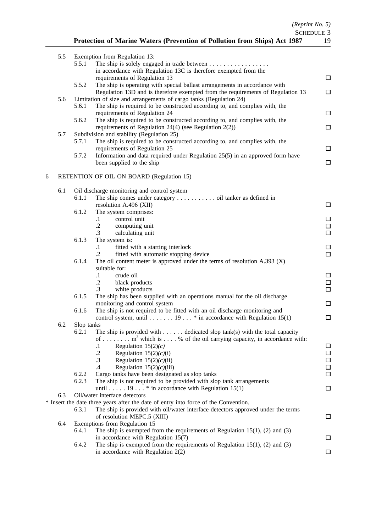|   | 5.5 | 5.5.1      | Exemption from Regulation 13:<br>The ship is solely engaged in trade between                                                                          |        |
|---|-----|------------|-------------------------------------------------------------------------------------------------------------------------------------------------------|--------|
|   |     |            | in accordance with Regulation 13C is therefore exempted from the<br>requirements of Regulation 13                                                     | $\Box$ |
|   |     | 5.5.2      | The ship is operating with special ballast arrangements in accordance with                                                                            |        |
|   | 5.6 |            | Regulation 13D and is therefore exempted from the requirements of Regulation 13<br>Limitation of size and arrangements of cargo tanks (Regulation 24) | $\Box$ |
|   |     | 5.6.1      | The ship is required to be constructed according to, and complies with, the                                                                           |        |
|   |     |            | requirements of Regulation 24                                                                                                                         | $\Box$ |
|   |     | 5.6.2      | The ship is required to be constructed according to, and complies with, the                                                                           |        |
|   |     |            | requirements of Regulation 24(4) (see Regulation $2(2)$ )                                                                                             | $\Box$ |
|   | 5.7 |            | Subdivision and stability (Regulation 25)                                                                                                             |        |
|   |     | 5.7.1      | The ship is required to be constructed according to, and complies with, the<br>requirements of Regulation 25                                          | $\Box$ |
|   |     | 5.7.2      | Information and data required under Regulation $25(5)$ in an approved form have                                                                       |        |
|   |     |            | been supplied to the ship                                                                                                                             | $\Box$ |
| 6 |     |            | RETENTION OF OIL ON BOARD (Regulation 15)                                                                                                             |        |
|   | 6.1 |            | Oil discharge monitoring and control system                                                                                                           |        |
|   |     | 6.1.1      | The ship comes under category $\dots \dots \dots$ oil tanker as defined in                                                                            |        |
|   |     |            | resolution A.496 (XII)                                                                                                                                | ⊔      |
|   |     | 6.1.2      | The system comprises:                                                                                                                                 |        |
|   |     |            | control unit<br>$\cdot$ 1                                                                                                                             | $\Box$ |
|   |     |            | $\cdot$ .2<br>computing unit                                                                                                                          | $\Box$ |
|   |     | 6.1.3      | $\cdot$ 3<br>calculating unit<br>The system is:                                                                                                       | $\Box$ |
|   |     |            | fitted with a starting interlock<br>.1                                                                                                                | $\Box$ |
|   |     |            | $\cdot$<br>fitted with automatic stopping device                                                                                                      | $\Box$ |
|   |     | 6.1.4      | The oil content meter is approved under the terms of resolution $A.393(X)$                                                                            |        |
|   |     |            | suitable for:                                                                                                                                         |        |
|   |     |            | $\cdot$ 1<br>crude oil                                                                                                                                | $\Box$ |
|   |     |            | $\cdot$ .2<br>black products                                                                                                                          | $\Box$ |
|   |     |            | $\cdot$ 3<br>white products                                                                                                                           | $\Box$ |
|   |     | 6.1.5      | The ship has been supplied with an operations manual for the oil discharge<br>monitoring and control system                                           | $\Box$ |
|   |     | 6.1.6      | The ship is not required to be fitted with an oil discharge monitoring and                                                                            |        |
|   |     |            | control system, until 19 * in accordance with Regulation 15(1)                                                                                        | $\Box$ |
|   | 6.2 | Slop tanks |                                                                                                                                                       |        |
|   |     | 6.2.1      | The ship is provided with  dedicated slop $tank(s)$ with the total capacity                                                                           |        |
|   |     |            | of m <sup>3</sup> which is % of the oil carrying capacity, in accordance with:                                                                        |        |
|   |     |            | Regulation $15(2)(c)$<br>$\cdot$ 1                                                                                                                    | $\Box$ |
|   |     |            | $\cdot$<br>Regulation $15(2)(c)(i)$                                                                                                                   | $\Box$ |
|   |     |            | $\cdot$ 3<br>Regulation $15(2)(c)(ii)$                                                                                                                | $\Box$ |
|   |     | 6.2.2      | .4<br>Regulation $15(2)(c)(iii)$<br>Cargo tanks have been designated as slop tanks                                                                    |        |
|   |     | 6.2.3      | The ship is not required to be provided with slop tank arrangements                                                                                   |        |
|   |     |            | until 19 $*$ in accordance with Regulation 15(1)                                                                                                      | $\Box$ |
|   | 6.3 |            | Oil/water interface detectors                                                                                                                         |        |
|   |     |            | * Insert the date three years after the date of entry into force of the Convention.                                                                   |        |
|   |     | 6.3.1      | The ship is provided with oil/water interface detectors approved under the terms                                                                      |        |
|   |     |            | of resolution MEPC.5 (XIII)                                                                                                                           | $\Box$ |
|   | 6.4 |            | Exemptions from Regulation 15                                                                                                                         |        |
|   |     | 6.4.1      | The ship is exempted from the requirements of Regulation $15(1)$ , (2) and (3)                                                                        |        |
|   |     | 6.4.2      | in accordance with Regulation $15(7)$<br>The ship is exempted from the requirements of Regulation $15(1)$ , (2) and (3)                               | $\Box$ |
|   |     |            | in accordance with Regulation $2(2)$                                                                                                                  | $\Box$ |
|   |     |            |                                                                                                                                                       |        |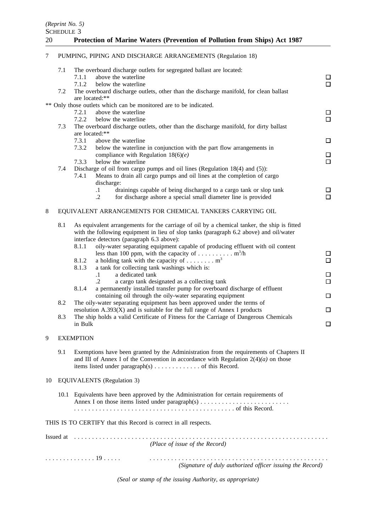# 7 PUMPING, PIPING AND DISCHARGE ARRANGEMENTS (Regulation 18)

|    | 7.1 | The overboard discharge outlets for segregated ballast are located:<br>above the waterline<br>7.1.1                                                                                                                                 | □      |
|----|-----|-------------------------------------------------------------------------------------------------------------------------------------------------------------------------------------------------------------------------------------|--------|
|    |     | below the waterline<br>7.1.2                                                                                                                                                                                                        | $\Box$ |
|    | 7.2 | The overboard discharge outlets, other than the discharge manifold, for clean ballast<br>are located:**                                                                                                                             |        |
|    |     | ** Only those outlets which can be monitored are to be indicated.                                                                                                                                                                   |        |
|    |     | 7.2.1<br>above the waterline                                                                                                                                                                                                        | $\Box$ |
|    |     | 7.2.2<br>below the waterline                                                                                                                                                                                                        | $\Box$ |
|    | 7.3 | The overboard discharge outlets, other than the discharge manifold, for dirty ballast<br>are located:**                                                                                                                             |        |
|    |     | 7.3.1<br>above the waterline                                                                                                                                                                                                        | □      |
|    |     | 7.3.2<br>below the waterline in conjunction with the part flow arrangements in                                                                                                                                                      |        |
|    |     | compliance with Regulation $18(6)(e)$                                                                                                                                                                                               | $\Box$ |
|    |     | 7.3.3<br>below the waterline                                                                                                                                                                                                        | $\Box$ |
|    | 7.4 | Discharge of oil from cargo pumps and oil lines (Regulation $18(4)$ and $(5)$ ):                                                                                                                                                    |        |
|    |     | Means to drain all cargo pumps and oil lines at the completion of cargo<br>7.4.1<br>discharge:                                                                                                                                      |        |
|    |     | $\cdot$<br>drainings capable of being discharged to a cargo tank or slop tank                                                                                                                                                       | □      |
|    |     | $\cdot$ .2<br>for discharge ashore a special small diameter line is provided                                                                                                                                                        | $\Box$ |
| 8  |     | EQUIVALENT ARRANGEMENTS FOR CHEMICAL TANKERS CARRYING OIL                                                                                                                                                                           |        |
|    | 8.1 | As equivalent arrangements for the carriage of oil by a chemical tanker, the ship is fitted<br>with the following equipment in lieu of slop tanks (paragraph 6.2 above) and oil/water<br>interface detectors (paragraph 6.3 above): |        |
|    |     | oily-water separating equipment capable of producing effluent with oil content<br>8.1.1                                                                                                                                             |        |
|    |     |                                                                                                                                                                                                                                     | $\Box$ |
|    |     | a holding tank with the capacity of $m^3$<br>8.1.2                                                                                                                                                                                  | $\Box$ |
|    |     | 8.1.3<br>a tank for collecting tank washings which is:                                                                                                                                                                              |        |
|    |     | $\cdot$ 1<br>a dedicated tank                                                                                                                                                                                                       | $\Box$ |
|    |     | a cargo tank designated as a collecting tank<br>$\cdot$ 2                                                                                                                                                                           | $\Box$ |
|    |     | 8.1.4<br>a permanently installed transfer pump for overboard discharge of effluent                                                                                                                                                  |        |
|    |     | containing oil through the oily-water separating equipment                                                                                                                                                                          | $\Box$ |
|    | 8.2 | The oily-water separating equipment has been approved under the terms of                                                                                                                                                            |        |
|    |     | resolution $A.393(X)$ and is suitable for the full range of Annex I products                                                                                                                                                        | $\Box$ |
|    | 8.3 | The ship holds a valid Certificate of Fitness for the Carriage of Dangerous Chemicals                                                                                                                                               |        |
|    |     | in Bulk                                                                                                                                                                                                                             | $\Box$ |
| 9  |     | <b>EXEMPTION</b>                                                                                                                                                                                                                    |        |
|    | 9.1 | Exemptions have been granted by the Administration from the requirements of Chapters II<br>and III of Annex I of the Convention in accordance with Regulation $2(4)(a)$ on those                                                    |        |
| 10 |     | <b>EQUIVALENTS</b> (Regulation 3)                                                                                                                                                                                                   |        |
|    |     | 10.1 Equivalents have been approved by the Administration for certain requirements of                                                                                                                                               |        |
|    |     |                                                                                                                                                                                                                                     |        |
|    |     | THIS IS TO CERTIFY that this Record is correct in all respects.                                                                                                                                                                     |        |

Issued at ....................................................................... *(Place of issue of the Record)* . . . . . . . . . . . . . . 19 . . . . . . . . . . . . . . . . . . . . . . . . . . . . . . . . . . . . . . . . . . . . . . . . . . . . . . .

*(Signature of duly authorized officer issuing the Record)*

*(Seal or stamp of the issuing Authority, as appropriate)*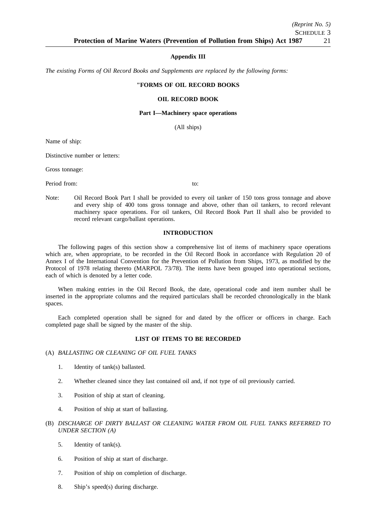### **Appendix III**

*The existing Forms of Oil Record Books and Supplements are replaced by the following forms:*

## **"FORMS OF OIL RECORD BOOKS**

#### **OIL RECORD BOOK**

#### **Part I—Machinery space operations**

(All ships)

Name of ship:

Distinctive number or letters:

Gross tonnage:

Period from: to:

Note: Oil Record Book Part I shall be provided to every oil tanker of 150 tons gross tonnage and above and every ship of 400 tons gross tonnage and above, other than oil tankers, to record relevant machinery space operations. For oil tankers, Oil Record Book Part II shall also be provided to record relevant cargo/ballast operations.

#### **INTRODUCTION**

The following pages of this section show a comprehensive list of items of machinery space operations which are, when appropriate, to be recorded in the Oil Record Book in accordance with Regulation 20 of Annex I of the International Convention for the Prevention of Pollution from Ships, 1973, as modified by the Protocol of 1978 relating thereto (MARPOL 73/78). The items have been grouped into operational sections, each of which is denoted by a letter code.

When making entries in the Oil Record Book, the date, operational code and item number shall be inserted in the appropriate columns and the required particulars shall be recorded chronologically in the blank spaces.

Each completed operation shall be signed for and dated by the officer or officers in charge. Each completed page shall be signed by the master of the ship.

### **LIST OF ITEMS TO BE RECORDED**

#### (A) *BALLASTING OR CLEANING OF OIL FUEL TANKS*

- 1. Identity of tank(s) ballasted.
- 2. Whether cleaned since they last contained oil and, if not type of oil previously carried.
- 3. Position of ship at start of cleaning.
- 4. Position of ship at start of ballasting.

### (B) *DISCHARGE OF DIRTY BALLAST OR CLEANING WATER FROM OIL FUEL TANKS REFERRED TO UNDER SECTION (A)*

- 5. Identity of tank(s).
- 6. Position of ship at start of discharge.
- 7. Position of ship on completion of discharge.
- 8. Ship's speed(s) during discharge.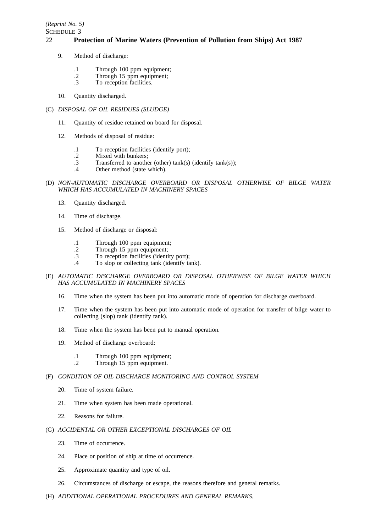- 9. Method of discharge:
	- .1 Through 100 ppm equipment;
	- .2 Through 15 ppm equipment;<br>3 To reception facilities.
	- To reception facilities.
- 10. Quantity discharged.

### (C) *DISPOSAL OF OIL RESIDUES (SLUDGE)*

- 11. Quantity of residue retained on board for disposal.
- 12. Methods of disposal of residue:
	- .1 To reception facilities (identify port);
	- .2 Mixed with bunkers;
	- .3 Transferred to another (other) tank(s) (identify tank(s));<br>.4 Other method (state which).
	- Other method (state which).

### (D) *NON-AUTOMATIC DISCHARGE OVERBOARD OR DISPOSAL OTHERWISE OF BILGE WATER WHICH HAS ACCUMULATED IN MACHINERY SPACES*

- 13. Quantity discharged.
- 14. Time of discharge.
- 15. Method of discharge or disposal:
	- .1 Through 100 ppm equipment;
	- .2 Through 15 ppm equipment;<br>3 To reception facilities (identi
	- .3 To reception facilities (identity port);
	- To slop or collecting tank (identify tank).

### (E) *AUTOMATIC DISCHARGE OVERBOARD OR DISPOSAL OTHERWISE OF BILGE WATER WHICH HAS ACCUMULATED IN MACHINERY SPACES*

- 16. Time when the system has been put into automatic mode of operation for discharge overboard.
- 17. Time when the system has been put into automatic mode of operation for transfer of bilge water to collecting (slop) tank (identify tank).
- 18. Time when the system has been put to manual operation.
- 19. Method of discharge overboard:
	- .1 Through 100 ppm equipment;
	- .2 Through 15 ppm equipment.

### (F) *CONDITION OF OIL DISCHARGE MONITORING AND CONTROL SYSTEM*

- 20. Time of system failure.
- 21. Time when system has been made operational.
- 22. Reasons for failure.

### (G) *ACCIDENTAL OR OTHER EXCEPTIONAL DISCHARGES OF OIL*

- 23. Time of occurrence.
- 24. Place or position of ship at time of occurrence.
- 25. Approximate quantity and type of oil.
- 26. Circumstances of discharge or escape, the reasons therefore and general remarks.
- (H) *ADDITIONAL OPERATIONAL PROCEDURES AND GENERAL REMARKS.*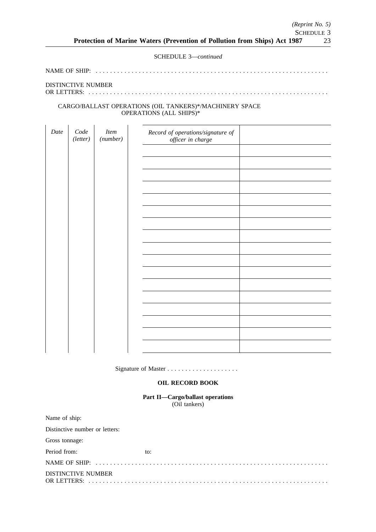|                                                                           | (Reprint No. 5)   |
|---------------------------------------------------------------------------|-------------------|
|                                                                           | <b>SCHEDULE 3</b> |
| Protection of Marine Waters (Prevention of Pollution from Ships) Act 1987 |                   |

SCHEDULE 3—*continued*

NAME OF SHIP: .................................................................

## DISTINCTIVE NUMBER OR LETTERS: ...................................................................

## CARGO/BALLAST OPERATIONS (OIL TANKERS)\*/MACHINERY SPACE OPERATIONS (ALL SHIPS)\*

Signature of Master....................

### **OIL RECORD BOOK**

**Part II—Cargo/ballast operations** (Oil tankers)

| Name of ship:                  |     |  |  |  |  |
|--------------------------------|-----|--|--|--|--|
| Distinctive number or letters: |     |  |  |  |  |
| Gross tonnage:                 |     |  |  |  |  |
| Period from:                   | to: |  |  |  |  |
|                                |     |  |  |  |  |
| DISTINCTIVE NUMBER             |     |  |  |  |  |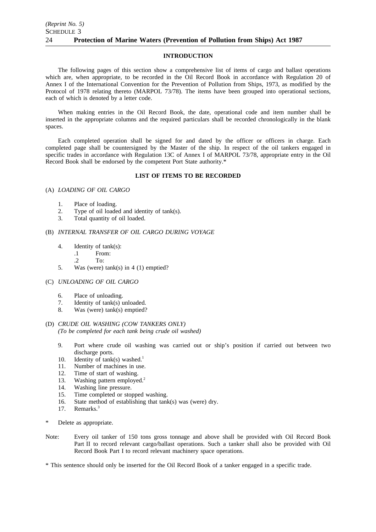#### **INTRODUCTION**

The following pages of this section show a comprehensive list of items of cargo and ballast operations which are, when appropriate, to be recorded in the Oil Record Book in accordance with Regulation 20 of Annex I of the International Convention for the Prevention of Pollution from Ships, 1973, as modified by the Protocol of 1978 relating thereto (MARPOL 73/78). The items have been grouped into operational sections, each of which is denoted by a letter code.

When making entries in the Oil Record Book, the date, operational code and item number shall be inserted in the appropriate columns and the required particulars shall be recorded chronologically in the blank spaces.

Each completed operation shall be signed for and dated by the officer or officers in charge. Each completed page shall be countersigned by the Master of the ship. In respect of the oil tankers engaged in specific trades in accordance with Regulation 13C of Annex I of MARPOL 73/78, appropriate entry in the Oil Record Book shall be endorsed by the competent Port State authority.\*

## **LIST OF ITEMS TO BE RECORDED**

### (A) *LOADING OF OIL CARGO*

- 1. Place of loading.
- 2. Type of oil loaded and identity of tank(s).
- 3. Total quantity of oil loaded.

#### (B) *INTERNAL TRANSFER OF OIL CARGO DURING VOYAGE*

- 4. Identity of tank(s):
	- .1 From:
	- .2 To:
- 5. Was (were) tank(s) in 4 (1) emptied?

#### (C) *UNLOADING OF OIL CARGO*

- 6. Place of unloading.
- 7. Identity of tank(s) unloaded.
- 8. Was (were) tank(s) emptied?

#### (D) *CRUDE OIL WASHING (COW TANKERS ONLY) (To be completed for each tank being crude oil washed)*

- 9. Port where crude oil washing was carried out or ship's position if carried out between two discharge ports.
- 10. Identity of  $tank(s)$  washed.<sup>1</sup>
- 11. Number of machines in use.
- 12. Time of start of washing.
- 13. Washing pattern employed.<sup>2</sup>
- 14. Washing line pressure.
- 15. Time completed or stopped washing.
- 16. State method of establishing that tank(s) was (were) dry.
- 17. Remarks.<sup>3</sup>
- Delete as appropriate.
- Note: Every oil tanker of 150 tons gross tonnage and above shall be provided with Oil Record Book Part II to record relevant cargo/ballast operations. Such a tanker shall also be provided with Oil Record Book Part I to record relevant machinery space operations.
- \* This sentence should only be inserted for the Oil Record Book of a tanker engaged in a specific trade.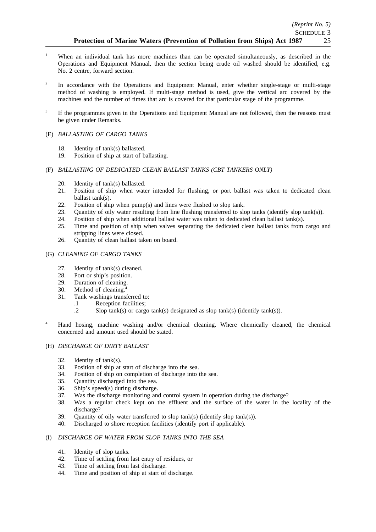- <sup>1</sup> When an individual tank has more machines than can be operated simultaneously, as described in the Operations and Equipment Manual, then the section being crude oil washed should be identified, e.g. No. 2 centre, forward section.
- <sup>2</sup> In accordance with the Operations and Equipment Manual, enter whether single-stage or multi-stage method of washing is employed. If multi-stage method is used, give the vertical arc covered by the machines and the number of times that arc is covered for that particular stage of the programme.
- <sup>3</sup> If the programmes given in the Operations and Equipment Manual are not followed, then the reasons must be given under Remarks.

### (E) *BALLASTING OF CARGO TANKS*

- 18. Identity of tank(s) ballasted.
- 19. Position of ship at start of ballasting.

### (F) *BALLASTING OF DEDICATED CLEAN BALLAST TANKS (CBT TANKERS ONLY)*

- 20. Identity of tank(s) ballasted.<br>21. Position of ship when wate
- Position of ship when water intended for flushing, or port ballast was taken to dedicated clean ballast tank(s).
- 22. Position of ship when pump(s) and lines were flushed to slop tank.
- 23. Quantity of oily water resulting from line flushing transferred to slop tanks (identify slop tank(s)).
- 24. Position of ship when additional ballast water was taken to dedicated clean ballast tank(s).
- 25. Time and position of ship when valves separating the dedicated clean ballast tanks from cargo and stripping lines were closed.
- 26. Quantity of clean ballast taken on board.

## (G) *CLEANING OF CARGO TANKS*

- 27. Identity of tank(s) cleaned.
- 28. Port or ship's position.
- 29. Duration of cleaning.
- 30. Method of cleaning.
- 31. Tank washings transferred to:
	- .1 Reception facilities;
	- .2 Slop tank(s) or cargo tank(s) designated as slop tank(s) (identify tank(s)).
- <sup>4</sup> Hand hosing, machine washing and/or chemical cleaning. Where chemically cleaned, the chemical concerned and amount used should be stated.

## (H) *DISCHARGE OF DIRTY BALLAST*

- 32. Identity of tank(s).
- 33. Position of ship at start of discharge into the sea.
- 34. Position of ship on completion of discharge into the sea.
- 35. Quantity discharged into the sea.
- 36. Ship's speed(s) during discharge.
- 37. Was the discharge monitoring and control system in operation during the discharge?
- 38. Was a regular check kept on the effluent and the surface of the water in the locality of the discharge?
- 39. Quantity of oily water transferred to slop tank(s) (identify slop tank(s)).
- 40. Discharged to shore reception facilities (identify port if applicable).

### (I) *DISCHARGE OF WATER FROM SLOP TANKS INTO THE SEA*

- 41. Identity of slop tanks.
- 42. Time of settling from last entry of residues, or
- 43. Time of settling from last discharge.
- 44. Time and position of ship at start of discharge.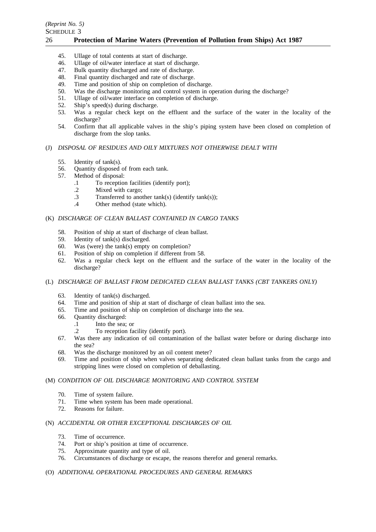- 45. Ullage of total contents at start of discharge.
- 46. Ullage of oil/water interface at start of discharge.
- 47. Bulk quantity discharged and rate of discharge.<br>48. Final quantity discharged and rate of discharge.
- Final quantity discharged and rate of discharge.
- 49. Time and position of ship on completion of discharge.
- 50. Was the discharge monitoring and control system in operation during the discharge?
- 51. Ullage of oil/water interface on completion of discharge.
- 52. Ship's speed(s) during discharge.
- 53. Was a regular check kept on the effluent and the surface of the water in the locality of the discharge?
- 54. Confirm that all applicable valves in the ship's piping system have been closed on completion of discharge from the slop tanks.

# (J) *DISPOSAL OF RESIDUES AND OILY MIXTURES NOT OTHERWISE DEALT WITH*

- 55. Identity of tank(s).
- 56. Quantity disposed of from each tank.
- 57. Method of disposal:
	- .1 To reception facilities (identify port);
	- .2 Mixed with cargo;<br>3 Transferred to anot
	- .3 Transferred to another tank(s) (identify tank(s));<br>4 Other method (state which).
	- Other method (state which).

# (K) *DISCHARGE OF CLEAN BALLAST CONTAINED IN CARGO TANKS*

- 58. Position of ship at start of discharge of clean ballast.
- 59. Identity of tank(s) discharged.
- 60. Was (were) the tank(s) empty on completion?
- 61. Position of ship on completion if different from 58.
- 62. Was a regular check kept on the effluent and the surface of the water in the locality of the discharge?

### (L) *DISCHARGE OF BALLAST FROM DEDICATED CLEAN BALLAST TANKS (CBT TANKERS ONLY)*

- 63. Identity of tank(s) discharged.
- 64. Time and position of ship at start of discharge of clean ballast into the sea.
- 65. Time and position of ship on completion of discharge into the sea.
- 66. Quantity discharged:
- .1 Into the sea; or
	- .2 To reception facility (identify port).
- 67. Was there any indication of oil contamination of the ballast water before or during discharge into the sea?
- 68. Was the discharge monitored by an oil content meter?
- 69. Time and position of ship when valves separating dedicated clean ballast tanks from the cargo and stripping lines were closed on completion of deballasting.

#### (M) *CONDITION OF OIL DISCHARGE MONITORING AND CONTROL SYSTEM*

- 70. Time of system failure.<br>71. Time when system has
- Time when system has been made operational.
- 72. Reasons for failure.

## (N) *ACCIDENTAL OR OTHER EXCEPTIONAL DISCHARGES OF OIL*

- 73. Time of occurrence.
- 74. Port or ship's position at time of occurrence.
- 75. Approximate quantity and type of oil.
- 76. Circumstances of discharge or escape, the reasons therefor and general remarks.
- (O) *ADDITIONAL OPERATIONAL PROCEDURES AND GENERAL REMARKS*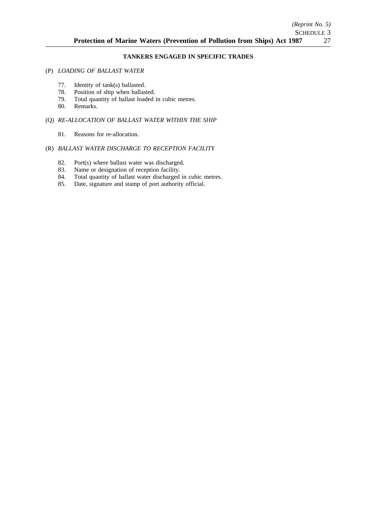# **TANKERS ENGAGED IN SPECIFIC TRADES**

- (P) *LOADING OF BALLAST WATER*
	- 77. Identity of tank(s) ballasted.
	- 78. Position of ship when ballasted.
	- 79. Total quantity of ballast loaded in cubic metres.
	- 80. Remarks.

# (Q) *RE-ALLOCATION OF BALLAST WATER WITHIN THE SHIP*

81. Reasons for re-allocation.

# (R) *BALLAST WATER DISCHARGE TO RECEPTION FACILITY*

- 82. Port(s) where ballast water was discharged.
- 83. Name or designation of reception facility.<br>84. Total quantity of ballast water discharged
- 84. Total quantity of ballast water discharged in cubic metres.<br>85. Date, signature and stamp of port authority official.
- Date, signature and stamp of port authority official.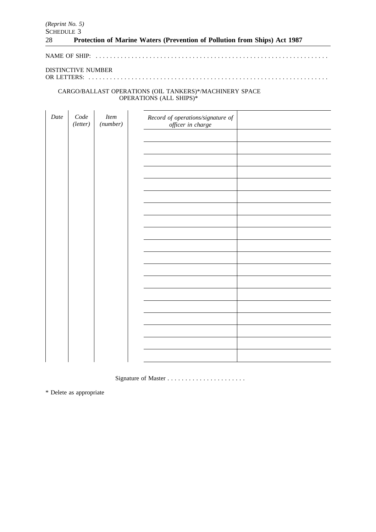# *(Reprint No. 5)* SCHEDULE 3<br>28 Pro 28 **Protection of Marine Waters (Prevention of Pollution from Ships) Act 1987**

NAME OF SHIP: .................................................................

# DISTINCTIVE NUMBER

# OR LETTERS: ...................................................................

# CARGO/BALLAST OPERATIONS (OIL TANKERS)\*/MACHINERY SPACE OPERATIONS (ALL SHIPS)\*

| Date | $Code$<br>(lefter) | $Item$<br>(number) | Record of operations/signature of<br>officer in charge |  |
|------|--------------------|--------------------|--------------------------------------------------------|--|
|      |                    |                    |                                                        |  |
|      |                    |                    |                                                        |  |
|      |                    |                    |                                                        |  |
|      |                    |                    |                                                        |  |
|      |                    |                    |                                                        |  |
|      |                    |                    |                                                        |  |
|      |                    |                    |                                                        |  |
|      |                    |                    |                                                        |  |
|      |                    |                    |                                                        |  |
|      |                    |                    |                                                        |  |
|      |                    |                    |                                                        |  |
|      |                    |                    |                                                        |  |
|      |                    |                    |                                                        |  |
|      |                    |                    |                                                        |  |
|      |                    |                    |                                                        |  |
|      |                    |                    |                                                        |  |
|      |                    |                    |                                                        |  |
|      |                    |                    |                                                        |  |
|      |                    |                    |                                                        |  |



\* Delete as appropriate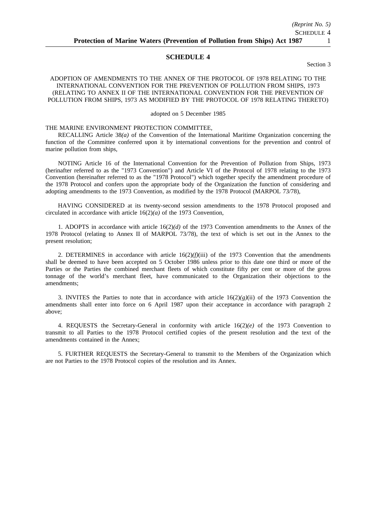#### **SCHEDULE 4**

Section 3

## ADOPTION OF AMENDMENTS TO THE ANNEX OF THE PROTOCOL OF 1978 RELATING TO THE INTERNATIONAL CONVENTION FOR THE PREVENTION OF POLLUTION FROM SHIPS, 1973 (RELATING TO ANNEX II OF THE INTERNATIONAL CONVENTION FOR THE PREVENTION OF POLLUTION FROM SHIPS, 1973 AS MODIFIED BY THE PROTOCOL OF 1978 RELATING THERETO)

#### adopted on 5 December 1985

#### THE MARINE ENVIRONMENT PROTECTION COMMITTEE,

RECALLING Article 38*(a)* of the Convention of the International Maritime Organization concerning the function of the Committee conferred upon it by international conventions for the prevention and control of marine pollution from ships,

NOTING Article 16 of the International Convention for the Prevention of Pollution from Ships, 1973 (herinafter referred to as the "1973 Convention") and Article VI of the Protocol of 1978 relating to the 1973 Convention (hereinafter referred to as the "1978 Protocol") which together specify the amendment procedure of the 1978 Protocol and confers upon the appropriate body of the Organization the function of considering and adopting amendments to the 1973 Convention, as modified by the 1978 Protocol (MARPOL 73/78),

HAVING CONSIDERED at its twenty-second session amendments to the 1978 Protocol proposed and circulated in accordance with article 16(2)*(a)* of the 1973 Convention,

1. ADOPTS in accordance with article 16(2)*(d)* of the 1973 Convention amendments to the Annex of the 1978 Protocol (relating to Annex II of MARPOL 73/78), the text of which is set out in the Annex to the present resolution;

2. DETERMINES in accordance with article 16(2)*(f)*(iii) of the 1973 Convention that the amendments shall be deemed to have been accepted on 5 October 1986 unless prior to this date one third or more of the Parties or the Parties the combined merchant fleets of which constitute fifty per cent or more of the gross tonnage of the world's merchant fleet, have communicated to the Organization their objections to the amendments;

3. INVITES the Parties to note that in accordance with article  $16(2)(g)(ii)$  of the 1973 Convention the amendments shall enter into force on 6 April 1987 upon their acceptance in accordance with paragraph 2 above;

4. REQUESTS the Secretary-General in conformity with article 16(2)*(e)* of the 1973 Convention to transmit to all Parties to the 1978 Protocol certified copies of the present resolution and the text of the amendments contained in the Annex;

5. FURTHER REQUESTS the Secretary-General to transmit to the Members of the Organization which are not Parties to the 1978 Protocol copies of the resolution and its Annex.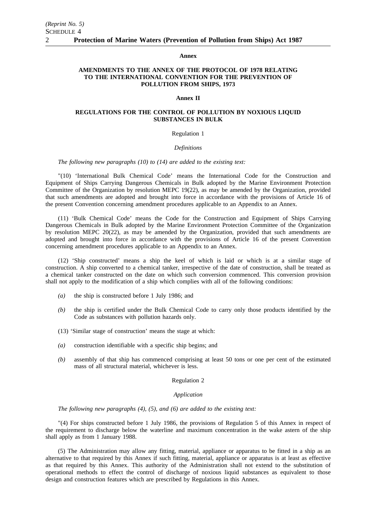#### **Annex**

# **AMENDMENTS TO THE ANNEX OF THE PROTOCOL OF 1978 RELATING TO THE INTERNATIONAL CONVENTION FOR THE PREVENTION OF POLLUTION FROM SHIPS, 1973**

#### **Annex II**

# **REGULATIONS FOR THE CONTROL OF POLLUTION BY NOXIOUS LIQUID SUBSTANCES IN BULK**

#### Regulation 1

#### *Definitions*

## *The following new paragraphs (10) to (14) are added to the existing text:*

"(10) 'International Bulk Chemical Code' means the International Code for the Construction and Equipment of Ships Carrying Dangerous Chemicals in Bulk adopted by the Marine Environment Protection Committee of the Organization by resolution MEPC 19(22), as may be amended by the Organization, provided that such amendments are adopted and brought into force in accordance with the provisions of Article 16 of the present Convention concerning amendment procedures applicable to an Appendix to an Annex.

(11) 'Bulk Chemical Code' means the Code for the Construction and Equipment of Ships Carrying Dangerous Chemicals in Bulk adopted by the Marine Environment Protection Committee of the Organization by resolution MEPC 20(22), as may be amended by the Organization, provided that such amendments are adopted and brought into force in accordance with the provisions of Article 16 of the present Convention concerning amendment procedures applicable to an Appendix to an Annex.

(12) 'Ship constructed' means a ship the keel of which is laid or which is at a similar stage of construction. A ship converted to a chemical tanker, irrespective of the date of construction, shall be treated as a chemical tanker constructed on the date on which such conversion commenced. This conversion provision shall not apply to the modification of a ship which complies with all of the following conditions:

- *(a)* the ship is constructed before 1 July 1986; and
- *(b)* the ship is certified under the Bulk Chemical Code to carry only those products identified by the Code as substances with pollution hazards only.
- (13) 'Similar stage of construction' means the stage at which:
- *(a)* construction identifiable with a specific ship begins; and
- *(b)* assembly of that ship has commenced comprising at least 50 tons or one per cent of the estimated mass of all structural material, whichever is less.

#### Regulation 2

#### *Application*

#### *The following new paragraphs (4), (5), and (6) are added to the existing text:*

"(4) For ships constructed before 1 July 1986, the provisions of Regulation 5 of this Annex in respect of the requirement to discharge below the waterline and maximum concentration in the wake astern of the ship shall apply as from 1 January 1988.

(5) The Administration may allow any fitting, material, appliance or apparatus to be fitted in a ship as an alternative to that required by this Annex if such fitting, material, appliance or apparatus is at least as effective as that required by this Annex. This authority of the Administration shall not extend to the substitution of operational methods to effect the control of discharge of noxious liquid substances as equivalent to those design and construction features which are prescribed by Regulations in this Annex.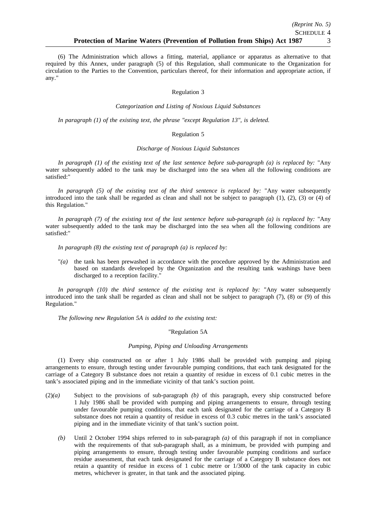(6) The Administration which allows a fitting, material, appliance or apparatus as alternative to that required by this Annex, under paragraph (5) of this Regulation, shall communicate to the Organization for circulation to the Parties to the Convention, particulars thereof, for their information and appropriate action, if any."

#### Regulation 3

*Categorization and Listing of Noxious Liquid Substances*

*In paragraph (1) of the existing text, the phrase "except Regulation 13", is deleted.*

#### Regulation 5

#### *Discharge of Noxious Liquid Substances*

*In paragraph (1) of the existing text of the last sentence before sub-paragraph (a) is replaced by:* "Any water subsequently added to the tank may be discharged into the sea when all the following conditions are satisfied:"

*In paragraph (5) of the existing text of the third sentence is replaced by:* "Any water subsequently introduced into the tank shall be regarded as clean and shall not be subject to paragraph (1), (2), (3) or (4) of this Regulation."

*In paragraph (7) of the existing text of the last sentence before sub-paragraph (a) is replaced by:* "Any water subsequently added to the tank may be discharged into the sea when all the following conditions are satisfied:"

*In paragraph (8) the existing text of paragraph (a) is replaced by:*

"*(a)* the tank has been prewashed in accordance with the procedure approved by the Administration and based on standards developed by the Organization and the resulting tank washings have been discharged to a reception facility."

*In paragraph (10) the third sentence of the existing text is replaced by:* "Any water subsequently introduced into the tank shall be regarded as clean and shall not be subject to paragraph (7), (8) or (9) of this Regulation."

*The following new Regulation 5A is added to the existing text:*

## "Regulation 5A

#### *Pumping, Piping and Unloading Arrangements*

(1) Every ship constructed on or after 1 July 1986 shall be provided with pumping and piping arrangements to ensure, through testing under favourable pumping conditions, that each tank designated for the carriage of a Category B substance does not retain a quantity of residue in excess of 0.1 cubic metres in the tank's associated piping and in the immediate vicinity of that tank's suction point.

- (2)*(a)* Subject to the provisions of sub-paragraph *(b)* of this paragraph, every ship constructed before 1 July 1986 shall be provided with pumping and piping arrangements to ensure, through testing under favourable pumping conditions, that each tank designated for the carriage of a Category B substance does not retain a quantity of residue in excess of 0.3 cubic metres in the tank's associated piping and in the immediate vicinity of that tank's suction point.
	- *(b)* Until 2 October 1994 ships referred to in sub-paragraph *(a)* of this paragraph if not in compliance with the requirements of that sub-paragraph shall, as a minimum, be provided with pumping and piping arrangements to ensure, through testing under favourable pumping conditions and surface residue assessment, that each tank designated for the carriage of a Category B substance does not retain a quantity of residue in excess of 1 cubic metre or 1/3000 of the tank capacity in cubic metres, whichever is greater, in that tank and the associated piping.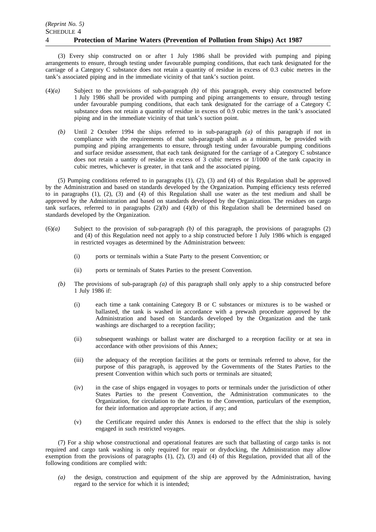(3) Every ship constructed on or after 1 July 1986 shall be provided with pumping and piping arrangements to ensure, through testing under favourable pumping conditions, that each tank designated for the carriage of a Category C substance does not retain a quantity of residue in excess of 0.3 cubic metres in the tank's associated piping and in the immediate vicinity of that tank's suction point.

- (4)*(a)* Subject to the provisions of sub-paragraph *(b)* of this paragraph, every ship constructed before 1 July 1986 shall be provided with pumping and piping arrangements to ensure, through testing under favourable pumping conditions, that each tank designated for the carriage of a Category C substance does not retain a quantity of residue in excess of 0.9 cubic metres in the tank's associated piping and in the immediate vicinity of that tank's suction point.
	- *(b)* Until 2 October 1994 the ships referred to in sub-paragraph *(a)* of this paragraph if not in compliance with the requirements of that sub-paragraph shall as a minimum, be provided with pumping and piping arrangements to ensure, through testing under favourable pumping conditions and surface residue assessment, that each tank designated for the carriage of a Category C substance does not retain a uantity of residue in excess of 3 cubic metres or 1/1000 of the tank capacity in cubic metres, whichever is greater, in that tank and the associated piping.

(5) Pumping conditions referred to in paragraphs (1), (2), (3) and (4) of this Regulation shall be approved by the Administration and based on standards developed by the Organization. Pumping efficiency tests referred to in paragraphs (1), (2), (3) and (4) of this Regulation shall use water as the test medium and shall be approved by the Administration and based on standards developed by the Organization. The residues on cargo tank surfaces, referred to in paragraphs  $(2)(b)$  and  $(4)(b)$  of this Regulation shall be determined based on standards developed by the Organization.

- (6)*(a)* Subject to the provision of sub-paragraph *(b)* of this paragraph, the provisions of paragraphs (2) and (4) of this Regulation need not apply to a ship constructed before 1 July 1986 which is engaged in restricted voyages as determined by the Administration between:
	- (i) ports or terminals within a State Party to the present Convention; or
	- (ii) ports or terminals of States Parties to the present Convention.
	- *(b)* The provisions of sub-paragraph *(a)* of this paragraph shall only apply to a ship constructed before 1 July 1986 if:
		- (i) each time a tank containing Category B or C substances or mixtures is to be washed or ballasted, the tank is washed in accordance with a prewash procedure approved by the Administration and based on Standards developed by the Organization and the tank washings are discharged to a reception facility;
		- (ii) subsequent washings or ballast water are discharged to a reception facility or at sea in accordance with other provisions of this Annex;
		- (iii) the adequacy of the reception facilities at the ports or terminals referred to above, for the purpose of this paragraph, is approved by the Governments of the States Parties to the present Convention within which such ports or terminals are situated;
		- (iv) in the case of ships engaged in voyages to ports or terminals under the jurisdiction of other States Parties to the present Convention, the Administration communicates to the Organization, for circulation to the Parties to the Convention, particulars of the exemption, for their information and appropriate action, if any; and
		- (v) the Certificate required under this Annex is endorsed to the effect that the ship is solely engaged in such restricted voyages.

(7) For a ship whose constructional and operational features are such that ballasting of cargo tanks is not required and cargo tank washing is only required for repair or drydocking, the Administration may allow exemption from the provisions of paragraphs (1), (2), (3) and (4) of this Regulation, provided that all of the following conditions are complied with:

*(a)* the design, construction and equipment of the ship are approved by the Administration, having regard to the service for which it is intended;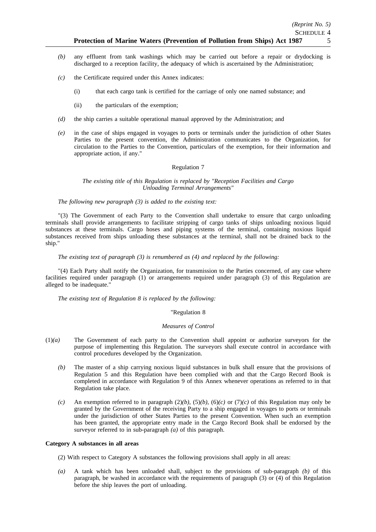*(b)* any effluent from tank washings which may be carried out before a repair or drydocking is discharged to a reception facility, the adequacy of which is ascertained by the Administration;

- *(c)* the Certificate required under this Annex indicates:
	- (i) that each cargo tank is certified for the carriage of only one named substance; and
	- (ii) the particulars of the exemption;
- *(d)* the ship carries a suitable operational manual approved by the Administration; and
- *(e)* in the case of ships engaged in voyages to ports or terminals under the jurisdiction of other States Parties to the present convention, the Administration communicates to the Organization, for circulation to the Parties to the Convention, particulars of the exemption, for their information and appropriate action, if any."

#### Regulation 7

#### *The existing title of this Regulation is replaced by "Reception Facilities and Cargo Unloading Terminal Arrangements"*

*The following new paragraph (3) is added to the existing text:*

"(3) The Government of each Party to the Convention shall undertake to ensure that cargo unloading terminals shall provide arrangements to facilitate stripping of cargo tanks of ships unloading noxious liquid substances at these terminals. Cargo hoses and piping systems of the terminal, containing noxious liquid substances received from ships unloading these substances at the terminal, shall not be drained back to the ship."

*The existing text of paragraph (3) is renumbered as (4) and replaced by the following:*

"(4) Each Party shall notify the Organization, for transmission to the Parties concerned, of any case where facilities required under paragraph (1) or arrangements required under paragraph (3) of this Regulation are alleged to be inadequate."

*The existing text of Regulation 8 is replaced by the following:*

#### "Regulation 8

#### *Measures of Control*

- (1)*(a)* The Government of each party to the Convention shall appoint or authorize surveyors for the purpose of implementing this Regulation. The surveyors shall execute control in accordance with control procedures developed by the Organization.
	- *(b)* The master of a ship carrying noxious liquid substances in bulk shall ensure that the provisions of Regulation 5 and this Regulation have been complied with and that the Cargo Record Book is completed in accordance with Regulation 9 of this Annex whenever operations as referred to in that Regulation take place.
	- *(c)* An exemption referred to in paragraph (2)*(b)*, (5)*(b)*, (6)*(c)* or (7)*(c)* of this Regulation may only be granted by the Government of the receiving Party to a ship engaged in voyages to ports or terminals under the jurisdiction of other States Parties to the present Convention. When such an exemption has been granted, the appropriate entry made in the Cargo Record Book shall be endorsed by the surveyor referred to in sub-paragraph *(a)* of this paragraph.

#### **Category A substances in all areas**

- (2) With respect to Category A substances the following provisions shall apply in all areas:
- *(a)* A tank which has been unloaded shall, subject to the provisions of sub-paragraph *(b)* of this paragraph, be washed in accordance with the requirements of paragraph (3) or (4) of this Regulation before the ship leaves the port of unloading.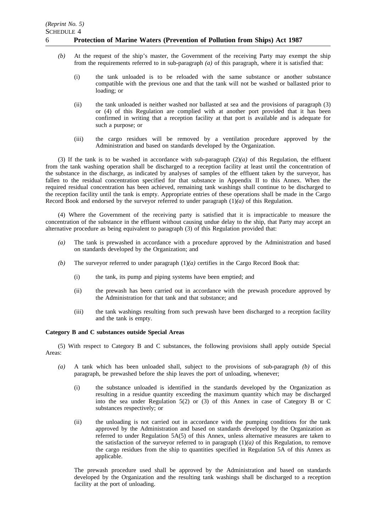- *(b)* At the request of the ship's master, the Government of the receiving Party may exempt the ship from the requirements referred to in sub-paragraph *(a)* of this paragraph, where it is satisfied that:
	- (i) the tank unloaded is to be reloaded with the same substance or another substance compatible with the previous one and that the tank will not be washed or ballasted prior to loading; or
	- (ii) the tank unloaded is neither washed nor ballasted at sea and the provisions of paragraph (3) or (4) of this Regulation are complied with at another port provided that it has been confirmed in writing that a reception facility at that port is available and is adequate for such a purpose; or
	- (iii) the cargo residues will be removed by a ventilation procedure approved by the Administration and based on standards developed by the Organization.

(3) If the tank is to be washed in accordance with sub-paragraph  $(2)(a)$  of this Regulation, the effluent from the tank washing operation shall be discharged to a reception facility at least until the concentration of the substance in the discharge, as indicated by analyses of samples of the effluent taken by the surveyor, has fallen to the residual concentration specified for that substance in Appendix II to this Annex. When the required residual concentration has been achieved, remaining tank washings shall continue to be discharged to the reception facility until the tank is empty. Appropriate entries of these operations shall be made in the Cargo Record Book and endorsed by the surveyor referred to under paragraph (1)*(a)* of this Regulation.

(4) Where the Government of the receiving party is satisfied that it is impracticable to measure the concentration of the substance in the effluent without causing undue delay to the ship, that Party may accept an alternative procedure as being equivalent to paragraph (3) of this Regulation provided that:

- *(a)* The tank is prewashed in accordance with a procedure approved by the Administration and based on standards developed by the Organization; and
- *(b)* The surveyor referred to under paragraph (1)*(a)* certifies in the Cargo Record Book that:
	- (i) the tank, its pump and piping systems have been emptied; and
	- (ii) the prewash has been carried out in accordance with the prewash procedure approved by the Administration for that tank and that substance; and
	- (iii) the tank washings resulting from such prewash have been discharged to a reception facility and the tank is empty.

#### **Category B and C substances outside Special Areas**

(5) With respect to Category B and C substances, the following provisions shall apply outside Special Areas:

- *(a)* A tank which has been unloaded shall, subject to the provisions of sub-paragraph *(b)* of this paragraph, be prewashed before the ship leaves the port of unloading, whenever;
	- (i) the substance unloaded is identified in the standards developed by the Organization as resulting in a residue quantity exceeding the maximum quantity which may be discharged into the sea under Regulation 5(2) or (3) of this Annex in case of Category B or C substances respectively; or
	- (ii) the unloading is not carried out in accordance with the pumping conditions for the tank approved by the Administration and based on standards developed by the Organization as referred to under Regulation 5A(5) of this Annex, unless alternative measures are taken to the satisfaction of the surveyor referred to in paragraph  $(1)(a)$  of this Regulation, to remove the cargo residues from the ship to quantities specified in Regulation 5A of this Annex as applicable.

The prewash procedure used shall be approved by the Administration and based on standards developed by the Organization and the resulting tank washings shall be discharged to a reception facility at the port of unloading.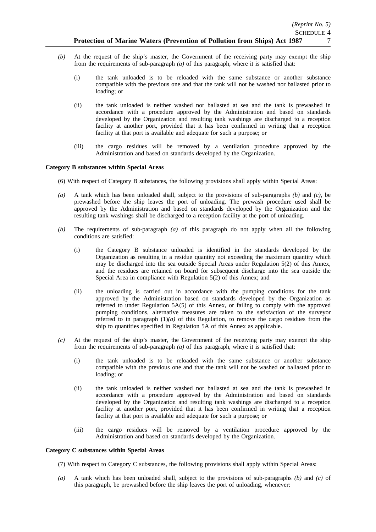- *(b)* At the request of the ship's master, the Government of the receiving party may exempt the ship from the requirements of sub-paragraph *(a)* of this paragraph, where it is satisfied that:
	- (i) the tank unloaded is to be reloaded with the same substance or another substance compatible with the previous one and that the tank will not be washed nor ballasted prior to loading; or
	- (ii) the tank unloaded is neither washed nor ballasted at sea and the tank is prewashed in accordance with a procedure approved by the Administration and based on standards developed by the Organization and resulting tank washings are discharged to a reception facility at another port, provided that it has been confirmed in writing that a reception facility at that port is available and adequate for such a purpose; or
	- (iii) the cargo residues will be removed by a ventilation procedure approved by the Administration and based on standards developed by the Organization.

#### **Category B substances within Special Areas**

- (6) With respect of Category B substances, the following provisions shall apply within Special Areas:
- *(a)* A tank which has been unloaded shall, subject to the provisions of sub-paragraphs *(b)* and *(c)*, be prewashed before the ship leaves the port of unloading. The prewash procedure used shall be approved by the Administration and based on standards developed by the Organization and the resulting tank washings shall be discharged to a reception facility at the port of unloading.
- *(b)* The requirements of sub-paragraph *(a)* of this paragraph do not apply when all the following conditions are satisfied:
	- (i) the Category B substance unloaded is identified in the standards developed by the Organization as resulting in a residue quantity not exceeding the maximum quantity which may be discharged into the sea outside Special Areas under Regulation 5(2) of this Annex, and the residues are retained on board for subsequent discharge into the sea outside the Special Area in compliance with Regulation 5(2) of this Annex; and
	- (ii) the unloading is carried out in accordance with the pumping conditions for the tank approved by the Administration based on standards developed by the Organization as referred to under Regulation 5A(5) of this Annex, or failing to comply with the approved pumping conditions, alternative measures are taken to the satisfaction of the surveyor referred to in paragraph  $(1)(a)$  of this Regulation, to remove the cargo residues from the ship to quantities specified in Regulation 5A of this Annex as applicable.
- *(c)* At the request of the ship's master, the Government of the receiving party may exempt the ship from the requirements of sub-paragraph *(a)* of this paragraph, where it is satisfied that:
	- (i) the tank unloaded is to be reloaded with the same substance or another substance compatible with the previous one and that the tank will not be washed or ballasted prior to loading; or
	- (ii) the tank unloaded is neither washed nor ballasted at sea and the tank is prewashed in accordance with a procedure approved by the Administration and based on standards developed by the Organization and resulting tank washings are discharged to a reception facility at another port, provided that it has been confirmed in writing that a reception facility at that port is available and adequate for such a purpose; or
	- (iii) the cargo residues will be removed by a ventilation procedure approved by the Administration and based on standards developed by the Organization.

#### **Category C substances within Special Areas**

- (7) With respect to Category C substances, the following provisions shall apply within Special Areas:
- *(a)* A tank which has been unloaded shall, subject to the provisions of sub-paragraphs *(b)* and *(c)* of this paragraph, be prewashed before the ship leaves the port of unloading, whenever: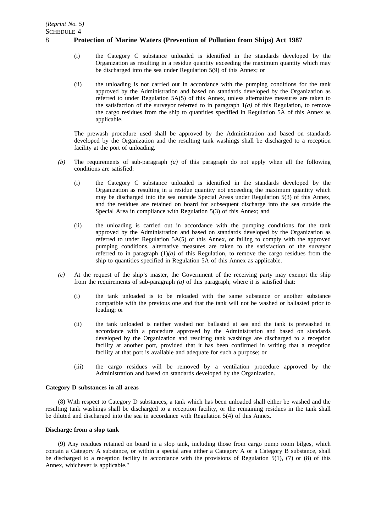- (i) the Category C substance unloaded is identified in the standards developed by the Organization as resulting in a residue quantity exceeding the maximum quantity which may be discharged into the sea under Regulation 5(9) of this Annex; or
- (ii) the unloading is not carried out in accordance with the pumping conditions for the tank approved by the Administration and based on standards developed by the Organization as referred to under Regulation 5A(5) of this Annex, unless alternative measures are taken to the satisfaction of the surveyor referred to in paragraph  $1(a)$  of this Regulation, to remove the cargo residues from the ship to quantities specified in Regulation 5A of this Annex as applicable.

The prewash procedure used shall be approved by the Administration and based on standards developed by the Organization and the resulting tank washings shall be discharged to a reception facility at the port of unloading.

- *(b)* The requirements of sub-paragraph *(a)* of this paragraph do not apply when all the following conditions are satisfied:
	- (i) the Category C substance unloaded is identified in the standards developed by the Organization as resulting in a residue quantity not exceeding the maximum quantity which may be discharged into the sea outside Special Areas under Regulation 5(3) of this Annex, and the residues are retained on board for subsequent discharge into the sea outside the Special Area in compliance with Regulation 5(3) of this Annex; and
	- (ii) the unloading is carried out in accordance with the pumping conditions for the tank approved by the Administration and based on standards developed by the Organization as referred to under Regulation 5A(5) of this Annex, or failing to comply with the approved pumping conditions, alternative measures are taken to the satisfaction of the surveyor referred to in paragraph (1)*(a)* of this Regulation, to remove the cargo residues from the ship to quantities specified in Regulation 5A of this Annex as applicable.
- *(c)* At the request of the ship's master, the Government of the receiving party may exempt the ship from the requirements of sub-paragraph *(a)* of this paragraph, where it is satisfied that:
	- (i) the tank unloaded is to be reloaded with the same substance or another substance compatible with the previous one and that the tank will not be washed or ballasted prior to loading; or
	- (ii) the tank unloaded is neither washed nor ballasted at sea and the tank is prewashed in accordance with a procedure approved by the Administration and based on standards developed by the Organization and resulting tank washings are discharged to a reception facility at another port, provided that it has been confirmed in writing that a reception facility at that port is available and adequate for such a purpose; or
	- (iii) the cargo residues will be removed by a ventilation procedure approved by the Administration and based on standards developed by the Organization.

#### **Category D substances in all areas**

(8) With respect to Category D substances, a tank which has been unloaded shall either be washed and the resulting tank washings shall be discharged to a reception facility, or the remaining residues in the tank shall be diluted and discharged into the sea in accordance with Regulation 5(4) of this Annex.

#### **Discharge from a slop tank**

(9) Any residues retained on board in a slop tank, including those from cargo pump room bilges, which contain a Category A substance, or within a special area either a Category A or a Category B substance, shall be discharged to a reception facility in accordance with the provisions of Regulation 5(1), (7) or (8) of this Annex, whichever is applicable."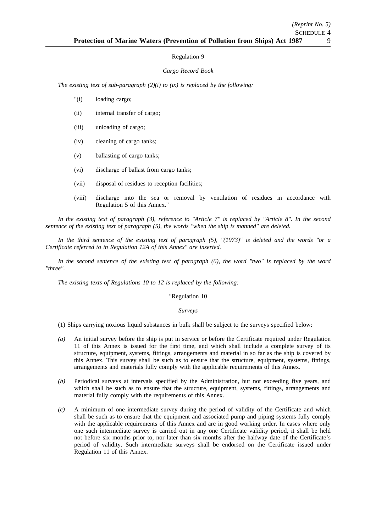# Regulation 9

### *Cargo Record Book*

*The existing text of sub-paragraph (2)(i) to (ix) is replaced by the following:*

- "(i) loading cargo;
- (ii) internal transfer of cargo;
- (iii) unloading of cargo;
- (iv) cleaning of cargo tanks;
- (v) ballasting of cargo tanks;
- (vi) discharge of ballast from cargo tanks;
- (vii) disposal of residues to reception facilities;
- (viii) discharge into the sea or removal by ventilation of residues in accordance with Regulation 5 of this Annex."

*In the existing text of paragraph (3), reference to "Article 7" is replaced by "Article 8". In the second sentence of the existing text of paragraph (5), the words "when the ship is manned" are deleted.*

*In the third sentence of the existing text of paragraph (5), "(1973)" is deleted and the words "or a Certificate referred to in Regulation 12A of this Annex" are inserted.*

*In the second sentence of the existing text of paragraph (6), the word "two" is replaced by the word "three".*

*The existing texts of Regulations 10 to 12 is replaced by the following:*

## "Regulation 10

#### *Surveys*

(1) Ships carrying noxious liquid substances in bulk shall be subject to the surveys specified below:

- *(a)* An initial survey before the ship is put in service or before the Certificate required under Regulation 11 of this Annex is issued for the first time, and which shall include a complete survey of its structure, equipment, systems, fittings, arrangements and material in so far as the ship is covered by this Annex. This survey shall be such as to ensure that the structure, equipment, systems, fittings, arrangements and materials fully comply with the applicable requirements of this Annex.
- *(b)* Periodical surveys at intervals specified by the Administration, but not exceeding five years, and which shall be such as to ensure that the structure, equipment, systems, fittings, arrangements and material fully comply with the requirements of this Annex.
- *(c)* A minimum of one intermediate survey during the period of validity of the Certificate and which shall be such as to ensure that the equipment and associated pump and piping systems fully comply with the applicable requirements of this Annex and are in good working order. In cases where only one such intermediate survey is carried out in any one Certificate validity period, it shall be held not before six months prior to, nor later than six months after the halfway date of the Certificate's period of validity. Such intermediate surveys shall be endorsed on the Certificate issued under Regulation 11 of this Annex.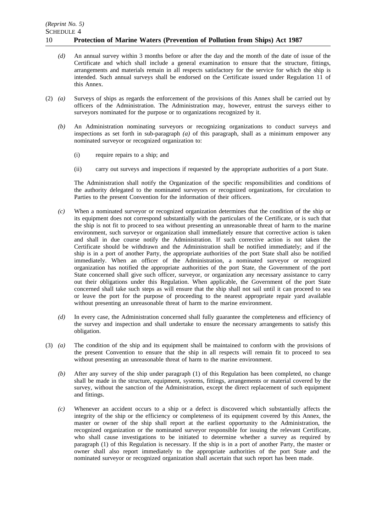- *(d)* An annual survey within 3 months before or after the day and the month of the date of issue of the Certificate and which shall include a general examination to ensure that the structure, fittings, arrangements and materials remain in all respects satisfactory for the service for which the ship is intended. Such annual surveys shall be endorsed on the Certificate issued under Regulation 11 of this Annex.
- (2) *(a)* Surveys of ships as regards the enforcement of the provisions of this Annex shall be carried out by officers of the Administration. The Administration may, however, entrust the surveys either to surveyors nominated for the purpose or to organizations recognized by it.
	- *(b)* An Administration nominating surveyors or recognizing organizations to conduct surveys and inspections as set forth in sub-paragraph *(a)* of this paragraph, shall as a minimum empower any nominated surveyor or recognized organization to:
		- (i) require repairs to a ship; and
		- (ii) carry out surveys and inspections if requested by the appropriate authorities of a port State.

The Administration shall notify the Organization of the specific responsibilities and conditions of the authority delegated to the nominated surveyors or recognized organizations, for circulation to Parties to the present Convention for the information of their officers.

- *(c)* When a nominated surveyor or recognized organization determines that the condition of the ship or its equipment does not correspond substantially with the particulars of the Certificate, or is such that the ship is not fit to proceed to sea without presenting an unreasonable threat of harm to the marine environment, such surveyor or organization shall immediately ensure that corrective action is taken and shall in due course notify the Administration. If such corrective action is not taken the Certificate should be withdrawn and the Administration shall be notified immediately; and if the ship is in a port of another Party, the appropriate authorities of the port State shall also be notified immediately. When an officer of the Administration, a nominated surveyor or recognized organization has notified the appropriate authorities of the port State, the Government of the port State concerned shall give such officer, surveyor, or organization any necessary assistance to carry out their obligations under this Regulation. When applicable, the Government of the port State concerned shall take such steps as will ensure that the ship shall not sail until it can proceed to sea or leave the port for the purpose of proceeding to the nearest appropriate repair yard available without presenting an unreasonable threat of harm to the marine environment.
- *(d)* In every case, the Administration concerned shall fully guarantee the completeness and efficiency of the survey and inspection and shall undertake to ensure the necessary arrangements to satisfy this obligation.
- (3) *(a)* The condition of the ship and its equipment shall be maintained to conform with the provisions of the present Convention to ensure that the ship in all respects will remain fit to proceed to sea without presenting an unreasonable threat of harm to the marine environment.
	- *(b)* After any survey of the ship under paragraph (1) of this Regulation has been completed, no change shall be made in the structure, equipment, systems, fittings, arrangements or material covered by the survey, without the sanction of the Administration, except the direct replacement of such equipment and fittings.
	- *(c)* Whenever an accident occurs to a ship or a defect is discovered which substantially affects the integrity of the ship or the efficiency or completeness of its equipment covered by this Annex, the master or owner of the ship shall report at the earliest opportunity to the Administration, the recognized organization or the nominated surveyor responsible for issuing the relevant Certificate, who shall cause investigations to be initiated to determine whether a survey as required by paragraph (1) of this Regulation is necessary. If the ship is in a port of another Party, the master or owner shall also report immediately to the appropriate authorities of the port State and the nominated surveyor or recognized organization shall ascertain that such report has been made.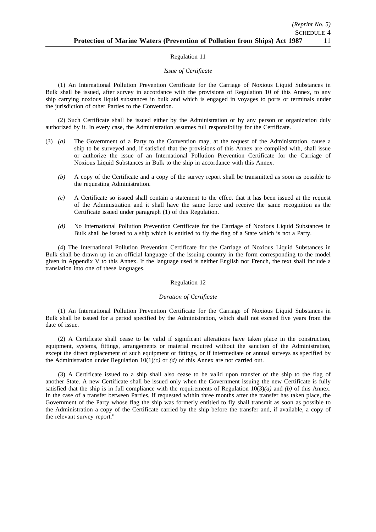#### Regulation 11

#### *Issue of Certificate*

(1) An International Pollution Prevention Certificate for the Carriage of Noxious Liquid Substances in Bulk shall be issued, after survey in accordance with the provisions of Regulation 10 of this Annex, to any ship carrying noxious liquid substances in bulk and which is engaged in voyages to ports or terminals under the jurisdiction of other Parties to the Convention.

(2) Such Certificate shall be issued either by the Administration or by any person or organization duly authorized by it. In every case, the Administration assumes full responsibility for the Certificate.

- (3) *(a)* The Government of a Party to the Convention may, at the request of the Administration, cause a ship to be surveyed and, if satisfied that the provisions of this Annex are complied with, shall issue or authorize the issue of an International Pollution Prevention Certificate for the Carriage of Noxious Liquid Substances in Bulk to the ship in accordance with this Annex.
	- *(b)* A copy of the Certificate and a copy of the survey report shall be transmitted as soon as possible to the requesting Administration.
	- *(c)* A Certificate so issued shall contain a statement to the effect that it has been issued at the request of the Administration and it shall have the same force and receive the same recognition as the Certificate issued under paragraph (1) of this Regulation.
	- *(d)* No International Pollution Prevention Certificate for the Carriage of Noxious Liquid Substances in Bulk shall be issued to a ship which is entitled to fly the flag of a State which is not a Party.

(4) The International Pollution Prevention Certificate for the Carriage of Noxious Liquid Substances in Bulk shall be drawn up in an official language of the issuing country in the form corresponding to the model given in Appendix V to this Annex. If the language used is neither English nor French, the text shall include a translation into one of these languages.

#### Regulation 12

#### *Duration of Certificate*

(1) An International Pollution Prevention Certificate for the Carriage of Noxious Liquid Substances in Bulk shall be issued for a period specified by the Administration, which shall not exceed five years from the date of issue.

(2) A Certificate shall cease to be valid if significant alterations have taken place in the construction, equipment, systems, fittings, arrangements or material required without the sanction of the Administration, except the direct replacement of such equipment or fittings, or if intermediate or annual surveys as specified by the Administration under Regulation  $10(1)(c)$  or *(d)* of this Annex are not carried out.

(3) A Certificate issued to a ship shall also cease to be valid upon transfer of the ship to the flag of another State. A new Certificate shall be issued only when the Government issuing the new Certificate is fully satisfied that the ship is in full compliance with the requirements of Regulation 10(3)*(a)* and *(b)* of this Annex. In the case of a transfer between Parties, if requested within three months after the transfer has taken place, the Government of the Party whose flag the ship was formerly entitled to fly shall transmit as soon as possible to the Administration a copy of the Certificate carried by the ship before the transfer and, if available, a copy of the relevant survey report."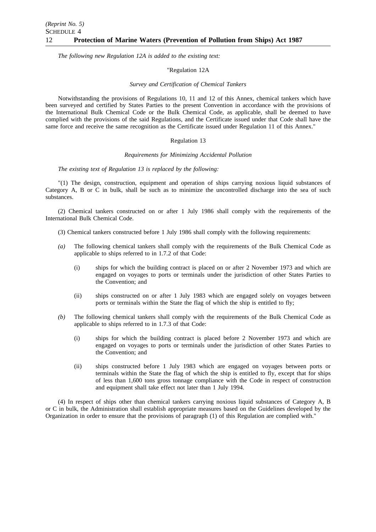*The following new Regulation 12A is added to the existing text:*

"Regulation 12A

*Survey and Certification of Chemical Tankers*

Notwithstanding the provisions of Regulations 10, 11 and 12 of this Annex, chemical tankers which have been surveyed and certified by States Parties to the present Convention in accordance with the provisions of the International Bulk Chemical Code or the Bulk Chemical Code, as applicable, shall be deemed to have complied with the provisions of the said Regulations, and the Certificate issued under that Code shall have the same force and receive the same recognition as the Certificate issued under Regulation 11 of this Annex."

## Regulation 13

### *Requirements for Minimizing Accidental Pollution*

*The existing text of Regulation 13 is replaced by the following:*

"(1) The design, construction, equipment and operation of ships carrying noxious liquid substances of Category A, B or C in bulk, shall be such as to minimize the uncontrolled discharge into the sea of such substances.

(2) Chemical tankers constructed on or after 1 July 1986 shall comply with the requirements of the International Bulk Chemical Code.

- (3) Chemical tankers constructed before 1 July 1986 shall comply with the following requirements:
- *(a)* The following chemical tankers shall comply with the requirements of the Bulk Chemical Code as applicable to ships referred to in 1.7.2 of that Code:
	- (i) ships for which the building contract is placed on or after 2 November 1973 and which are engaged on voyages to ports or terminals under the jurisdiction of other States Parties to the Convention; and
	- (ii) ships constructed on or after 1 July 1983 which are engaged solely on voyages between ports or terminals within the State the flag of which the ship is entitled to fly;
- *(b)* The following chemical tankers shall comply with the requirements of the Bulk Chemical Code as applicable to ships referred to in 1.7.3 of that Code:
	- (i) ships for which the building contract is placed before 2 November 1973 and which are engaged on voyages to ports or terminals under the jurisdiction of other States Parties to the Convention; and
	- (ii) ships constructed before 1 July 1983 which are engaged on voyages between ports or terminals within the State the flag of which the ship is entitled to fly, except that for ships of less than 1,600 tons gross tonnage compliance with the Code in respect of construction and equipment shall take effect not later than 1 July 1994.

(4) In respect of ships other than chemical tankers carrying noxious liquid substances of Category A, B or C in bulk, the Administration shall establish appropriate measures based on the Guidelines developed by the Organization in order to ensure that the provisions of paragraph (1) of this Regulation are complied with."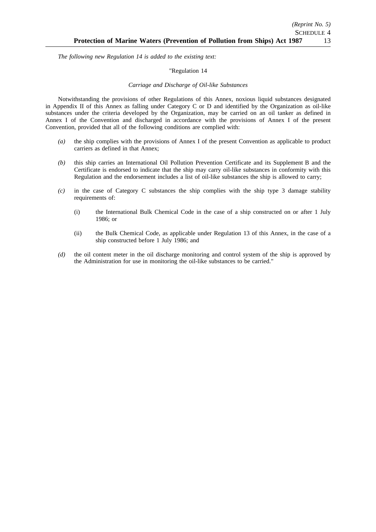*The following new Regulation 14 is added to the existing text:*

### "Regulation 14

#### *Carriage and Discharge of Oil-like Substances*

Notwithstanding the provisions of other Regulations of this Annex, noxious liquid substances designated in Appendix II of this Annex as falling under Category C or D and identified by the Organization as oil-like substances under the criteria developed by the Organization, may be carried on an oil tanker as defined in Annex I of the Convention and discharged in accordance with the provisions of Annex I of the present Convention, provided that all of the following conditions are complied with:

- *(a)* the ship complies with the provisions of Annex I of the present Convention as applicable to product carriers as defined in that Annex;
- *(b)* this ship carries an International Oil Pollution Prevention Certificate and its Supplement B and the Certificate is endorsed to indicate that the ship may carry oil-like substances in conformity with this Regulation and the endorsement includes a list of oil-like substances the ship is allowed to carry;
- *(c)* in the case of Category C substances the ship complies with the ship type 3 damage stability requirements of:
	- (i) the International Bulk Chemical Code in the case of a ship constructed on or after 1 July 1986; or
	- (ii) the Bulk Chemical Code, as applicable under Regulation 13 of this Annex, in the case of a ship constructed before 1 July 1986; and
- *(d)* the oil content meter in the oil discharge monitoring and control system of the ship is approved by the Administration for use in monitoring the oil-like substances to be carried."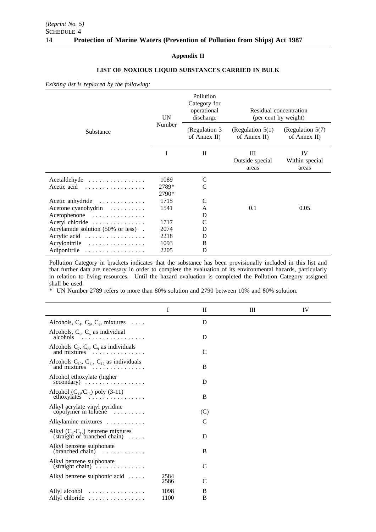#### **Appendix II**

# **LIST OF NOXIOUS LIQUID SUBSTANCES CARRIED IN BULK**

*Existing list is replaced by the following:*

l,

|                                    | <b>UN</b>      | Pollution<br>Category for<br>operational<br>discharge | Residual concentration<br>(per cent by weight) |                                    |
|------------------------------------|----------------|-------------------------------------------------------|------------------------------------------------|------------------------------------|
| Substance                          | Number         | (Regulation 3)<br>of Annex II)                        | (Regulation $5(1)$ )<br>of Annex II)           | (Regulation $5(7)$<br>of Annex II) |
|                                    | I              | $\mathbf{I}$                                          | Ш<br>Outside special<br>areas                  | IV<br>Within special<br>areas      |
| Acetaldehyde                       | 1089           | C                                                     |                                                |                                    |
| Acetic acid<br>.                   | 2789*<br>2790* | C                                                     |                                                |                                    |
| Acetic anhydride<br>.              | 1715           | C                                                     |                                                |                                    |
| Acetone cyanohydrin                | 1541           | A                                                     | 0.1                                            | 0.05                               |
| Acetophenone                       |                | D                                                     |                                                |                                    |
| Acetyl chloride                    | 1717           | C                                                     |                                                |                                    |
| Acrylamide solution (50% or less). | 2074           | D                                                     |                                                |                                    |
| Acrylic acid                       | 2218           | D                                                     |                                                |                                    |
| Acrylonitrile                      | 1093           | B                                                     |                                                |                                    |
| Adiponitrile                       | 2205           | D                                                     |                                                |                                    |

Pollution Category in brackets indicates that the substance has been provisionally included in this list and that further data are necessary in order to complete the evaluation of its environmental hazards, particularly in relation to living resources. Until the hazard evaluation is completed the Pollution Category assigned shall be used.

\* UN Number 2789 refers to more than 80% solution and 2790 between 10% and 80% solution.

|                                                                                             | I            | П            | Ш | IV |
|---------------------------------------------------------------------------------------------|--------------|--------------|---|----|
| Alcohols, $C_4$ , $C_5$ , $C_6$ , mixtures                                                  |              | D            |   |    |
| Alcohols, $C_5$ , $C_6$ as individual<br>alcohols                                           |              | D            |   |    |
| Alcohols $C_7$ , $C_8$ , $C_9$ as individuals<br>and mixtures $\ldots \ldots \ldots \ldots$ |              | $\mathsf{C}$ |   |    |
| Alcohols $C_{10}$ , $C_{11}$ , $C_{12}$ as individuals<br>and mixtures $\ldots$ ,           |              | B            |   |    |
| Alcohol ethoxylate (higher<br>$\frac{1}{2}$ secondary) $\cdots$ $\cdots$ $\cdots$ $\cdots$  |              | D            |   |    |
| Alcohol ( $C_{13}/C_{15}$ ) poly (3-11)<br>ethoxylates $\ldots \ldots \ldots \ldots$        |              | B            |   |    |
| Alkyl acrylate vinyl pyridine<br>copolymer in toluene                                       |              | (C)          |   |    |
| Alkylamine mixtures                                                                         |              | $\mathsf{C}$ |   |    |
| Alkyl $(C_9-C_{17})$ benzene mixtures<br>(straight or branched chain)                       |              | D            |   |    |
| Alkyl benzene sulphonate<br>$(branched chain)$                                              |              | B            |   |    |
| Alkyl benzene sulphonate                                                                    |              | C            |   |    |
| Alkyl benzene sulphonic $\alpha$ cid $\ldots$ .                                             | 2584<br>2586 | C            |   |    |
| Allyl alcohol<br>Allyl chloride                                                             | 1098<br>1100 | B<br>B       |   |    |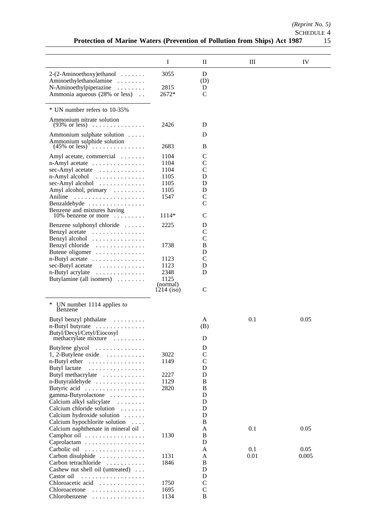SCHEDULE 4 **Protection of Marine Waters (Prevention of Pollution from Ships) Act 1987** 15

|                                                        | I                        | П                           | Ш    | IV    |
|--------------------------------------------------------|--------------------------|-----------------------------|------|-------|
| $2-(2-Aminoethoxy)$ ethanol                            | 3055                     | D                           |      |       |
| Aminoethylethanolamine                                 |                          | (D)                         |      |       |
| N-Aminoethylpiperazine<br>$\sim$                       | 2815                     | D                           |      |       |
| Ammonia aqueous (28% or less)                          | 2672*                    | $\mathsf{C}$                |      |       |
|                                                        |                          |                             |      |       |
| * UN number refers to 10-35%                           |                          |                             |      |       |
| Ammonium nitrate solution<br>$(93\% \text{ or less})$  | 2426                     | D                           |      |       |
| Ammonium sulphate solution                             |                          | D                           |      |       |
| Ammonium sulphide solution<br>$(45\% \text{ or less})$ | 2683                     | B                           |      |       |
| Amyl acetate, commercial                               | 1104                     | $\mathsf{C}$                |      |       |
| n-Amyl acetate                                         | 1104                     | $\mathcal{C}$               |      |       |
| sec-Amyl acetate                                       | 1104                     | $\mathsf{C}$                |      |       |
| $n$ -Amyl alcohol $\dots \dots \dots \dots$            | 1105                     | D                           |      |       |
| sec-Amyl alcohol                                       | 1105                     | D                           |      |       |
| Amyl alcohol, primary                                  | 1105                     | D                           |      |       |
| Aniline                                                | 1547                     | $\mathsf C$<br>$\mathsf{C}$ |      |       |
| Benzaldehyde<br>Benzene and mixtures having            |                          |                             |      |       |
| 10% benzene or more                                    | 1114*                    | C                           |      |       |
| Benzene sulphonyl chloride                             | 2225                     | D                           |      |       |
| Benzyl acetate                                         |                          | $\mathsf{C}$                |      |       |
| Benzyl alcohol                                         |                          | $\mathsf{C}$                |      |       |
| Benzyl chloride                                        | 1738                     | B                           |      |       |
| Butene oligomer<br>n-Butyl acetate                     | 1123                     | D<br>$\mathsf{C}$           |      |       |
| sec-Butyl acetate                                      | 1123                     | D                           |      |       |
| n-Butyl acrylate                                       | 2348                     | D                           |      |       |
| Butylamine (all isomers)                               | 1125                     |                             |      |       |
|                                                        | (normal)<br>$1214$ (iso) | $\mathsf{C}$                |      |       |
|                                                        |                          |                             |      |       |
| * UN number 1114 applies to                            |                          |                             |      |       |
| Benzene                                                |                          |                             |      |       |
| Butyl benzyl phthalate                                 |                          | A                           | 0.1  | 0.05  |
| n-Butyl butyrate                                       |                          | (B)                         |      |       |
| Butyl/Decyl/Cetyl/Eiocosyl<br>methacrylate mixture     |                          | D                           |      |       |
| Butylene glycol                                        |                          | D                           |      |       |
| 1, 2-Butylene oxide $\dots \dots \dots$                | 3022                     | $\mathsf C$                 |      |       |
| $n$ -Butyl ether $\dots \dots \dots \dots$             | 1149                     | $\mathsf{C}$                |      |       |
| Butyl lactate<br>.                                     |                          | D                           |      |       |
| Butyl methacrylate                                     | 2227<br>1129             | D                           |      |       |
| n-Butyraldehyde<br>Butyric acid                        | 2820                     | B<br>B                      |      |       |
| gamma-Butyrolactone                                    |                          | D                           |      |       |
| Calcium alkyl salicylate<br>$\sim$                     |                          | D                           |      |       |
| Calcium chloride solution                              |                          | D                           |      |       |
| Calcium hydroxide solution                             |                          | D                           |      |       |
| Calcium hypochlorite solution                          |                          | B                           |      |       |
| Calcium naphthenate in mineral oil.                    |                          | A                           | 0.1  | 0.05  |
| Camphor oil                                            | 1130                     | B                           |      |       |
| Caprolactam<br>Carbolic oil<br>.                       |                          | D<br>A                      | 0.1  | 0.05  |
| Carbon disulphide                                      | 1131                     | A                           | 0.01 | 0.005 |
| Carbon tetrachloride                                   | 1846                     | B                           |      |       |
| Cashew nut shell oil (untreated)                       |                          | D                           |      |       |
| Castor oil<br>.                                        |                          | D                           |      |       |
| Chloroacetic acid                                      | 1750                     | $\mathsf{C}$                |      |       |
| Chloroacetone<br>.                                     | 1695                     | $\mathbf C$                 |      |       |
| Chlorobenzene                                          | 1134                     | B                           |      |       |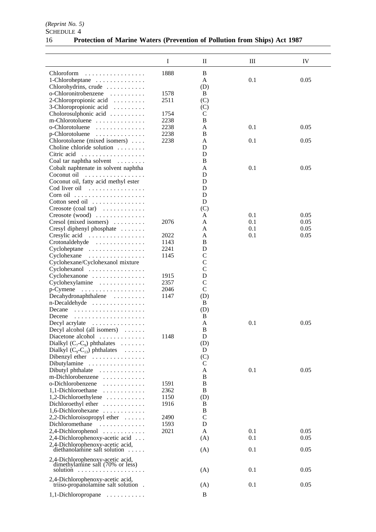# *(Reprint No. 5)* SCHEDULE  $4$ <br>16 Pro 16 **Protection of Marine Waters (Prevention of Pollution from Ships) Act 1987**

|                                                                     | I    | $\rm II$     | Ш   | IV   |
|---------------------------------------------------------------------|------|--------------|-----|------|
|                                                                     |      |              |     |      |
| Chloroform<br>.                                                     | 1888 | B            |     |      |
| 1-Chloroheptane                                                     |      | A            | 0.1 | 0.05 |
| Chlorohydrins, crude                                                |      | (D)          |     |      |
| o-Chloronitrobenzene                                                | 1578 | B            |     |      |
| 2-Chloropropionic acid                                              | 2511 | (C)          |     |      |
| 3-Chloropropionic acid                                              |      | (C)          |     |      |
| Cholorosulphonic acid                                               | 1754 | $\mathsf{C}$ |     |      |
| m-Chlorotoluene                                                     | 2238 | B            |     |      |
| o-Chlorotoluene<br>.                                                | 2238 | A            | 0.1 | 0.05 |
| p-Chlorotoluene<br>.                                                | 2238 | B            |     |      |
| Chlorotoluene (mixed isomers)                                       | 2238 | A<br>D       | 0.1 | 0.05 |
| Choline chloride solution<br>Citric acid                            |      | D            |     |      |
|                                                                     |      | B            |     |      |
| Coal tar naphtha solvent                                            |      | A            | 0.1 | 0.05 |
| Cobalt naphtenate in solvent naphtha                                |      | D            |     |      |
| Coconut oil<br>.                                                    |      | D            |     |      |
| Coconut oil, fatty acid methyl ester<br>$\text{Cod liver oil}$      |      | D            |     |      |
|                                                                     |      | D            |     |      |
|                                                                     |      | D            |     |      |
| Cotton seed oil                                                     |      | (C)          |     |      |
| Creosote (coal tar)<br>$C$ reosote (wood) $\dots \dots \dots \dots$ |      | A            | 0.1 | 0.05 |
| Cresol (mixed isomers)                                              | 2076 | A            | 0.1 | 0.05 |
| Cresyl diphenyl phosphate                                           |      | A            | 0.1 | 0.05 |
| Cresylic acid                                                       | 2022 | A            | 0.1 | 0.05 |
| Crotonaldehyde                                                      | 1143 | B            |     |      |
| Cycloheptane                                                        | 2241 | D            |     |      |
| Cyclohexane                                                         | 1145 | $\mathsf{C}$ |     |      |
| Cyclohexane/Cyclohexanol mixture                                    |      | $\mathsf{C}$ |     |      |
| Cyclohexanol                                                        |      | $\mathsf{C}$ |     |      |
| Cyclohexanone                                                       | 1915 | D            |     |      |
| Cyclohexylamine                                                     | 2357 | $\mathsf{C}$ |     |      |
| $p$ -Cymene                                                         | 2046 | $\mathsf{C}$ |     |      |
| Decahydronaphthalene<br>$\sim$                                      | 1147 | (D)          |     |      |
| $n$ -Decaldehyde                                                    |      | B            |     |      |
| Decane                                                              |      | (D)          |     |      |
| Decene                                                              |      | B            |     |      |
| Decyl acrylate<br>.                                                 |      | А            | 0.1 | 0.05 |
| Decyl alcohol (all isomers)<br>1.1.1.1.1                            |      | B            |     |      |
| Diacetone alcohol                                                   | 1148 | D            |     |      |
| Dialkyl $(C_7-C_9)$ phthalates $\ldots \ldots$                      |      | (D)          |     |      |
| Dialkyl $(C_9-C_{13})$ phthalates<br>$\sim$                         |      | D            |     |      |
| Dibenzyl ether                                                      |      | (C)          |     |      |
| Dibutylamine                                                        |      | $\mathsf{C}$ |     |      |
| Dibutyl phthalate                                                   |      | A            | 0.1 | 0.05 |
| m-Dichlorobenzene                                                   |      | B            |     |      |
| o-Dichlorobenzene<br>.                                              | 1591 | B            |     |      |
| 1,1-Dichloroethane<br>.                                             | 2362 | $\bf{B}$     |     |      |
| $1,2$ -Dichloroethylene                                             | 1150 | (D)          |     |      |
| Dichloroethyl ether                                                 | 1916 | B            |     |      |
| $1,6$ -Dichlorohexane                                               |      | B            |     |      |
| 2,2-Dichloroisopropyl ether                                         | 2490 | $\mathsf{C}$ |     |      |
| Dichloromethane<br>.                                                | 1593 | D            |     |      |
| $2,4$ -Dichlorophenol                                               | 2021 | A            | 0.1 | 0.05 |
| 2,4-Dichlorophenoxy-acetic acid                                     |      | (A)          | 0.1 | 0.05 |
| 2,4-Dichlorophenoxy-acetic acid,                                    |      |              |     |      |
| diethanolamine salt solution                                        |      | (A)          | 0.1 | 0.05 |
| 2,4-Dichlorophenoxy-acetic acid,                                    |      |              |     |      |
| dimethylamine salt (70% or less)                                    |      |              |     |      |
|                                                                     |      | (A)          | 0.1 | 0.05 |
| 2,4-Dichlorophenoxy-acetic acid,                                    |      |              |     |      |
| triiso-propanolamine salt solution.                                 |      | (A)          | 0.1 | 0.05 |
| 1,1-Dichloropropane                                                 |      | B            |     |      |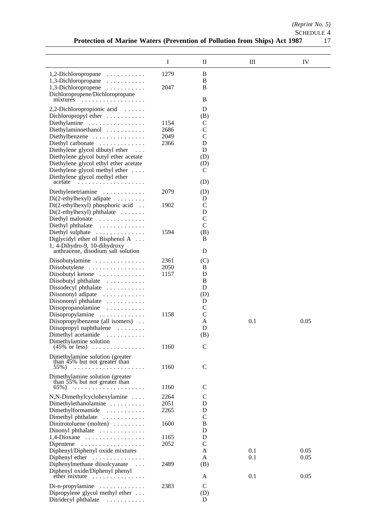SCHEDULE 4 **Protection of Marine Waters (Prevention of Pollution from Ships) Act 1987** 17

|                                                                                                                          | I            | $\rm _{II}$         | Ш   | IV   |
|--------------------------------------------------------------------------------------------------------------------------|--------------|---------------------|-----|------|
| 1,2-Dichloropropane<br>$\begin{array}{cccccccccccccccccc} . & . & . & . & . & . & . & . & . & . & . & . & . \end{array}$ | 1279         | B                   |     |      |
| 1,3-Dichloropropane<br>.                                                                                                 |              | B                   |     |      |
| 1,3-Dichloropropene                                                                                                      | 2047         | B                   |     |      |
| Dichloropropene/Dichloropropane                                                                                          |              |                     |     |      |
| mixtures                                                                                                                 |              | B                   |     |      |
| 2,2-Dichloropropionic acid                                                                                               |              | D                   |     |      |
| Dichloropropyl ether                                                                                                     | 1154         | (B)<br>$\mathsf{C}$ |     |      |
| Diethylamine<br>Diethylaminoethanol                                                                                      | 2686         | $\mathcal{C}$       |     |      |
| Diethylbenzene                                                                                                           | 2049         | $\mathsf{C}$        |     |      |
| Diethyl carbonate                                                                                                        | 2366         | D                   |     |      |
| Diethylene glycol dibutyl ether<br>$\sim$ .                                                                              |              | D                   |     |      |
| Diethylene glycol butyl ether acetate                                                                                    |              | (D)                 |     |      |
| Diethylene glycol ethyl ether acetate                                                                                    |              | (D)                 |     |      |
| Diethylene glycol methyl ether<br>Diethylene glycol methyl ether                                                         |              | $\mathsf{C}$        |     |      |
| acetate                                                                                                                  |              | (D)                 |     |      |
| Diethylenetriamine                                                                                                       | 2079         | (D)                 |     |      |
| Di(2-ethylhexyl) adipate<br>.                                                                                            |              | D                   |     |      |
| Di(2-ethylhexyl) phosphoric acid                                                                                         | 1902         | $\mathsf{C}$        |     |      |
| $Di(2-ethylhexyl)$ phthalate $\dots\dots$                                                                                |              | D                   |     |      |
| Diethyl malonate<br>.                                                                                                    |              | $\mathsf{C}$        |     |      |
| Diethyl phthalate<br>.                                                                                                   |              | $\mathsf{C}$        |     |      |
| Diethyl sulphate<br>Diglycidyl ether of Bisphenol A $\dots$                                                              | 1594         | (B)<br>B            |     |      |
|                                                                                                                          |              |                     |     |      |
| 1, 4-Dihydro-9, 10-dihydroxy<br>anthracene, disodium salt solution                                                       |              | D                   |     |      |
| Diisobutylamine                                                                                                          | 2361         | (C)                 |     |      |
| Diisobutylene $\ldots \ldots \ldots \ldots$                                                                              | 2050         | B                   |     |      |
| Diisobutyl ketone                                                                                                        | 1157         | D                   |     |      |
| Diisobutyl phthalate                                                                                                     |              | B                   |     |      |
| Dissodecyl phthalate<br>Diisononyl adipate                                                                               |              | D                   |     |      |
| Diisononyl phthalate                                                                                                     |              | (D)<br>D            |     |      |
| Diisopropanolamine                                                                                                       |              | $\mathsf{C}$        |     |      |
| Diisopropylamine                                                                                                         | 1158         | $\mathsf{C}$        |     |      |
| Diisopropylbenzene (all isomers)                                                                                         |              | A                   | 0.1 | 0.05 |
| Diisopropyl naphthalene                                                                                                  |              | D                   |     |      |
| Dimethyl acetamide<br>Dimethylamine solution                                                                             |              | (B)                 |     |      |
| $(45\% \text{ or less})$                                                                                                 | 1160         | $\mathsf{C}$        |     |      |
| Dimethylamine solution (greater                                                                                          |              |                     |     |      |
| than 45% but not greater than                                                                                            |              |                     |     |      |
| 55%)                                                                                                                     | 1160         | C                   |     |      |
| Dimethylamine solution (greater                                                                                          |              |                     |     |      |
| than 55% but not greater than<br>65%)                                                                                    | 1160         | $\mathsf{C}$        |     |      |
| N,N-Dimethylcyclohexylamine                                                                                              | 2264         | C                   |     |      |
| Dimethylethanolamine                                                                                                     | 2051         | D                   |     |      |
| Dimethylformamide                                                                                                        | 2265         | D                   |     |      |
| Dimethyl phthalate                                                                                                       |              | $\mathsf{C}$        |     |      |
| Dinitrotoluene (molten)                                                                                                  | 1600         | B                   |     |      |
| Dinonyl phthalate                                                                                                        |              | D                   |     |      |
| $1,4$ -Dioxane<br>Dipentene                                                                                              | 1165<br>2052 | D<br>$\mathsf{C}$   |     |      |
| Diphenyl/Diphenyl oxide mixtures                                                                                         |              | A                   | 0.1 | 0.05 |
| Diphenyl ether $\dots\dots\dots\dots\dots$                                                                               |              | A                   | 0.1 | 0.05 |
| Diphenylmethane diisolcyanate                                                                                            | 2489         | (B)                 |     |      |
| Diphenyl oxide/Diphenyl phenyl<br>ether mixture $\ldots \ldots \ldots$                                                   |              | A                   | 0.1 | 0.05 |
|                                                                                                                          |              |                     |     |      |
| $Di$ -n-propylamine                                                                                                      | 2383         | $\mathsf{C}$        |     |      |
| Dipropylene glycol methyl ether<br>Ditridecyl phthalate                                                                  |              | (D)<br>D            |     |      |
|                                                                                                                          |              |                     |     |      |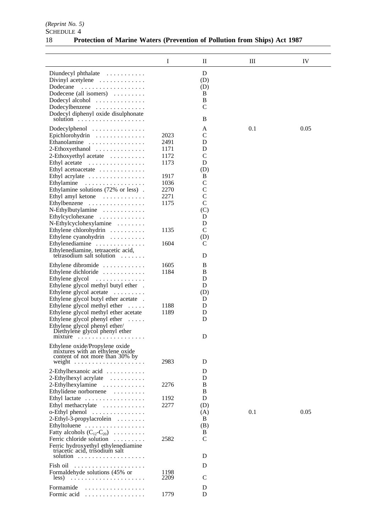# *(Reprint No. 5)* SCHEDULE 4 18 **Protection of Marine Waters (Prevention of Pollution from Ships) Act 1987**

|                                                                       | I            | П                            | Ш   | IV   |
|-----------------------------------------------------------------------|--------------|------------------------------|-----|------|
| Diundecyl phthalate                                                   |              | D                            |     |      |
| Divinyl acetylene $\dots \dots \dots$                                 |              | (D)                          |     |      |
| Dodecane<br>.                                                         |              | (D)                          |     |      |
| Dodecene (all isomers) $\dots \dots$                                  |              | B                            |     |      |
| Dodecyl alcohol $\dots\dots\dots\dots$                                |              | B<br>$\mathsf{C}$            |     |      |
| Dodecylbenzene<br>Dodecyl diphenyl oxide disulphonate                 |              |                              |     |      |
|                                                                       |              | B                            |     |      |
| Dodecylphenol                                                         |              | A                            | 0.1 | 0.05 |
| Epichlorohydrin $\ldots \ldots \ldots \ldots$                         | 2023         | $\mathsf{C}$                 |     |      |
| Ethanolamine                                                          | 2491         | D                            |     |      |
| 2-Ethoxyethanol<br>2-Ethoxyethyl acetate                              | 1171<br>1172 | D<br>$\mathsf{C}$            |     |      |
| Ethyl acetate                                                         | 1173         | D                            |     |      |
| Ethyl acetoacetate                                                    |              | (D)                          |     |      |
| Ethyl acrylate $\dots \dots \dots \dots$                              | 1917         | B                            |     |      |
| Ethylamine<br>.                                                       | 1036         | $\mathsf{C}$                 |     |      |
| Ethylamine solutions (72% or less).                                   | 2270         | $\mathsf{C}$<br>$\mathsf{C}$ |     |      |
| Ethyl amyl ketone<br>Ethylbenzene                                     | 2271<br>1175 | $\mathsf{C}$                 |     |      |
| N-Ethylbutylamine                                                     |              | (C)                          |     |      |
| Ethylcyclohexane                                                      |              | D                            |     |      |
| N-Ethylcyclohexylamine                                                |              | D                            |     |      |
| Ethylene chlorohydrin                                                 | 1135         | $\mathsf{C}$                 |     |      |
| Ethylene cyanohydrin                                                  |              | (D)                          |     |      |
| Ethylenediamine<br>Ethylenediamine, tetraacetic acid,                 | 1604         | C                            |     |      |
| tetrasodium salt solution                                             |              | D                            |     |      |
| Ethylene dibromide                                                    | 1605         | B                            |     |      |
| Ethylene dichloride                                                   | 1184         | B                            |     |      |
| Ethylene glycol $\dots \dots \dots \dots$                             |              | D                            |     |      |
| Ethylene glycol methyl butyl ether .                                  |              | D                            |     |      |
| Ethylene glycol acetate                                               |              | (D)                          |     |      |
| Ethylene glycol butyl ether acetate .<br>Ethylene glycol methyl ether | 1188         | D<br>D                       |     |      |
| Ethylene glycol methyl ether acetate                                  | 1189         | D                            |     |      |
| Ethylene glycol phenyl ether<br>$\sim$ $\sim$ $\sim$ $\sim$ $\sim$    |              | D                            |     |      |
| Ethylene glycol phenyl ether/                                         |              |                              |     |      |
| Diethylene glycol phenyl ether<br>mixture                             |              | D                            |     |      |
| Ethylene oxide/Propylene oxide                                        |              |                              |     |      |
| mixtures with an ethylene oxide<br>content of not more than 30% by    |              |                              |     |      |
| weight $\ldots \ldots \ldots \ldots \ldots$                           | 2983         | D                            |     |      |
| 2-Ethylhexanoic acid                                                  |              | D                            |     |      |
| 2-Ethylhexyl acrylate                                                 |              | D                            |     |      |
| 2-Ethylhexylamine                                                     | 2276         | B                            |     |      |
| Ethylidene norbornene                                                 |              | B<br>D                       |     |      |
| Ethyl lactate<br>Ethyl methacrylate                                   | 1192<br>2277 | (D)                          |     |      |
| o-Ethyl phenol                                                        |              | (A)                          | 0.1 | 0.05 |
| 2-Ethyl-3-propylacrolein                                              |              | B                            |     |      |
| Ethyltoluene                                                          |              | (B)                          |     |      |
| Fatty alcohols $(C_{12} - C_{20}) \dots \dots$                        |              | B                            |     |      |
| Ferric chloride solution                                              | 2582         | $\mathsf{C}$                 |     |      |
| Ferric hydroxyethyl ethylenediamine<br>triacetic acid, trisodium salt |              |                              |     |      |
|                                                                       |              | D                            |     |      |
| Fish oil                                                              |              | D                            |     |      |
| Formaldehyde solutions (45% or<br>less)                               | 1198<br>2209 | C                            |     |      |
| Formamide<br>.                                                        |              | D                            |     |      |
| Formic acid                                                           | 1779         | D                            |     |      |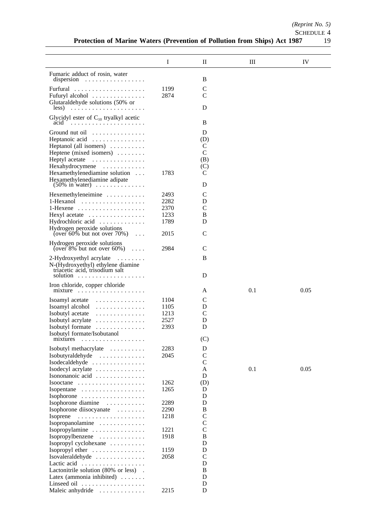|                                                                  | <b>SCHEDULE 4</b> |
|------------------------------------------------------------------|-------------------|
| n of Marine Waters (Prevention of Pollution from Shins) Act 1987 |                   |

| I<br>III<br>IV<br>П<br>Fumaric adduct of rosin, water<br>B<br>dispersion $\ldots \ldots \ldots \ldots \ldots$<br>1199<br>C<br>$\mathcal{C}$<br>2874<br>Fufuryl alcohol<br>Glutaraldehyde solutions (50% or<br>D<br>less)<br>Glycidyl ester of $C_{10}$ tryalkyl acetic<br>B<br>acid<br>Ground nut oil<br>D<br>Heptanoic acid<br>(D)<br>Heptanol (all isomers) $\dots \dots$<br>C<br>$\mathcal{C}$<br>Heptene (mixed isomers)<br>Heptyl acetate<br>(B)<br>Hexahydrocymene<br>(C)<br>1783<br>Hexamethylenediamine solution<br>C<br>Hexamethylenediamine adipate<br>$(50\% \text{ in water}) \dots \dots \dots \dots$<br>D<br>2493<br>C<br>Hexemethyleneimine<br>2282<br>$1-Hexanol$<br>D<br>2370<br>C<br>1233<br>B<br>Hexyl acetate $\dots \dots \dots \dots$<br>1789<br>Hydrochloric acid<br>D<br>Hydrogen peroxide solutions<br>(over 60% but not over 70%)<br>2015<br>C<br>$\cdots$<br>Hydrogen peroxide solutions<br>(over $8\%$ but not over $60\%$ )<br>2984<br>C<br>$\sim$ $\sim$ $\sim$ $\sim$<br>B<br>2-Hydroxyethyl acrylate<br>$\sim$<br>N-(Hydroxyethyl) ethylene diamine<br>triacetic acid, trisodium salt<br>D<br>Iron chloride, copper chloride<br>0.1<br>0.05<br>mixture<br>А<br>.<br>.<br>1104<br>C<br>Isoamyl acetate<br>.<br>1105<br>Isoamyl alcohol<br>D<br>1213<br>$\mathcal{C}$<br>Isobutyl acetate<br>.<br>2527<br>Isobutyl acrylate $\dots\dots\dots\dots\dots$<br>D<br>2393<br>D<br>Isobutyl formate<br>Isobutyl formate/Isobutanol<br>(C)<br>mixtures<br>.<br>2283<br>Isobutyl methacrylate<br>D<br>2045<br>Isobutyraldehyde<br>C<br>$\mathsf{C}$<br>Isodecaldehyde<br>0.1<br>0.05<br>Isodecyl acrylate<br>A<br>Isononanoic acid<br>D<br>1262<br>(D)<br>Isooctane $\ldots \ldots \ldots \ldots \ldots$<br>1265<br>D<br>Isopentane<br>D<br>Isophorone<br>2289<br>D<br>Isophorone diamine<br>2290<br>Isophorone diisocyanate<br>B<br>1218<br>$\mathsf{C}$<br>Isoprene<br>.<br>$\mathsf{C}$<br>Isopropanolamine<br>$\mathsf{C}$<br>Isopropylamine<br>1221<br>B<br>Isopropylbenzene<br>1918<br>Isopropyl cyclohexane<br>D<br>1159<br>Isopropyl ether<br>D<br>2058<br>$\mathsf{C}$<br>Isovaleraldehyde<br>Lactic acid<br>D<br>Lactonitrile solution (80% or less).<br>B<br>Latex (ammonia inhibited) $\dots$<br>D<br>Linseed oil<br>D<br>Maleic anhydride<br>2215<br>D | Protection of Marine Waters (Prevention of Pollution from Ships) Act 1987<br>19 |  |  |  |  |  |
|-------------------------------------------------------------------------------------------------------------------------------------------------------------------------------------------------------------------------------------------------------------------------------------------------------------------------------------------------------------------------------------------------------------------------------------------------------------------------------------------------------------------------------------------------------------------------------------------------------------------------------------------------------------------------------------------------------------------------------------------------------------------------------------------------------------------------------------------------------------------------------------------------------------------------------------------------------------------------------------------------------------------------------------------------------------------------------------------------------------------------------------------------------------------------------------------------------------------------------------------------------------------------------------------------------------------------------------------------------------------------------------------------------------------------------------------------------------------------------------------------------------------------------------------------------------------------------------------------------------------------------------------------------------------------------------------------------------------------------------------------------------------------------------------------------------------------------------------------------------------------------------------------------------------------------------------------------------------------------------------------------------------------------------------------------------------------------------------------------------------------------------------------------------------------------------------------------------------------------------------------------------------------------------------|---------------------------------------------------------------------------------|--|--|--|--|--|
|                                                                                                                                                                                                                                                                                                                                                                                                                                                                                                                                                                                                                                                                                                                                                                                                                                                                                                                                                                                                                                                                                                                                                                                                                                                                                                                                                                                                                                                                                                                                                                                                                                                                                                                                                                                                                                                                                                                                                                                                                                                                                                                                                                                                                                                                                           |                                                                                 |  |  |  |  |  |
|                                                                                                                                                                                                                                                                                                                                                                                                                                                                                                                                                                                                                                                                                                                                                                                                                                                                                                                                                                                                                                                                                                                                                                                                                                                                                                                                                                                                                                                                                                                                                                                                                                                                                                                                                                                                                                                                                                                                                                                                                                                                                                                                                                                                                                                                                           |                                                                                 |  |  |  |  |  |
|                                                                                                                                                                                                                                                                                                                                                                                                                                                                                                                                                                                                                                                                                                                                                                                                                                                                                                                                                                                                                                                                                                                                                                                                                                                                                                                                                                                                                                                                                                                                                                                                                                                                                                                                                                                                                                                                                                                                                                                                                                                                                                                                                                                                                                                                                           |                                                                                 |  |  |  |  |  |
|                                                                                                                                                                                                                                                                                                                                                                                                                                                                                                                                                                                                                                                                                                                                                                                                                                                                                                                                                                                                                                                                                                                                                                                                                                                                                                                                                                                                                                                                                                                                                                                                                                                                                                                                                                                                                                                                                                                                                                                                                                                                                                                                                                                                                                                                                           |                                                                                 |  |  |  |  |  |
|                                                                                                                                                                                                                                                                                                                                                                                                                                                                                                                                                                                                                                                                                                                                                                                                                                                                                                                                                                                                                                                                                                                                                                                                                                                                                                                                                                                                                                                                                                                                                                                                                                                                                                                                                                                                                                                                                                                                                                                                                                                                                                                                                                                                                                                                                           |                                                                                 |  |  |  |  |  |
|                                                                                                                                                                                                                                                                                                                                                                                                                                                                                                                                                                                                                                                                                                                                                                                                                                                                                                                                                                                                                                                                                                                                                                                                                                                                                                                                                                                                                                                                                                                                                                                                                                                                                                                                                                                                                                                                                                                                                                                                                                                                                                                                                                                                                                                                                           |                                                                                 |  |  |  |  |  |
|                                                                                                                                                                                                                                                                                                                                                                                                                                                                                                                                                                                                                                                                                                                                                                                                                                                                                                                                                                                                                                                                                                                                                                                                                                                                                                                                                                                                                                                                                                                                                                                                                                                                                                                                                                                                                                                                                                                                                                                                                                                                                                                                                                                                                                                                                           |                                                                                 |  |  |  |  |  |
|                                                                                                                                                                                                                                                                                                                                                                                                                                                                                                                                                                                                                                                                                                                                                                                                                                                                                                                                                                                                                                                                                                                                                                                                                                                                                                                                                                                                                                                                                                                                                                                                                                                                                                                                                                                                                                                                                                                                                                                                                                                                                                                                                                                                                                                                                           |                                                                                 |  |  |  |  |  |
|                                                                                                                                                                                                                                                                                                                                                                                                                                                                                                                                                                                                                                                                                                                                                                                                                                                                                                                                                                                                                                                                                                                                                                                                                                                                                                                                                                                                                                                                                                                                                                                                                                                                                                                                                                                                                                                                                                                                                                                                                                                                                                                                                                                                                                                                                           |                                                                                 |  |  |  |  |  |
|                                                                                                                                                                                                                                                                                                                                                                                                                                                                                                                                                                                                                                                                                                                                                                                                                                                                                                                                                                                                                                                                                                                                                                                                                                                                                                                                                                                                                                                                                                                                                                                                                                                                                                                                                                                                                                                                                                                                                                                                                                                                                                                                                                                                                                                                                           |                                                                                 |  |  |  |  |  |
|                                                                                                                                                                                                                                                                                                                                                                                                                                                                                                                                                                                                                                                                                                                                                                                                                                                                                                                                                                                                                                                                                                                                                                                                                                                                                                                                                                                                                                                                                                                                                                                                                                                                                                                                                                                                                                                                                                                                                                                                                                                                                                                                                                                                                                                                                           |                                                                                 |  |  |  |  |  |
|                                                                                                                                                                                                                                                                                                                                                                                                                                                                                                                                                                                                                                                                                                                                                                                                                                                                                                                                                                                                                                                                                                                                                                                                                                                                                                                                                                                                                                                                                                                                                                                                                                                                                                                                                                                                                                                                                                                                                                                                                                                                                                                                                                                                                                                                                           |                                                                                 |  |  |  |  |  |
|                                                                                                                                                                                                                                                                                                                                                                                                                                                                                                                                                                                                                                                                                                                                                                                                                                                                                                                                                                                                                                                                                                                                                                                                                                                                                                                                                                                                                                                                                                                                                                                                                                                                                                                                                                                                                                                                                                                                                                                                                                                                                                                                                                                                                                                                                           |                                                                                 |  |  |  |  |  |
|                                                                                                                                                                                                                                                                                                                                                                                                                                                                                                                                                                                                                                                                                                                                                                                                                                                                                                                                                                                                                                                                                                                                                                                                                                                                                                                                                                                                                                                                                                                                                                                                                                                                                                                                                                                                                                                                                                                                                                                                                                                                                                                                                                                                                                                                                           |                                                                                 |  |  |  |  |  |
|                                                                                                                                                                                                                                                                                                                                                                                                                                                                                                                                                                                                                                                                                                                                                                                                                                                                                                                                                                                                                                                                                                                                                                                                                                                                                                                                                                                                                                                                                                                                                                                                                                                                                                                                                                                                                                                                                                                                                                                                                                                                                                                                                                                                                                                                                           |                                                                                 |  |  |  |  |  |
|                                                                                                                                                                                                                                                                                                                                                                                                                                                                                                                                                                                                                                                                                                                                                                                                                                                                                                                                                                                                                                                                                                                                                                                                                                                                                                                                                                                                                                                                                                                                                                                                                                                                                                                                                                                                                                                                                                                                                                                                                                                                                                                                                                                                                                                                                           |                                                                                 |  |  |  |  |  |
|                                                                                                                                                                                                                                                                                                                                                                                                                                                                                                                                                                                                                                                                                                                                                                                                                                                                                                                                                                                                                                                                                                                                                                                                                                                                                                                                                                                                                                                                                                                                                                                                                                                                                                                                                                                                                                                                                                                                                                                                                                                                                                                                                                                                                                                                                           |                                                                                 |  |  |  |  |  |
|                                                                                                                                                                                                                                                                                                                                                                                                                                                                                                                                                                                                                                                                                                                                                                                                                                                                                                                                                                                                                                                                                                                                                                                                                                                                                                                                                                                                                                                                                                                                                                                                                                                                                                                                                                                                                                                                                                                                                                                                                                                                                                                                                                                                                                                                                           |                                                                                 |  |  |  |  |  |
|                                                                                                                                                                                                                                                                                                                                                                                                                                                                                                                                                                                                                                                                                                                                                                                                                                                                                                                                                                                                                                                                                                                                                                                                                                                                                                                                                                                                                                                                                                                                                                                                                                                                                                                                                                                                                                                                                                                                                                                                                                                                                                                                                                                                                                                                                           |                                                                                 |  |  |  |  |  |
|                                                                                                                                                                                                                                                                                                                                                                                                                                                                                                                                                                                                                                                                                                                                                                                                                                                                                                                                                                                                                                                                                                                                                                                                                                                                                                                                                                                                                                                                                                                                                                                                                                                                                                                                                                                                                                                                                                                                                                                                                                                                                                                                                                                                                                                                                           |                                                                                 |  |  |  |  |  |
|                                                                                                                                                                                                                                                                                                                                                                                                                                                                                                                                                                                                                                                                                                                                                                                                                                                                                                                                                                                                                                                                                                                                                                                                                                                                                                                                                                                                                                                                                                                                                                                                                                                                                                                                                                                                                                                                                                                                                                                                                                                                                                                                                                                                                                                                                           |                                                                                 |  |  |  |  |  |
|                                                                                                                                                                                                                                                                                                                                                                                                                                                                                                                                                                                                                                                                                                                                                                                                                                                                                                                                                                                                                                                                                                                                                                                                                                                                                                                                                                                                                                                                                                                                                                                                                                                                                                                                                                                                                                                                                                                                                                                                                                                                                                                                                                                                                                                                                           |                                                                                 |  |  |  |  |  |
|                                                                                                                                                                                                                                                                                                                                                                                                                                                                                                                                                                                                                                                                                                                                                                                                                                                                                                                                                                                                                                                                                                                                                                                                                                                                                                                                                                                                                                                                                                                                                                                                                                                                                                                                                                                                                                                                                                                                                                                                                                                                                                                                                                                                                                                                                           |                                                                                 |  |  |  |  |  |
|                                                                                                                                                                                                                                                                                                                                                                                                                                                                                                                                                                                                                                                                                                                                                                                                                                                                                                                                                                                                                                                                                                                                                                                                                                                                                                                                                                                                                                                                                                                                                                                                                                                                                                                                                                                                                                                                                                                                                                                                                                                                                                                                                                                                                                                                                           |                                                                                 |  |  |  |  |  |
|                                                                                                                                                                                                                                                                                                                                                                                                                                                                                                                                                                                                                                                                                                                                                                                                                                                                                                                                                                                                                                                                                                                                                                                                                                                                                                                                                                                                                                                                                                                                                                                                                                                                                                                                                                                                                                                                                                                                                                                                                                                                                                                                                                                                                                                                                           |                                                                                 |  |  |  |  |  |
|                                                                                                                                                                                                                                                                                                                                                                                                                                                                                                                                                                                                                                                                                                                                                                                                                                                                                                                                                                                                                                                                                                                                                                                                                                                                                                                                                                                                                                                                                                                                                                                                                                                                                                                                                                                                                                                                                                                                                                                                                                                                                                                                                                                                                                                                                           |                                                                                 |  |  |  |  |  |
|                                                                                                                                                                                                                                                                                                                                                                                                                                                                                                                                                                                                                                                                                                                                                                                                                                                                                                                                                                                                                                                                                                                                                                                                                                                                                                                                                                                                                                                                                                                                                                                                                                                                                                                                                                                                                                                                                                                                                                                                                                                                                                                                                                                                                                                                                           |                                                                                 |  |  |  |  |  |
|                                                                                                                                                                                                                                                                                                                                                                                                                                                                                                                                                                                                                                                                                                                                                                                                                                                                                                                                                                                                                                                                                                                                                                                                                                                                                                                                                                                                                                                                                                                                                                                                                                                                                                                                                                                                                                                                                                                                                                                                                                                                                                                                                                                                                                                                                           |                                                                                 |  |  |  |  |  |
|                                                                                                                                                                                                                                                                                                                                                                                                                                                                                                                                                                                                                                                                                                                                                                                                                                                                                                                                                                                                                                                                                                                                                                                                                                                                                                                                                                                                                                                                                                                                                                                                                                                                                                                                                                                                                                                                                                                                                                                                                                                                                                                                                                                                                                                                                           |                                                                                 |  |  |  |  |  |
|                                                                                                                                                                                                                                                                                                                                                                                                                                                                                                                                                                                                                                                                                                                                                                                                                                                                                                                                                                                                                                                                                                                                                                                                                                                                                                                                                                                                                                                                                                                                                                                                                                                                                                                                                                                                                                                                                                                                                                                                                                                                                                                                                                                                                                                                                           |                                                                                 |  |  |  |  |  |
|                                                                                                                                                                                                                                                                                                                                                                                                                                                                                                                                                                                                                                                                                                                                                                                                                                                                                                                                                                                                                                                                                                                                                                                                                                                                                                                                                                                                                                                                                                                                                                                                                                                                                                                                                                                                                                                                                                                                                                                                                                                                                                                                                                                                                                                                                           |                                                                                 |  |  |  |  |  |
|                                                                                                                                                                                                                                                                                                                                                                                                                                                                                                                                                                                                                                                                                                                                                                                                                                                                                                                                                                                                                                                                                                                                                                                                                                                                                                                                                                                                                                                                                                                                                                                                                                                                                                                                                                                                                                                                                                                                                                                                                                                                                                                                                                                                                                                                                           |                                                                                 |  |  |  |  |  |
|                                                                                                                                                                                                                                                                                                                                                                                                                                                                                                                                                                                                                                                                                                                                                                                                                                                                                                                                                                                                                                                                                                                                                                                                                                                                                                                                                                                                                                                                                                                                                                                                                                                                                                                                                                                                                                                                                                                                                                                                                                                                                                                                                                                                                                                                                           |                                                                                 |  |  |  |  |  |
|                                                                                                                                                                                                                                                                                                                                                                                                                                                                                                                                                                                                                                                                                                                                                                                                                                                                                                                                                                                                                                                                                                                                                                                                                                                                                                                                                                                                                                                                                                                                                                                                                                                                                                                                                                                                                                                                                                                                                                                                                                                                                                                                                                                                                                                                                           |                                                                                 |  |  |  |  |  |
|                                                                                                                                                                                                                                                                                                                                                                                                                                                                                                                                                                                                                                                                                                                                                                                                                                                                                                                                                                                                                                                                                                                                                                                                                                                                                                                                                                                                                                                                                                                                                                                                                                                                                                                                                                                                                                                                                                                                                                                                                                                                                                                                                                                                                                                                                           |                                                                                 |  |  |  |  |  |
|                                                                                                                                                                                                                                                                                                                                                                                                                                                                                                                                                                                                                                                                                                                                                                                                                                                                                                                                                                                                                                                                                                                                                                                                                                                                                                                                                                                                                                                                                                                                                                                                                                                                                                                                                                                                                                                                                                                                                                                                                                                                                                                                                                                                                                                                                           |                                                                                 |  |  |  |  |  |
|                                                                                                                                                                                                                                                                                                                                                                                                                                                                                                                                                                                                                                                                                                                                                                                                                                                                                                                                                                                                                                                                                                                                                                                                                                                                                                                                                                                                                                                                                                                                                                                                                                                                                                                                                                                                                                                                                                                                                                                                                                                                                                                                                                                                                                                                                           |                                                                                 |  |  |  |  |  |
|                                                                                                                                                                                                                                                                                                                                                                                                                                                                                                                                                                                                                                                                                                                                                                                                                                                                                                                                                                                                                                                                                                                                                                                                                                                                                                                                                                                                                                                                                                                                                                                                                                                                                                                                                                                                                                                                                                                                                                                                                                                                                                                                                                                                                                                                                           |                                                                                 |  |  |  |  |  |
|                                                                                                                                                                                                                                                                                                                                                                                                                                                                                                                                                                                                                                                                                                                                                                                                                                                                                                                                                                                                                                                                                                                                                                                                                                                                                                                                                                                                                                                                                                                                                                                                                                                                                                                                                                                                                                                                                                                                                                                                                                                                                                                                                                                                                                                                                           |                                                                                 |  |  |  |  |  |
|                                                                                                                                                                                                                                                                                                                                                                                                                                                                                                                                                                                                                                                                                                                                                                                                                                                                                                                                                                                                                                                                                                                                                                                                                                                                                                                                                                                                                                                                                                                                                                                                                                                                                                                                                                                                                                                                                                                                                                                                                                                                                                                                                                                                                                                                                           |                                                                                 |  |  |  |  |  |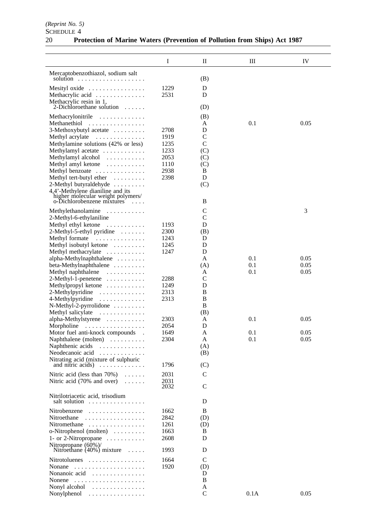SCHEDULE  $\frac{4}{20}$ 

# 20 **Protection of Marine Waters (Prevention of Pollution from Ships) Act 1987**

|                                                                                | I            | $\rm II$                      | Ш    | IV   |
|--------------------------------------------------------------------------------|--------------|-------------------------------|------|------|
| Mercaptobenzothiazol, sodium salt                                              |              | (B)                           |      |      |
| Mesityl oxide                                                                  | 1229         | D                             |      |      |
| Methacrylic acid                                                               | 2531         | D                             |      |      |
| Methacrylic resin in 1,<br>2-Dichloroethane solution $\dots$                   |              | (D)                           |      |      |
| Methacrylonitrile                                                              |              | (B)                           |      |      |
| Methanethiol<br>.                                                              |              | A                             | 0.1  | 0.05 |
| 3-Methoxybutyl acetate                                                         | 2708         | D                             |      |      |
| Methyl acrylate<br>.                                                           | 1919         | $\mathcal{C}$<br>$\mathsf{C}$ |      |      |
| Methylamine solutions (42% or less)<br>Methylamyl acetate                      | 1235<br>1233 | (C)                           |      |      |
| Methylamyl alcohol                                                             | 2053         | (C)                           |      |      |
| Methyl amyl ketone                                                             | 1110         | (C)                           |      |      |
| Methyl benzoate                                                                | 2938         | B                             |      |      |
| Methyl tert-butyl ether<br>.                                                   | 2398         | D                             |      |      |
| 2-Methyl butyraldehyde<br>4,4'-Methylene dianiline and its                     |              | (C)                           |      |      |
| higher molecular weight polymers/<br>o-Dichlorobenzene mixtures                |              |                               |      |      |
|                                                                                |              | B                             |      |      |
| Methylethanolamine<br>2-Methyl-6-ethylaniline                                  |              | $\mathsf{C}$<br>$\mathsf{C}$  |      | 3    |
| Methyl ethyl ketone<br>$\mathcal{A}$ . The set of the set of the $\mathcal{A}$ | 1193         | D                             |      |      |
| 2-Methyl-5-ethyl pyridine                                                      | 2300         | (B)                           |      |      |
| Methyl formate<br>.                                                            | 1243         | D                             |      |      |
| Methyl isobutyl ketone                                                         | 1245         | D                             |      |      |
| Methyl methacrylate<br>alpha-Methylnaphthalene                                 | 1247         | D<br>A                        | 0.1  | 0.05 |
| beta-Methylnaphthalene                                                         |              | (A)                           | 0.1  | 0.05 |
| Methyl naphthalene                                                             |              | A                             | 0.1  | 0.05 |
| $2-Methyl-1-penetene \dots \dots \dots$                                        | 2288         | $\mathsf{C}$                  |      |      |
| Methylpropyl ketone                                                            | 1249         | D                             |      |      |
| 2-Methylpyridine<br>.                                                          | 2313         | B                             |      |      |
| 4-Methylpyridine<br>.<br>$N-Methyl-2-pyrrolidone$                              | 2313         | B<br>B                        |      |      |
| Methyl salicylate<br>.                                                         |              | (B)                           |      |      |
| alpha-Methylstyrene                                                            | 2303         | A                             | 0.1  | 0.05 |
| Morpholine<br>.                                                                | 2054         | D                             |      |      |
| Motor fuel anti-knock compounds                                                | 1649         | A                             | 0.1  | 0.05 |
| Naphthalene (molten)                                                           | 2304         | A                             | 0.1  | 0.05 |
| Naphthenic acids<br>.<br>Neodecanoic acid                                      |              | (A)<br>(B)                    |      |      |
| Nitrating acid (mixture of sulphuric                                           |              |                               |      |      |
| and nitric acids) $\dots \dots \dots$                                          | 1796         | (C)                           |      |      |
| Nitric acid (less than 70%)<br>$\mathbb{R}^n$ . In the $\mathbb{R}^n$          | 2031         | $\mathcal{C}$                 |      |      |
| Nitric acid (70% and over)<br>1.1.1.1.1                                        | 2031         |                               |      |      |
| Nitrilotriacetic acid, trisodium                                               | 2032         | $\mathsf{C}$                  |      |      |
| salt solution                                                                  |              | D                             |      |      |
| Nitrobenzene                                                                   | 1662         | B                             |      |      |
| Nitroethane<br>.                                                               | 2842         | (D)                           |      |      |
| Nitromethane                                                                   | 1261         | (D)                           |      |      |
| $o-Nitrophenol (molten) \ldots \ldots$                                         | 1663         | B                             |      |      |
| 1- or 2-Nitropropane $\dots \dots \dots$<br>Nitropropane (60%)/                | 2608         | D                             |      |      |
| Nitroethane $(40%)$ mixture<br>$\cdots$                                        | 1993         | D                             |      |      |
| Nitrotoluenes $\ldots \ldots \ldots \ldots \ldots$                             | 1664         | $\mathsf{C}$                  |      |      |
| Nonane<br>Nonanoic acid<br>.                                                   | 1920         | (D)<br>D                      |      |      |
| Nonene                                                                         |              | B                             |      |      |
| Nonyl alcohol<br>.                                                             |              | A                             |      |      |
| Nonylphenol $\dots\dots\dots\dots\dots$                                        |              | $\mathcal{C}$                 | 0.1A | 0.05 |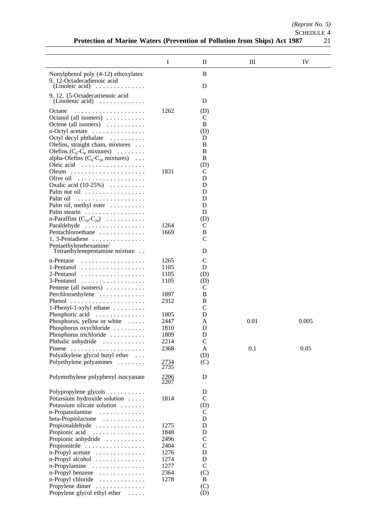|                                                                                  | <b>SCHEDULE 4</b> |
|----------------------------------------------------------------------------------|-------------------|
| <b>Protection of Marine Waters (Prevention of Pollution from Ships) Act 1987</b> |                   |

| Protection of Marine Waters (Prevention of Pollution from Ships) Act 1987                                                                                                                                                                                                         |                                                              |                                                                          |      | <b>SCHEDULE 4</b><br>21 |
|-----------------------------------------------------------------------------------------------------------------------------------------------------------------------------------------------------------------------------------------------------------------------------------|--------------------------------------------------------------|--------------------------------------------------------------------------|------|-------------------------|
|                                                                                                                                                                                                                                                                                   | I                                                            | П                                                                        | Ш    | IV                      |
| Nonylphenol poly (4-12) ethoxylates<br>9, 12-Octadecadienoic acid<br>(Linoleic acid)<br>.<br>.                                                                                                                                                                                    |                                                              | B<br>D                                                                   |      |                         |
| 9, 12, 15-Octadecatrienoic acid<br>(Linolenic acid) $\ldots \ldots \ldots \ldots$                                                                                                                                                                                                 |                                                              | D                                                                        |      |                         |
| Octane<br>Octanol (all isomers)<br>Octene (all isomers) $\dots \dots$<br>n-Octyl acetate<br>Octyl decyl phthalate<br>.<br>Olefins, straight chain, mixtures<br>Olefins $(C_6-C_8 \text{ mixtures}) \dots \dots$<br>alpha-Olefins $(C_6-C_{18} \text{ mixtures}) \dots$            | 1262                                                         | (D)<br>C<br>B<br>(D)<br>D<br>B<br>B<br>B                                 |      |                         |
| Oleic acid<br>.<br>Olive oil<br>.<br>Oxalic acid $(10-25%)$<br>Palm nut oil $\ldots \ldots \ldots \ldots$<br>Palm oil<br>.<br>Palm oil, methyl ester $\dots \dots$<br>Palm stearin<br>n-Paraffins $(C_{10}$ - $C_{20})$<br>Paraldehyde<br>Pentachloroethane<br>$1, 3$ -Pentadiene | 1831<br>1264<br>1669                                         | (D)<br>C<br>D<br>D<br>D<br>D<br>D<br>D<br>(D)<br>$\mathsf{C}$<br>B<br>C  |      |                         |
| Pentaethylenehexamine/<br>Tetraethylenepentamine mixture<br>n-Pentane<br>.<br>1-Pentanol                                                                                                                                                                                          | 1265<br>1105                                                 | D<br>C<br>D                                                              |      |                         |
| .<br>2-Pentanol<br>.<br>3-Pentanol<br>.<br>Pentene (all isomers)<br>Perchloroethylene<br>Phenol<br>1-Phenyl-1-xylyl ethane                                                                                                                                                        | 1105<br>1105<br>1897<br>2312                                 | (D)<br>(D)<br>C<br>B<br>B<br>$\mathsf{C}$                                |      |                         |
| Phosphoric acid<br>Phosphorus, yellow or white $\dots$ .<br>Phosphorus oxychloride<br>Phosphorus trichloride<br>Phthalic anhydride                                                                                                                                                | 1805<br>2447<br>1810<br>1809<br>2214                         | D<br>A<br>D<br>D<br>$\mathsf{C}$                                         | 0.01 | 0.005                   |
| Pinene $\dots \dots \dots \dots \dots \dots \dots$<br>Polyalkylene glycol butyl ether<br>Polyethylene polyamines                                                                                                                                                                  | 2368<br>2734<br>2735                                         | A<br>(D)<br>(C)                                                          | 0.1  | 0.05                    |
| Polymethylene polyphenyl isocyanate                                                                                                                                                                                                                                               | 2206<br>2207                                                 | D                                                                        |      |                         |
| Polypropylene glycols<br>Potassium hydroxide solution<br>Potassium silicate solution<br>n-Propanolamine<br>beta-Propiolactone                                                                                                                                                     | 1814                                                         | D<br>$\mathsf{C}$<br>(D)<br>C<br>D                                       |      |                         |
| Propionaldehyde<br>Propionic acid<br>Propionic anhydride<br>Propionitrile<br>$n$ -Propyl acetate $\dots \dots \dots \dots$<br>$n$ -Propyl alcohol $\dots \dots \dots \dots$<br>n-Propylamine<br>n-Propyl benzene                                                                  | 1275<br>1848<br>2496<br>2404<br>1276<br>1274<br>1277<br>2364 | D<br>D<br>$\mathsf{C}$<br>$\mathcal{C}$<br>D<br>D<br>$\mathsf{C}$<br>(C) |      |                         |
| n-Propyl chloride<br>Propylene dimer<br>Propylene glycol ethyl ether                                                                                                                                                                                                              | 1278                                                         | B<br>(C)<br>(D)                                                          |      |                         |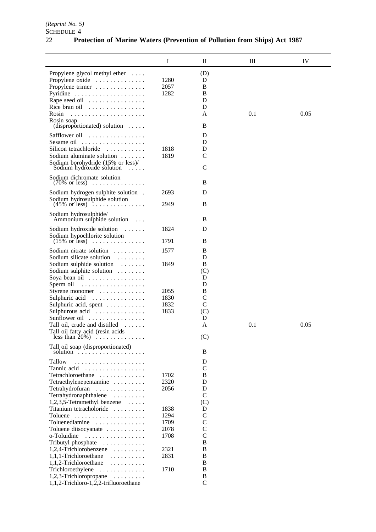# *(Reprint No. 5)* SCHEDULE  $\frac{4}{22}$  Pro 22 **Protection of Marine Waters (Prevention of Pollution from Ships) Act 1987**

|                                                                             | I    | $\mathbf{I}$  | Ш   | IV   |
|-----------------------------------------------------------------------------|------|---------------|-----|------|
| Propylene glycol methyl ether                                               |      | (D)           |     |      |
| $\sim$<br>Propylene oxide                                                   | 1280 | D             |     |      |
| Propylene trimer                                                            | 2057 | B             |     |      |
|                                                                             | 1282 | B             |     |      |
|                                                                             |      | D             |     |      |
| Rape seed oil                                                               |      |               |     |      |
| Rice bran oil                                                               |      | D             |     |      |
| Rosin                                                                       |      | A             | 0.1 | 0.05 |
| Rosin soap<br>$-disproportionated)$ solution $\ldots$                       |      | B             |     |      |
| Safflower oil<br>.                                                          |      | D             |     |      |
| Sesame oil<br>.                                                             |      | D             |     |      |
| Silicon tetrachloride<br>.                                                  | 1818 | D             |     |      |
| Sodium aluminate solution                                                   | 1819 | $\mathcal{C}$ |     |      |
| Sodium borohydride (15% or less)/                                           |      |               |     |      |
| Sodium hydroxide solution<br>$\sim$ $\sim$ $\sim$ $\sim$ $\sim$ $\sim$      |      | $\mathcal{C}$ |     |      |
| Sodium dichromate solution                                                  |      |               |     |      |
| $(70\% \text{ or less})$                                                    |      | B             |     |      |
| Sodium hydrogen sulphite solution.                                          | 2693 | D             |     |      |
| Sodium hydrosulphide solution<br>$(45\% \text{ or less})$                   | 2949 | B             |     |      |
|                                                                             |      |               |     |      |
| Sodium hydrosulphide/<br>Ammonium sulphide solution<br>$\sim$ $\sim$ $\sim$ |      | B             |     |      |
| Sodium hydroxide solution                                                   | 1824 | D             |     |      |
| $\sim$<br>Sodium hypochlorite solution                                      |      |               |     |      |
| $(15\% \text{ or } \text{fess})$                                            | 1791 | B             |     |      |
| Sodium nitrate solution                                                     | 1577 | B             |     |      |
| Sodium silicate solution<br>.                                               |      | D             |     |      |
| Sodium sulphide solution<br>$\sim$                                          | 1849 | B             |     |      |
| Sodium sulphite solution                                                    |      | (C)           |     |      |
| Soya bean oil                                                               |      | D             |     |      |
|                                                                             |      | D             |     |      |
| Sperm oil<br>.<br>Styrene monomer                                           | 2055 | B             |     |      |
| Sulphuric acid                                                              | 1830 | $\mathsf{C}$  |     |      |
| Sulphuric acid, spent                                                       | 1832 | $\mathsf{C}$  |     |      |
| Sulphurous acid                                                             | 1833 | (C)           |     |      |
| Sunflower oil                                                               |      | D             |     |      |
| Tall oil, crude and distilled<br>$\sim$                                     |      | A             | 0.1 | 0.05 |
| Tall oil fatty acid (resin acids                                            |      |               |     |      |
| less than $20\%$ ) $\ldots$                                                 |      | (C)           |     |      |
| Tall oil soap (disproportionated)                                           |      |               |     |      |
| solution $\ldots \ldots \ldots \ldots$                                      |      | B             |     |      |
| Tallow<br>.                                                                 |      | D             |     |      |
| Tannic acid<br>.                                                            |      | $\mathcal{C}$ |     |      |
| Tetrachloroethane                                                           | 1702 | B             |     |      |
| Tetraethylenepentamine                                                      | 2320 | D             |     |      |
| Tetrahydrofuran                                                             | 2056 | D             |     |      |
| Tetrahydronaphthalene                                                       |      | $\mathsf{C}$  |     |      |
| 1,2,3,5-Tetramethyl benzene<br>$\sim$                                       |      | (C)           |     |      |
| Titanium tetracholoride                                                     | 1838 | D             |     |      |
| Toluene                                                                     | 1294 | $\mathsf{C}$  |     |      |
| Toluenediamine                                                              | 1709 | $\mathsf{C}$  |     |      |
| Toluene diisocyanate                                                        | 2078 | $\mathbf C$   |     |      |
| o-Toluidine<br>.                                                            | 1708 | $\mathsf{C}$  |     |      |
| Tributyl phosphate                                                          |      | B             |     |      |
| $1,2,4$ -Trichlorobenzene                                                   | 2321 | B             |     |      |
| 1,1,1-Trichloroethane<br>.                                                  | 2831 | B             |     |      |
| 1,1,2-Trichloroethane<br>.                                                  |      | B<br>B        |     |      |
| Trichloroethylene<br>.<br>1,2,3-Trichloropropane                            | 1710 | B             |     |      |
| 1,1,2-Trichloro-1,2,2-trifluoroethane                                       |      | $\mathsf{C}$  |     |      |
|                                                                             |      |               |     |      |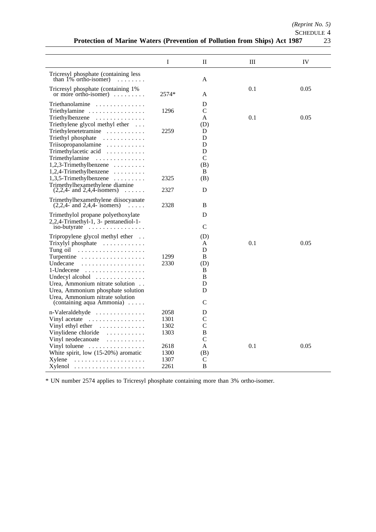*(Reprint No. 5)* SCHEDULE 4

| (Reprint No. $\therefore$ |  |  |
|---------------------------|--|--|

|                                                                                                                                                    | I                    | П                          | Ш   | IV   |
|----------------------------------------------------------------------------------------------------------------------------------------------------|----------------------|----------------------------|-----|------|
| Tricresyl phosphate (containing less<br>than $1\%$ ortho-isomer)                                                                                   |                      | A                          |     |      |
| Tricresyl phosphate (containing 1%)<br>or more ortho-isomer) $\ldots \ldots$                                                                       | 2574*                | A                          | 0.1 | 0.05 |
| Triethanolamine<br>$Triethylamine \dots \dots \dots \dots \dots$<br>Triethylbenzene                                                                | 1296                 | D<br>C<br>A                | 0.1 | 0.05 |
| Triethylene glycol methyl ether<br>$\sim$<br>Triethylenetetramine<br>Triethyl phosphate<br>.                                                       | 2259                 | (D)<br>D<br>D<br>D         |     |      |
| $Triisopropanolamine \dots \dots \dots$<br>Trimethylacetic acid<br>Trimethylamine<br>.<br>1,2,3-Trimethylbenzene<br>.                              |                      | D<br>$\overline{C}$<br>(B) |     |      |
| 1,2,4-Trimethylbenzene<br>.<br>1,3,5-Trimethylbenzene<br>$\mathcal{A}$ . The set of the set of the $\mathcal{A}$<br>Trimethylhexamethylene diamine | 2325                 | B<br>(B)                   |     |      |
| $(2,2,4)$ and $2,4,4$ -isomers)<br>Trimethylhexamethylene diisocyanate                                                                             | 2327                 | D                          |     |      |
| $(2,2,4-$ and $2,4,4-$ isomers)<br>$\cdot$<br>Trimethylol propane polyethoxylate                                                                   | 2328                 | B<br>D                     |     |      |
| 2,2,4-Trimethyl-1, 3- pentanediol-1-<br>180-butyrate<br>1.1.1.1.1                                                                                  |                      | C                          |     |      |
| Tripropylene glycol methyl ether<br>Trixylyl phosphate $\dots\dots\dots\dots$<br>Tung oil                                                          |                      | (D)<br>A<br>D              | 0.1 | 0.05 |
| Turpentine<br>Undecane<br>.<br>1-Undecene<br>.                                                                                                     | 1299<br>2330         | B<br>(D)<br>B              |     |      |
| Undecyl alcohol $\dots \dots \dots \dots$<br>Urea, Ammonium nitrate solution<br>Urea, Ammonium phosphate solution                                  |                      | B<br>D<br>D                |     |      |
| Urea, Ammonium nitrate solution<br>(containing aqua Ammonia)                                                                                       |                      | C                          |     |      |
| n-Valeraldehyde<br>Vinyl acetate $\dots\dots\dots\dots\dots$<br>Vinyl ethyl ether<br>.                                                             | 2058<br>1301<br>1302 | D<br>C<br>$\mathcal{C}$    |     |      |
| Vinylidene chloride<br>.<br>Vinyl neodecanoate<br>.<br>Vinyl toluene $\dots\dots\dots\dots\dots$                                                   | 1303<br>2618         | B<br>C<br>A                | 0.1 | 0.05 |
| White spirit, low (15-20%) aromatic<br>Xylene                                                                                                      | 1300<br>1307         | (B)<br>C                   |     |      |
| Xylenol                                                                                                                                            | 2261                 | B                          |     |      |

|  |  | <b>Protection of Marine Waters (Prevention of Pollution from Ships) Act 1987</b> |  |
|--|--|----------------------------------------------------------------------------------|--|
|--|--|----------------------------------------------------------------------------------|--|

\* UN number 2574 applies to Tricresyl phosphate containing more than 3% ortho-isomer.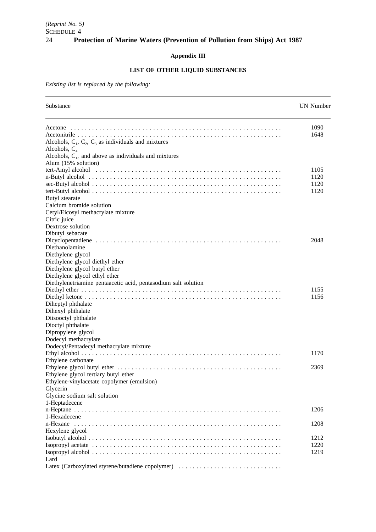# **Appendix III**

# **LIST OF OTHER LIQUID SUBSTANCES**

*Existing list is replaced by the following:*

| Substance                                                       | UN Number |
|-----------------------------------------------------------------|-----------|
|                                                                 | 1090      |
|                                                                 | 1648      |
| Alcohols, $C_1$ , $C_2$ , $C_3$ as individuals and mixtures     |           |
| Alcohols, $C_4$                                                 |           |
| Alcohols, $C_{13}$ and above as individuals and mixtures        |           |
| Alum (15% solution)                                             |           |
|                                                                 | 1105      |
|                                                                 | 1120      |
|                                                                 | 1120      |
|                                                                 | 1120      |
| Butyl stearate                                                  |           |
| Calcium bromide solution                                        |           |
| Cetyl/Eicosyl methacrylate mixture                              |           |
| Citric juice                                                    |           |
| Dextrose solution                                               |           |
| Dibutyl sebacate                                                |           |
|                                                                 | 2048      |
| Diethanolamine                                                  |           |
| Diethylene glycol                                               |           |
| Diethylene glycol diethyl ether                                 |           |
| Diethylene glycol butyl ether                                   |           |
| Diethylene glycol ethyl ether                                   |           |
| Diethylenetriamine pentaacetic acid, pentasodium salt solution  |           |
|                                                                 | 1155      |
|                                                                 | 1156      |
|                                                                 |           |
| Diheptyl phthalate                                              |           |
| Dihexyl phthalate<br>Diisooctyl phthalate                       |           |
|                                                                 |           |
| Dioctyl phthalate<br>Dipropylene glycol                         |           |
|                                                                 |           |
| Dodecyl methacrylate<br>Dodecyl/Pentadecyl methacrylate mixture |           |
|                                                                 | 1170      |
| Ethylene carbonate                                              |           |
|                                                                 | 2369      |
| Ethylene glycol tertiary butyl ether                            |           |
| Ethylene-vinylacetate copolymer (emulsion)                      |           |
| Glycerin                                                        |           |
| Glycine sodium salt solution                                    |           |
| 1-Heptadecene                                                   |           |
|                                                                 | 1206      |
| 1-Hexadecene                                                    |           |
|                                                                 |           |
|                                                                 | 1208      |
| Hexylene glycol                                                 | 1212      |
|                                                                 |           |
|                                                                 | 1220      |
|                                                                 | 1219      |
| Lard                                                            |           |
| Latex (Carboxylated styrene/butadiene copolymer)                |           |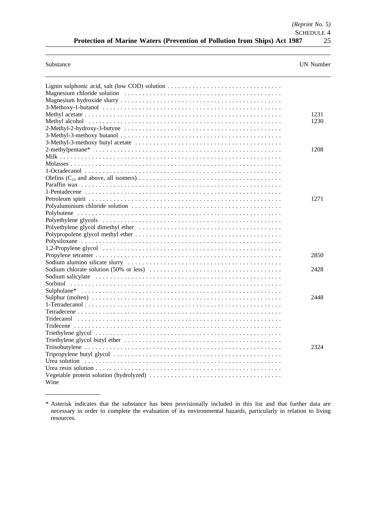| Substance                                                                                                                  | <b>UN Number</b> |
|----------------------------------------------------------------------------------------------------------------------------|------------------|
| Lignin sulphonic acid, salt (low COD) solution $\dots \dots \dots \dots \dots \dots \dots \dots \dots \dots \dots$         |                  |
|                                                                                                                            |                  |
|                                                                                                                            |                  |
|                                                                                                                            |                  |
|                                                                                                                            | 1231             |
|                                                                                                                            | 1230             |
|                                                                                                                            |                  |
|                                                                                                                            |                  |
| 3-Methyl-3-methoxy butyl acetate $\dots \dots \dots \dots \dots \dots \dots \dots \dots \dots \dots \dots \dots \dots$     |                  |
|                                                                                                                            | 1208             |
|                                                                                                                            |                  |
|                                                                                                                            |                  |
|                                                                                                                            |                  |
|                                                                                                                            |                  |
|                                                                                                                            |                  |
|                                                                                                                            |                  |
|                                                                                                                            | 1271             |
|                                                                                                                            |                  |
|                                                                                                                            |                  |
|                                                                                                                            |                  |
|                                                                                                                            |                  |
|                                                                                                                            |                  |
|                                                                                                                            |                  |
|                                                                                                                            |                  |
|                                                                                                                            | 2850             |
|                                                                                                                            |                  |
|                                                                                                                            | 2428             |
|                                                                                                                            |                  |
|                                                                                                                            |                  |
|                                                                                                                            |                  |
|                                                                                                                            | 2448             |
|                                                                                                                            |                  |
|                                                                                                                            |                  |
|                                                                                                                            |                  |
|                                                                                                                            |                  |
|                                                                                                                            |                  |
|                                                                                                                            |                  |
| Triethylene glycol butyl ether $\dots \dots \dots \dots \dots \dots \dots \dots \dots \dots \dots \dots \dots \dots \dots$ |                  |
|                                                                                                                            | 2324             |
|                                                                                                                            |                  |
|                                                                                                                            |                  |
|                                                                                                                            |                  |
|                                                                                                                            |                  |
| Wine                                                                                                                       |                  |

<sup>\*</sup> Asterisk indicates that the substance has been provisionally included in this list and that further data are necessary in order to complete the evaluation of its environmental hazards, particularly in relation to living resources.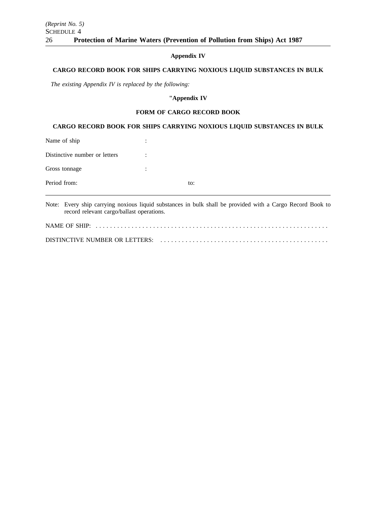### **Appendix IV**

# **CARGO RECORD BOOK FOR SHIPS CARRYING NOXIOUS LIQUID SUBSTANCES IN BULK**

*The existing Appendix IV is replaced by the following:*

# **"Appendix IV**

# **FORM OF CARGO RECORD BOOK**

# **CARGO RECORD BOOK FOR SHIPS CARRYING NOXIOUS LIQUID SUBSTANCES IN BULK**

Name of ship :  $\cdot$  :

Distinctive number or letters :

| Gross tonnage |  |
|---------------|--|
|               |  |

| Period from: | to: |
|--------------|-----|
|              |     |

Note: Every ship carrying noxious liquid substances in bulk shall be provided with a Cargo Record Book to record relevant cargo/ballast operations.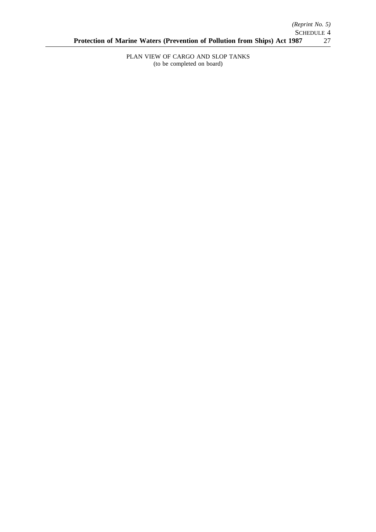PLAN VIEW OF CARGO AND SLOP TANKS (to be completed on board)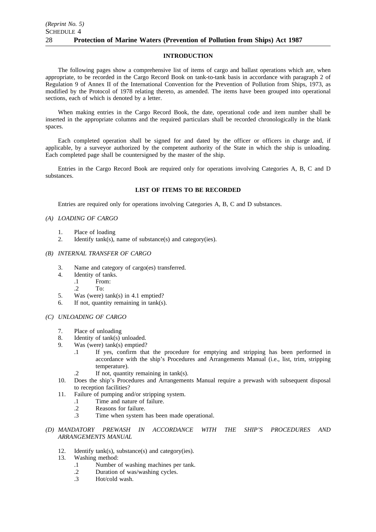#### **INTRODUCTION**

The following pages show a comprehensive list of items of cargo and ballast operations which are, when appropriate, to be recorded in the Cargo Record Book on tank-to-tank basis in accordance with paragraph 2 of Regulation 9 of Annex II of the International Convention for the Prevention of Pollution from Ships, 1973, as modified by the Protocol of 1978 relating thereto, as amended. The items have been grouped into operational sections, each of which is denoted by a letter.

When making entries in the Cargo Record Book, the date, operational code and item number shall be inserted in the appropriate columns and the required particulars shall be recorded chronologically in the blank spaces.

Each completed operation shall be signed for and dated by the officer or officers in charge and, if applicable, by a surveyor authorized by the competent authority of the State in which the ship is unloading. Each completed page shall be countersigned by the master of the ship.

Entries in the Cargo Record Book are required only for operations involving Categories A, B, C and D substances.

## **LIST OF ITEMS TO BE RECORDED**

Entries are required only for operations involving Categories A, B, C and D substances.

## *(A) LOADING OF CARGO*

- 1. Place of loading
- 2. Identify tank(s), name of substance(s) and category(ies).

# *(B) INTERNAL TRANSFER OF CARGO*

- 3. Name and category of cargo(es) transferred.
- 4. Identity of tanks.
	- .1 From:
	- .2 To:
- 5. Was (were) tank(s) in 4.1 emptied?
- 6. If not, quantity remaining in tank(s).
- *(C) UNLOADING OF CARGO*
	- 7. Place of unloading
	- 8. Identity of tank(s) unloaded.
	- 9. Was (were) tank(s) emptied?
		- .1 If yes, confirm that the procedure for emptying and stripping has been performed in accordance with the ship's Procedures and Arrangements Manual (i.e., list, trim, stripping temperature).
		- .2 If not, quantity remaining in tank(s).
	- 10. Does the ship's Procedures and Arrangements Manual require a prewash with subsequent disposal to reception facilities?
	- 11. Failure of pumping and/or stripping system.
		- .1 Time and nature of failure.
		- .2 Reasons for failure.
		- .3 Time when system has been made operational.
- *(D) MANDATORY PREWASH IN ACCORDANCE WITH THE SHIP'S PROCEDURES AND ARRANGEMENTS MANUAL*
	- 12. Identify tank(s), substance(s) and category(ies).
	- 13. Washing method:
		- .1 Number of washing machines per tank.
		- .2 Duration of was/washing cycles.
		- .3 Hot/cold wash.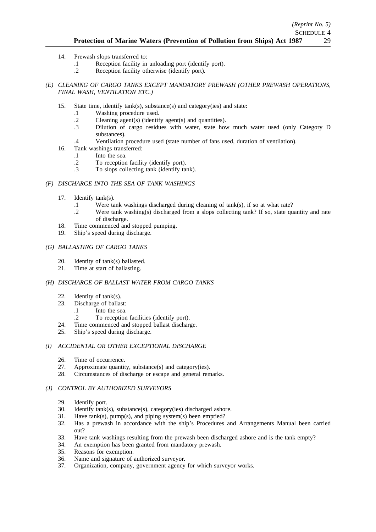- 14. Prewash slops transferred to:
	- .1 Reception facility in unloading port (identify port).
	- .2 Reception facility otherwise (identify port).
- *(E) CLEANING OF CARGO TANKS EXCEPT MANDATORY PREWASH (OTHER PREWASH OPERATIONS, FINAL WASH, VENTILATION ETC.)*
	- 15. State time, identify tank(s), substance(s) and category(ies) and state:
		- .1 Washing procedure used.
		- .2 Cleaning agent(s) (identify agent(s) and quantities).
		- .3 Dilution of cargo residues with water, state how much water used (only Category D substances).
		- .4 Ventilation procedure used (state number of fans used, duration of ventilation).
	- 16. Tank washings transferred:
		- .1 Into the sea.
		- .2 To reception facility (identify port).<br>3 To slops collecting tank (identify tar
		- To slops collecting tank (identify tank).

# *(F) DISCHARGE INTO THE SEA OF TANK WASHINGS*

- 17. Identify tank(s).
	- .1 Were tank washings discharged during cleaning of tank(s), if so at what rate?
	- .2 Were tank washing(s) discharged from a slops collecting tank? If so, state quantity and rate of discharge.
- 18. Time commenced and stopped pumping.<br>19. Shin's speed during discharge.
- Ship's speed during discharge.

# *(G) BALLASTING OF CARGO TANKS*

- 20. Identity of tank(s) ballasted.
- 21. Time at start of ballasting.
- *(H) DISCHARGE OF BALLAST WATER FROM CARGO TANKS*
	- 22. Identity of  $tank(s)$ .<br>23. Discharge of ballas
	- Discharge of ballast:
		- .1 Into the sea.
		- .2 To reception facilities (identify port).
	- 24. Time commenced and stopped ballast discharge.
	- 25. Ship's speed during discharge.

#### *(I) ACCIDENTAL OR OTHER EXCEPTIONAL DISCHARGE*

- 26. Time of occurrence.
- 27. Approximate quantity, substance(s) and category(ies).
- 28. Circumstances of discharge or escape and general remarks.

#### *(J) CONTROL BY AUTHORIZED SURVEYORS*

- 29. Identify port.
- 30. Identify tank(s), substance(s), category(ies) discharged ashore.
- 31. Have tank(s), pump(s), and piping system(s) been emptied?
- 32. Has a prewash in accordance with the ship's Procedures and Arrangements Manual been carried out?
- 33. Have tank washings resulting from the prewash been discharged ashore and is the tank empty?
- 34. An exemption has been granted from mandatory prewash.
- 35. Reasons for exemption.
- 36. Name and signature of authorized surveyor.
- 37. Organization, company, government agency for which surveyor works.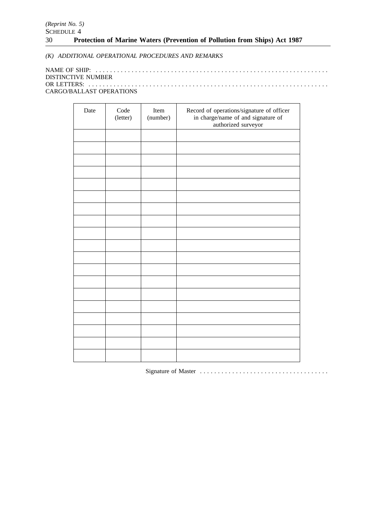# *(Reprint No. 5)* SCHEDULE 4 30 **Protection of Marine Waters (Prevention of Pollution from Ships) Act 1987**

*(K) ADDITIONAL OPERATIONAL PROCEDURES AND REMARKS*

NAME OF SHIP: ................................................................. DISTINCTIVE NUMBER OR LETTERS: ...................................................................

CARGO/BALLAST OPERATIONS

| Date | $\rm Code$<br>(letter) | Item<br>(number) | Record of operations/signature of officer<br>in charge/name of and signature of<br>authorized surveyor |
|------|------------------------|------------------|--------------------------------------------------------------------------------------------------------|
|      |                        |                  |                                                                                                        |
|      |                        |                  |                                                                                                        |
|      |                        |                  |                                                                                                        |
|      |                        |                  |                                                                                                        |
|      |                        |                  |                                                                                                        |
|      |                        |                  |                                                                                                        |
|      |                        |                  |                                                                                                        |
|      |                        |                  |                                                                                                        |
|      |                        |                  |                                                                                                        |
|      |                        |                  |                                                                                                        |
|      |                        |                  |                                                                                                        |
|      |                        |                  |                                                                                                        |
|      |                        |                  |                                                                                                        |
|      |                        |                  |                                                                                                        |
|      |                        |                  |                                                                                                        |
|      |                        |                  |                                                                                                        |
|      |                        |                  |                                                                                                        |
|      |                        |                  |                                                                                                        |
|      |                        |                  |                                                                                                        |

Signature of Master ....................................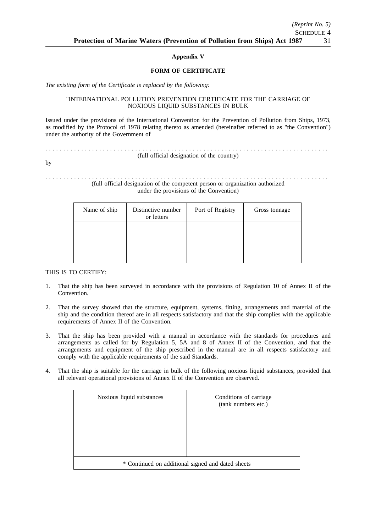# **Appendix V**

### **FORM OF CERTIFICATE**

*The existing form of the Certificate is replaced by the following:*

# "INTERNATIONAL POLLUTION PREVENTION CERTIFICATE FOR THE CARRIAGE OF NOXIOUS LIQUID SUBSTANCES IN BULK

Issued under the provisions of the International Convention for the Prevention of Pollution from Ships, 1973, as modified by the Protocol of 1978 relating thereto as amended (hereinafter referred to as "the Convention") under the authority of the Government of

............................................................................... (full official designation of the country)

by

#### ............................................................................... (full official designation of the competent person or organization authorized under the provisions of the Convention)

| Name of ship | Distinctive number<br>or letters | Port of Registry | Gross tonnage |
|--------------|----------------------------------|------------------|---------------|
|              |                                  |                  |               |
|              |                                  |                  |               |

# THIS IS TO CERTIFY:

- 1. That the ship has been surveyed in accordance with the provisions of Regulation 10 of Annex II of the Convention.
- 2. That the survey showed that the structure, equipment, systems, fitting, arrangements and material of the ship and the condition thereof are in all respects satisfactory and that the ship complies with the applicable requirements of Annex II of the Convention.
- 3. That the ship has been provided with a manual in accordance with the standards for procedures and arrangements as called for by Regulation 5, 5A and 8 of Annex II of the Convention, and that the arrangements and equipment of the ship prescribed in the manual are in all respects satisfactory and comply with the applicable requirements of the said Standards.
- 4. That the ship is suitable for the carriage in bulk of the following noxious liquid substances, provided that all relevant operational provisions of Annex II of the Convention are observed.

| Noxious liquid substances                         | Conditions of carriage<br>(tank numbers etc.) |  |
|---------------------------------------------------|-----------------------------------------------|--|
|                                                   |                                               |  |
|                                                   |                                               |  |
|                                                   |                                               |  |
| * Continued on additional signed and dated sheets |                                               |  |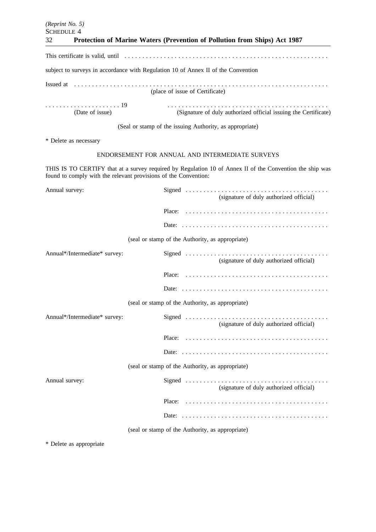|                                                                 | subject to surveys in accordance with Regulation 10 of Annex II of the Convention                        |
|-----------------------------------------------------------------|----------------------------------------------------------------------------------------------------------|
|                                                                 | (place of issue of Certificate)                                                                          |
| (Date of issue)                                                 | (Signature of duly authorized official issuing the Certificate)                                          |
|                                                                 | (Seal or stamp of the issuing Authority, as appropriate)                                                 |
| * Delete as necessary                                           |                                                                                                          |
|                                                                 | ENDORSEMENT FOR ANNUAL AND INTERMEDIATE SURVEYS                                                          |
| found to comply with the relevant provisions of the Convention: | THIS IS TO CERTIFY that at a survey required by Regulation 10 of Annex II of the Convention the ship was |
| Annual survey:                                                  | (signature of duly authorized official)                                                                  |
|                                                                 |                                                                                                          |
|                                                                 |                                                                                                          |
|                                                                 | (seal or stamp of the Authority, as appropriate)                                                         |
| Annual*/Intermediate* survey:                                   | (signature of duly authorized official)                                                                  |
|                                                                 |                                                                                                          |
|                                                                 |                                                                                                          |
|                                                                 | (seal or stamp of the Authority, as appropriate)                                                         |
| Annual*/Intermediate* survey:                                   | (signature of duly authorized official)                                                                  |
|                                                                 |                                                                                                          |
|                                                                 |                                                                                                          |
|                                                                 | (seal or stamp of the Authority, as appropriate)                                                         |
| Annual survey:                                                  | (signature of duly authorized official)                                                                  |
|                                                                 | Place: $\ldots \ldots \ldots \ldots \ldots \ldots \ldots \ldots \ldots \ldots \ldots \ldots$             |
|                                                                 |                                                                                                          |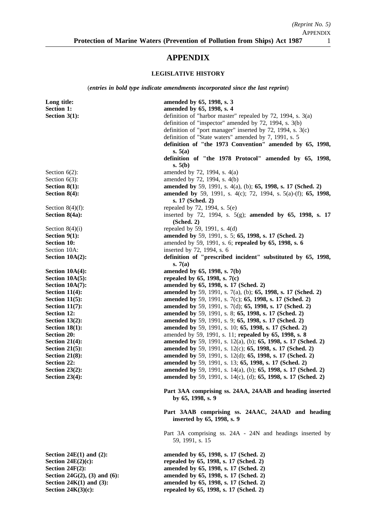# **APPENDIX**

# **LEGISLATIVE HISTORY**

(*entries in bold type indicate amendments incorporated since the last reprint*)

| Long title:                      | amended by 65, 1998, s. 3                                                    |
|----------------------------------|------------------------------------------------------------------------------|
| <b>Section 1:</b>                | amended by 65, 1998, s. 4                                                    |
| Section $3(1)$ :                 | definition of "harbor master" repealed by $72$ , 1994, s. $3(a)$             |
|                                  | definition of "inspector" amended by 72, 1994, s. 3(b)                       |
|                                  | definition of "port manager" inserted by $72$ , 1994, s. $3(c)$              |
|                                  |                                                                              |
|                                  | definition of "State waters" amended by 7, 1991, s. 5                        |
|                                  | definition of "the 1973 Convention" amended by 65, 1998,                     |
|                                  | s. 5(a)                                                                      |
|                                  | definition of "the 1978 Protocol" amended by 65, 1998,                       |
|                                  | s. 5(b)                                                                      |
| Section $6(2)$ :                 | amended by 72, 1994, s. 4(a)                                                 |
| Section $6(3)$ :                 | amended by 72, 1994, s. 4(b)                                                 |
| <b>Section 8(1):</b>             | amended by 59, 1991, s. 4(a), (b); 65, 1998, s. 17 (Sched. 2)                |
| Section 8(4):                    | amended by 59, 1991, s. 4(c); 72, 1994, s. 5(a)-(f); 65, 1998,               |
|                                  | s. 17 (Sched. 2)                                                             |
| Section $8(4)(f)$ :              | repealed by 72, 1994, s. 5(e)                                                |
| Section 8(4a):                   | inserted by 72, 1994, s. 5(g); amended by 65, 1998, s. 17                    |
|                                  |                                                                              |
|                                  | (Sched. 2)                                                                   |
| Section $8(4)(i)$                | repealed by 59, 1991, s. 4(d)                                                |
| Section $9(1)$ :                 | amended by 59, 1991, s. 5; 65, 1998, s. 17 (Sched. 2)                        |
| <b>Section 10:</b>               | amended by 59, 1991, s. 6; repealed by 65, 1998, s. 6                        |
| Section 10A:                     | inserted by 72, 1994, s. 6                                                   |
| <b>Section 10A(2):</b>           | definition of "prescribed incident" substituted by 65, 1998,                 |
|                                  | s. $7(a)$                                                                    |
| <b>Section 10A(4):</b>           | amended by 65, 1998, s. 7(b)                                                 |
| <b>Section 10A(5):</b>           | repealed by 65, 1998, s. $7(c)$                                              |
| <b>Section 10A(7):</b>           | amended by 65, 1998, s. 17 (Sched. 2)                                        |
| <b>Section 11(4):</b>            | amended by 59, 1991, s. 7(a), (b); 65, 1998, s. 17 (Sched. 2)                |
| <b>Section 11(5):</b>            | amended by 59, 1991, s. 7(c); 65, 1998, s. 17 (Sched. 2)                     |
| <b>Section 11(7):</b>            | amended by 59, 1991, s. 7(d); 65, 1998, s. 17 (Sched. 2)                     |
| <b>Section 12:</b>               | amended by 59, 1991, s. 8; 65, 1998, s. 17 (Sched. 2)                        |
| <b>Section 13(2):</b>            | amended by 59, 1991, s. 9; 65, 1998, s. 17 (Sched. 2)                        |
| <b>Section 18(1):</b>            | amended by 59, 1991, s. 10; 65, 1998, s. 17 (Sched. 2)                       |
| <b>Section 20:</b>               | amended by 59, 1991, s. 11; repealed by 65, 1998, s. 8                       |
|                                  |                                                                              |
| Section $21(4)$ :                | amended by 59, 1991, s. 12(a), (b); 65, 1998, s. 17 (Sched. 2)               |
| <b>Section 21(5):</b>            | amended by 59, 1991, s. 12(c); 65, 1998, s. 17 (Sched. 2)                    |
| <b>Section 21(8):</b>            | amended by 59, 1991, s. 12(d); 65, 1998, s. 17 (Sched. 2)                    |
| <b>Section 22:</b>               | amended by 59, 1991, s. 13; 65, 1998, s. 17 (Sched. 2)                       |
| Section $23(2)$ :                | amended by 59, 1991, s. 14(a), (b); 65, 1998, s. 17 (Sched. 2)               |
| <b>Section 23(4):</b>            | amended by 59, 1991, s. 14(c), (d); 65, 1998, s. 17 (Sched. 2)               |
|                                  |                                                                              |
|                                  | Part 3AA comprising ss. 24AA, 24AAB and heading inserted                     |
|                                  | by 65, 1998, s. 9                                                            |
|                                  | Part 3AAB comprising ss. 24AAC, 24AAD and heading                            |
|                                  | inserted by 65, 1998, s. 9                                                   |
|                                  |                                                                              |
|                                  | Part 3A comprising ss. 24A - 24N and headings inserted by<br>59, 1991, s. 15 |
|                                  |                                                                              |
| Section $24E(1)$ and $(2)$ :     | amended by 65, 1998, s. 17 (Sched. 2)                                        |
| Section $24E(2)(c)$ :            | repealed by 65, 1998, s. 17 (Sched. 2)                                       |
| Section $24F(2)$ :               | amended by 65, 1998, s. 17 (Sched. 2)                                        |
| Section 24 $G(2)$ , (3) and (6): | amended by 65, 1998, s. 17 (Sched. 2)                                        |
| Section $24K(1)$ and $(3)$ :     | amended by 65, 1998, s. 17 (Sched. 2)                                        |
| Section $24K(3)(c)$ :            | repealed by 65, 1998, s. 17 (Sched. 2)                                       |
|                                  |                                                                              |